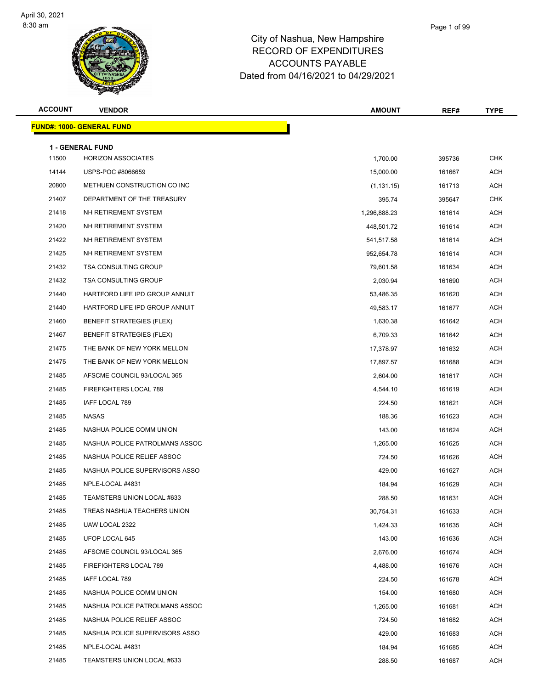

#### City of Nashua, New Hampshire RECORD OF EXPENDITURES ACCOUNTS PAYABLE Dated from 04/16/2021 to 04/29/2021

Page 1 of 99

| <b>ACCOUNT</b> | <b>VENDOR</b>                    | <b>AMOUNT</b> | REF#   | <b>TYPE</b> |
|----------------|----------------------------------|---------------|--------|-------------|
|                | <b>FUND#: 1000- GENERAL FUND</b> |               |        |             |
|                | 1 - GENERAL FUND                 |               |        |             |
| 11500          | <b>HORIZON ASSOCIATES</b>        | 1,700.00      | 395736 | <b>CHK</b>  |
| 14144          | USPS-POC #8066659                | 15,000.00     | 161667 | <b>ACH</b>  |
| 20800          | METHUEN CONSTRUCTION CO INC      | (1, 131.15)   | 161713 | <b>ACH</b>  |
| 21407          | DEPARTMENT OF THE TREASURY       | 395.74        | 395647 | CHK         |
| 21418          | NH RETIREMENT SYSTEM             | 1,296,888.23  | 161614 | <b>ACH</b>  |
| 21420          | NH RETIREMENT SYSTEM             | 448,501.72    | 161614 | <b>ACH</b>  |
| 21422          | NH RETIREMENT SYSTEM             | 541,517.58    | 161614 | <b>ACH</b>  |
| 21425          | NH RETIREMENT SYSTEM             | 952,654.78    | 161614 | <b>ACH</b>  |
| 21432          | <b>TSA CONSULTING GROUP</b>      | 79,601.58     | 161634 | <b>ACH</b>  |
| 21432          | <b>TSA CONSULTING GROUP</b>      | 2,030.94      | 161690 | <b>ACH</b>  |
| 21440          | HARTFORD LIFE IPD GROUP ANNUIT   | 53,486.35     | 161620 | <b>ACH</b>  |
| 21440          | HARTFORD LIFE IPD GROUP ANNUIT   | 49,583.17     | 161677 | <b>ACH</b>  |
| 21460          | <b>BENEFIT STRATEGIES (FLEX)</b> | 1,630.38      | 161642 | <b>ACH</b>  |
| 21467          | <b>BENEFIT STRATEGIES (FLEX)</b> | 6,709.33      | 161642 | <b>ACH</b>  |
| 21475          | THE BANK OF NEW YORK MELLON      | 17,378.97     | 161632 | <b>ACH</b>  |
| 21475          | THE BANK OF NEW YORK MELLON      | 17,897.57     | 161688 | <b>ACH</b>  |
| 21485          | AFSCME COUNCIL 93/LOCAL 365      | 2,604.00      | 161617 | <b>ACH</b>  |
| 21485          | FIREFIGHTERS LOCAL 789           | 4,544.10      | 161619 | <b>ACH</b>  |
| 21485          | IAFF LOCAL 789                   | 224.50        | 161621 | <b>ACH</b>  |
| 21485          | NASAS                            | 188.36        | 161623 | <b>ACH</b>  |
| 21485          | NASHUA POLICE COMM UNION         | 143.00        | 161624 | <b>ACH</b>  |
| 21485          | NASHUA POLICE PATROLMANS ASSOC   | 1,265.00      | 161625 | <b>ACH</b>  |
| 21485          | NASHUA POLICE RELIEF ASSOC       | 724.50        | 161626 | <b>ACH</b>  |
| 21485          | NASHUA POLICE SUPERVISORS ASSO   | 429.00        | 161627 | <b>ACH</b>  |
| 21485          | NPLE-LOCAL #4831                 | 184.94        | 161629 | <b>ACH</b>  |
| 21485          | TEAMSTERS UNION LOCAL #633       | 288.50        | 161631 | <b>ACH</b>  |
| 21485          | TREAS NASHUA TEACHERS UNION      | 30,754.31     | 161633 | <b>ACH</b>  |
| 21485          | UAW LOCAL 2322                   | 1,424.33      | 161635 | <b>ACH</b>  |
| 21485          | UFOP LOCAL 645                   | 143.00        | 161636 | <b>ACH</b>  |
| 21485          | AFSCME COUNCIL 93/LOCAL 365      | 2,676.00      | 161674 | <b>ACH</b>  |
| 21485          | FIREFIGHTERS LOCAL 789           | 4,488.00      | 161676 | <b>ACH</b>  |

 IAFF LOCAL 789 224.50 161678 ACH 21485 NASHUA POLICE COMM UNION 154.00 161680 ACH 21485 NASHUA POLICE PATROLMANS ASSOC **1,265.00** 1,265.00 161681 ACH 21485 NASHUA POLICE RELIEF ASSOC NASHUA POLICE RELIEF ASSOC NASHUA SA SANG ACH A SHUA ACH A SHUA ACH A SHUA ACH 21485 NASHUA POLICE SUPERVISORS ASSO **120 161683** ACH NPLE-LOCAL #4831 184.94 161685 ACH 21485 TEAMSTERS UNION LOCAL #633 288.50 288.50 161687 ACH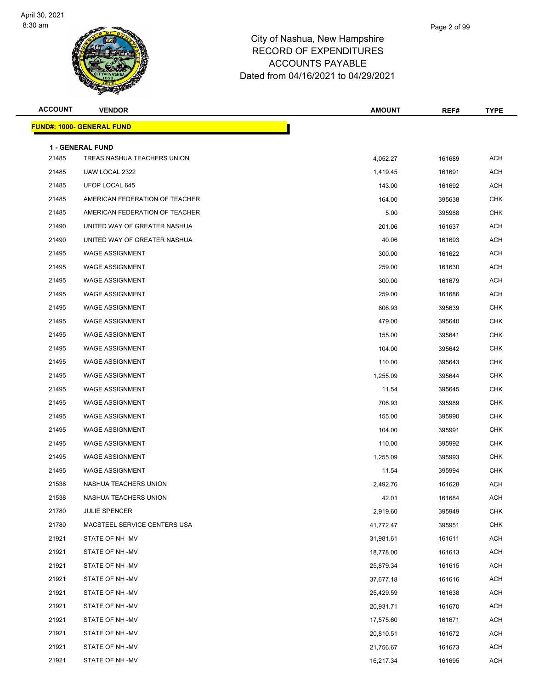

| <b>ACCOUNT</b> | <b>VENDOR</b>                    | <b>AMOUNT</b> | REF#   | <b>TYPE</b> |
|----------------|----------------------------------|---------------|--------|-------------|
|                | <b>FUND#: 1000- GENERAL FUND</b> |               |        |             |
|                | 1 - GENERAL FUND                 |               |        |             |
| 21485          | TREAS NASHUA TEACHERS UNION      | 4,052.27      | 161689 | <b>ACH</b>  |
| 21485          | UAW LOCAL 2322                   | 1,419.45      | 161691 | <b>ACH</b>  |
| 21485          | UFOP LOCAL 645                   | 143.00        | 161692 | <b>ACH</b>  |
| 21485          | AMERICAN FEDERATION OF TEACHER   | 164.00        | 395638 | <b>CHK</b>  |
| 21485          | AMERICAN FEDERATION OF TEACHER   | 5.00          | 395988 | <b>CHK</b>  |
| 21490          | UNITED WAY OF GREATER NASHUA     | 201.06        | 161637 | <b>ACH</b>  |
| 21490          | UNITED WAY OF GREATER NASHUA     | 40.06         | 161693 | <b>ACH</b>  |
| 21495          | <b>WAGE ASSIGNMENT</b>           | 300.00        | 161622 | <b>ACH</b>  |
| 21495          | <b>WAGE ASSIGNMENT</b>           | 259.00        | 161630 | <b>ACH</b>  |
| 21495          | <b>WAGE ASSIGNMENT</b>           | 300.00        | 161679 | <b>ACH</b>  |
| 21495          | <b>WAGE ASSIGNMENT</b>           | 259.00        | 161686 | <b>ACH</b>  |
| 21495          | <b>WAGE ASSIGNMENT</b>           | 806.93        | 395639 | <b>CHK</b>  |
| 21495          | <b>WAGE ASSIGNMENT</b>           | 479.00        | 395640 | <b>CHK</b>  |
| 21495          | <b>WAGE ASSIGNMENT</b>           | 155.00        | 395641 | <b>CHK</b>  |
| 21495          | <b>WAGE ASSIGNMENT</b>           | 104.00        | 395642 | <b>CHK</b>  |
| 21495          | <b>WAGE ASSIGNMENT</b>           | 110.00        | 395643 | <b>CHK</b>  |
| 21495          | <b>WAGE ASSIGNMENT</b>           | 1,255.09      | 395644 | <b>CHK</b>  |
| 21495          | <b>WAGE ASSIGNMENT</b>           | 11.54         | 395645 | <b>CHK</b>  |
| 21495          | <b>WAGE ASSIGNMENT</b>           | 706.93        | 395989 | <b>CHK</b>  |
| 21495          | <b>WAGE ASSIGNMENT</b>           | 155.00        | 395990 | <b>CHK</b>  |
| 21495          | <b>WAGE ASSIGNMENT</b>           | 104.00        | 395991 | <b>CHK</b>  |
| 21495          | <b>WAGE ASSIGNMENT</b>           | 110.00        | 395992 | <b>CHK</b>  |
| 21495          | <b>WAGE ASSIGNMENT</b>           | 1,255.09      | 395993 | <b>CHK</b>  |
| 21495          | <b>WAGE ASSIGNMENT</b>           | 11.54         | 395994 | <b>CHK</b>  |
| 21538          | NASHUA TEACHERS UNION            | 2,492.76      | 161628 | <b>ACH</b>  |
| 21538          | NASHUA TEACHERS UNION            | 42.01         | 161684 | ACH         |
| 21780          | JULIE SPENCER                    | 2,919.60      | 395949 | <b>CHK</b>  |
| 21780          | MACSTEEL SERVICE CENTERS USA     | 41,772.47     | 395951 | CHK         |
| 21921          | STATE OF NH-MV                   | 31,981.61     | 161611 | <b>ACH</b>  |
| 21921          | STATE OF NH-MV                   | 18,778.00     | 161613 | ACH         |
| 21921          | STATE OF NH -MV                  | 25,879.34     | 161615 | ACH         |
| 21921          | STATE OF NH -MV                  | 37,677.18     | 161616 | ACH         |
| 21921          | STATE OF NH-MV                   | 25,429.59     | 161638 | ACH         |
| 21921          | STATE OF NH-MV                   | 20,931.71     | 161670 | <b>ACH</b>  |
| 21921          | STATE OF NH -MV                  | 17,575.60     | 161671 | ACH         |
| 21921          | STATE OF NH -MV                  | 20,810.51     | 161672 | ACH         |
| 21921          | STATE OF NH -MV                  | 21,756.67     | 161673 | ACH         |
| 21921          | STATE OF NH -MV                  | 16,217.34     | 161695 | ACH         |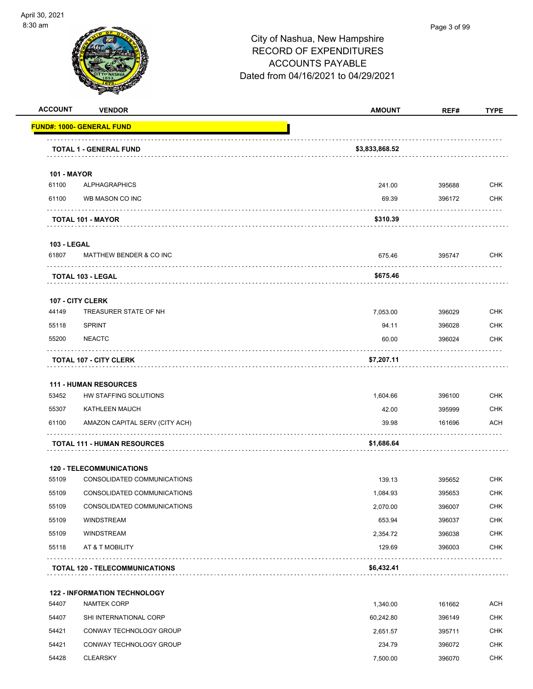

| <b>ACCOUNT</b>              | <b>VENDOR</b>                         | <b>AMOUNT</b>  | REF#             | <b>TYPE</b> |
|-----------------------------|---------------------------------------|----------------|------------------|-------------|
|                             | <b>FUND#: 1000- GENERAL FUND</b>      |                |                  |             |
|                             | <b>TOTAL 1 - GENERAL FUND</b>         | \$3,833,868.52 |                  |             |
|                             |                                       |                |                  |             |
| <b>101 - MAYOR</b><br>61100 | <b>ALPHAGRAPHICS</b>                  |                |                  | <b>CHK</b>  |
|                             | WB MASON CO INC                       | 241.00         | 395688<br>396172 | <b>CHK</b>  |
| 61100                       |                                       | 69.39          |                  |             |
|                             | TOTAL 101 - MAYOR                     | \$310.39       |                  |             |
| <b>103 - LEGAL</b>          |                                       |                |                  |             |
| 61807                       | MATTHEW BENDER & CO INC               | 675.46         | 395747           | <b>CHK</b>  |
|                             | TOTAL 103 - LEGAL                     | \$675.46       |                  |             |
|                             | 107 - CITY CLERK                      |                |                  |             |
| 44149                       | TREASURER STATE OF NH                 | 7,053.00       | 396029           | <b>CHK</b>  |
| 55118                       | <b>SPRINT</b>                         | 94.11          | 396028           | <b>CHK</b>  |
| 55200                       | <b>NEACTC</b>                         | 60.00          | 396024           | <b>CHK</b>  |
|                             | <b>TOTAL 107 - CITY CLERK</b>         | \$7,207.11     |                  |             |
|                             | <b>111 - HUMAN RESOURCES</b>          |                |                  |             |
| 53452                       | HW STAFFING SOLUTIONS                 | 1,604.66       | 396100           | <b>CHK</b>  |
| 55307                       | KATHLEEN MAUCH                        | 42.00          | 395999           | <b>CHK</b>  |
| 61100                       | AMAZON CAPITAL SERV (CITY ACH)        | 39.98          | 161696           | <b>ACH</b>  |
|                             | <b>TOTAL 111 - HUMAN RESOURCES</b>    | \$1,686.64     |                  |             |
|                             | <b>120 - TELECOMMUNICATIONS</b>       |                |                  |             |
| 55109                       | CONSOLIDATED COMMUNICATIONS           | 139.13         | 395652           | <b>CHK</b>  |
| 55109                       | CONSOLIDATED COMMUNICATIONS           | 1,084.93       | 395653           | <b>CHK</b>  |
| 55109                       | CONSOLIDATED COMMUNICATIONS           | 2,070.00       | 396007           | <b>CHK</b>  |
| 55109                       | <b>WINDSTREAM</b>                     | 653.94         | 396037           | <b>CHK</b>  |
| 55109                       | <b>WINDSTREAM</b>                     | 2,354.72       | 396038           | <b>CHK</b>  |
| 55118                       | AT & T MOBILITY                       | 129.69         | 396003           | <b>CHK</b>  |
|                             | <b>TOTAL 120 - TELECOMMUNICATIONS</b> | \$6,432.41     |                  |             |
|                             | <b>122 - INFORMATION TECHNOLOGY</b>   |                |                  |             |
| 54407                       | <b>NAMTEK CORP</b>                    | 1,340.00       | 161662           | <b>ACH</b>  |
| 54407                       | SHI INTERNATIONAL CORP                | 60,242.80      | 396149           | <b>CHK</b>  |
| 54421                       | CONWAY TECHNOLOGY GROUP               | 2,651.57       | 395711           | <b>CHK</b>  |
| 54421                       | CONWAY TECHNOLOGY GROUP               | 234.79         | 396072           | <b>CHK</b>  |
| 54428                       | <b>CLEARSKY</b>                       | 7,500.00       | 396070           | <b>CHK</b>  |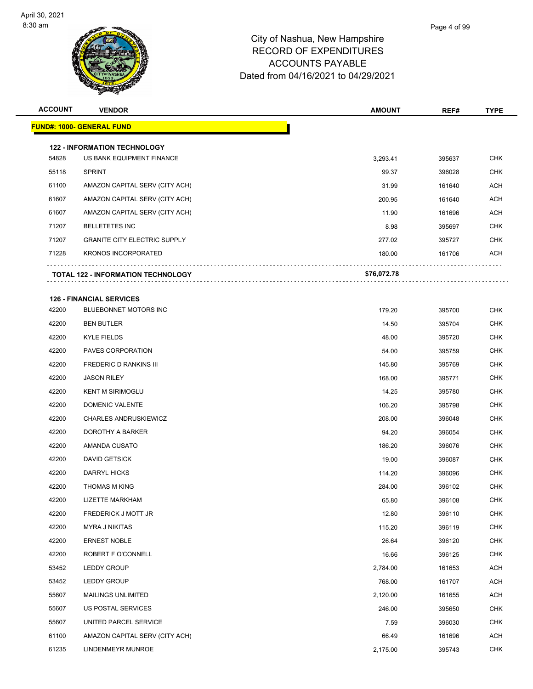

| <b>ACCOUNT</b> | <b>VENDOR</b>                                                    | <b>AMOUNT</b> | REF#   | <b>TYPE</b> |
|----------------|------------------------------------------------------------------|---------------|--------|-------------|
|                | FUND#: 1000- GENERAL FUND                                        |               |        |             |
|                |                                                                  |               |        |             |
| 54828          | <b>122 - INFORMATION TECHNOLOGY</b><br>US BANK EQUIPMENT FINANCE | 3,293.41      | 395637 | <b>CHK</b>  |
| 55118          | <b>SPRINT</b>                                                    | 99.37         | 396028 | <b>CHK</b>  |
| 61100          | AMAZON CAPITAL SERV (CITY ACH)                                   | 31.99         | 161640 | <b>ACH</b>  |
| 61607          | AMAZON CAPITAL SERV (CITY ACH)                                   | 200.95        | 161640 | <b>ACH</b>  |
| 61607          | AMAZON CAPITAL SERV (CITY ACH)                                   | 11.90         | 161696 | <b>ACH</b>  |
| 71207          | <b>BELLETETES INC</b>                                            | 8.98          | 395697 | <b>CHK</b>  |
| 71207          | <b>GRANITE CITY ELECTRIC SUPPLY</b>                              | 277.02        | 395727 | <b>CHK</b>  |
| 71228          | <b>KRONOS INCORPORATED</b>                                       | 180.00        | 161706 | ACH         |
|                | <b>TOTAL 122 - INFORMATION TECHNOLOGY</b>                        | \$76,072.78   |        |             |
|                | <b>126 - FINANCIAL SERVICES</b>                                  |               |        |             |
| 42200          | BLUEBONNET MOTORS INC                                            | 179.20        | 395700 | <b>CHK</b>  |
| 42200          | <b>BEN BUTLER</b>                                                | 14.50         | 395704 | <b>CHK</b>  |
| 42200          | <b>KYLE FIELDS</b>                                               | 48.00         | 395720 | <b>CHK</b>  |
| 42200          | PAVES CORPORATION                                                | 54.00         | 395759 | <b>CHK</b>  |
| 42200          | <b>FREDERIC D RANKINS III</b>                                    | 145.80        | 395769 | CHK         |
| 42200          | <b>JASON RILEY</b>                                               | 168.00        | 395771 | <b>CHK</b>  |
| 42200          | <b>KENT M SIRIMOGLU</b>                                          | 14.25         | 395780 | <b>CHK</b>  |
| 42200          | DOMENIC VALENTE                                                  | 106.20        | 395798 | <b>CHK</b>  |
| 42200          | <b>CHARLES ANDRUSKIEWICZ</b>                                     | 208.00        | 396048 | <b>CHK</b>  |
| 42200          | DOROTHY A BARKER                                                 | 94.20         | 396054 | <b>CHK</b>  |
| 42200          | AMANDA CUSATO                                                    | 186.20        | 396076 | <b>CHK</b>  |
| 42200          | <b>DAVID GETSICK</b>                                             | 19.00         | 396087 | CHK         |
| 42200          | <b>DARRYL HICKS</b>                                              | 114.20        | 396096 | <b>CHK</b>  |
| 42200          | <b>THOMAS M KING</b>                                             | 284.00        | 396102 | <b>CHK</b>  |
| 42200          | <b>LIZETTE MARKHAM</b>                                           | 65.80         | 396108 | <b>CHK</b>  |
| 42200          | FREDERICK J MOTT JR                                              | 12.80         | 396110 | <b>CHK</b>  |
| 42200          | <b>MYRA J NIKITAS</b>                                            | 115.20        | 396119 | <b>CHK</b>  |
| 42200          | <b>ERNEST NOBLE</b>                                              | 26.64         | 396120 | <b>CHK</b>  |
| 42200          | ROBERT F O'CONNELL                                               | 16.66         | 396125 | <b>CHK</b>  |
| 53452          | LEDDY GROUP                                                      | 2,784.00      | 161653 | <b>ACH</b>  |
| 53452          | LEDDY GROUP                                                      | 768.00        | 161707 | ACH         |
| 55607          | <b>MAILINGS UNLIMITED</b>                                        | 2,120.00      | 161655 | <b>ACH</b>  |
| 55607          | US POSTAL SERVICES                                               | 246.00        | 395650 | <b>CHK</b>  |
| 55607          | UNITED PARCEL SERVICE                                            | 7.59          | 396030 | <b>CHK</b>  |
| 61100          | AMAZON CAPITAL SERV (CITY ACH)                                   | 66.49         | 161696 | ACH         |
| 61235          | LINDENMEYR MUNROE                                                | 2,175.00      | 395743 | <b>CHK</b>  |
|                |                                                                  |               |        |             |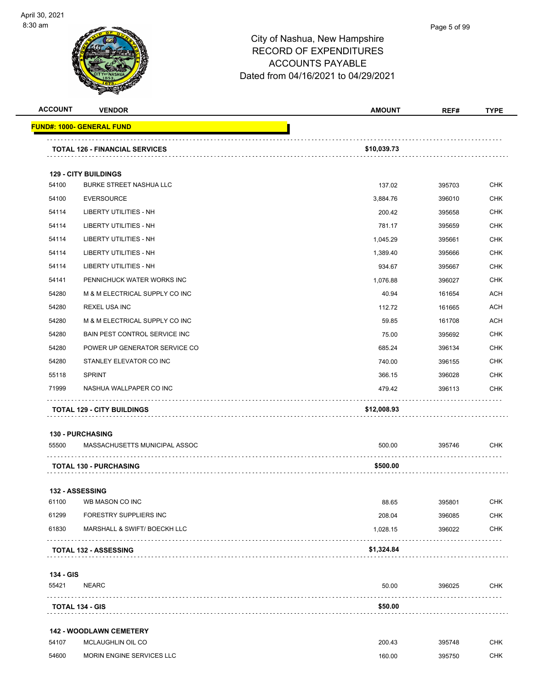

| <b>ACCOUNT</b>                       | <b>VENDOR</b>                         | <b>AMOUNT</b> | REF#             | <b>TYPE</b> |
|--------------------------------------|---------------------------------------|---------------|------------------|-------------|
| <u> FUND#: 1000- GENERAL FUND</u>    |                                       |               |                  |             |
|                                      | <b>TOTAL 126 - FINANCIAL SERVICES</b> | \$10,039.73   |                  |             |
|                                      |                                       |               |                  |             |
| <b>129 - CITY BUILDINGS</b><br>54100 | <b>BURKE STREET NASHUA LLC</b>        |               |                  | <b>CHK</b>  |
|                                      | <b>EVERSOURCE</b>                     | 137.02        | 395703           | <b>CHK</b>  |
| 54100<br>54114                       | <b>LIBERTY UTILITIES - NH</b>         | 3,884.76      | 396010           | <b>CHK</b>  |
| 54114                                | LIBERTY UTILITIES - NH                | 200.42        | 395658           | <b>CHK</b>  |
| 54114                                | LIBERTY UTILITIES - NH                | 781.17        | 395659<br>395661 | <b>CHK</b>  |
| 54114                                |                                       | 1,045.29      |                  |             |
|                                      | LIBERTY UTILITIES - NH                | 1,389.40      | 395666           | <b>CHK</b>  |
| 54114                                | <b>LIBERTY UTILITIES - NH</b>         | 934.67        | 395667           | <b>CHK</b>  |
| 54141                                | PENNICHUCK WATER WORKS INC            | 1,076.88      | 396027           | <b>CHK</b>  |
| 54280                                | M & M ELECTRICAL SUPPLY CO INC        | 40.94         | 161654           | <b>ACH</b>  |
| 54280                                | <b>REXEL USA INC</b>                  | 112.72        | 161665           | ACH         |
| 54280                                | M & M ELECTRICAL SUPPLY CO INC        | 59.85         | 161708           | <b>ACH</b>  |
| 54280                                | BAIN PEST CONTROL SERVICE INC         | 75.00         | 395692           | <b>CHK</b>  |
| 54280                                | POWER UP GENERATOR SERVICE CO         | 685.24        | 396134           | <b>CHK</b>  |
| 54280                                | STANLEY ELEVATOR CO INC               | 740.00        | 396155           | <b>CHK</b>  |
| 55118<br><b>SPRINT</b>               |                                       | 366.15        | 396028           | <b>CHK</b>  |
| 71999                                | NASHUA WALLPAPER CO INC               | 479.42        | 396113           | <b>CHK</b>  |
|                                      | <b>TOTAL 129 - CITY BUILDINGS</b>     | \$12,008.93   |                  |             |
| <b>130 - PURCHASING</b>              |                                       |               |                  |             |
| 55500                                | MASSACHUSETTS MUNICIPAL ASSOC         | 500.00        | 395746           | <b>CHK</b>  |
|                                      | <b>TOTAL 130 - PURCHASING</b>         | \$500.00      | .                |             |
| 132 - ASSESSING                      |                                       |               |                  |             |
| 61100                                | WB MASON CO INC                       | 88.65         | 395801           | <b>CHK</b>  |
| 61299                                | FORESTRY SUPPLIERS INC                | 208.04        | 396085           | <b>CHK</b>  |
| 61830                                | MARSHALL & SWIFT/ BOECKH LLC          | 1,028.15      | 396022           | <b>CHK</b>  |
| <b>TOTAL 132 - ASSESSING</b>         |                                       | \$1,324.84    |                  |             |
| 134 - GIS                            |                                       |               |                  |             |
| 55421<br><b>NEARC</b>                |                                       | 50.00         | 396025           | <b>CHK</b>  |
| <b>TOTAL 134 - GIS</b>               |                                       | .<br>\$50.00  |                  |             |
|                                      | <b>142 - WOODLAWN CEMETERY</b>        |               |                  |             |
| 54107                                | MCLAUGHLIN OIL CO                     | 200.43        | 395748           | <b>CHK</b>  |

54600 MORIN ENGINE SERVICES LLC **160.00** 395750 CHK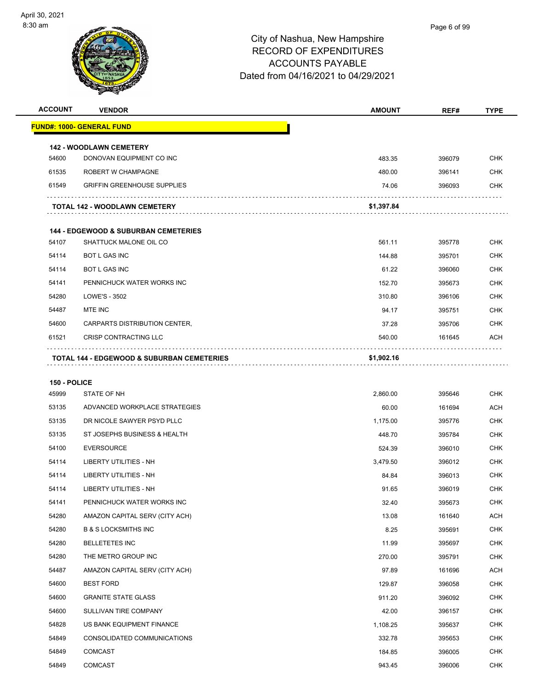| <b>ACCOUNT</b>        | <b>VENDOR</b>                                              | <b>AMOUNT</b> | REF#   | <b>TYPE</b> |
|-----------------------|------------------------------------------------------------|---------------|--------|-------------|
|                       | <u> FUND#: 1000- GENERAL FUND</u>                          |               |        |             |
|                       |                                                            |               |        |             |
| 54600                 | <b>142 - WOODLAWN CEMETERY</b><br>DONOVAN EQUIPMENT CO INC | 483.35        | 396079 | <b>CHK</b>  |
| 61535                 | ROBERT W CHAMPAGNE                                         | 480.00        | 396141 | CHK         |
| 61549                 | <b>GRIFFIN GREENHOUSE SUPPLIES</b>                         | 74.06         | 396093 | <b>CHK</b>  |
|                       |                                                            |               |        |             |
|                       | <b>TOTAL 142 - WOODLAWN CEMETERY</b>                       | \$1,397.84    |        |             |
|                       | <b>144 - EDGEWOOD &amp; SUBURBAN CEMETERIES</b>            |               |        |             |
| 54107                 | SHATTUCK MALONE OIL CO                                     | 561.11        | 395778 | CHK         |
| 54114                 | <b>BOT L GAS INC</b>                                       | 144.88        | 395701 | <b>CHK</b>  |
| 54114                 | <b>BOT L GAS INC</b>                                       | 61.22         | 396060 | <b>CHK</b>  |
| 54141                 | PENNICHUCK WATER WORKS INC                                 | 152.70        | 395673 | CHK         |
| 54280                 | LOWE'S - 3502                                              | 310.80        | 396106 | <b>CHK</b>  |
| 54487                 | MTE INC                                                    | 94.17         | 395751 | CHK         |
| 54600                 | CARPARTS DISTRIBUTION CENTER,                              | 37.28         | 395706 | <b>CHK</b>  |
| 61521                 | CRISP CONTRACTING LLC                                      | 540.00        | 161645 | ACH         |
|                       | <b>TOTAL 144 - EDGEWOOD &amp; SUBURBAN CEMETERIES</b>      | \$1,902.16    |        |             |
|                       |                                                            |               |        |             |
| 150 - POLICE<br>45999 | STATE OF NH                                                | 2,860.00      | 395646 | CHK         |
| 53135                 | ADVANCED WORKPLACE STRATEGIES                              | 60.00         | 161694 | <b>ACH</b>  |
| 53135                 | DR NICOLE SAWYER PSYD PLLC                                 | 1,175.00      | 395776 | CHK         |
| 53135                 | ST JOSEPHS BUSINESS & HEALTH                               | 448.70        | 395784 | <b>CHK</b>  |
| 54100                 | <b>EVERSOURCE</b>                                          | 524.39        | 396010 | CHK         |
| 54114                 | LIBERTY UTILITIES - NH                                     | 3,479.50      | 396012 | CHK         |
| 54114                 | LIBERTY UTILITIES - NH                                     | 84.84         | 396013 | <b>CHK</b>  |
| 54114                 | <b>LIBERTY UTILITIES - NH</b>                              | 91.65         | 396019 | CHK         |
| 54141                 | PENNICHUCK WATER WORKS INC                                 | 32.40         | 395673 | <b>CHK</b>  |
| 54280                 | AMAZON CAPITAL SERV (CITY ACH)                             | 13.08         | 161640 | ACH         |
| 54280                 | <b>B &amp; S LOCKSMITHS INC</b>                            | 8.25          | 395691 | <b>CHK</b>  |
| 54280                 | <b>BELLETETES INC</b>                                      | 11.99         | 395697 | <b>CHK</b>  |
| 54280                 | THE METRO GROUP INC                                        | 270.00        | 395791 | <b>CHK</b>  |
| 54487                 | AMAZON CAPITAL SERV (CITY ACH)                             | 97.89         | 161696 | ACH         |
| 54600                 | <b>BEST FORD</b>                                           | 129.87        | 396058 | <b>CHK</b>  |
| 54600                 | <b>GRANITE STATE GLASS</b>                                 | 911.20        | 396092 | CHK         |
| 54600                 | SULLIVAN TIRE COMPANY                                      | 42.00         | 396157 | <b>CHK</b>  |
| 54828                 | US BANK EQUIPMENT FINANCE                                  | 1,108.25      | 395637 | <b>CHK</b>  |
| 54849                 | CONSOLIDATED COMMUNICATIONS                                | 332.78        | 395653 | <b>CHK</b>  |
| 54849                 | <b>COMCAST</b>                                             | 184.85        | 396005 | <b>CHK</b>  |
| 54849                 | <b>COMCAST</b>                                             | 943.45        | 396006 | <b>CHK</b>  |
|                       |                                                            |               |        |             |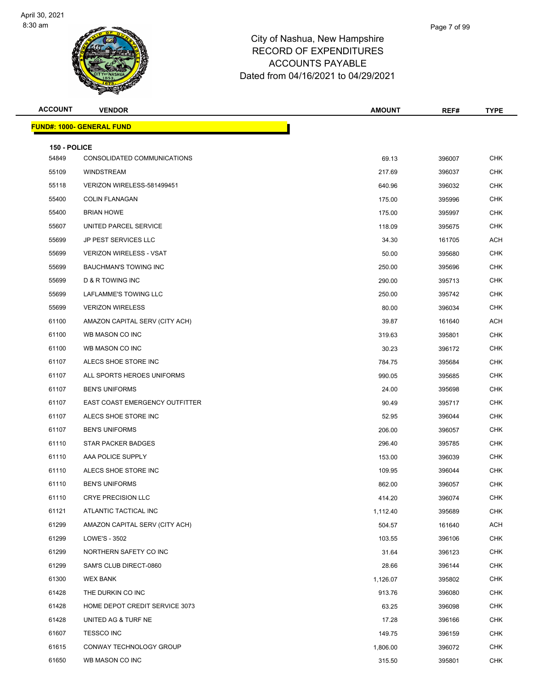

| <b>ACCOUNT</b>        | <b>VENDOR</b>                         | <b>AMOUNT</b> | REF#   | <b>TYPE</b> |
|-----------------------|---------------------------------------|---------------|--------|-------------|
|                       | <b>FUND#: 1000- GENERAL FUND</b>      |               |        |             |
|                       |                                       |               |        |             |
| 150 - POLICE<br>54849 | CONSOLIDATED COMMUNICATIONS           | 69.13         | 396007 | <b>CHK</b>  |
| 55109                 | WINDSTREAM                            | 217.69        | 396037 | <b>CHK</b>  |
| 55118                 | VERIZON WIRELESS-581499451            | 640.96        | 396032 | <b>CHK</b>  |
| 55400                 | <b>COLIN FLANAGAN</b>                 | 175.00        | 395996 | <b>CHK</b>  |
| 55400                 | <b>BRIAN HOWE</b>                     | 175.00        | 395997 | <b>CHK</b>  |
| 55607                 | UNITED PARCEL SERVICE                 | 118.09        | 395675 | <b>CHK</b>  |
| 55699                 | JP PEST SERVICES LLC                  | 34.30         | 161705 | ACH         |
| 55699                 | <b>VERIZON WIRELESS - VSAT</b>        | 50.00         | 395680 | <b>CHK</b>  |
| 55699                 | <b>BAUCHMAN'S TOWING INC</b>          | 250.00        | 395696 | <b>CHK</b>  |
| 55699                 | D & R TOWING INC                      | 290.00        | 395713 | <b>CHK</b>  |
| 55699                 | LAFLAMME'S TOWING LLC                 | 250.00        | 395742 | <b>CHK</b>  |
| 55699                 | <b>VERIZON WIRELESS</b>               | 80.00         | 396034 | <b>CHK</b>  |
| 61100                 | AMAZON CAPITAL SERV (CITY ACH)        | 39.87         | 161640 | <b>ACH</b>  |
| 61100                 | WB MASON CO INC                       | 319.63        | 395801 | <b>CHK</b>  |
| 61100                 | WB MASON CO INC                       | 30.23         | 396172 | <b>CHK</b>  |
| 61107                 | ALECS SHOE STORE INC                  | 784.75        | 395684 | <b>CHK</b>  |
| 61107                 | ALL SPORTS HEROES UNIFORMS            | 990.05        | 395685 | <b>CHK</b>  |
| 61107                 | <b>BEN'S UNIFORMS</b>                 | 24.00         | 395698 | <b>CHK</b>  |
| 61107                 | <b>EAST COAST EMERGENCY OUTFITTER</b> | 90.49         | 395717 | <b>CHK</b>  |
| 61107                 | ALECS SHOE STORE INC                  | 52.95         | 396044 | <b>CHK</b>  |
| 61107                 | <b>BEN'S UNIFORMS</b>                 | 206.00        | 396057 | <b>CHK</b>  |
| 61110                 | STAR PACKER BADGES                    | 296.40        | 395785 | <b>CHK</b>  |
| 61110                 | AAA POLICE SUPPLY                     | 153.00        | 396039 | <b>CHK</b>  |
| 61110                 | ALECS SHOE STORE INC                  | 109.95        | 396044 | <b>CHK</b>  |
| 61110                 | <b>BEN'S UNIFORMS</b>                 | 862.00        | 396057 | CHK         |
| 61110                 | <b>CRYE PRECISION LLC</b>             | 414.20        | 396074 | <b>CHK</b>  |
| 61121                 | ATLANTIC TACTICAL INC                 | 1,112.40      | 395689 | <b>CHK</b>  |
| 61299                 | AMAZON CAPITAL SERV (CITY ACH)        | 504.57        | 161640 | <b>ACH</b>  |
| 61299                 | LOWE'S - 3502                         | 103.55        | 396106 | <b>CHK</b>  |
| 61299                 | NORTHERN SAFETY CO INC                | 31.64         | 396123 | <b>CHK</b>  |
| 61299                 | SAM'S CLUB DIRECT-0860                | 28.66         | 396144 | <b>CHK</b>  |
| 61300                 | <b>WEX BANK</b>                       | 1,126.07      | 395802 | <b>CHK</b>  |
| 61428                 | THE DURKIN CO INC                     | 913.76        | 396080 | <b>CHK</b>  |
| 61428                 | HOME DEPOT CREDIT SERVICE 3073        | 63.25         | 396098 | <b>CHK</b>  |
| 61428                 | UNITED AG & TURF NE                   | 17.28         | 396166 | <b>CHK</b>  |
| 61607                 | <b>TESSCO INC</b>                     | 149.75        | 396159 | <b>CHK</b>  |
| 61615                 | CONWAY TECHNOLOGY GROUP               | 1,806.00      | 396072 | CHK         |
| 61650                 | WB MASON CO INC                       | 315.50        | 395801 | <b>CHK</b>  |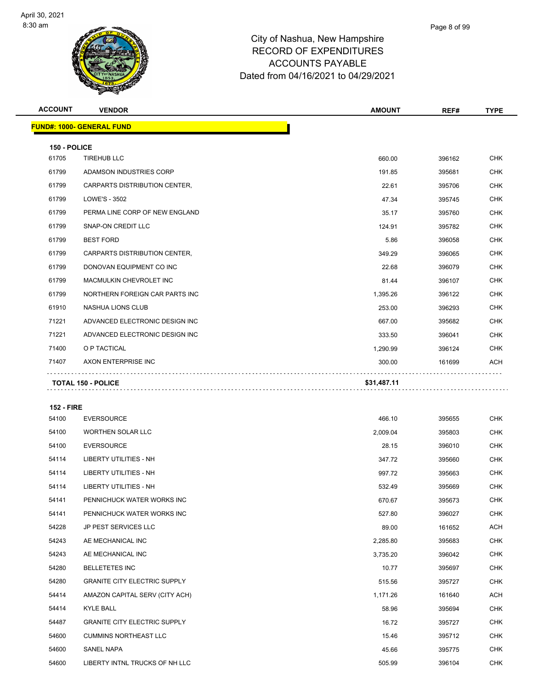

|       | Page 8 of 99 |
|-------|--------------|
| shire |              |
|       |              |

| <b>ACCOUNT</b> | <b>VENDOR</b>                    | <b>AMOUNT</b> | REF#   | <b>TYPE</b> |
|----------------|----------------------------------|---------------|--------|-------------|
|                | <b>FUND#: 1000- GENERAL FUND</b> |               |        |             |
|                |                                  |               |        |             |
| 150 - POLICE   |                                  |               |        |             |
| 61705          | <b>TIREHUB LLC</b>               | 660.00        | 396162 | <b>CHK</b>  |
| 61799          | ADAMSON INDUSTRIES CORP          | 191.85        | 395681 | <b>CHK</b>  |
| 61799          | CARPARTS DISTRIBUTION CENTER,    | 22.61         | 395706 | <b>CHK</b>  |
| 61799          | LOWE'S - 3502                    | 47.34         | 395745 | <b>CHK</b>  |
| 61799          | PERMA LINE CORP OF NEW ENGLAND   | 35.17         | 395760 | <b>CHK</b>  |
| 61799          | <b>SNAP-ON CREDIT LLC</b>        | 124.91        | 395782 | <b>CHK</b>  |
| 61799          | <b>BEST FORD</b>                 | 5.86          | 396058 | <b>CHK</b>  |
| 61799          | CARPARTS DISTRIBUTION CENTER,    | 349.29        | 396065 | <b>CHK</b>  |
| 61799          | DONOVAN EQUIPMENT CO INC         | 22.68         | 396079 | <b>CHK</b>  |
| 61799          | MACMULKIN CHEVROLET INC          | 81.44         | 396107 | <b>CHK</b>  |
| 61799          | NORTHERN FOREIGN CAR PARTS INC   | 1,395.26      | 396122 | <b>CHK</b>  |
| 61910          | <b>NASHUA LIONS CLUB</b>         | 253.00        | 396293 | <b>CHK</b>  |
| 71221          | ADVANCED ELECTRONIC DESIGN INC   | 667.00        | 395682 | <b>CHK</b>  |
| 71221          | ADVANCED ELECTRONIC DESIGN INC   | 333.50        | 396041 | <b>CHK</b>  |
| 71400          | O P TACTICAL                     | 1,290.99      | 396124 | <b>CHK</b>  |
| 71407          | AXON ENTERPRISE INC              | 300.00        | 161699 | <b>ACH</b>  |
|                | <b>TOTAL 150 - POLICE</b>        | \$31,487.11   |        |             |
|                |                                  |               |        |             |

#### **152 - FIRE**

| 54100 | <b>EVERSOURCE</b>                   | 466.10   | 395655 | <b>CHK</b> |
|-------|-------------------------------------|----------|--------|------------|
| 54100 | <b>WORTHEN SOLAR LLC</b>            | 2,009.04 | 395803 | <b>CHK</b> |
| 54100 | <b>EVERSOURCE</b>                   | 28.15    | 396010 | <b>CHK</b> |
| 54114 | <b>LIBERTY UTILITIES - NH</b>       | 347.72   | 395660 | <b>CHK</b> |
| 54114 | <b>LIBERTY UTILITIES - NH</b>       | 997.72   | 395663 | <b>CHK</b> |
| 54114 | <b>LIBERTY UTILITIES - NH</b>       | 532.49   | 395669 | <b>CHK</b> |
| 54141 | PENNICHUCK WATER WORKS INC          | 670.67   | 395673 | <b>CHK</b> |
| 54141 | PENNICHUCK WATER WORKS INC          | 527.80   | 396027 | <b>CHK</b> |
| 54228 | <b>JP PEST SERVICES LLC</b>         | 89.00    | 161652 | ACH        |
| 54243 | AE MECHANICAL INC                   | 2,285.80 | 395683 | <b>CHK</b> |
| 54243 | AE MECHANICAL INC                   | 3,735.20 | 396042 | <b>CHK</b> |
| 54280 | <b>BELLETETES INC</b>               | 10.77    | 395697 | <b>CHK</b> |
| 54280 | <b>GRANITE CITY ELECTRIC SUPPLY</b> | 515.56   | 395727 | <b>CHK</b> |
| 54414 | AMAZON CAPITAL SERV (CITY ACH)      | 1,171.26 | 161640 | ACH        |
| 54414 | <b>KYLE BALL</b>                    | 58.96    | 395694 | <b>CHK</b> |
| 54487 | <b>GRANITE CITY ELECTRIC SUPPLY</b> | 16.72    | 395727 | <b>CHK</b> |
| 54600 | <b>CUMMINS NORTHEAST LLC</b>        | 15.46    | 395712 | <b>CHK</b> |
| 54600 | <b>SANEL NAPA</b>                   | 45.66    | 395775 | <b>CHK</b> |
| 54600 | LIBERTY INTNL TRUCKS OF NH LLC      | 505.99   | 396104 | <b>CHK</b> |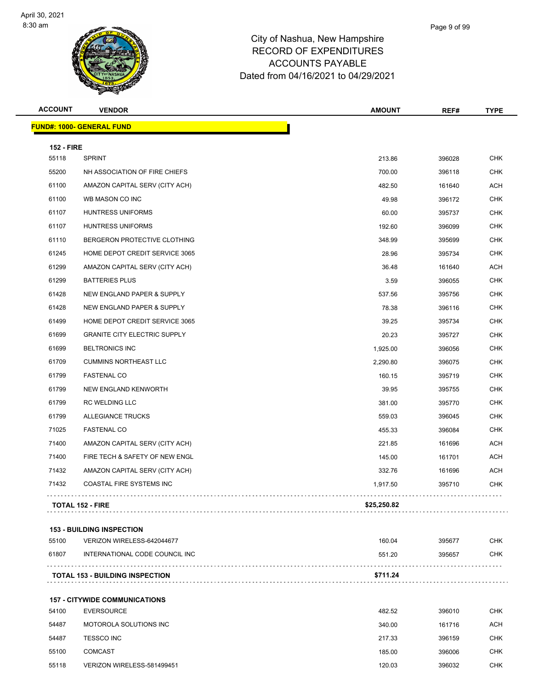

| <b>ACCOUNT</b>    | <b>VENDOR</b>                          | <b>AMOUNT</b> | REF#   | <b>TYPE</b> |
|-------------------|----------------------------------------|---------------|--------|-------------|
|                   | <b>FUND#: 1000- GENERAL FUND</b>       |               |        |             |
| <b>152 - FIRE</b> |                                        |               |        |             |
| 55118             | <b>SPRINT</b>                          | 213.86        | 396028 | CHK         |
| 55200             | NH ASSOCIATION OF FIRE CHIEFS          | 700.00        | 396118 | <b>CHK</b>  |
| 61100             | AMAZON CAPITAL SERV (CITY ACH)         | 482.50        | 161640 | ACH         |
| 61100             | WB MASON CO INC                        | 49.98         | 396172 | <b>CHK</b>  |
| 61107             | <b>HUNTRESS UNIFORMS</b>               | 60.00         | 395737 | <b>CHK</b>  |
| 61107             | HUNTRESS UNIFORMS                      | 192.60        | 396099 | <b>CHK</b>  |
| 61110             | BERGERON PROTECTIVE CLOTHING           | 348.99        | 395699 | <b>CHK</b>  |
| 61245             | HOME DEPOT CREDIT SERVICE 3065         | 28.96         | 395734 | <b>CHK</b>  |
| 61299             | AMAZON CAPITAL SERV (CITY ACH)         | 36.48         | 161640 | <b>ACH</b>  |
| 61299             | <b>BATTERIES PLUS</b>                  | 3.59          | 396055 | <b>CHK</b>  |
| 61428             | NEW ENGLAND PAPER & SUPPLY             | 537.56        | 395756 | <b>CHK</b>  |
| 61428             | NEW ENGLAND PAPER & SUPPLY             | 78.38         | 396116 | <b>CHK</b>  |
| 61499             | HOME DEPOT CREDIT SERVICE 3065         | 39.25         | 395734 | <b>CHK</b>  |
| 61699             | <b>GRANITE CITY ELECTRIC SUPPLY</b>    | 20.23         | 395727 | <b>CHK</b>  |
| 61699             | <b>BELTRONICS INC</b>                  | 1,925.00      | 396056 | <b>CHK</b>  |
| 61709             | <b>CUMMINS NORTHEAST LLC</b>           | 2,290.80      | 396075 | <b>CHK</b>  |
| 61799             | <b>FASTENAL CO</b>                     | 160.15        | 395719 | <b>CHK</b>  |
| 61799             | NEW ENGLAND KENWORTH                   | 39.95         | 395755 | <b>CHK</b>  |
| 61799             | RC WELDING LLC                         | 381.00        | 395770 | <b>CHK</b>  |
| 61799             | <b>ALLEGIANCE TRUCKS</b>               | 559.03        | 396045 | <b>CHK</b>  |
| 71025             | <b>FASTENAL CO</b>                     | 455.33        | 396084 | <b>CHK</b>  |
| 71400             | AMAZON CAPITAL SERV (CITY ACH)         | 221.85        | 161696 | ACH         |
| 71400             | FIRE TECH & SAFETY OF NEW ENGL         | 145.00        | 161701 | ACH         |
| 71432             | AMAZON CAPITAL SERV (CITY ACH)         | 332.76        | 161696 | ACH         |
| 71432             | COASTAL FIRE SYSTEMS INC               | 1,917.50      | 395710 | <b>CHK</b>  |
|                   | <b>TOTAL 152 - FIRE</b>                | \$25,250.82   |        |             |
|                   | <b>153 - BUILDING INSPECTION</b>       |               |        |             |
| 55100             | VERIZON WIRELESS-642044677             | 160.04        | 395677 | <b>CHK</b>  |
| 61807             | INTERNATIONAL CODE COUNCIL INC         | 551.20        | 395657 | CHK         |
|                   | <b>TOTAL 153 - BUILDING INSPECTION</b> | \$711.24      |        |             |
|                   | <b>157 - CITYWIDE COMMUNICATIONS</b>   |               |        |             |
| 54100             | <b>EVERSOURCE</b>                      | 482.52        | 396010 | <b>CHK</b>  |
| 54487             | MOTOROLA SOLUTIONS INC                 | 340.00        | 161716 | ACH         |
| 54487             | <b>TESSCO INC</b>                      | 217.33        | 396159 | <b>CHK</b>  |

 COMCAST 185.00 396006 CHK 55118 VERIZON WIRELESS-581499451 VERIZON WIRELESS-581499451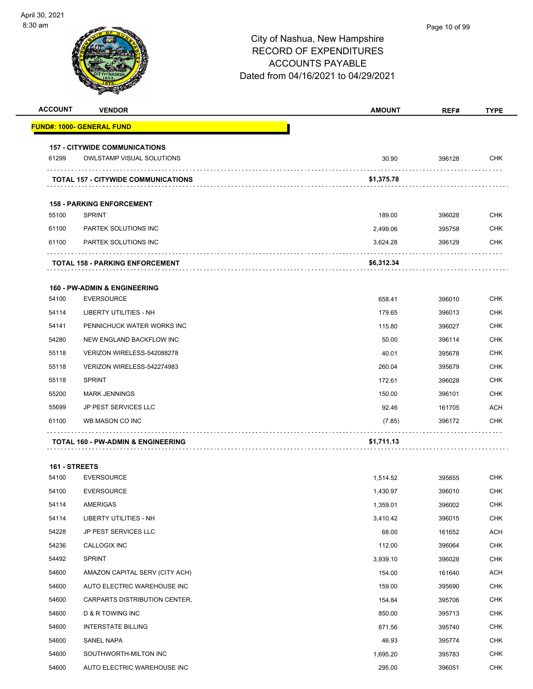| <b>ACCOUNT</b> | <b>VENDOR</b>                                     | <b>AMOUNT</b> | REF#   | <b>TYPE</b> |
|----------------|---------------------------------------------------|---------------|--------|-------------|
|                | <u> FUND#: 1000- GENERAL FUND</u>                 |               |        |             |
|                | <b>157 - CITYWIDE COMMUNICATIONS</b>              |               |        |             |
| 61299          | <b>OWLSTAMP VISUAL SOLUTIONS</b>                  | 30.90         | 396128 | <b>CHK</b>  |
|                | <b>TOTAL 157 - CITYWIDE COMMUNICATIONS</b>        | \$1,375.78    |        |             |
|                |                                                   |               |        |             |
| 55100          | <b>158 - PARKING ENFORCEMENT</b><br><b>SPRINT</b> | 189.00        | 396028 | <b>CHK</b>  |
| 61100          | <b>PARTEK SOLUTIONS INC</b>                       | 2,499.06      | 395758 | <b>CHK</b>  |
| 61100          | PARTEK SOLUTIONS INC                              | 3,624.28      | 396129 | <b>CHK</b>  |
|                |                                                   |               |        |             |
|                | <b>TOTAL 158 - PARKING ENFORCEMENT</b>            | \$6,312.34    |        |             |
|                | 160 - PW-ADMIN & ENGINEERING                      |               |        |             |
| 54100          | <b>EVERSOURCE</b>                                 | 658.41        | 396010 | <b>CHK</b>  |
| 54114          | <b>LIBERTY UTILITIES - NH</b>                     | 179.65        | 396013 | <b>CHK</b>  |
| 54141          | PENNICHUCK WATER WORKS INC                        | 115.80        | 396027 | <b>CHK</b>  |
| 54280          | NEW ENGLAND BACKFLOW INC                          | 50.00         | 396114 | <b>CHK</b>  |
| 55118          | VERIZON WIRELESS-542088278                        | 40.01         | 395678 | <b>CHK</b>  |
| 55118          | VERIZON WIRELESS-542274983                        | 260.04        | 395679 | <b>CHK</b>  |
| 55118          | <b>SPRINT</b>                                     | 172.61        | 396028 | <b>CHK</b>  |
| 55200          | <b>MARK JENNINGS</b>                              | 150.00        | 396101 | <b>CHK</b>  |
| 55699          | JP PEST SERVICES LLC                              | 92.46         | 161705 | ACH         |
| 61100          | WB MASON CO INC                                   | (7.85)        | 396172 | CHK         |
|                | <b>TOTAL 160 - PW-ADMIN &amp; ENGINEERING</b>     | \$1,711.13    |        |             |
|                |                                                   |               |        |             |
| 161 - STREETS  |                                                   |               |        |             |
| 54100          | <b>EVERSOURCE</b>                                 | 1,514.52      | 395655 | <b>CHK</b>  |
| 54100          | <b>EVERSOURCE</b>                                 | 1.430.97      | 396010 | <b>CHK</b>  |
| 54114          | AMERIGAS                                          | 1,359.01      | 396002 | <b>CHK</b>  |
| 54114          | LIBERTY UTILITIES - NH                            | 3,410.42      | 396015 | <b>CHK</b>  |
| 54228          | JP PEST SERVICES LLC                              | 68.00         | 161652 | ACH         |
| 54236          | CALLOGIX INC                                      | 112.00        | 396064 | <b>CHK</b>  |
| 54492          | SPRINT                                            | 3,939.10      | 396028 | <b>CHK</b>  |
| 54600          | AMAZON CAPITAL SERV (CITY ACH)                    | 154.00        | 161640 | ACH         |
| 54600          | AUTO ELECTRIC WAREHOUSE INC                       | 159.00        | 395690 | <b>CHK</b>  |
| 54600          | CARPARTS DISTRIBUTION CENTER,                     | 154.84        | 395706 | <b>CHK</b>  |
| 54600          | D & R TOWING INC                                  | 850.00        | 395713 | <b>CHK</b>  |
| 54600          | <b>INTERSTATE BILLING</b>                         | 871.56        | 395740 | <b>CHK</b>  |
| 54600          | SANEL NAPA                                        | 46.93         | 395774 | <b>CHK</b>  |
| 54600          | SOUTHWORTH-MILTON INC                             | 1,695.20      | 395783 | <b>CHK</b>  |
| 54600          | AUTO ELECTRIC WAREHOUSE INC                       | 295.00        | 396051 | <b>CHK</b>  |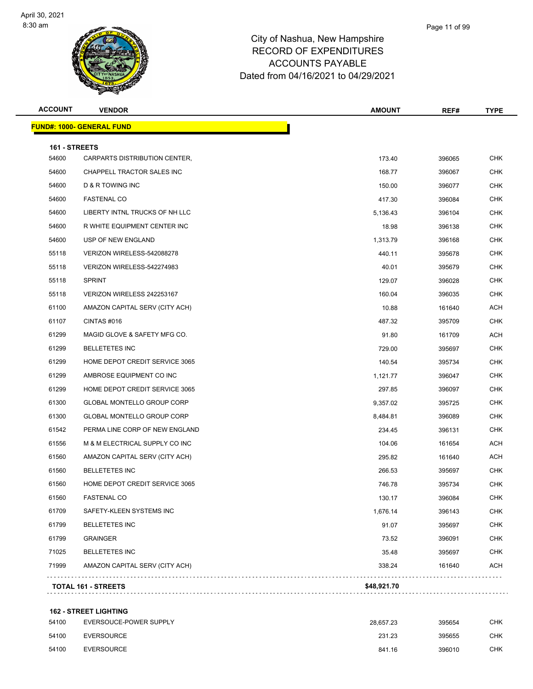

| <b>ACCOUNT</b> | <b>VENDOR</b>                    | <b>AMOUNT</b> | REF#   | <b>TYPE</b> |
|----------------|----------------------------------|---------------|--------|-------------|
|                | <b>FUND#: 1000- GENERAL FUND</b> |               |        |             |
| 161 - STREETS  |                                  |               |        |             |
| 54600          | CARPARTS DISTRIBUTION CENTER,    | 173.40        | 396065 | <b>CHK</b>  |
| 54600          | CHAPPELL TRACTOR SALES INC       | 168.77        | 396067 | <b>CHK</b>  |
| 54600          | <b>D &amp; R TOWING INC</b>      | 150.00        | 396077 | <b>CHK</b>  |
| 54600          | <b>FASTENAL CO</b>               | 417.30        | 396084 | <b>CHK</b>  |
| 54600          | LIBERTY INTNL TRUCKS OF NH LLC   | 5,136.43      | 396104 | <b>CHK</b>  |
| 54600          | R WHITE EQUIPMENT CENTER INC     | 18.98         | 396138 | <b>CHK</b>  |
| 54600          | USP OF NEW ENGLAND               | 1,313.79      | 396168 | <b>CHK</b>  |
| 55118          | VERIZON WIRELESS-542088278       | 440.11        | 395678 | <b>CHK</b>  |
| 55118          | VERIZON WIRELESS-542274983       | 40.01         | 395679 | <b>CHK</b>  |
| 55118          | <b>SPRINT</b>                    | 129.07        | 396028 | <b>CHK</b>  |
| 55118          | VERIZON WIRELESS 242253167       | 160.04        | 396035 | <b>CHK</b>  |
| 61100          | AMAZON CAPITAL SERV (CITY ACH)   | 10.88         | 161640 | ACH         |
| 61107          | CINTAS#016                       | 487.32        | 395709 | <b>CHK</b>  |
| 61299          | MAGID GLOVE & SAFETY MFG CO.     | 91.80         | 161709 | ACH         |
| 61299          | <b>BELLETETES INC</b>            | 729.00        | 395697 | CHK         |
| 61299          | HOME DEPOT CREDIT SERVICE 3065   | 140.54        | 395734 | CHK         |
| 61299          | AMBROSE EQUIPMENT CO INC         | 1,121.77      | 396047 | <b>CHK</b>  |
| 61299          | HOME DEPOT CREDIT SERVICE 3065   | 297.85        | 396097 | <b>CHK</b>  |
| 61300          | GLOBAL MONTELLO GROUP CORP       | 9,357.02      | 395725 | <b>CHK</b>  |
| 61300          | GLOBAL MONTELLO GROUP CORP       | 8,484.81      | 396089 | <b>CHK</b>  |
| 61542          | PERMA LINE CORP OF NEW ENGLAND   | 234.45        | 396131 | <b>CHK</b>  |
| 61556          | M & M ELECTRICAL SUPPLY CO INC   | 104.06        | 161654 | ACH         |
| 61560          | AMAZON CAPITAL SERV (CITY ACH)   | 295.82        | 161640 | ACH         |
| 61560          | <b>BELLETETES INC</b>            | 266.53        | 395697 | CHK         |
| 61560          | HOME DEPOT CREDIT SERVICE 3065   | 746.78        | 395734 | CHK         |
| 61560          | <b>FASTENAL CO</b>               | 130.17        | 396084 | <b>CHK</b>  |
| 61709          | SAFETY-KLEEN SYSTEMS INC         | 1,676.14      | 396143 | <b>CHK</b>  |
| 61799          | <b>BELLETETES INC</b>            | 91.07         | 395697 | <b>CHK</b>  |
| 61799          | <b>GRAINGER</b>                  | 73.52         | 396091 | <b>CHK</b>  |
| 71025          | <b>BELLETETES INC</b>            | 35.48         | 395697 | <b>CHK</b>  |
| 71999          | AMAZON CAPITAL SERV (CITY ACH)   | 338.24        | 161640 | ACH         |
|                | TOTAL 161 - STREETS              | \$48,921.70   |        |             |
|                |                                  |               |        |             |

#### **162 - STREET LIGHTING**

| 54100 | EVERSOUCE-POWER SUPPLY | 28.657.23 | 395654 | <b>CHK</b> |
|-------|------------------------|-----------|--------|------------|
| 54100 | EVERSOURCE             | 231.23    | 395655 | <b>CHK</b> |
| 54100 | <b>EVERSOURCE</b>      | 841.16    | 396010 | <b>CHK</b> |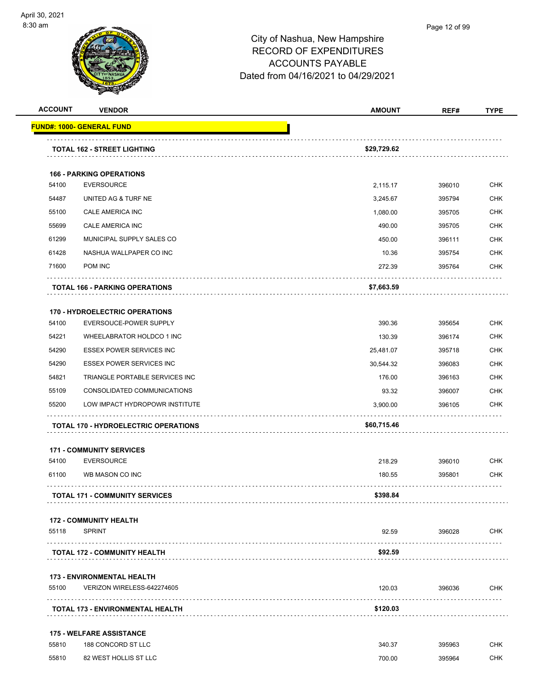

| <b>ACCOUNT</b> | <b>VENDOR</b>                               | <b>AMOUNT</b> | REF#   | <b>TYPE</b> |
|----------------|---------------------------------------------|---------------|--------|-------------|
|                | <b>FUND#: 1000- GENERAL FUND</b>            |               |        |             |
|                | <b>TOTAL 162 - STREET LIGHTING</b>          | \$29,729.62   |        |             |
|                |                                             |               |        |             |
|                | <b>166 - PARKING OPERATIONS</b>             |               |        |             |
| 54100          | <b>EVERSOURCE</b>                           | 2,115.17      | 396010 | <b>CHK</b>  |
| 54487          | UNITED AG & TURF NE                         | 3,245.67      | 395794 | <b>CHK</b>  |
| 55100          | CALE AMERICA INC                            | 1,080.00      | 395705 | <b>CHK</b>  |
| 55699          | CALE AMERICA INC                            | 490.00        | 395705 | <b>CHK</b>  |
| 61299          | MUNICIPAL SUPPLY SALES CO                   | 450.00        | 396111 | <b>CHK</b>  |
| 61428          | NASHUA WALLPAPER CO INC                     | 10.36         | 395754 | <b>CHK</b>  |
| 71600          | POM INC                                     | 272.39        | 395764 | <b>CHK</b>  |
|                | <b>TOTAL 166 - PARKING OPERATIONS</b>       | \$7,663.59    |        |             |
|                | <b>170 - HYDROELECTRIC OPERATIONS</b>       |               |        |             |
| 54100          | EVERSOUCE-POWER SUPPLY                      | 390.36        | 395654 | <b>CHK</b>  |
| 54221          | WHEELABRATOR HOLDCO 1 INC                   | 130.39        | 396174 | <b>CHK</b>  |
| 54290          | <b>ESSEX POWER SERVICES INC</b>             | 25,481.07     | 395718 | <b>CHK</b>  |
| 54290          | <b>ESSEX POWER SERVICES INC</b>             | 30,544.32     | 396083 | <b>CHK</b>  |
| 54821          | TRIANGLE PORTABLE SERVICES INC              | 176.00        | 396163 | <b>CHK</b>  |
| 55109          | CONSOLIDATED COMMUNICATIONS                 | 93.32         | 396007 | <b>CHK</b>  |
| 55200          | LOW IMPACT HYDROPOWR INSTITUTE              | 3,900.00      | 396105 | CHK         |
|                | <b>TOTAL 170 - HYDROELECTRIC OPERATIONS</b> | \$60,715.46   |        |             |
|                | <b>171 - COMMUNITY SERVICES</b>             |               |        |             |
| 54100          | <b>EVERSOURCE</b>                           | 218.29        | 396010 | <b>CHK</b>  |
| 61100          | WB MASON CO INC                             | 180.55        | 395801 | CHK         |
|                | TOTAL 171 - COMMUNITY SERVICES              | \$398.84      |        |             |
|                | <b>172 - COMMUNITY HEALTH</b>               |               |        |             |
| 55118          | <b>SPRINT</b>                               | 92.59         | 396028 | <b>CHK</b>  |
|                | <b>TOTAL 172 - COMMUNITY HEALTH</b>         | \$92.59       |        |             |
|                | <b>173 - ENVIRONMENTAL HEALTH</b>           |               |        |             |
| 55100          | VERIZON WIRELESS-642274605                  | 120.03        | 396036 | CHK         |
|                | <b>TOTAL 173 - ENVIRONMENTAL HEALTH</b>     | \$120.03      |        |             |
|                | <b>175 - WELFARE ASSISTANCE</b>             |               |        |             |
| 55810          | 188 CONCORD ST LLC                          | 340.37        | 395963 | <b>CHK</b>  |
| 55810          | 82 WEST HOLLIS ST LLC                       | 700.00        | 395964 | <b>CHK</b>  |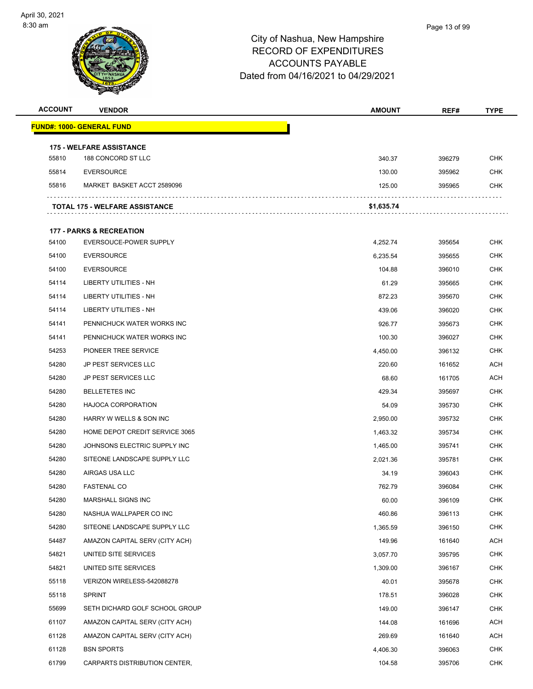

| <b>ACCOUNT</b> | <b>VENDOR</b>                       | <b>AMOUNT</b> | REF#   | <b>TYPE</b> |
|----------------|-------------------------------------|---------------|--------|-------------|
|                | <b>FUND#: 1000- GENERAL FUND</b>    |               |        |             |
|                | <b>175 - WELFARE ASSISTANCE</b>     |               |        |             |
| 55810          | 188 CONCORD ST LLC                  | 340.37        | 396279 | <b>CHK</b>  |
| 55814          | <b>EVERSOURCE</b>                   | 130.00        | 395962 | <b>CHK</b>  |
| 55816          | MARKET BASKET ACCT 2589096          | 125.00        | 395965 | <b>CHK</b>  |
|                | TOTAL 175 - WELFARE ASSISTANCE      | \$1,635.74    |        |             |
|                | <b>177 - PARKS &amp; RECREATION</b> |               |        |             |
| 54100          | EVERSOUCE-POWER SUPPLY              | 4,252.74      | 395654 | <b>CHK</b>  |
| 54100          | <b>EVERSOURCE</b>                   | 6,235.54      | 395655 | CHK         |
| 54100          | <b>EVERSOURCE</b>                   | 104.88        | 396010 | <b>CHK</b>  |
| 54114          | LIBERTY UTILITIES - NH              | 61.29         | 395665 | <b>CHK</b>  |
| 54114          | LIBERTY UTILITIES - NH              | 872.23        | 395670 | <b>CHK</b>  |
| 54114          | LIBERTY UTILITIES - NH              | 439.06        | 396020 | <b>CHK</b>  |
| 54141          | PENNICHUCK WATER WORKS INC          | 926.77        | 395673 | <b>CHK</b>  |
| 54141          | PENNICHUCK WATER WORKS INC          | 100.30        | 396027 | <b>CHK</b>  |
| 54253          | PIONEER TREE SERVICE                | 4,450.00      | 396132 | <b>CHK</b>  |
| 54280          | <b>JP PEST SERVICES LLC</b>         | 220.60        | 161652 | ACH         |
| 54280          | <b>JP PEST SERVICES LLC</b>         | 68.60         | 161705 | <b>ACH</b>  |
| 54280          | <b>BELLETETES INC</b>               | 429.34        | 395697 | <b>CHK</b>  |
| 54280          | <b>HAJOCA CORPORATION</b>           | 54.09         | 395730 | <b>CHK</b>  |
| 54280          | HARRY W WELLS & SON INC             | 2,950.00      | 395732 | <b>CHK</b>  |
| 54280          | HOME DEPOT CREDIT SERVICE 3065      | 1,463.32      | 395734 | <b>CHK</b>  |
| 54280          | JOHNSONS ELECTRIC SUPPLY INC        | 1,465.00      | 395741 | <b>CHK</b>  |
| 54280          | SITEONE LANDSCAPE SUPPLY LLC        | 2,021.36      | 395781 | <b>CHK</b>  |
| 54280          | AIRGAS USA LLC                      | 34.19         | 396043 | <b>CHK</b>  |
| 54280          | <b>FASTENAL CO</b>                  | 762.79        | 396084 | <b>CHK</b>  |
| 54280          | <b>MARSHALL SIGNS INC</b>           | 60.00         | 396109 | <b>CHK</b>  |
| 54280          | NASHUA WALLPAPER CO INC             | 460.86        | 396113 | <b>CHK</b>  |
| 54280          | SITEONE LANDSCAPE SUPPLY LLC        | 1,365.59      | 396150 | <b>CHK</b>  |
| 54487          | AMAZON CAPITAL SERV (CITY ACH)      | 149.96        | 161640 | <b>ACH</b>  |
| 54821          | UNITED SITE SERVICES                | 3,057.70      | 395795 | <b>CHK</b>  |
| 54821          | UNITED SITE SERVICES                | 1,309.00      | 396167 | <b>CHK</b>  |
| 55118          | VERIZON WIRELESS-542088278          | 40.01         | 395678 | <b>CHK</b>  |
| 55118          | <b>SPRINT</b>                       | 178.51        | 396028 | <b>CHK</b>  |
| 55699          | SETH DICHARD GOLF SCHOOL GROUP      | 149.00        | 396147 | <b>CHK</b>  |
| 61107          | AMAZON CAPITAL SERV (CITY ACH)      | 144.08        | 161696 | <b>ACH</b>  |
| 61128          | AMAZON CAPITAL SERV (CITY ACH)      | 269.69        | 161640 | <b>ACH</b>  |
| 61128          | <b>BSN SPORTS</b>                   | 4,406.30      | 396063 | <b>CHK</b>  |
| 61799          | CARPARTS DISTRIBUTION CENTER,       | 104.58        | 395706 | <b>CHK</b>  |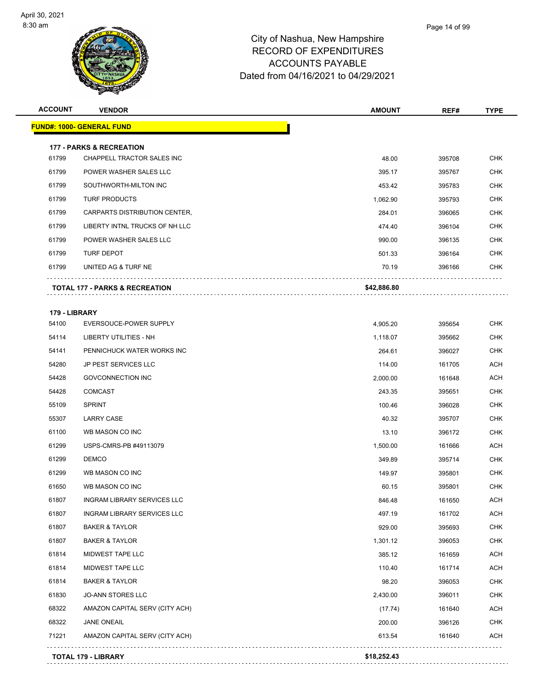

| <b>ACCOUNT</b> | <b>VENDOR</b>                             | <b>AMOUNT</b> | REF#   | <b>TYPE</b> |
|----------------|-------------------------------------------|---------------|--------|-------------|
|                | <b>FUND#: 1000- GENERAL FUND</b>          |               |        |             |
|                | <b>177 - PARKS &amp; RECREATION</b>       |               |        |             |
| 61799          | CHAPPELL TRACTOR SALES INC                | 48.00         | 395708 | <b>CHK</b>  |
| 61799          | POWER WASHER SALES LLC                    | 395.17        | 395767 | CHK         |
| 61799          | SOUTHWORTH-MILTON INC                     | 453.42        | 395783 | <b>CHK</b>  |
| 61799          | <b>TURF PRODUCTS</b>                      | 1,062.90      | 395793 | <b>CHK</b>  |
| 61799          | CARPARTS DISTRIBUTION CENTER,             | 284.01        | 396065 | <b>CHK</b>  |
| 61799          | LIBERTY INTNL TRUCKS OF NH LLC            | 474.40        | 396104 | <b>CHK</b>  |
| 61799          | POWER WASHER SALES LLC                    | 990.00        | 396135 | CHK         |
| 61799          | <b>TURF DEPOT</b>                         | 501.33        | 396164 | <b>CHK</b>  |
| 61799          | UNITED AG & TURF NE                       | 70.19         | 396166 | CHK         |
|                | <b>TOTAL 177 - PARKS &amp; RECREATION</b> | \$42,886.80   |        |             |
| 179 - LIBRARY  |                                           |               |        |             |
| 54100          | EVERSOUCE-POWER SUPPLY                    | 4,905.20      | 395654 | <b>CHK</b>  |
| 54114          | LIBERTY UTILITIES - NH                    | 1,118.07      | 395662 | <b>CHK</b>  |
| 54141          | PENNICHUCK WATER WORKS INC                | 264.61        | 396027 | <b>CHK</b>  |
| 54280          | <b>JP PEST SERVICES LLC</b>               | 114.00        | 161705 | <b>ACH</b>  |
| 54428          | GOVCONNECTION INC                         | 2,000.00      | 161648 | <b>ACH</b>  |
| 54428          | <b>COMCAST</b>                            | 243.35        | 395651 | <b>CHK</b>  |
| 55109          | <b>SPRINT</b>                             | 100.46        | 396028 | <b>CHK</b>  |
| 55307          | <b>LARRY CASE</b>                         | 40.32         | 395707 | <b>CHK</b>  |
| 61100          | WB MASON CO INC                           | 13.10         | 396172 | <b>CHK</b>  |
| 61299          | USPS-CMRS-PB #49113079                    | 1,500.00      | 161666 | ACH         |
| 61299          | <b>DEMCO</b>                              | 349.89        | 395714 | <b>CHK</b>  |
| 61299          | WB MASON CO INC                           | 149.97        | 395801 | <b>CHK</b>  |
| 61650          | WB MASON CO INC                           | 60.15         | 395801 | CHK         |
| 61807          | INGRAM LIBRARY SERVICES LLC               | 846.48        | 161650 | <b>ACH</b>  |
| 61807          | <b>INGRAM LIBRARY SERVICES LLC</b>        | 497.19        | 161702 | ACH         |
| 61807          | <b>BAKER &amp; TAYLOR</b>                 | 929.00        | 395693 | <b>CHK</b>  |
| 61807          | <b>BAKER &amp; TAYLOR</b>                 | 1,301.12      | 396053 | <b>CHK</b>  |
| 61814          | MIDWEST TAPE LLC                          | 385.12        | 161659 | <b>ACH</b>  |
| 61814          | MIDWEST TAPE LLC                          | 110.40        | 161714 | <b>ACH</b>  |
| 61814          | <b>BAKER &amp; TAYLOR</b>                 | 98.20         | 396053 | <b>CHK</b>  |
| 61830          | <b>JO-ANN STORES LLC</b>                  | 2,430.00      | 396011 | <b>CHK</b>  |
| 68322          | AMAZON CAPITAL SERV (CITY ACH)            | (17.74)       | 161640 | ACH         |
| 68322          | <b>JANE ONEAIL</b>                        | 200.00        | 396126 | <b>CHK</b>  |
| 71221          | AMAZON CAPITAL SERV (CITY ACH)            | 613.54        | 161640 | <b>ACH</b>  |
|                | <b>TOTAL 179 - LIBRARY</b>                | \$18,252.43   |        |             |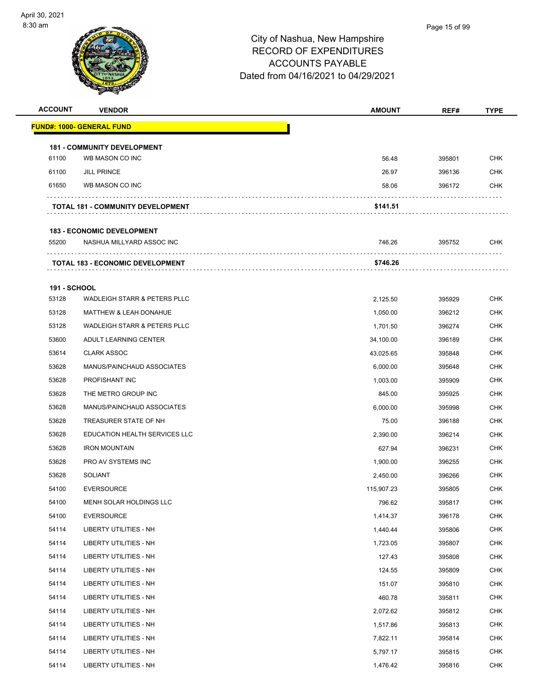

| <b>ACCOUNT</b>      | <b>VENDOR</b>                           | <b>AMOUNT</b> | REF#   | <b>TYPE</b> |
|---------------------|-----------------------------------------|---------------|--------|-------------|
|                     | <u> FUND#: 1000- GENERAL FUND</u>       |               |        |             |
|                     | <b>181 - COMMUNITY DEVELOPMENT</b>      |               |        |             |
| 61100               | WB MASON CO INC                         | 56.48         | 395801 | <b>CHK</b>  |
| 61100               | <b>JILL PRINCE</b>                      | 26.97         | 396136 | <b>CHK</b>  |
| 61650               | WB MASON CO INC                         | 58.06         | 396172 | CHK         |
|                     | TOTAL 181 - COMMUNITY DEVELOPMENT       | \$141.51      |        |             |
|                     | <b>183 - ECONOMIC DEVELOPMENT</b>       |               |        |             |
| 55200               | NASHUA MILLYARD ASSOC INC               | 746.26        | 395752 | <b>CHK</b>  |
|                     |                                         |               |        |             |
|                     | <b>TOTAL 183 - ECONOMIC DEVELOPMENT</b> | \$746.26      |        |             |
| <b>191 - SCHOOL</b> |                                         |               |        |             |
| 53128               | <b>WADLEIGH STARR &amp; PETERS PLLC</b> | 2,125.50      | 395929 | <b>CHK</b>  |
| 53128               | <b>MATTHEW &amp; LEAH DONAHUE</b>       | 1,050.00      | 396212 | <b>CHK</b>  |
| 53128               | WADLEIGH STARR & PETERS PLLC            | 1,701.50      | 396274 | <b>CHK</b>  |
| 53600               | ADULT LEARNING CENTER                   | 34,100.00     | 396189 | CHK         |
| 53614               | <b>CLARK ASSOC</b>                      | 43,025.65     | 395848 | <b>CHK</b>  |
| 53628               | MANUS/PAINCHAUD ASSOCIATES              | 6,000.00      | 395648 | <b>CHK</b>  |
| 53628               | PROFISHANT INC                          | 1,003.00      | 395909 | <b>CHK</b>  |
| 53628               | THE METRO GROUP INC                     | 845.00        | 395925 | <b>CHK</b>  |
| 53628               | MANUS/PAINCHAUD ASSOCIATES              | 6,000.00      | 395998 | CHK         |
| 53628               | TREASURER STATE OF NH                   | 75.00         | 396188 | <b>CHK</b>  |
| 53628               | EDUCATION HEALTH SERVICES LLC           | 2,390.00      | 396214 | CHK         |
| 53628               | <b>IRON MOUNTAIN</b>                    | 627.94        | 396231 | <b>CHK</b>  |
| 53628               | PRO AV SYSTEMS INC                      | 1,900.00      | 396255 | <b>CHK</b>  |
| 53628               | <b>SOLIANT</b>                          | 2,450.00      | 396266 | CHK         |
| 54100               | <b>EVERSOURCE</b>                       | 115,907.23    | 395805 | <b>CHK</b>  |
| 54100               | MENH SOLAR HOLDINGS LLC                 | 796.62        | 395817 | <b>CHK</b>  |
| 54100               | <b>EVERSOURCE</b>                       | 1,414.37      | 396178 | <b>CHK</b>  |
| 54114               | LIBERTY UTILITIES - NH                  | 1,440.44      | 395806 | <b>CHK</b>  |
| 54114               | LIBERTY UTILITIES - NH                  | 1,723.05      | 395807 | <b>CHK</b>  |
| 54114               | LIBERTY UTILITIES - NH                  | 127.43        | 395808 | <b>CHK</b>  |
| 54114               | LIBERTY UTILITIES - NH                  | 124.55        | 395809 | <b>CHK</b>  |
| 54114               | <b>LIBERTY UTILITIES - NH</b>           | 151.07        | 395810 | <b>CHK</b>  |
| 54114               | <b>LIBERTY UTILITIES - NH</b>           | 460.78        | 395811 | <b>CHK</b>  |
| 54114               | LIBERTY UTILITIES - NH                  | 2,072.62      | 395812 | <b>CHK</b>  |
| 54114               | LIBERTY UTILITIES - NH                  | 1,517.86      | 395813 | <b>CHK</b>  |
| 54114               | LIBERTY UTILITIES - NH                  | 7,822.11      | 395814 | <b>CHK</b>  |
| 54114               | LIBERTY UTILITIES - NH                  | 5,797.17      | 395815 | <b>CHK</b>  |
| 54114               | LIBERTY UTILITIES - NH                  | 1,476.42      | 395816 | <b>CHK</b>  |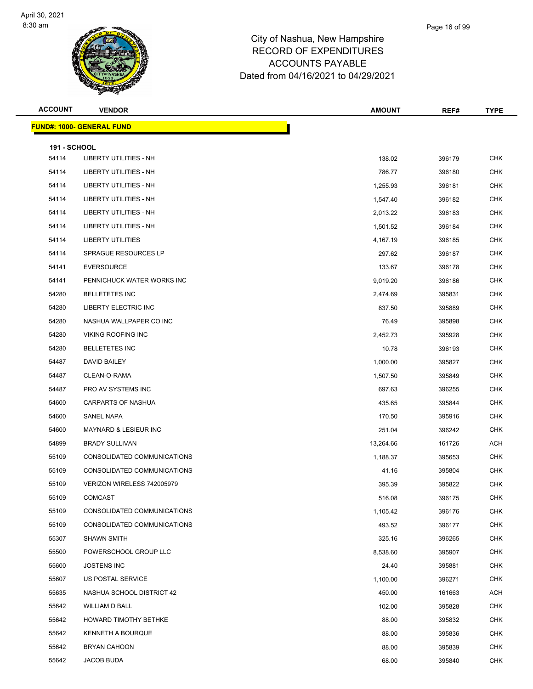

| <b>ACCOUNT</b>      | <b>VENDOR</b>                    | <b>AMOUNT</b> | REF#   | <b>TYPE</b> |  |  |
|---------------------|----------------------------------|---------------|--------|-------------|--|--|
|                     | <b>FUND#: 1000- GENERAL FUND</b> |               |        |             |  |  |
| <b>191 - SCHOOL</b> |                                  |               |        |             |  |  |
| 54114               | LIBERTY UTILITIES - NH           | 138.02        | 396179 | <b>CHK</b>  |  |  |
| 54114               | LIBERTY UTILITIES - NH           | 786.77        | 396180 | <b>CHK</b>  |  |  |
| 54114               | LIBERTY UTILITIES - NH           | 1,255.93      | 396181 | <b>CHK</b>  |  |  |
| 54114               | LIBERTY UTILITIES - NH           | 1,547.40      | 396182 | <b>CHK</b>  |  |  |
| 54114               | <b>LIBERTY UTILITIES - NH</b>    | 2,013.22      | 396183 | <b>CHK</b>  |  |  |
| 54114               | LIBERTY UTILITIES - NH           | 1,501.52      | 396184 | <b>CHK</b>  |  |  |
| 54114               | LIBERTY UTILITIES                | 4,167.19      | 396185 | <b>CHK</b>  |  |  |
| 54114               | SPRAGUE RESOURCES LP             | 297.62        | 396187 | <b>CHK</b>  |  |  |
| 54141               | <b>EVERSOURCE</b>                | 133.67        | 396178 | <b>CHK</b>  |  |  |
| 54141               | PENNICHUCK WATER WORKS INC       | 9,019.20      | 396186 | <b>CHK</b>  |  |  |
| 54280               | <b>BELLETETES INC</b>            | 2,474.69      | 395831 | <b>CHK</b>  |  |  |
| 54280               | LIBERTY ELECTRIC INC             | 837.50        | 395889 | <b>CHK</b>  |  |  |
| 54280               | NASHUA WALLPAPER CO INC          | 76.49         | 395898 | <b>CHK</b>  |  |  |
| 54280               | <b>VIKING ROOFING INC</b>        | 2,452.73      | 395928 | <b>CHK</b>  |  |  |
| 54280               | <b>BELLETETES INC</b>            | 10.78         | 396193 | <b>CHK</b>  |  |  |
| 54487               | DAVID BAILEY                     | 1,000.00      | 395827 | <b>CHK</b>  |  |  |
| 54487               | CLEAN-O-RAMA                     | 1,507.50      | 395849 | <b>CHK</b>  |  |  |
| 54487               | PRO AV SYSTEMS INC               | 697.63        | 396255 | <b>CHK</b>  |  |  |
| 54600               | <b>CARPARTS OF NASHUA</b>        | 435.65        | 395844 | <b>CHK</b>  |  |  |
| 54600               | SANEL NAPA                       | 170.50        | 395916 | <b>CHK</b>  |  |  |
| 54600               | <b>MAYNARD &amp; LESIEUR INC</b> | 251.04        | 396242 | <b>CHK</b>  |  |  |
| 54899               | <b>BRADY SULLIVAN</b>            | 13,264.66     | 161726 | <b>ACH</b>  |  |  |
| 55109               | CONSOLIDATED COMMUNICATIONS      | 1,188.37      | 395653 | <b>CHK</b>  |  |  |
| 55109               | CONSOLIDATED COMMUNICATIONS      | 41.16         | 395804 | <b>CHK</b>  |  |  |
| 55109               | VERIZON WIRELESS 742005979       | 395.39        | 395822 | CHK         |  |  |
| 55109               | <b>COMCAST</b>                   | 516.08        | 396175 | <b>CHK</b>  |  |  |
| 55109               | CONSOLIDATED COMMUNICATIONS      | 1,105.42      | 396176 | <b>CHK</b>  |  |  |
| 55109               | CONSOLIDATED COMMUNICATIONS      | 493.52        | 396177 | <b>CHK</b>  |  |  |
| 55307               | SHAWN SMITH                      | 325.16        | 396265 | CHK         |  |  |
| 55500               | POWERSCHOOL GROUP LLC            | 8,538.60      | 395907 | <b>CHK</b>  |  |  |
| 55600               | <b>JOSTENS INC</b>               | 24.40         | 395881 | <b>CHK</b>  |  |  |
| 55607               | US POSTAL SERVICE                | 1,100.00      | 396271 | CHK         |  |  |
| 55635               | NASHUA SCHOOL DISTRICT 42        | 450.00        | 161663 | <b>ACH</b>  |  |  |
| 55642               | <b>WILLIAM D BALL</b>            | 102.00        | 395828 | CHK         |  |  |
| 55642               | HOWARD TIMOTHY BETHKE            | 88.00         | 395832 | CHK         |  |  |
| 55642               | KENNETH A BOURQUE                | 88.00         | 395836 | CHK         |  |  |
| 55642               | <b>BRYAN CAHOON</b>              | 88.00         | 395839 | CHK         |  |  |
| 55642               | JACOB BUDA                       | 68.00         | 395840 | <b>CHK</b>  |  |  |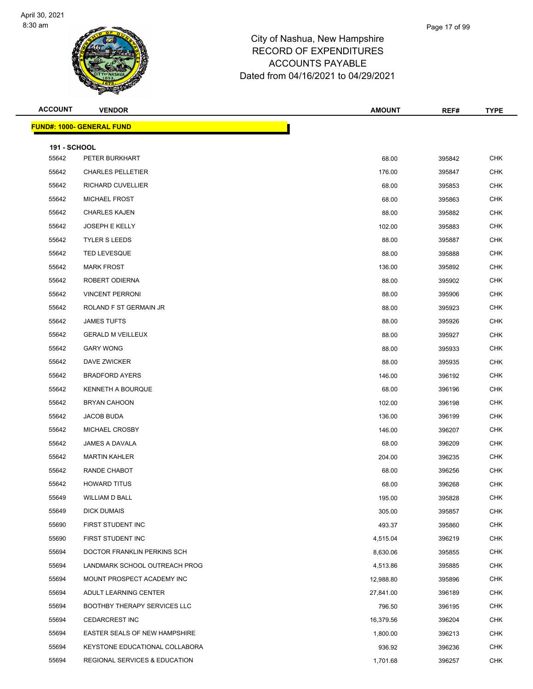#### Page 17 of 99

| <b>ACCOUNT</b>                   | <b>VENDOR</b>                            | <b>AMOUNT</b> | REF#   | <b>TYPE</b> |  |
|----------------------------------|------------------------------------------|---------------|--------|-------------|--|
| <b>FUND#: 1000- GENERAL FUND</b> |                                          |               |        |             |  |
| <b>191 - SCHOOL</b>              |                                          |               |        |             |  |
| 55642                            | PETER BURKHART                           | 68.00         | 395842 | <b>CHK</b>  |  |
| 55642                            | <b>CHARLES PELLETIER</b>                 | 176.00        | 395847 | <b>CHK</b>  |  |
| 55642                            | RICHARD CUVELLIER                        | 68.00         | 395853 | <b>CHK</b>  |  |
| 55642                            | MICHAEL FROST                            | 68.00         | 395863 | <b>CHK</b>  |  |
| 55642                            | <b>CHARLES KAJEN</b>                     | 88.00         | 395882 | <b>CHK</b>  |  |
| 55642                            | <b>JOSEPH E KELLY</b>                    | 102.00        | 395883 | <b>CHK</b>  |  |
| 55642                            | <b>TYLER S LEEDS</b>                     | 88.00         | 395887 | <b>CHK</b>  |  |
| 55642                            | <b>TED LEVESQUE</b>                      | 88.00         | 395888 | <b>CHK</b>  |  |
| 55642                            | <b>MARK FROST</b>                        | 136.00        | 395892 | <b>CHK</b>  |  |
| 55642                            | ROBERT ODIERNA                           | 88.00         | 395902 | <b>CHK</b>  |  |
| 55642                            | <b>VINCENT PERRONI</b>                   | 88.00         | 395906 | <b>CHK</b>  |  |
| 55642                            | ROLAND F ST GERMAIN JR                   | 88.00         | 395923 | <b>CHK</b>  |  |
| 55642                            | <b>JAMES TUFTS</b>                       | 88.00         | 395926 | <b>CHK</b>  |  |
| 55642                            | <b>GERALD M VEILLEUX</b>                 | 88.00         | 395927 | <b>CHK</b>  |  |
| 55642                            | <b>GARY WONG</b>                         | 88.00         | 395933 | <b>CHK</b>  |  |
| 55642                            | DAVE ZWICKER                             | 88.00         | 395935 | <b>CHK</b>  |  |
| 55642                            | <b>BRADFORD AYERS</b>                    | 146.00        | 396192 | <b>CHK</b>  |  |
| 55642                            | <b>KENNETH A BOURQUE</b>                 | 68.00         | 396196 | <b>CHK</b>  |  |
| 55642                            | <b>BRYAN CAHOON</b>                      | 102.00        | 396198 | <b>CHK</b>  |  |
| 55642                            | JACOB BUDA                               | 136.00        | 396199 | <b>CHK</b>  |  |
| 55642                            | MICHAEL CROSBY                           | 146.00        | 396207 | <b>CHK</b>  |  |
| 55642                            | JAMES A DAVALA                           | 68.00         | 396209 | <b>CHK</b>  |  |
| 55642                            | <b>MARTIN KAHLER</b>                     | 204.00        | 396235 | <b>CHK</b>  |  |
| 55642                            | RANDE CHABOT                             | 68.00         | 396256 | <b>CHK</b>  |  |
| 55642                            | <b>HOWARD TITUS</b>                      | 68.00         | 396268 | <b>CHK</b>  |  |
| 55649                            | WILLIAM D BALL                           | 195.00        | 395828 | <b>CHK</b>  |  |
| 55649                            | DICK DUMAIS                              | 305.00        | 395857 | <b>CHK</b>  |  |
| 55690                            | FIRST STUDENT INC                        | 493.37        | 395860 | <b>CHK</b>  |  |
| 55690                            | FIRST STUDENT INC                        | 4,515.04      | 396219 | CHK         |  |
| 55694                            | DOCTOR FRANKLIN PERKINS SCH              | 8,630.06      | 395855 | <b>CHK</b>  |  |
| 55694                            | LANDMARK SCHOOL OUTREACH PROG            | 4,513.86      | 395885 | <b>CHK</b>  |  |
| 55694                            | MOUNT PROSPECT ACADEMY INC               | 12,988.80     | 395896 | <b>CHK</b>  |  |
| 55694                            | ADULT LEARNING CENTER                    | 27,841.00     | 396189 | <b>CHK</b>  |  |
| 55694                            | <b>BOOTHBY THERAPY SERVICES LLC</b>      | 796.50        | 396195 | <b>CHK</b>  |  |
| 55694                            | <b>CEDARCREST INC</b>                    | 16,379.56     | 396204 | <b>CHK</b>  |  |
| 55694                            | <b>EASTER SEALS OF NEW HAMPSHIRE</b>     | 1,800.00      | 396213 | <b>CHK</b>  |  |
| 55694                            | KEYSTONE EDUCATIONAL COLLABORA           | 936.92        | 396236 | <b>CHK</b>  |  |
| 55694                            | <b>REGIONAL SERVICES &amp; EDUCATION</b> | 1,701.68      | 396257 | <b>CHK</b>  |  |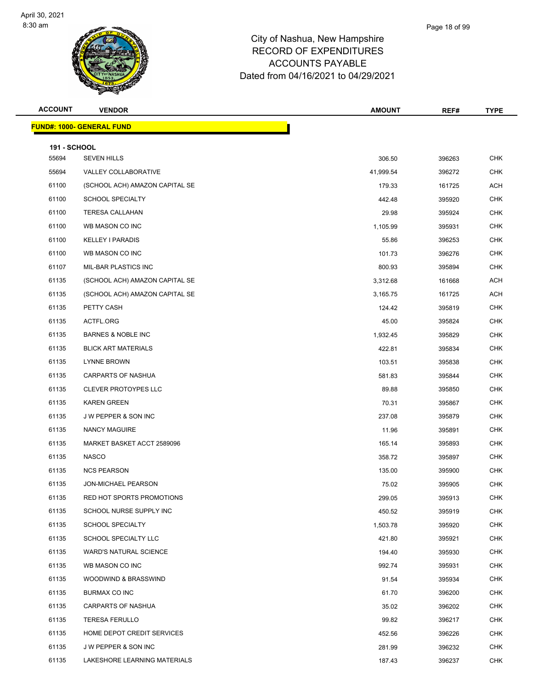

|      | Page 18 of 99 |
|------|---------------|
| ııre |               |

| <b>ACCOUNT</b>               | <b>VENDOR</b>                    | <b>AMOUNT</b> | REF#   | <b>TYPE</b> |  |  |
|------------------------------|----------------------------------|---------------|--------|-------------|--|--|
|                              | <b>FUND#: 1000- GENERAL FUND</b> |               |        |             |  |  |
|                              |                                  |               |        |             |  |  |
| <b>191 - SCHOOL</b><br>55694 | <b>SEVEN HILLS</b>               | 306.50        | 396263 | <b>CHK</b>  |  |  |
| 55694                        | VALLEY COLLABORATIVE             | 41,999.54     | 396272 | <b>CHK</b>  |  |  |
| 61100                        | (SCHOOL ACH) AMAZON CAPITAL SE   | 179.33        | 161725 | ACH         |  |  |
| 61100                        | <b>SCHOOL SPECIALTY</b>          | 442.48        | 395920 | <b>CHK</b>  |  |  |
| 61100                        | <b>TERESA CALLAHAN</b>           | 29.98         | 395924 | CHK         |  |  |
| 61100                        | WB MASON CO INC                  | 1,105.99      | 395931 | <b>CHK</b>  |  |  |
| 61100                        | <b>KELLEY I PARADIS</b>          | 55.86         | 396253 | <b>CHK</b>  |  |  |
| 61100                        | WB MASON CO INC                  | 101.73        | 396276 | <b>CHK</b>  |  |  |
| 61107                        | MIL-BAR PLASTICS INC             | 800.93        | 395894 | <b>CHK</b>  |  |  |
| 61135                        | (SCHOOL ACH) AMAZON CAPITAL SE   | 3,312.68      | 161668 | ACH         |  |  |
| 61135                        | (SCHOOL ACH) AMAZON CAPITAL SE   | 3,165.75      | 161725 | ACH         |  |  |
| 61135                        | PETTY CASH                       | 124.42        | 395819 | <b>CHK</b>  |  |  |
| 61135                        | ACTFL.ORG                        | 45.00         | 395824 | <b>CHK</b>  |  |  |
| 61135                        | <b>BARNES &amp; NOBLE INC</b>    | 1,932.45      | 395829 | <b>CHK</b>  |  |  |
| 61135                        | <b>BLICK ART MATERIALS</b>       | 422.81        | 395834 | CHK         |  |  |
| 61135                        | <b>LYNNE BROWN</b>               | 103.51        | 395838 | <b>CHK</b>  |  |  |
| 61135                        | CARPARTS OF NASHUA               | 581.83        | 395844 | <b>CHK</b>  |  |  |
| 61135                        | <b>CLEVER PROTOYPES LLC</b>      | 89.88         | 395850 | <b>CHK</b>  |  |  |
| 61135                        | <b>KAREN GREEN</b>               | 70.31         | 395867 | <b>CHK</b>  |  |  |
| 61135                        | J W PEPPER & SON INC             | 237.08        | 395879 | CHK         |  |  |
| 61135                        | NANCY MAGUIRE                    | 11.96         | 395891 | <b>CHK</b>  |  |  |
| 61135                        | MARKET BASKET ACCT 2589096       | 165.14        | 395893 | <b>CHK</b>  |  |  |
| 61135                        | NASCO                            | 358.72        | 395897 | <b>CHK</b>  |  |  |
| 61135                        | <b>NCS PEARSON</b>               | 135.00        | 395900 | <b>CHK</b>  |  |  |
| 61135                        | JON-MICHAEL PEARSON              | 75.02         | 395905 | <b>CHK</b>  |  |  |
| 61135                        | RED HOT SPORTS PROMOTIONS        | 299.05        | 395913 | CHK         |  |  |
| 61135                        | SCHOOL NURSE SUPPLY INC          | 450.52        | 395919 | <b>CHK</b>  |  |  |
| 61135                        | <b>SCHOOL SPECIALTY</b>          | 1,503.78      | 395920 | <b>CHK</b>  |  |  |
| 61135                        | SCHOOL SPECIALTY LLC             | 421.80        | 395921 | <b>CHK</b>  |  |  |
| 61135                        | <b>WARD'S NATURAL SCIENCE</b>    | 194.40        | 395930 | CHK         |  |  |
| 61135                        | WB MASON CO INC                  | 992.74        | 395931 | <b>CHK</b>  |  |  |
| 61135                        | WOODWIND & BRASSWIND             | 91.54         | 395934 | CHK         |  |  |
| 61135                        | BURMAX CO INC                    | 61.70         | 396200 | <b>CHK</b>  |  |  |
| 61135                        | CARPARTS OF NASHUA               | 35.02         | 396202 | <b>CHK</b>  |  |  |
| 61135                        | <b>TERESA FERULLO</b>            | 99.82         | 396217 | CHK         |  |  |
| 61135                        | HOME DEPOT CREDIT SERVICES       | 452.56        | 396226 | <b>CHK</b>  |  |  |
| 61135                        | J W PEPPER & SON INC             | 281.99        | 396232 | CHK         |  |  |
| 61135                        | LAKESHORE LEARNING MATERIALS     | 187.43        | 396237 | <b>CHK</b>  |  |  |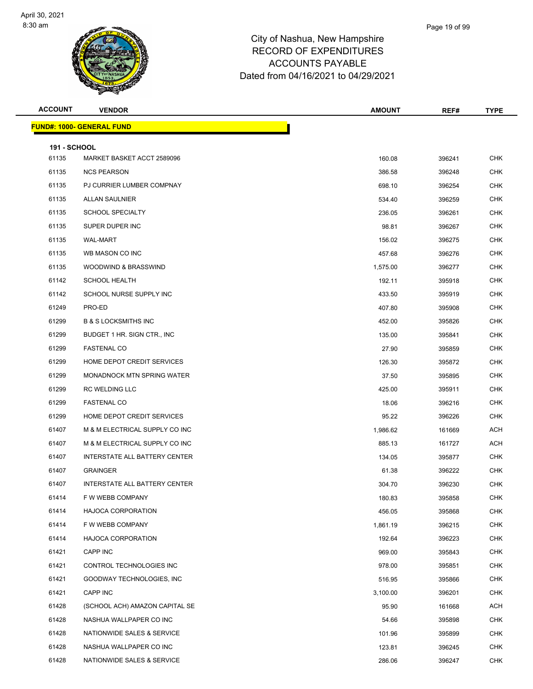

| <b>ACCOUNT</b>      | <b>VENDOR</b>                     | <b>AMOUNT</b> | REF#   | <b>TYPE</b> |
|---------------------|-----------------------------------|---------------|--------|-------------|
|                     | <u> FUND#: 1000- GENERAL FUND</u> |               |        |             |
| <b>191 - SCHOOL</b> |                                   |               |        |             |
| 61135               | MARKET BASKET ACCT 2589096        | 160.08        | 396241 | <b>CHK</b>  |
| 61135               | <b>NCS PEARSON</b>                | 386.58        | 396248 | <b>CHK</b>  |
| 61135               | PJ CURRIER LUMBER COMPNAY         | 698.10        | 396254 | <b>CHK</b>  |
| 61135               | ALLAN SAULNIER                    | 534.40        | 396259 | <b>CHK</b>  |
| 61135               | <b>SCHOOL SPECIALTY</b>           | 236.05        | 396261 | <b>CHK</b>  |
| 61135               | SUPER DUPER INC                   | 98.81         | 396267 | <b>CHK</b>  |
| 61135               | <b>WAL-MART</b>                   | 156.02        | 396275 | <b>CHK</b>  |
| 61135               | WB MASON CO INC                   | 457.68        | 396276 | <b>CHK</b>  |
| 61135               | WOODWIND & BRASSWIND              | 1,575.00      | 396277 | <b>CHK</b>  |
| 61142               | <b>SCHOOL HEALTH</b>              | 192.11        | 395918 | <b>CHK</b>  |
| 61142               | SCHOOL NURSE SUPPLY INC           | 433.50        | 395919 | <b>CHK</b>  |
| 61249               | PRO-ED                            | 407.80        | 395908 | <b>CHK</b>  |
| 61299               | <b>B &amp; S LOCKSMITHS INC</b>   | 452.00        | 395826 | <b>CHK</b>  |
| 61299               | BUDGET 1 HR. SIGN CTR., INC.      | 135.00        | 395841 | <b>CHK</b>  |
| 61299               | <b>FASTENAL CO</b>                | 27.90         | 395859 | <b>CHK</b>  |
| 61299               | HOME DEPOT CREDIT SERVICES        | 126.30        | 395872 | <b>CHK</b>  |
| 61299               | MONADNOCK MTN SPRING WATER        | 37.50         | 395895 | <b>CHK</b>  |
| 61299               | <b>RC WELDING LLC</b>             | 425.00        | 395911 | <b>CHK</b>  |
| 61299               | <b>FASTENAL CO</b>                | 18.06         | 396216 | <b>CHK</b>  |
| 61299               | HOME DEPOT CREDIT SERVICES        | 95.22         | 396226 | <b>CHK</b>  |
| 61407               | M & M ELECTRICAL SUPPLY CO INC    | 1,986.62      | 161669 | <b>ACH</b>  |
| 61407               | M & M ELECTRICAL SUPPLY CO INC    | 885.13        | 161727 | <b>ACH</b>  |
| 61407               | INTERSTATE ALL BATTERY CENTER     | 134.05        | 395877 | <b>CHK</b>  |
| 61407               | <b>GRAINGER</b>                   | 61.38         | 396222 | <b>CHK</b>  |
| 61407               | INTERSTATE ALL BATTERY CENTER     | 304.70        | 396230 | <b>CHK</b>  |
| 61414               | F W WEBB COMPANY                  | 180.83        | 395858 | <b>CHK</b>  |
| 61414               | <b>HAJOCA CORPORATION</b>         | 456.05        | 395868 | <b>CHK</b>  |
| 61414               | F W WEBB COMPANY                  | 1,861.19      | 396215 | <b>CHK</b>  |
| 61414               | <b>HAJOCA CORPORATION</b>         | 192.64        | 396223 | <b>CHK</b>  |
| 61421               | <b>CAPP INC</b>                   | 969.00        | 395843 | <b>CHK</b>  |
| 61421               | CONTROL TECHNOLOGIES INC          | 978.00        | 395851 | <b>CHK</b>  |
| 61421               | GOODWAY TECHNOLOGIES, INC         | 516.95        | 395866 | <b>CHK</b>  |
| 61421               | CAPP INC                          | 3,100.00      | 396201 | <b>CHK</b>  |
| 61428               | (SCHOOL ACH) AMAZON CAPITAL SE    | 95.90         | 161668 | ACH         |
| 61428               | NASHUA WALLPAPER CO INC           | 54.66         | 395898 | CHK         |
| 61428               | NATIONWIDE SALES & SERVICE        | 101.96        | 395899 | <b>CHK</b>  |
| 61428               | NASHUA WALLPAPER CO INC           | 123.81        | 396245 | <b>CHK</b>  |
| 61428               | NATIONWIDE SALES & SERVICE        | 286.06        | 396247 | <b>CHK</b>  |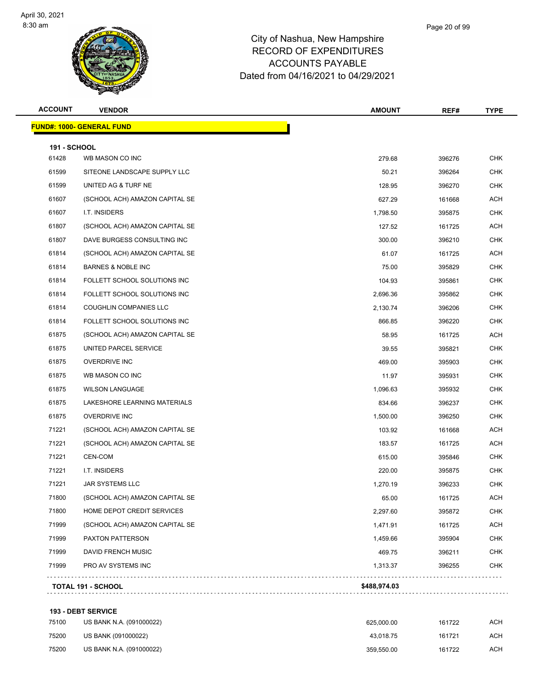

## City of Nashua, New Hampshi RECORD OF EX ACCOUNTS Dated from 04/16/2021 to 04/29/2021

| New Hampsnire |  |
|---------------|--|
| XPENDITURES   |  |
| S PAYABLE     |  |

Page 20 of 99

| <b>ACCOUNT</b>      | <b>VENDOR</b>                    | <b>AMOUNT</b> | REF#   | <b>TYPE</b> |
|---------------------|----------------------------------|---------------|--------|-------------|
|                     | <b>FUND#: 1000- GENERAL FUND</b> |               |        |             |
| <b>191 - SCHOOL</b> |                                  |               |        |             |
| 61428               | WB MASON CO INC                  | 279.68        | 396276 | <b>CHK</b>  |
| 61599               | SITEONE LANDSCAPE SUPPLY LLC     | 50.21         | 396264 | <b>CHK</b>  |
| 61599               | UNITED AG & TURF NE              | 128.95        | 396270 | <b>CHK</b>  |
| 61607               | (SCHOOL ACH) AMAZON CAPITAL SE   | 627.29        | 161668 | <b>ACH</b>  |
| 61607               | I.T. INSIDERS                    | 1,798.50      | 395875 | <b>CHK</b>  |
| 61807               | (SCHOOL ACH) AMAZON CAPITAL SE   | 127.52        | 161725 | <b>ACH</b>  |
| 61807               | DAVE BURGESS CONSULTING INC      | 300.00        | 396210 | <b>CHK</b>  |
| 61814               | (SCHOOL ACH) AMAZON CAPITAL SE   | 61.07         | 161725 | <b>ACH</b>  |
| 61814               | <b>BARNES &amp; NOBLE INC</b>    | 75.00         | 395829 | <b>CHK</b>  |
| 61814               | FOLLETT SCHOOL SOLUTIONS INC     | 104.93        | 395861 | <b>CHK</b>  |
| 61814               | FOLLETT SCHOOL SOLUTIONS INC     | 2,696.36      | 395862 | <b>CHK</b>  |
| 61814               | <b>COUGHLIN COMPANIES LLC</b>    | 2,130.74      | 396206 | <b>CHK</b>  |
| 61814               | FOLLETT SCHOOL SOLUTIONS INC     | 866.85        | 396220 | <b>CHK</b>  |
| 61875               | (SCHOOL ACH) AMAZON CAPITAL SE   | 58.95         | 161725 | <b>ACH</b>  |
| 61875               | UNITED PARCEL SERVICE            | 39.55         | 395821 | <b>CHK</b>  |
| 61875               | <b>OVERDRIVE INC</b>             | 469.00        | 395903 | <b>CHK</b>  |
| 61875               | WB MASON CO INC                  | 11.97         | 395931 | <b>CHK</b>  |
| 61875               | <b>WILSON LANGUAGE</b>           | 1,096.63      | 395932 | <b>CHK</b>  |
| 61875               | LAKESHORE LEARNING MATERIALS     | 834.66        | 396237 | <b>CHK</b>  |
| 61875               | <b>OVERDRIVE INC</b>             | 1,500.00      | 396250 | <b>CHK</b>  |
| 71221               | (SCHOOL ACH) AMAZON CAPITAL SE   | 103.92        | 161668 | <b>ACH</b>  |
| 71221               | (SCHOOL ACH) AMAZON CAPITAL SE   | 183.57        | 161725 | ACH         |
| 71221               | CEN-COM                          | 615.00        | 395846 | <b>CHK</b>  |
| 71221               | I.T. INSIDERS                    | 220.00        | 395875 | <b>CHK</b>  |
| 71221               | <b>JAR SYSTEMS LLC</b>           | 1,270.19      | 396233 | <b>CHK</b>  |
| 71800               | (SCHOOL ACH) AMAZON CAPITAL SE   | 65.00         | 161725 | ACH         |
| 71800               | HOME DEPOT CREDIT SERVICES       | 2,297.60      | 395872 | <b>CHK</b>  |
| 71999               | (SCHOOL ACH) AMAZON CAPITAL SE   | 1,471.91      | 161725 | <b>ACH</b>  |
| 71999               | PAXTON PATTERSON                 | 1,459.66      | 395904 | <b>CHK</b>  |
| 71999               | DAVID FRENCH MUSIC               | 469.75        | 396211 | <b>CHK</b>  |
| 71999               | PRO AV SYSTEMS INC               | 1,313.37      | 396255 | <b>CHK</b>  |
|                     | <b>TOTAL 191 - SCHOOL</b>        | \$488,974.03  |        |             |
|                     |                                  |               |        |             |

#### **193 - DEBT SERVICE**

| 75100 | US BANK N.A. (091000022) | 625.000.00 | 161722 | ACH |
|-------|--------------------------|------------|--------|-----|
| 75200 | US BANK (091000022)      | 43.018.75  | 161721 | ACH |
| 75200 | US BANK N.A. (091000022) | 359.550.00 | 161722 | ACH |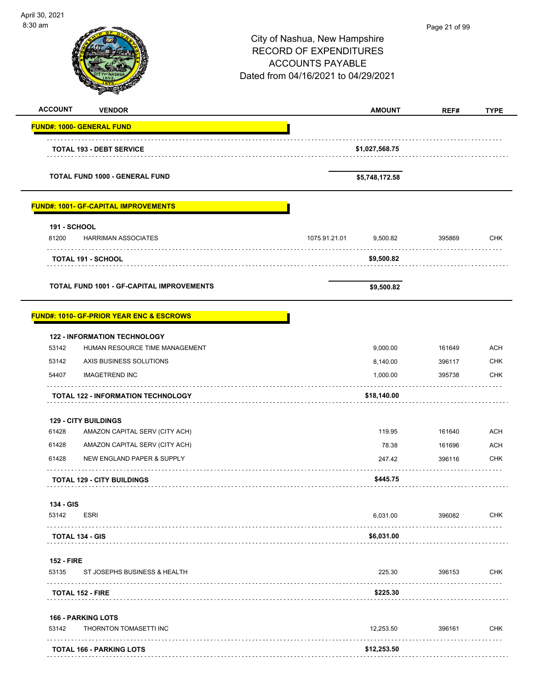| April 30, 2021<br>8:30 am    |                                                     | City of Nashua, New Hampshire<br><b>RECORD OF EXPENDITURES</b> |                      | Page 21 of 99    |                                                                                                                     |
|------------------------------|-----------------------------------------------------|----------------------------------------------------------------|----------------------|------------------|---------------------------------------------------------------------------------------------------------------------|
|                              |                                                     | <b>ACCOUNTS PAYABLE</b><br>Dated from 04/16/2021 to 04/29/2021 |                      |                  |                                                                                                                     |
| <b>ACCOUNT</b>               | <b>VENDOR</b>                                       |                                                                | <b>AMOUNT</b>        | REF#             | <b>TYPE</b>                                                                                                         |
|                              | <b>FUND#: 1000- GENERAL FUND</b>                    |                                                                |                      |                  |                                                                                                                     |
|                              | <b>TOTAL 193 - DEBT SERVICE</b>                     |                                                                | \$1,027,568.75       |                  |                                                                                                                     |
|                              | <b>TOTAL FUND 1000 - GENERAL FUND</b>               |                                                                | \$5,748,172.58       |                  |                                                                                                                     |
|                              | <b>FUND#: 1001- GF-CAPITAL IMPROVEMENTS</b>         |                                                                |                      |                  |                                                                                                                     |
| <b>191 - SCHOOL</b><br>81200 | <b>HARRIMAN ASSOCIATES</b>                          | 1075.91.21.01                                                  | 9,500.82             | 395869           | <b>CHK</b>                                                                                                          |
|                              | <b>TOTAL 191 - SCHOOL</b>                           |                                                                | \$9,500.82           |                  |                                                                                                                     |
|                              | <b>TOTAL FUND 1001 - GF-CAPITAL IMPROVEMENTS</b>    |                                                                | \$9,500.82           |                  |                                                                                                                     |
|                              |                                                     |                                                                |                      |                  |                                                                                                                     |
|                              | <b>FUND#: 1010- GF-PRIOR YEAR ENC &amp; ESCROWS</b> |                                                                |                      |                  |                                                                                                                     |
|                              | <b>122 - INFORMATION TECHNOLOGY</b>                 |                                                                |                      |                  |                                                                                                                     |
| 53142                        | HUMAN RESOURCE TIME MANAGEMENT                      |                                                                | 9,000.00             | 161649           |                                                                                                                     |
| 53142<br>54407               | AXIS BUSINESS SOLUTIONS<br><b>IMAGETREND INC</b>    |                                                                | 8,140.00<br>1,000.00 | 396117<br>395738 |                                                                                                                     |
|                              | .<br>TOTAL 122 - INFORMATION TECHNOLOGY             |                                                                | \$18,140.00          |                  |                                                                                                                     |
|                              | <b>129 - CITY BUILDINGS</b>                         |                                                                |                      |                  |                                                                                                                     |
| 61428                        | AMAZON CAPITAL SERV (CITY ACH)                      |                                                                | 119.95               | 161640           |                                                                                                                     |
| 61428                        | AMAZON CAPITAL SERV (CITY ACH)                      |                                                                | 78.38                | 161696           |                                                                                                                     |
| 61428                        | NEW ENGLAND PAPER & SUPPLY                          |                                                                | 247.42               | 396116           |                                                                                                                     |
|                              | <b>TOTAL 129 - CITY BUILDINGS</b>                   |                                                                | \$445.75             |                  |                                                                                                                     |
| 134 - GIS<br>53142           | <b>ESRI</b>                                         |                                                                | 6,031.00             | 396082           |                                                                                                                     |
|                              | <b>TOTAL 134 - GIS</b>                              |                                                                | \$6,031.00           |                  |                                                                                                                     |
| <b>152 - FIRE</b>            |                                                     |                                                                |                      |                  |                                                                                                                     |
| 53135<br>.                   | ST JOSEPHS BUSINESS & HEALTH                        |                                                                | 225.30               | 396153<br>.      |                                                                                                                     |
|                              | <b>TOTAL 152 - FIRE</b>                             |                                                                | \$225.30             |                  |                                                                                                                     |
| 53142                        | <b>166 - PARKING LOTS</b><br>THORNTON TOMASETTI INC |                                                                | 12,253.50            | 396161           | <b>ACH</b><br><b>CHK</b><br><b>CHK</b><br><b>ACH</b><br>ACH<br><b>CHK</b><br><b>CHK</b><br><b>CHK</b><br><b>CHK</b> |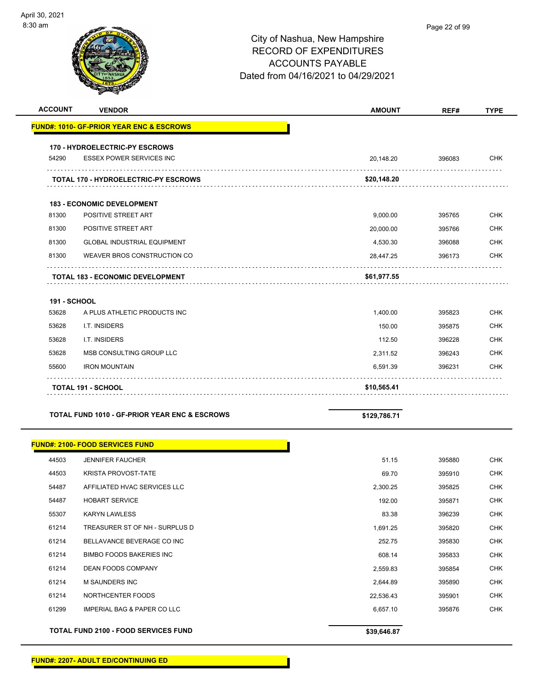| <b>ACCOUNT</b>      | <b>VENDOR</b>                                            | <b>AMOUNT</b> | REF#   | <b>TYPE</b> |
|---------------------|----------------------------------------------------------|---------------|--------|-------------|
|                     | <b>FUND#: 1010- GF-PRIOR YEAR ENC &amp; ESCROWS</b>      |               |        |             |
|                     | <b>170 - HYDROELECTRIC-PY ESCROWS</b>                    |               |        |             |
| 54290               | <b>ESSEX POWER SERVICES INC</b>                          | 20,148.20     | 396083 | <b>CHK</b>  |
|                     | <b>TOTAL 170 - HYDROELECTRIC-PY ESCROWS</b>              | \$20,148.20   |        |             |
|                     | <b>183 - ECONOMIC DEVELOPMENT</b>                        |               |        |             |
| 81300               | POSITIVE STREET ART                                      | 9,000.00      | 395765 | <b>CHK</b>  |
| 81300               | POSITIVE STREET ART                                      | 20,000.00     | 395766 | CHK         |
| 81300               | <b>GLOBAL INDUSTRIAL EQUIPMENT</b>                       | 4,530.30      | 396088 | <b>CHK</b>  |
| 81300               | WEAVER BROS CONSTRUCTION CO                              | 28,447.25     | 396173 | <b>CHK</b>  |
|                     | <b>TOTAL 183 - ECONOMIC DEVELOPMENT</b>                  | \$61,977.55   |        |             |
| <b>191 - SCHOOL</b> |                                                          |               |        |             |
| 53628               | A PLUS ATHLETIC PRODUCTS INC                             | 1,400.00      | 395823 | <b>CHK</b>  |
| 53628               | I.T. INSIDERS                                            | 150.00        | 395875 | <b>CHK</b>  |
| 53628               | I.T. INSIDERS                                            | 112.50        | 396228 | <b>CHK</b>  |
| 53628               | MSB CONSULTING GROUP LLC                                 | 2,311.52      | 396243 | <b>CHK</b>  |
| 55600               | <b>IRON MOUNTAIN</b>                                     | 6,591.39      | 396231 | <b>CHK</b>  |
|                     | <b>TOTAL 191 - SCHOOL</b>                                | \$10,565.41   |        |             |
|                     | <b>TOTAL FUND 1010 - GF-PRIOR YEAR ENC &amp; ESCROWS</b> | \$129,786.71  |        |             |
|                     | <b>FUND#: 2100- FOOD SERVICES FUND</b>                   |               |        |             |
| 44503               | <b>JENNIFER FAUCHER</b>                                  | 51.15         | 395880 | <b>CHK</b>  |
| 44503               | <b>KRISTA PROVOST-TATE</b>                               | 69.70         | 395910 | <b>CHK</b>  |
| 54487               | AFFILIATED HVAC SERVICES LLC                             | 2,300.25      | 395825 | CHK         |
| 54487               | <b>HOBART SERVICE</b>                                    | 192.00        | 395871 | <b>CHK</b>  |
| 55307               | <b>KARYN LAWLESS</b>                                     | 83.38         | 396239 | <b>CHK</b>  |
| 61214               | TREASURER ST OF NH - SURPLUS D                           | 1,691.25      | 395820 | <b>CHK</b>  |
| 61214               | BELLAVANCE BEVERAGE CO INC                               | 252.75        | 395830 | <b>CHK</b>  |
| 61214               | <b>BIMBO FOODS BAKERIES INC</b>                          | 608.14        | 395833 | <b>CHK</b>  |
| 61214               | DEAN FOODS COMPANY                                       | 2,559.83      | 395854 | <b>CHK</b>  |
| 61214               | M SAUNDERS INC                                           | 2,644.89      | 395890 | <b>CHK</b>  |
| 61214               | NORTHCENTER FOODS                                        | 22,536.43     | 395901 | <b>CHK</b>  |
| 61299               | <b>IMPERIAL BAG &amp; PAPER CO LLC</b>                   | 6,657.10      | 395876 | <b>CHK</b>  |
|                     | TOTAL FUND 2100 - FOOD SERVICES FUND                     | \$39,646.87   |        |             |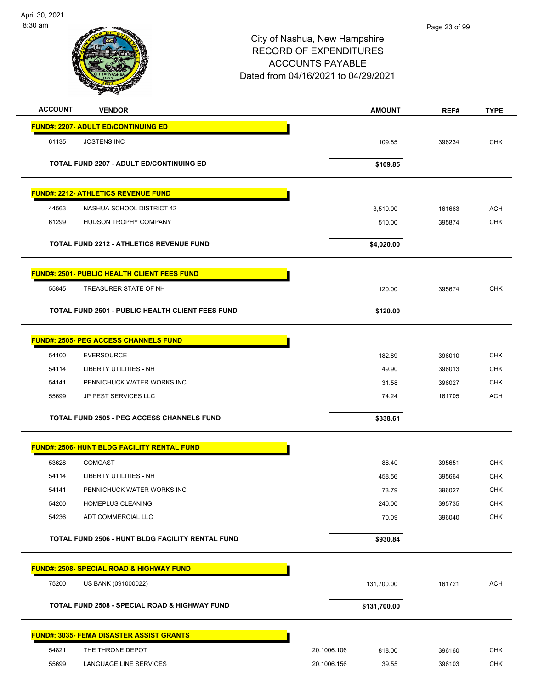

| <b>ACCOUNT</b> | <b>VENDOR</b>                                           | <b>AMOUNT</b>         | REF#   | <b>TYPE</b> |
|----------------|---------------------------------------------------------|-----------------------|--------|-------------|
|                | <b>FUND#: 2207- ADULT ED/CONTINUING ED</b>              |                       |        |             |
| 61135          | <b>JOSTENS INC</b>                                      | 109.85                | 396234 | <b>CHK</b>  |
|                | <b>TOTAL FUND 2207 - ADULT ED/CONTINUING ED</b>         | \$109.85              |        |             |
|                |                                                         |                       |        |             |
|                | <b>FUND#: 2212- ATHLETICS REVENUE FUND</b>              |                       |        |             |
| 44563          | NASHUA SCHOOL DISTRICT 42                               | 3,510.00              | 161663 | <b>ACH</b>  |
| 61299          | HUDSON TROPHY COMPANY                                   | 510.00                | 395874 | <b>CHK</b>  |
|                | <b>TOTAL FUND 2212 - ATHLETICS REVENUE FUND</b>         | \$4,020.00            |        |             |
|                | <b>FUND#: 2501- PUBLIC HEALTH CLIENT FEES FUND</b>      |                       |        |             |
| 55845          | TREASURER STATE OF NH                                   | 120.00                | 395674 | <b>CHK</b>  |
|                | <b>TOTAL FUND 2501 - PUBLIC HEALTH CLIENT FEES FUND</b> |                       |        |             |
|                |                                                         | \$120.00              |        |             |
|                | <b>FUND#: 2505- PEG ACCESS CHANNELS FUND</b>            |                       |        |             |
| 54100          | <b>EVERSOURCE</b>                                       | 182.89                | 396010 | <b>CHK</b>  |
| 54114          | <b>LIBERTY UTILITIES - NH</b>                           | 49.90                 | 396013 | <b>CHK</b>  |
| 54141          | PENNICHUCK WATER WORKS INC                              | 31.58                 | 396027 | CHK         |
| 55699          | JP PEST SERVICES LLC                                    | 74.24                 | 161705 | <b>ACH</b>  |
|                | <b>TOTAL FUND 2505 - PEG ACCESS CHANNELS FUND</b>       | \$338.61              |        |             |
|                | <b>FUND#: 2506- HUNT BLDG FACILITY RENTAL FUND</b>      |                       |        |             |
| 53628          | <b>COMCAST</b>                                          | 88.40                 | 395651 | <b>CHK</b>  |
| 54114          | LIBERTY UTILITIES - NH                                  | 458.56                | 395664 | <b>CHK</b>  |
| 54141          | PENNICHUCK WATER WORKS INC                              | 73.79                 | 396027 | <b>CHK</b>  |
| 54200          | HOMEPLUS CLEANING                                       | 240.00                | 395735 | CHK         |
| 54236          | ADT COMMERCIAL LLC                                      | 70.09                 | 396040 | <b>CHK</b>  |
|                | <b>TOTAL FUND 2506 - HUNT BLDG FACILITY RENTAL FUND</b> | \$930.84              |        |             |
|                | FUND#: 2508- SPECIAL ROAD & HIGHWAY FUND                |                       |        |             |
| 75200          | US BANK (091000022)                                     | 131,700.00            | 161721 | <b>ACH</b>  |
|                | TOTAL FUND 2508 - SPECIAL ROAD & HIGHWAY FUND           | \$131,700.00          |        |             |
|                | <b>FUND#: 3035- FEMA DISASTER ASSIST GRANTS</b>         |                       |        |             |
| 54821          | THE THRONE DEPOT                                        | 20.1006.106<br>818.00 | 396160 | <b>CHK</b>  |
| 55699          | LANGUAGE LINE SERVICES                                  | 20.1006.156<br>39.55  | 396103 | CHK         |
|                |                                                         |                       |        |             |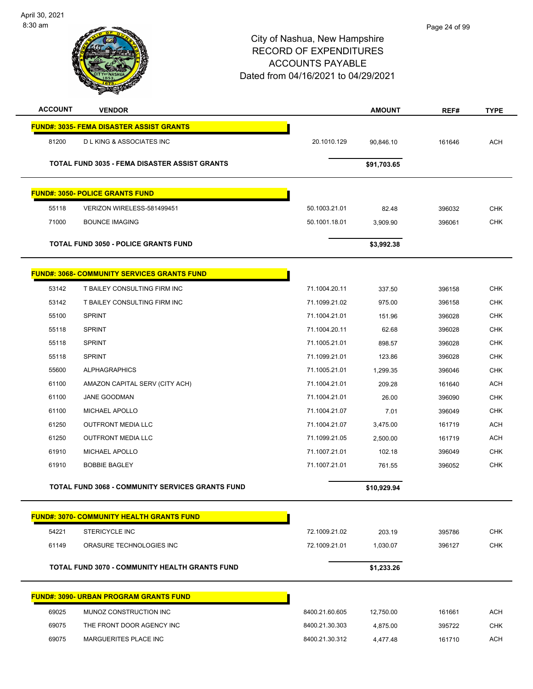

| <b>ACCOUNT</b>                                     | <b>VENDOR</b>                                           |                | <b>AMOUNT</b> | REF#   | <b>TYPE</b> |
|----------------------------------------------------|---------------------------------------------------------|----------------|---------------|--------|-------------|
|                                                    | <b>FUND#: 3035- FEMA DISASTER ASSIST GRANTS</b>         |                |               |        |             |
| 81200                                              | <b>DLKING &amp; ASSOCIATES INC</b>                      | 20.1010.129    | 90,846.10     | 161646 | <b>ACH</b>  |
|                                                    | <b>TOTAL FUND 3035 - FEMA DISASTER ASSIST GRANTS</b>    |                | \$91,703.65   |        |             |
|                                                    |                                                         |                |               |        |             |
|                                                    | <b>FUND#: 3050- POLICE GRANTS FUND</b>                  |                |               |        |             |
| 55118                                              | VERIZON WIRELESS-581499451                              | 50.1003.21.01  | 82.48         | 396032 | <b>CHK</b>  |
| 71000                                              | <b>BOUNCE IMAGING</b>                                   | 50.1001.18.01  | 3,909.90      | 396061 | <b>CHK</b>  |
|                                                    | <b>TOTAL FUND 3050 - POLICE GRANTS FUND</b>             |                | \$3,992.38    |        |             |
| <b>FUND#: 3068- COMMUNITY SERVICES GRANTS FUND</b> |                                                         |                |               |        |             |
| 53142                                              | T BAILEY CONSULTING FIRM INC                            | 71.1004.20.11  | 337.50        | 396158 | <b>CHK</b>  |
| 53142                                              | T BAILEY CONSULTING FIRM INC                            | 71.1099.21.02  | 975.00        | 396158 | <b>CHK</b>  |
| 55100                                              | <b>SPRINT</b>                                           | 71.1004.21.01  | 151.96        | 396028 | <b>CHK</b>  |
| 55118                                              | <b>SPRINT</b>                                           | 71.1004.20.11  | 62.68         | 396028 | <b>CHK</b>  |
| 55118                                              | <b>SPRINT</b>                                           | 71.1005.21.01  | 898.57        | 396028 | <b>CHK</b>  |
| 55118                                              | <b>SPRINT</b>                                           | 71.1099.21.01  | 123.86        | 396028 | <b>CHK</b>  |
| 55600                                              | <b>ALPHAGRAPHICS</b>                                    | 71.1005.21.01  | 1,299.35      | 396046 | <b>CHK</b>  |
| 61100                                              | AMAZON CAPITAL SERV (CITY ACH)                          | 71.1004.21.01  | 209.28        | 161640 | <b>ACH</b>  |
| 61100                                              | <b>JANE GOODMAN</b>                                     | 71.1004.21.01  | 26.00         | 396090 | <b>CHK</b>  |
| 61100                                              | <b>MICHAEL APOLLO</b>                                   | 71.1004.21.07  | 7.01          | 396049 | CHK         |
| 61250                                              | <b>OUTFRONT MEDIA LLC</b>                               | 71.1004.21.07  | 3,475.00      | 161719 | <b>ACH</b>  |
| 61250                                              | <b>OUTFRONT MEDIA LLC</b>                               | 71.1099.21.05  | 2,500.00      | 161719 | ACH         |
| 61910                                              | MICHAEL APOLLO                                          | 71.1007.21.01  | 102.18        | 396049 | <b>CHK</b>  |
| 61910                                              | <b>BOBBIE BAGLEY</b>                                    | 71.1007.21.01  | 761.55        | 396052 | <b>CHK</b>  |
|                                                    | <b>TOTAL FUND 3068 - COMMUNITY SERVICES GRANTS FUND</b> |                | \$10,929.94   |        |             |
|                                                    | <b>FUND#: 3070- COMMUNITY HEALTH GRANTS FUND</b>        |                |               |        |             |
| 54221                                              | <b>STERICYCLE INC</b>                                   | 72.1009.21.02  | 203.19        | 395786 | <b>CHK</b>  |
| 61149                                              | ORASURE TECHNOLOGIES INC                                | 72.1009.21.01  | 1,030.07      | 396127 | <b>CHK</b>  |
|                                                    | <b>TOTAL FUND 3070 - COMMUNITY HEALTH GRANTS FUND</b>   |                | \$1,233.26    |        |             |
|                                                    |                                                         |                |               |        |             |
|                                                    | <b>FUND#: 3090- URBAN PROGRAM GRANTS FUND</b>           |                |               |        |             |
| 69025                                              | MUNOZ CONSTRUCTION INC                                  | 8400.21.60.605 | 12,750.00     | 161661 | <b>ACH</b>  |
| 69075                                              | THE FRONT DOOR AGENCY INC                               | 8400.21.30.303 | 4,875.00      | 395722 | <b>CHK</b>  |
| 69075                                              | MARGUERITES PLACE INC                                   | 8400.21.30.312 | 4,477.48      | 161710 | <b>ACH</b>  |
|                                                    |                                                         |                |               |        |             |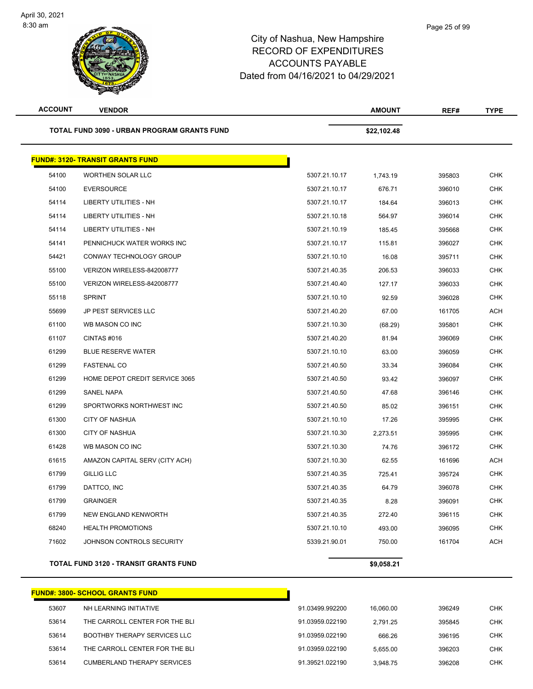| <b>ACCOUNT</b> | <b>VENDOR</b>                                      |               | <b>AMOUNT</b> | REF#   | <b>TYPE</b> |
|----------------|----------------------------------------------------|---------------|---------------|--------|-------------|
|                | <b>TOTAL FUND 3090 - URBAN PROGRAM GRANTS FUND</b> |               | \$22,102.48   |        |             |
|                | <b>FUND#: 3120- TRANSIT GRANTS FUND</b>            |               |               |        |             |
| 54100          | <b>WORTHEN SOLAR LLC</b>                           | 5307.21.10.17 | 1,743.19      | 395803 | <b>CHK</b>  |
| 54100          | <b>EVERSOURCE</b>                                  | 5307.21.10.17 | 676.71        | 396010 | <b>CHK</b>  |
| 54114          | <b>LIBERTY UTILITIES - NH</b>                      | 5307.21.10.17 | 184.64        | 396013 | <b>CHK</b>  |
| 54114          | LIBERTY UTILITIES - NH                             | 5307.21.10.18 | 564.97        | 396014 | <b>CHK</b>  |
| 54114          | LIBERTY UTILITIES - NH                             | 5307.21.10.19 | 185.45        | 395668 | <b>CHK</b>  |
| 54141          | PENNICHUCK WATER WORKS INC                         | 5307.21.10.17 | 115.81        | 396027 | <b>CHK</b>  |
| 54421          | CONWAY TECHNOLOGY GROUP                            | 5307.21.10.10 | 16.08         | 395711 | <b>CHK</b>  |
| 55100          | VERIZON WIRELESS-842008777                         | 5307.21.40.35 | 206.53        | 396033 | <b>CHK</b>  |
| 55100          | VERIZON WIRELESS-842008777                         | 5307.21.40.40 | 127.17        | 396033 | <b>CHK</b>  |
| 55118          | <b>SPRINT</b>                                      | 5307.21.10.10 | 92.59         | 396028 | <b>CHK</b>  |
| 55699          | JP PEST SERVICES LLC                               | 5307.21.40.20 | 67.00         | 161705 | ACH         |
| 61100          | WB MASON CO INC                                    | 5307.21.10.30 | (68.29)       | 395801 | <b>CHK</b>  |
| 61107          | CINTAS#016                                         | 5307.21.40.20 | 81.94         | 396069 | <b>CHK</b>  |
| 61299          | <b>BLUE RESERVE WATER</b>                          | 5307.21.10.10 | 63.00         | 396059 | <b>CHK</b>  |
| 61299          | <b>FASTENAL CO</b>                                 | 5307.21.40.50 | 33.34         | 396084 | <b>CHK</b>  |
| 61299          | HOME DEPOT CREDIT SERVICE 3065                     | 5307.21.40.50 | 93.42         | 396097 | <b>CHK</b>  |
| 61299          | SANEL NAPA                                         | 5307.21.40.50 | 47.68         | 396146 | <b>CHK</b>  |
| 61299          | SPORTWORKS NORTHWEST INC                           | 5307.21.40.50 | 85.02         | 396151 | <b>CHK</b>  |
| 61300          | <b>CITY OF NASHUA</b>                              | 5307.21.10.10 | 17.26         | 395995 | <b>CHK</b>  |
| 61300          | <b>CITY OF NASHUA</b>                              | 5307.21.10.30 | 2,273.51      | 395995 | <b>CHK</b>  |
| 61428          | WB MASON CO INC                                    | 5307.21.10.30 | 74.76         | 396172 | <b>CHK</b>  |
| 61615          | AMAZON CAPITAL SERV (CITY ACH)                     | 5307.21.10.30 | 62.55         | 161696 | <b>ACH</b>  |
| 61799          | <b>GILLIG LLC</b>                                  | 5307.21.40.35 | 725.41        | 395724 | <b>CHK</b>  |
| 61799          | DATTCO, INC                                        | 5307.21.40.35 | 64.79         | 396078 | <b>CHK</b>  |
| 61799          | <b>GRAINGER</b>                                    | 5307.21.40.35 | 8.28          | 396091 | <b>CHK</b>  |
| 61799          | <b>NEW ENGLAND KENWORTH</b>                        | 5307.21.40.35 | 272.40        | 396115 | <b>CHK</b>  |
| 68240          | <b>HEALTH PROMOTIONS</b>                           | 5307.21.10.10 | 493.00        | 396095 | <b>CHK</b>  |
| 71602          | JOHNSON CONTROLS SECURITY                          | 5339.21.90.01 | 750.00        | 161704 | ACH         |
|                | TOTAL FUND 3120 - TRANSIT GRANTS FUND              |               | \$9,058.21    |        |             |
|                |                                                    |               |               |        |             |

|       | FUND#: 3800- SCHOOL GRANTS FUND_    |                 |           |        |     |
|-------|-------------------------------------|-----------------|-----------|--------|-----|
| 53607 | NH LEARNING INITIATIVE              | 91.03499.992200 | 16.060.00 | 396249 | СНК |
| 53614 | THE CARROLL CENTER FOR THE BLI      | 91.03959.022190 | 2.791.25  | 395845 | СНК |
| 53614 | <b>BOOTHBY THERAPY SERVICES LLC</b> | 91.03959.022190 | 666.26    | 396195 | СНК |
| 53614 | THE CARROLL CENTER FOR THE BLI      | 91.03959.022190 | 5.655.00  | 396203 | СНК |
| 53614 | CUMBERLAND THERAPY SERVICES         | 91.39521.022190 | 3.948.75  | 396208 | снк |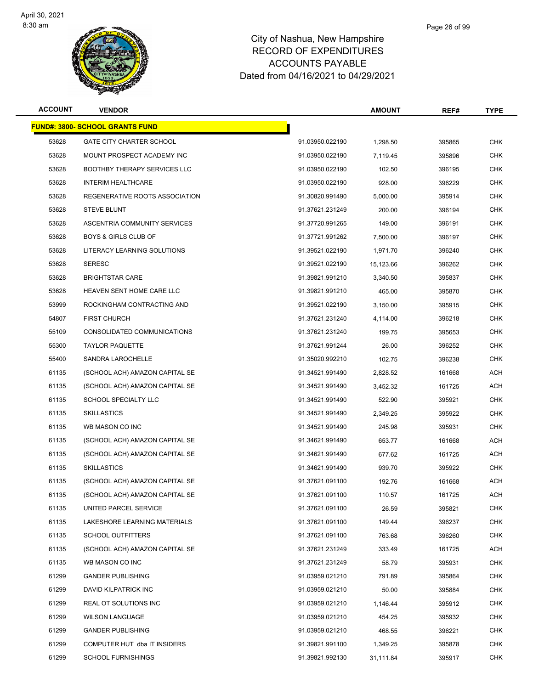

| <b>ACCOUNT</b> | <b>VENDOR</b>                          |                 | <b>AMOUNT</b> | REF#   | <b>TYPE</b> |
|----------------|----------------------------------------|-----------------|---------------|--------|-------------|
|                | <b>FUND#: 3800- SCHOOL GRANTS FUND</b> |                 |               |        |             |
| 53628          | <b>GATE CITY CHARTER SCHOOL</b>        | 91.03950.022190 | 1,298.50      | 395865 | <b>CHK</b>  |
| 53628          | MOUNT PROSPECT ACADEMY INC             | 91.03950.022190 | 7,119.45      | 395896 | <b>CHK</b>  |
| 53628          | <b>BOOTHBY THERAPY SERVICES LLC</b>    | 91.03950.022190 | 102.50        | 396195 | CHK         |
| 53628          | <b>INTERIM HEALTHCARE</b>              | 91.03950.022190 | 928.00        | 396229 | <b>CHK</b>  |
| 53628          | REGENERATIVE ROOTS ASSOCIATION         | 91.30820.991490 | 5,000.00      | 395914 | <b>CHK</b>  |
| 53628          | <b>STEVE BLUNT</b>                     | 91.37621.231249 | 200.00        | 396194 | <b>CHK</b>  |
| 53628          | ASCENTRIA COMMUNITY SERVICES           | 91.37720.991265 | 149.00        | 396191 | <b>CHK</b>  |
| 53628          | <b>BOYS &amp; GIRLS CLUB OF</b>        | 91.37721.991262 | 7,500.00      | 396197 | CHK         |
| 53628          | LITERACY LEARNING SOLUTIONS            | 91.39521.022190 | 1,971.70      | 396240 | <b>CHK</b>  |
| 53628          | <b>SERESC</b>                          | 91.39521.022190 | 15,123.66     | 396262 | <b>CHK</b>  |
| 53628          | <b>BRIGHTSTAR CARE</b>                 | 91.39821.991210 | 3,340.50      | 395837 | <b>CHK</b>  |
| 53628          | HEAVEN SENT HOME CARE LLC              | 91.39821.991210 | 465.00        | 395870 | <b>CHK</b>  |
| 53999          | ROCKINGHAM CONTRACTING AND             | 91.39521.022190 | 3,150.00      | 395915 | CHK         |
| 54807          | <b>FIRST CHURCH</b>                    | 91.37621.231240 | 4,114.00      | 396218 | <b>CHK</b>  |
| 55109          | CONSOLIDATED COMMUNICATIONS            | 91.37621.231240 | 199.75        | 395653 | <b>CHK</b>  |
| 55300          | <b>TAYLOR PAQUETTE</b>                 | 91.37621.991244 | 26.00         | 396252 | <b>CHK</b>  |
| 55400          | SANDRA LAROCHELLE                      | 91.35020.992210 | 102.75        | 396238 | <b>CHK</b>  |
| 61135          | (SCHOOL ACH) AMAZON CAPITAL SE         | 91.34521.991490 | 2,828.52      | 161668 | <b>ACH</b>  |
| 61135          | (SCHOOL ACH) AMAZON CAPITAL SE         | 91.34521.991490 | 3,452.32      | 161725 | <b>ACH</b>  |
| 61135          | SCHOOL SPECIALTY LLC                   | 91.34521.991490 | 522.90        | 395921 | <b>CHK</b>  |
| 61135          | <b>SKILLASTICS</b>                     | 91.34521.991490 | 2,349.25      | 395922 | <b>CHK</b>  |
| 61135          | WB MASON CO INC                        | 91.34521.991490 | 245.98        | 395931 | <b>CHK</b>  |
| 61135          | (SCHOOL ACH) AMAZON CAPITAL SE         | 91.34621.991490 | 653.77        | 161668 | <b>ACH</b>  |
| 61135          | (SCHOOL ACH) AMAZON CAPITAL SE         | 91.34621.991490 | 677.62        | 161725 | <b>ACH</b>  |
| 61135          | <b>SKILLASTICS</b>                     | 91.34621.991490 | 939.70        | 395922 | CHK         |
| 61135          | (SCHOOL ACH) AMAZON CAPITAL SE         | 91.37621.091100 | 192.76        | 161668 | ACH         |
| 61135          | (SCHOOL ACH) AMAZON CAPITAL SE         | 91.37621.091100 | 110.57        | 161725 | ACH         |
| 61135          | UNITED PARCEL SERVICE                  | 91.37621.091100 | 26.59         | 395821 | CHK         |
| 61135          | LAKESHORE LEARNING MATERIALS           | 91.37621.091100 | 149.44        | 396237 | <b>CHK</b>  |
| 61135          | <b>SCHOOL OUTFITTERS</b>               | 91.37621.091100 | 763.68        | 396260 | <b>CHK</b>  |
| 61135          | (SCHOOL ACH) AMAZON CAPITAL SE         | 91.37621.231249 | 333.49        | 161725 | <b>ACH</b>  |
| 61135          | WB MASON CO INC                        | 91.37621.231249 | 58.79         | 395931 | <b>CHK</b>  |
| 61299          | <b>GANDER PUBLISHING</b>               | 91.03959.021210 | 791.89        | 395864 | <b>CHK</b>  |
| 61299          | DAVID KILPATRICK INC                   | 91.03959.021210 | 50.00         | 395884 | <b>CHK</b>  |
| 61299          | REAL OT SOLUTIONS INC                  | 91.03959.021210 | 1,146.44      | 395912 | <b>CHK</b>  |
| 61299          | <b>WILSON LANGUAGE</b>                 | 91.03959.021210 | 454.25        | 395932 | <b>CHK</b>  |
| 61299          | <b>GANDER PUBLISHING</b>               | 91.03959.021210 | 468.55        | 396221 | <b>CHK</b>  |
| 61299          | COMPUTER HUT dba IT INSIDERS           | 91.39821.991100 | 1,349.25      | 395878 | CHK         |
| 61299          | <b>SCHOOL FURNISHINGS</b>              | 91.39821.992130 | 31,111.84     | 395917 | <b>CHK</b>  |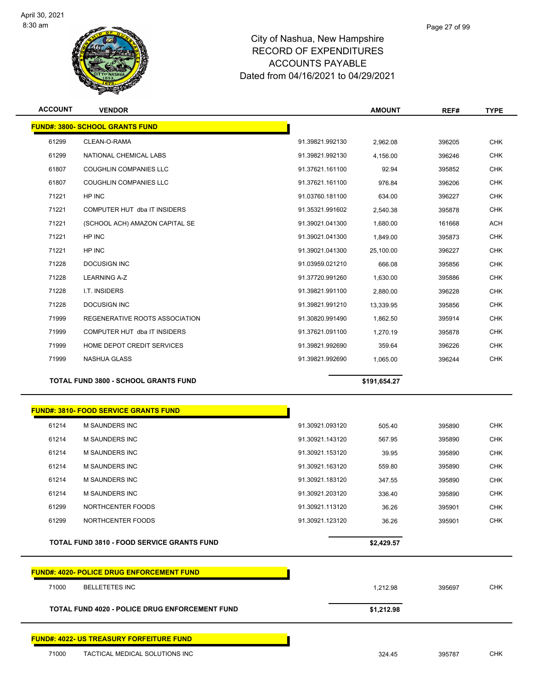

| <b>ACCOUNT</b> | <b>VENDOR</b>                                     |                 | <b>AMOUNT</b> | REF#   | <b>TYPE</b> |
|----------------|---------------------------------------------------|-----------------|---------------|--------|-------------|
|                | <b>FUND#: 3800- SCHOOL GRANTS FUND</b>            |                 |               |        |             |
| 61299          | CLEAN-O-RAMA                                      | 91.39821.992130 | 2,962.08      | 396205 | <b>CHK</b>  |
| 61299          | NATIONAL CHEMICAL LABS                            | 91.39821.992130 | 4,156.00      | 396246 | <b>CHK</b>  |
| 61807          | <b>COUGHLIN COMPANIES LLC</b>                     | 91.37621.161100 | 92.94         | 395852 | <b>CHK</b>  |
| 61807          | <b>COUGHLIN COMPANIES LLC</b>                     | 91.37621.161100 | 976.84        | 396206 | <b>CHK</b>  |
| 71221          | HP INC                                            | 91.03760.181100 | 634.00        | 396227 | <b>CHK</b>  |
| 71221          | COMPUTER HUT dba IT INSIDERS                      | 91.35321.991602 | 2,540.38      | 395878 | <b>CHK</b>  |
| 71221          | (SCHOOL ACH) AMAZON CAPITAL SE                    | 91.39021.041300 | 1,680.00      | 161668 | <b>ACH</b>  |
| 71221          | HP INC                                            | 91.39021.041300 | 1,849.00      | 395873 | <b>CHK</b>  |
| 71221          | HP INC                                            | 91.39021.041300 | 25,100.00     | 396227 | <b>CHK</b>  |
| 71228          | <b>DOCUSIGN INC</b>                               | 91.03959.021210 | 666.08        | 395856 | <b>CHK</b>  |
| 71228          | <b>LEARNING A-Z</b>                               | 91.37720.991260 | 1,630.00      | 395886 | <b>CHK</b>  |
| 71228          | I.T. INSIDERS                                     | 91.39821.991100 | 2,880.00      | 396228 | <b>CHK</b>  |
| 71228          | <b>DOCUSIGN INC</b>                               | 91.39821.991210 | 13,339.95     | 395856 | <b>CHK</b>  |
| 71999          | REGENERATIVE ROOTS ASSOCIATION                    | 91.30820.991490 | 1,862.50      | 395914 | <b>CHK</b>  |
| 71999          | COMPUTER HUT dba IT INSIDERS                      | 91.37621.091100 | 1,270.19      | 395878 | <b>CHK</b>  |
| 71999          | HOME DEPOT CREDIT SERVICES                        | 91.39821.992690 | 359.64        | 396226 | <b>CHK</b>  |
| 71999          | <b>NASHUA GLASS</b>                               | 91.39821.992690 | 1,065.00      | 396244 | <b>CHK</b>  |
|                | <b>TOTAL FUND 3800 - SCHOOL GRANTS FUND</b>       |                 | \$191,654.27  |        |             |
|                | <u> FUND#: 3810- FOOD SERVICE GRANTS FUND</u>     |                 |               |        |             |
| 61214          | M SAUNDERS INC                                    | 91.30921.093120 | 505.40        | 395890 | <b>CHK</b>  |
| 61214          | M SAUNDERS INC                                    | 91.30921.143120 | 567.95        | 395890 | <b>CHK</b>  |
| 61214          | M SAUNDERS INC                                    | 91.30921.153120 | 39.95         | 395890 | <b>CHK</b>  |
| 61214          | M SAUNDERS INC                                    | 91.30921.163120 | 559.80        | 395890 | <b>CHK</b>  |
| 61214          | <b>M SAUNDERS INC</b>                             | 91.30921.183120 | 347.55        | 395890 | <b>CHK</b>  |
| 61214          | M SAUNDERS INC                                    | 91.30921.203120 | 336.40        | 395890 | <b>CHK</b>  |
| 61299          | NORTHCENTER FOODS                                 | 91.30921.113120 | 36.26         | 395901 | <b>CHK</b>  |
| 61299          | NORTHCENTER FOODS                                 | 91.30921.123120 | 36.26         | 395901 | <b>CHK</b>  |
|                | <b>TOTAL FUND 3810 - FOOD SERVICE GRANTS FUND</b> |                 | \$2,429.57    |        |             |

| <b>FUND#: 4020- POLICE DRUG ENFORCEMENT FUND</b>      |            |        |            |
|-------------------------------------------------------|------------|--------|------------|
| 71000<br>BELLETETES INC                               | 1.212.98   | 395697 | <b>CHK</b> |
| <b>TOTAL FUND 4020 - POLICE DRUG ENFORCEMENT FUND</b> | \$1,212.98 |        |            |
| <b>FUND#: 4022- US TREASURY FORFEITURE FUND</b>       |            |        |            |

THE TRIGGEN TACTICAL MEDICAL SOLUTIONS INC A RESERVE TO A RESERVE THE STATE SERVER SUPPORT OF STATE STATES OF STATES AND THE STATES OF STATES OF STATES AND THE STATES OF STATES OF STATES AND THE STATES OF STATES OF STATES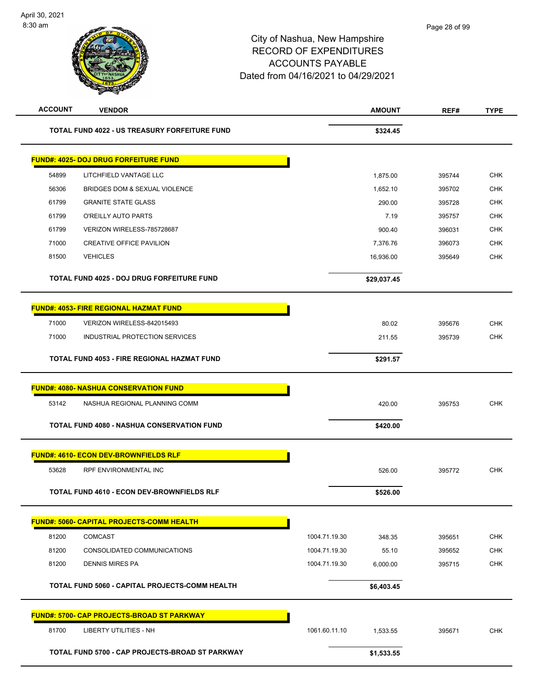| <b>ACCOUNT</b> | <b>VENDOR</b>                                     |               | <b>AMOUNT</b> | REF#   | <b>TYPE</b> |
|----------------|---------------------------------------------------|---------------|---------------|--------|-------------|
|                | TOTAL FUND 4022 - US TREASURY FORFEITURE FUND     |               | \$324.45      |        |             |
|                | <b>FUND#: 4025- DOJ DRUG FORFEITURE FUND</b>      |               |               |        |             |
| 54899          | LITCHFIELD VANTAGE LLC                            |               | 1,875.00      | 395744 | <b>CHK</b>  |
| 56306          | BRIDGES DOM & SEXUAL VIOLENCE                     |               | 1,652.10      | 395702 | <b>CHK</b>  |
| 61799          | <b>GRANITE STATE GLASS</b>                        |               | 290.00        | 395728 | <b>CHK</b>  |
| 61799          | O'REILLY AUTO PARTS                               |               | 7.19          | 395757 | <b>CHK</b>  |
| 61799          | VERIZON WIRELESS-785728687                        |               | 900.40        | 396031 | <b>CHK</b>  |
| 71000          | <b>CREATIVE OFFICE PAVILION</b>                   |               | 7,376.76      | 396073 | <b>CHK</b>  |
| 81500          | <b>VEHICLES</b>                                   |               | 16,936.00     | 395649 | <b>CHK</b>  |
|                | TOTAL FUND 4025 - DOJ DRUG FORFEITURE FUND        | \$29,037.45   |               |        |             |
|                | <b>FUND#: 4053- FIRE REGIONAL HAZMAT FUND</b>     |               |               |        |             |
| 71000          | VERIZON WIRELESS-842015493                        |               | 80.02         | 395676 | <b>CHK</b>  |
| 71000          | INDUSTRIAL PROTECTION SERVICES                    |               | 211.55        | 395739 | <b>CHK</b>  |
|                | TOTAL FUND 4053 - FIRE REGIONAL HAZMAT FUND       |               | \$291.57      |        |             |
|                | <b>FUND#: 4080- NASHUA CONSERVATION FUND</b>      |               |               |        |             |
| 53142          | NASHUA REGIONAL PLANNING COMM                     |               | 420.00        | 395753 | <b>CHK</b>  |
|                | <b>TOTAL FUND 4080 - NASHUA CONSERVATION FUND</b> |               | \$420.00      |        |             |
|                | <b>FUND#: 4610- ECON DEV-BROWNFIELDS RLF</b>      |               |               |        |             |
| 53628          | RPF ENVIRONMENTAL INC                             |               | 526.00        | 395772 | <b>CHK</b>  |
|                | TOTAL FUND 4610 - ECON DEV-BROWNFIELDS RLF        |               | \$526.00      |        |             |
|                | <b>FUND#: 5060- CAPITAL PROJECTS-COMM HEALTH</b>  |               |               |        |             |
| 81200          | <b>COMCAST</b>                                    | 1004.71.19.30 | 348.35        | 395651 | <b>CHK</b>  |
| 81200          | CONSOLIDATED COMMUNICATIONS                       | 1004.71.19.30 | 55.10         | 395652 | <b>CHK</b>  |
| 81200          | <b>DENNIS MIRES PA</b>                            | 1004.71.19.30 | 6,000.00      | 395715 | <b>CHK</b>  |
|                | TOTAL FUND 5060 - CAPITAL PROJECTS-COMM HEALTH    |               | \$6,403.45    |        |             |
|                | <b>FUND#: 5700- CAP PROJECTS-BROAD ST PARKWAY</b> |               |               |        |             |
| 81700          | <b>LIBERTY UTILITIES - NH</b>                     | 1061.60.11.10 | 1,533.55      | 395671 | <b>CHK</b>  |
|                | TOTAL FUND 5700 - CAP PROJECTS-BROAD ST PARKWAY   |               | \$1,533.55    |        |             |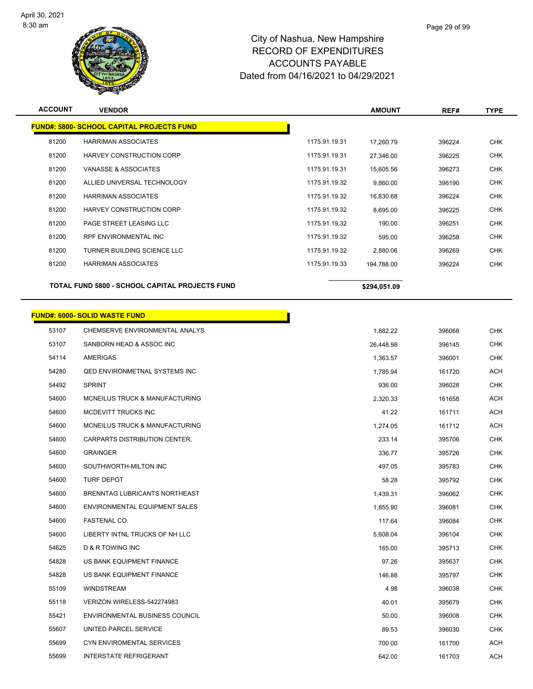

| <b>ACCOUNT</b> | <b>VENDOR</b>                                    |               | <b>AMOUNT</b> | REF#   | <b>TYPE</b> |
|----------------|--------------------------------------------------|---------------|---------------|--------|-------------|
|                | <b>FUND#: 5800- SCHOOL CAPITAL PROJECTS FUND</b> |               |               |        |             |
| 81200          | <b>HARRIMAN ASSOCIATES</b>                       | 1175.91.19.31 | 17,260.79     | 396224 | <b>CHK</b>  |
| 81200          | HARVEY CONSTRUCTION CORP                         | 1175.91.19.31 | 27,346.00     | 396225 | <b>CHK</b>  |
| 81200          | VANASSE & ASSOCIATES                             | 1175.91.19.31 | 15,605.56     | 396273 | <b>CHK</b>  |
| 81200          | ALLIED UNIVERSAL TECHNOLOGY                      | 1175.91.19.32 | 9,860.00      | 396190 | <b>CHK</b>  |
| 81200          | <b>HARRIMAN ASSOCIATES</b>                       | 1175.91.19.32 | 16,830.68     | 396224 | <b>CHK</b>  |
| 81200          | HARVEY CONSTRUCTION CORP                         | 1175.91.19.32 | 8,695.00      | 396225 | <b>CHK</b>  |
| 81200          | PAGE STREET LEASING LLC                          | 1175.91.19.32 | 190.00        | 396251 | <b>CHK</b>  |
| 81200          | RPF ENVIRONMENTAL INC                            | 1175.91.19.32 | 595.00        | 396258 | <b>CHK</b>  |
| 81200          | TURNER BUILDING SCIENCE LLC                      | 1175.91.19.32 | 2,880.06      | 396269 | <b>CHK</b>  |
| 81200          | <b>HARRIMAN ASSOCIATES</b>                       | 1175.91.19.33 | 194,788.00    | 396224 | <b>CHK</b>  |
|                | TOTAL FUND 5800 - SCHOOL CAPITAL PROJECTS FUND   |               | \$294,051.09  |        |             |
|                | <b>FUND#: 6000- SOLID WASTE FUND</b>             |               |               |        |             |
| 53107          | CHEMSERVE ENVIRONMENTAL ANALYS                   |               | 1.882.22      | 396068 | <b>CHK</b>  |
| 53107          | SANBORN HEAD & ASSOC INC                         |               | 26,448.98     | 396145 | <b>CHK</b>  |
| 54114          | AMERIGAS                                         |               | 1,363.57      | 396001 | <b>CHK</b>  |
| 54280          | <b>QED ENVIRONMETNAL SYSTEMS INC</b>             |               | 1,785.94      | 161720 | <b>ACH</b>  |
| 54492          | <b>SPRINT</b>                                    |               | 936.00        | 396028 | <b>CHK</b>  |
| 54600          | MCNEILUS TRUCK & MANUFACTURING                   |               | 2,320.33      | 161658 | <b>ACH</b>  |
| 54600          | MCDEVITT TRUCKS INC                              |               | 41.22         | 161711 | ACH         |
| 54600          | MCNEILUS TRUCK & MANUFACTURING                   |               | 1,274.05      | 161712 | <b>ACH</b>  |
| 54600          | CARPARTS DISTRIBUTION CENTER,                    |               | 233.14        | 395706 | <b>CHK</b>  |
| 54600          | <b>GRAINGER</b>                                  |               | 336.77        | 395726 | <b>CHK</b>  |
| 54600          | SOUTHWORTH-MILTON INC                            |               | 497.05        | 395783 | <b>CHK</b>  |
| 54600          | <b>TURF DEPOT</b>                                |               | 58.28         | 395792 | <b>CHK</b>  |
| 54600          | BRENNTAG LUBRICANTS NORTHEAST                    |               | 1,439.31      | 396062 | <b>CHK</b>  |
| 54600          | ENVIRONMENTAL EQUIPMENT SALES                    |               | 1,855.90      | 396081 | <b>CHK</b>  |
| 54600          | <b>FASTENAL CO</b>                               |               | 117.64        | 396084 | <b>CHK</b>  |
| 54600          | LIBERTY INTNL TRUCKS OF NH LLC                   |               | 5,608.04      | 396104 | <b>CHK</b>  |
| 54625          | D & R TOWING INC                                 |               | 165.00        | 395713 | <b>CHK</b>  |
| 54828          | US BANK EQUIPMENT FINANCE                        |               | 97.26         | 395637 | <b>CHK</b>  |
| 54828          | US BANK EQUIPMENT FINANCE                        |               | 146.88        | 395797 | <b>CHK</b>  |
| 55109          | WINDSTREAM                                       |               | 4.98          | 396038 | CHK         |
| 55118          | VERIZON WIRELESS-542274983                       |               | 40.01         | 395679 | <b>CHK</b>  |
| 55421          | ENVIRONMENTAL BUSINESS COUNCIL                   |               | 50.00         | 396008 | <b>CHK</b>  |
| 55607          | UNITED PARCEL SERVICE                            |               | 89.53         | 396030 | <b>CHK</b>  |
| 55699          | CYN ENVIROMENTAL SERVICES                        |               | 700.00        | 161700 | ACH         |

INTERSTATE REFRIGERANT 642.00 161703 ACH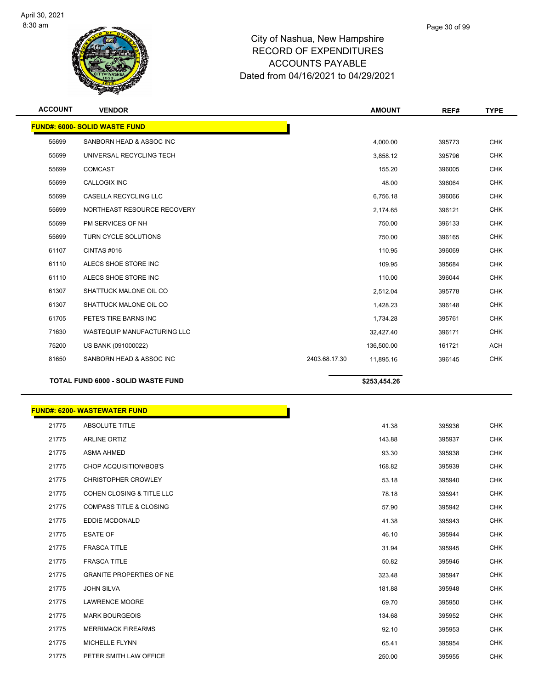

| <b>ACCOUNT</b> | <b>VENDOR</b>                             | <b>AMOUNT</b>              | REF#   | <b>TYPE</b> |
|----------------|-------------------------------------------|----------------------------|--------|-------------|
|                | <b>FUND#: 6000- SOLID WASTE FUND</b>      |                            |        |             |
| 55699          | SANBORN HEAD & ASSOC INC                  | 4,000.00                   | 395773 | <b>CHK</b>  |
| 55699          | UNIVERSAL RECYCLING TECH                  | 3,858.12                   | 395796 | <b>CHK</b>  |
| 55699          | <b>COMCAST</b>                            | 155.20                     | 396005 | <b>CHK</b>  |
| 55699          | <b>CALLOGIX INC</b>                       | 48.00                      | 396064 | <b>CHK</b>  |
| 55699          | CASELLA RECYCLING LLC                     | 6,756.18                   | 396066 | <b>CHK</b>  |
| 55699          | NORTHEAST RESOURCE RECOVERY               | 2,174.65                   | 396121 | <b>CHK</b>  |
| 55699          | PM SERVICES OF NH                         | 750.00                     | 396133 | <b>CHK</b>  |
| 55699          | <b>TURN CYCLE SOLUTIONS</b>               | 750.00                     | 396165 | <b>CHK</b>  |
| 61107          | CINTAS #016                               | 110.95                     | 396069 | <b>CHK</b>  |
| 61110          | ALECS SHOE STORE INC                      | 109.95                     | 395684 | <b>CHK</b>  |
| 61110          | ALECS SHOE STORE INC                      | 110.00                     | 396044 | <b>CHK</b>  |
| 61307          | SHATTUCK MALONE OIL CO                    | 2,512.04                   | 395778 | <b>CHK</b>  |
| 61307          | SHATTUCK MALONE OIL CO                    | 1,428.23                   | 396148 | <b>CHK</b>  |
| 61705          | PETE'S TIRE BARNS INC                     | 1,734.28                   | 395761 | <b>CHK</b>  |
| 71630          | <b>WASTEQUIP MANUFACTURING LLC</b>        | 32,427.40                  | 396171 | <b>CHK</b>  |
| 75200          | US BANK (091000022)                       | 136,500.00                 | 161721 | <b>ACH</b>  |
| 81650          | SANBORN HEAD & ASSOC INC                  | 2403.68.17.30<br>11,895.16 | 396145 | <b>CHK</b>  |
|                | <b>TOTAL FUND 6000 - SOLID WASTE FUND</b> | \$253,454.26               |        |             |

#### **FUND#: 6200- WASTEWATER FUND**

| 21775 | <b>ABSOLUTE TITLE</b>                | 41.38  |        |
|-------|--------------------------------------|--------|--------|
| 21775 | <b>ARLINE ORTIZ</b>                  | 143.88 |        |
| 21775 | <b>ASMA AHMED</b>                    | 93.30  | 395938 |
| 21775 | CHOP ACQUISITION/BOB'S               | 168.82 | 395939 |
| 21775 | <b>CHRISTOPHER CROWLEY</b>           | 53.18  | 395940 |
| 21775 | <b>COHEN CLOSING &amp; TITLE LLC</b> | 78.18  | 395941 |
| 21775 | <b>COMPASS TITLE &amp; CLOSING</b>   | 57.90  | 395942 |
| 21775 | EDDIE MCDONALD                       | 41.38  | 395943 |
| 21775 | <b>ESATE OF</b>                      | 46.10  | 395944 |
| 21775 | <b>FRASCA TITLE</b>                  | 31.94  | 395945 |
| 21775 | <b>FRASCA TITLE</b>                  | 50.82  | 395946 |
| 21775 | <b>GRANITE PROPERTIES OF NE</b>      | 323.48 | 395947 |
| 21775 | <b>JOHN SILVA</b>                    | 181.88 | 395948 |
| 21775 | <b>LAWRENCE MOORE</b>                | 69.70  | 395950 |
| 21775 | <b>MARK BOURGEOIS</b>                | 134.68 | 395952 |
| 21775 | <b>MERRIMACK FIREARMS</b>            | 92.10  | 395953 |
| 21775 | MICHELLE FLYNN                       | 65.41  | 395954 |
| 21775 | PETER SMITH LAW OFFICE               | 250.00 | 395955 |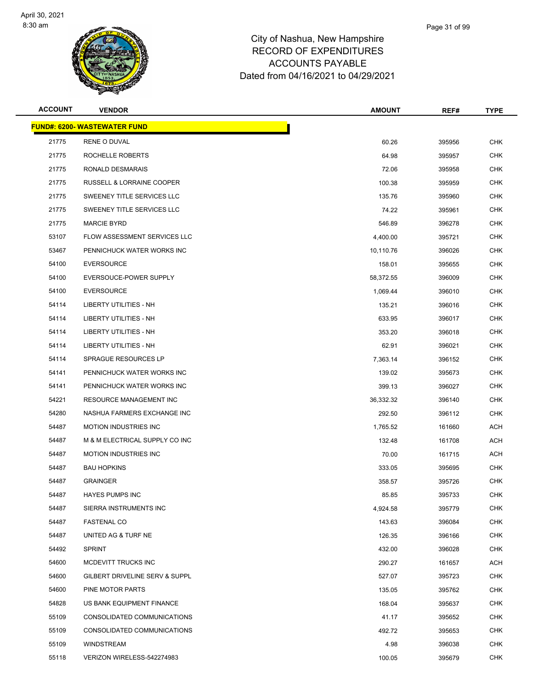

| <b>ACCOUNT</b> | <b>VENDOR</b>                        | <b>AMOUNT</b> | REF#   | <b>TYPE</b> |
|----------------|--------------------------------------|---------------|--------|-------------|
|                | <b>FUND#: 6200- WASTEWATER FUND</b>  |               |        |             |
| 21775          | RENE O DUVAL                         | 60.26         | 395956 | <b>CHK</b>  |
| 21775          | ROCHELLE ROBERTS                     | 64.98         | 395957 | <b>CHK</b>  |
| 21775          | RONALD DESMARAIS                     | 72.06         | 395958 | <b>CHK</b>  |
| 21775          | <b>RUSSELL &amp; LORRAINE COOPER</b> | 100.38        | 395959 | <b>CHK</b>  |
| 21775          | SWEENEY TITLE SERVICES LLC           | 135.76        | 395960 | <b>CHK</b>  |
| 21775          | SWEENEY TITLE SERVICES LLC           | 74.22         | 395961 | <b>CHK</b>  |
| 21775          | <b>MARCIE BYRD</b>                   | 546.89        | 396278 | <b>CHK</b>  |
| 53107          | FLOW ASSESSMENT SERVICES LLC         | 4,400.00      | 395721 | <b>CHK</b>  |
| 53467          | PENNICHUCK WATER WORKS INC           | 10,110.76     | 396026 | <b>CHK</b>  |
| 54100          | <b>EVERSOURCE</b>                    | 158.01        | 395655 | <b>CHK</b>  |
| 54100          | EVERSOUCE-POWER SUPPLY               | 58,372.55     | 396009 | <b>CHK</b>  |
| 54100          | <b>EVERSOURCE</b>                    | 1,069.44      | 396010 | <b>CHK</b>  |
| 54114          | LIBERTY UTILITIES - NH               | 135.21        | 396016 | <b>CHK</b>  |
| 54114          | <b>LIBERTY UTILITIES - NH</b>        | 633.95        | 396017 | <b>CHK</b>  |
| 54114          | LIBERTY UTILITIES - NH               | 353.20        | 396018 | <b>CHK</b>  |
| 54114          | <b>LIBERTY UTILITIES - NH</b>        | 62.91         | 396021 | <b>CHK</b>  |
| 54114          | SPRAGUE RESOURCES LP                 | 7,363.14      | 396152 | <b>CHK</b>  |
| 54141          | PENNICHUCK WATER WORKS INC           | 139.02        | 395673 | <b>CHK</b>  |
| 54141          | PENNICHUCK WATER WORKS INC           | 399.13        | 396027 | <b>CHK</b>  |
| 54221          | RESOURCE MANAGEMENT INC              | 36,332.32     | 396140 | <b>CHK</b>  |
| 54280          | NASHUA FARMERS EXCHANGE INC          | 292.50        | 396112 | <b>CHK</b>  |
| 54487          | <b>MOTION INDUSTRIES INC</b>         | 1,765.52      | 161660 | <b>ACH</b>  |
| 54487          | M & M ELECTRICAL SUPPLY CO INC       | 132.48        | 161708 | ACH         |
| 54487          | <b>MOTION INDUSTRIES INC</b>         | 70.00         | 161715 | ACH         |
| 54487          | <b>BAU HOPKINS</b>                   | 333.05        | 395695 | CHK         |
| 54487          | <b>GRAINGER</b>                      | 358.57        | 395726 | <b>CHK</b>  |
| 54487          | <b>HAYES PUMPS INC</b>               | 85.85         | 395733 | <b>CHK</b>  |
| 54487          | SIERRA INSTRUMENTS INC               | 4,924.58      | 395779 | <b>CHK</b>  |
| 54487          | <b>FASTENAL CO</b>                   | 143.63        | 396084 | <b>CHK</b>  |
| 54487          | UNITED AG & TURF NE                  | 126.35        | 396166 | <b>CHK</b>  |
| 54492          | <b>SPRINT</b>                        | 432.00        | 396028 | CHK         |
| 54600          | MCDEVITT TRUCKS INC                  | 290.27        | 161657 | <b>ACH</b>  |
| 54600          | GILBERT DRIVELINE SERV & SUPPL       | 527.07        | 395723 | <b>CHK</b>  |
| 54600          | PINE MOTOR PARTS                     | 135.05        | 395762 | CHK         |
| 54828          | US BANK EQUIPMENT FINANCE            | 168.04        | 395637 | <b>CHK</b>  |
| 55109          | CONSOLIDATED COMMUNICATIONS          | 41.17         | 395652 | CHK         |
| 55109          | CONSOLIDATED COMMUNICATIONS          | 492.72        | 395653 | <b>CHK</b>  |
| 55109          | <b>WINDSTREAM</b>                    | 4.98          | 396038 | <b>CHK</b>  |
| 55118          | VERIZON WIRELESS-542274983           | 100.05        | 395679 | <b>CHK</b>  |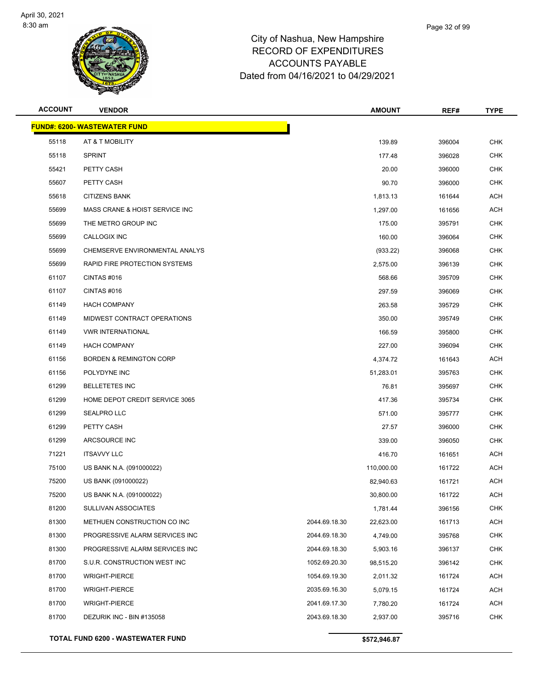

| <b>ACCOUNT</b> | <b>VENDOR</b>                        |               | <b>AMOUNT</b> | REF#   | <b>TYPE</b> |
|----------------|--------------------------------------|---------------|---------------|--------|-------------|
|                | <u> FUND#: 6200- WASTEWATER FUND</u> |               |               |        |             |
| 55118          | AT & T MOBILITY                      |               | 139.89        | 396004 | <b>CHK</b>  |
| 55118          | <b>SPRINT</b>                        |               | 177.48        | 396028 | <b>CHK</b>  |
| 55421          | PETTY CASH                           |               | 20.00         | 396000 | <b>CHK</b>  |
| 55607          | PETTY CASH                           |               | 90.70         | 396000 | <b>CHK</b>  |
| 55618          | <b>CITIZENS BANK</b>                 |               | 1,813.13      | 161644 | <b>ACH</b>  |
| 55699          | MASS CRANE & HOIST SERVICE INC       |               | 1,297.00      | 161656 | <b>ACH</b>  |
| 55699          | THE METRO GROUP INC                  |               | 175.00        | 395791 | <b>CHK</b>  |
| 55699          | CALLOGIX INC                         |               | 160.00        | 396064 | <b>CHK</b>  |
| 55699          | CHEMSERVE ENVIRONMENTAL ANALYS       |               | (933.22)      | 396068 | <b>CHK</b>  |
| 55699          | RAPID FIRE PROTECTION SYSTEMS        |               | 2,575.00      | 396139 | <b>CHK</b>  |
| 61107          | CINTAS#016                           |               | 568.66        | 395709 | <b>CHK</b>  |
| 61107          | CINTAS#016                           |               | 297.59        | 396069 | <b>CHK</b>  |
| 61149          | <b>HACH COMPANY</b>                  |               | 263.58        | 395729 | <b>CHK</b>  |
| 61149          | MIDWEST CONTRACT OPERATIONS          |               | 350.00        | 395749 | <b>CHK</b>  |
| 61149          | <b>VWR INTERNATIONAL</b>             |               | 166.59        | 395800 | <b>CHK</b>  |
| 61149          | <b>HACH COMPANY</b>                  |               | 227.00        | 396094 | <b>CHK</b>  |
| 61156          | <b>BORDEN &amp; REMINGTON CORP</b>   |               | 4,374.72      | 161643 | <b>ACH</b>  |
| 61156          | POLYDYNE INC                         |               | 51,283.01     | 395763 | <b>CHK</b>  |
| 61299          | <b>BELLETETES INC</b>                |               | 76.81         | 395697 | <b>CHK</b>  |
| 61299          | HOME DEPOT CREDIT SERVICE 3065       |               | 417.36        | 395734 | <b>CHK</b>  |
| 61299          | SEALPRO LLC                          |               | 571.00        | 395777 | <b>CHK</b>  |
| 61299          | PETTY CASH                           |               | 27.57         | 396000 | <b>CHK</b>  |
| 61299          | ARCSOURCE INC                        |               | 339.00        | 396050 | <b>CHK</b>  |
| 71221          | <b>ITSAVVY LLC</b>                   |               | 416.70        | 161651 | <b>ACH</b>  |
| 75100          | US BANK N.A. (091000022)             |               | 110,000.00    | 161722 | <b>ACH</b>  |
| 75200          | US BANK (091000022)                  |               | 82,940.63     | 161721 | <b>ACH</b>  |
| 75200          | US BANK N.A. (091000022)             |               | 30,800.00     | 161722 | ACH         |
| 81200          | <b>SULLIVAN ASSOCIATES</b>           |               | 1,781.44      | 396156 | <b>CHK</b>  |
| 81300          | METHUEN CONSTRUCTION CO INC          | 2044.69.18.30 | 22,623.00     | 161713 | <b>ACH</b>  |
| 81300          | PROGRESSIVE ALARM SERVICES INC       | 2044.69.18.30 | 4,749.00      | 395768 | <b>CHK</b>  |
| 81300          | PROGRESSIVE ALARM SERVICES INC       | 2044.69.18.30 | 5,903.16      | 396137 | <b>CHK</b>  |
| 81700          | S.U.R. CONSTRUCTION WEST INC         | 1052.69.20.30 | 98,515.20     | 396142 | <b>CHK</b>  |
| 81700          | <b>WRIGHT-PIERCE</b>                 | 1054.69.19.30 | 2,011.32      | 161724 | <b>ACH</b>  |
| 81700          | <b>WRIGHT-PIERCE</b>                 | 2035.69.16.30 | 5,079.15      | 161724 | ACH         |
| 81700          | <b>WRIGHT-PIERCE</b>                 | 2041.69.17.30 | 7,780.20      | 161724 | <b>ACH</b>  |
| 81700          | DEZURIK INC - BIN #135058            | 2043.69.18.30 | 2,937.00      | 395716 | <b>CHK</b>  |
|                | TOTAL FUND 6200 - WASTEWATER FUND    |               | \$572,946.87  |        |             |
|                |                                      |               |               |        |             |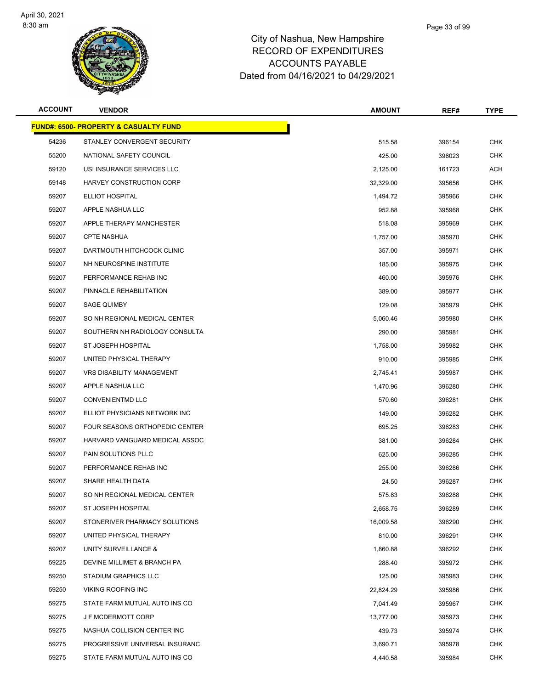

|       | Page 33 of 99 |
|-------|---------------|
| shire |               |
| החה   |               |

| <b>ACCOUNT</b> | <b>VENDOR</b>                                    | <b>AMOUNT</b> | REF#   | <b>TYPE</b> |
|----------------|--------------------------------------------------|---------------|--------|-------------|
|                | <b>FUND#: 6500- PROPERTY &amp; CASUALTY FUND</b> |               |        |             |
| 54236          | STANLEY CONVERGENT SECURITY                      | 515.58        | 396154 | <b>CHK</b>  |
| 55200          | NATIONAL SAFETY COUNCIL                          | 425.00        | 396023 | <b>CHK</b>  |
| 59120          | USI INSURANCE SERVICES LLC                       | 2,125.00      | 161723 | ACH         |
| 59148          | HARVEY CONSTRUCTION CORP                         | 32,329.00     | 395656 | <b>CHK</b>  |
| 59207          | <b>ELLIOT HOSPITAL</b>                           | 1,494.72      | 395966 | <b>CHK</b>  |
| 59207          | APPLE NASHUA LLC                                 | 952.88        | 395968 | CHK         |
| 59207          | APPLE THERAPY MANCHESTER                         | 518.08        | 395969 | <b>CHK</b>  |
| 59207          | <b>CPTE NASHUA</b>                               | 1,757.00      | 395970 | <b>CHK</b>  |
| 59207          | DARTMOUTH HITCHCOCK CLINIC                       | 357.00        | 395971 | <b>CHK</b>  |
| 59207          | NH NEUROSPINE INSTITUTE                          | 185.00        | 395975 | <b>CHK</b>  |
| 59207          | PERFORMANCE REHAB INC                            | 460.00        | 395976 | CHK         |
| 59207          | PINNACLE REHABILITATION                          | 389.00        | 395977 | <b>CHK</b>  |
| 59207          | <b>SAGE QUIMBY</b>                               | 129.08        | 395979 | CHK         |
| 59207          | SO NH REGIONAL MEDICAL CENTER                    | 5,060.46      | 395980 | <b>CHK</b>  |
| 59207          | SOUTHERN NH RADIOLOGY CONSULTA                   | 290.00        | 395981 | <b>CHK</b>  |
| 59207          | ST JOSEPH HOSPITAL                               | 1,758.00      | 395982 | CHK         |
| 59207          | UNITED PHYSICAL THERAPY                          | 910.00        | 395985 | <b>CHK</b>  |
| 59207          | <b>VRS DISABILITY MANAGEMENT</b>                 | 2,745.41      | 395987 | <b>CHK</b>  |
| 59207          | APPLE NASHUA LLC                                 | 1,470.96      | 396280 | <b>CHK</b>  |
| 59207          | <b>CONVENIENTMD LLC</b>                          | 570.60        | 396281 | <b>CHK</b>  |
| 59207          | ELLIOT PHYSICIANS NETWORK INC                    | 149.00        | 396282 | CHK         |
| 59207          | FOUR SEASONS ORTHOPEDIC CENTER                   | 695.25        | 396283 | <b>CHK</b>  |
| 59207          | HARVARD VANGUARD MEDICAL ASSOC                   | 381.00        | 396284 | CHK         |
| 59207          | PAIN SOLUTIONS PLLC                              | 625.00        | 396285 | <b>CHK</b>  |
| 59207          | PERFORMANCE REHAB INC                            | 255.00        | 396286 | CHK         |
| 59207          | SHARE HEALTH DATA                                | 24.50         | 396287 | CHK         |
| 59207          | SO NH REGIONAL MEDICAL CENTER                    | 575.83        | 396288 | <b>CHK</b>  |
| 59207          | ST JOSEPH HOSPITAL                               | 2,658.75      | 396289 | <b>CHK</b>  |
| 59207          | STONERIVER PHARMACY SOLUTIONS                    | 16,009.58     | 396290 | <b>CHK</b>  |
| 59207          | UNITED PHYSICAL THERAPY                          | 810.00        | 396291 | <b>CHK</b>  |
| 59207          | UNITY SURVEILLANCE &                             | 1,860.88      | 396292 | <b>CHK</b>  |
| 59225          | DEVINE MILLIMET & BRANCH PA                      | 288.40        | 395972 | <b>CHK</b>  |
| 59250          | <b>STADIUM GRAPHICS LLC</b>                      | 125.00        | 395983 | <b>CHK</b>  |
| 59250          | <b>VIKING ROOFING INC</b>                        | 22,824.29     | 395986 | <b>CHK</b>  |
| 59275          | STATE FARM MUTUAL AUTO INS CO                    | 7,041.49      | 395967 | <b>CHK</b>  |
| 59275          | J F MCDERMOTT CORP                               | 13,777.00     | 395973 | <b>CHK</b>  |
| 59275          | NASHUA COLLISION CENTER INC                      | 439.73        | 395974 | <b>CHK</b>  |
| 59275          | PROGRESSIVE UNIVERSAL INSURANC                   | 3,690.71      | 395978 | <b>CHK</b>  |
| 59275          | STATE FARM MUTUAL AUTO INS CO                    | 4,440.58      | 395984 | <b>CHK</b>  |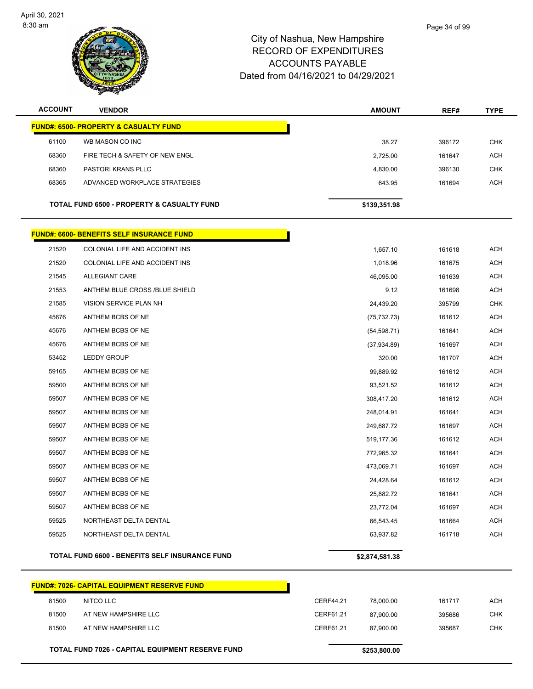

| <b>ACCOUNT</b> | <b>VENDOR</b>                                         | <b>AMOUNT</b>  | REF#   | <b>TYPE</b> |
|----------------|-------------------------------------------------------|----------------|--------|-------------|
|                | <b>FUND#: 6500- PROPERTY &amp; CASUALTY FUND</b>      |                |        |             |
| 61100          | WB MASON CO INC                                       | 38.27          | 396172 | <b>CHK</b>  |
| 68360          | FIRE TECH & SAFETY OF NEW ENGL                        | 2,725.00       | 161647 | <b>ACH</b>  |
| 68360          | PASTORI KRANS PLLC                                    | 4,830.00       | 396130 | CHK         |
| 68365          | ADVANCED WORKPLACE STRATEGIES                         | 643.95         | 161694 | <b>ACH</b>  |
|                | <b>TOTAL FUND 6500 - PROPERTY &amp; CASUALTY FUND</b> | \$139,351.98   |        |             |
|                |                                                       |                |        |             |
|                | <b>FUND#: 6600- BENEFITS SELF INSURANCE FUND</b>      |                |        |             |
| 21520          | COLONIAL LIFE AND ACCIDENT INS                        | 1,657.10       | 161618 | <b>ACH</b>  |
| 21520          | COLONIAL LIFE AND ACCIDENT INS                        | 1,018.96       | 161675 | <b>ACH</b>  |
| 21545          | ALLEGIANT CARE                                        | 46,095.00      | 161639 | <b>ACH</b>  |
| 21553          | ANTHEM BLUE CROSS /BLUE SHIELD                        | 9.12           | 161698 | ACH         |
| 21585          | VISION SERVICE PLAN NH                                | 24,439.20      | 395799 | <b>CHK</b>  |
| 45676          | ANTHEM BCBS OF NE                                     | (75, 732.73)   | 161612 | <b>ACH</b>  |
| 45676          | ANTHEM BCBS OF NE                                     | (54, 598.71)   | 161641 | ACH         |
| 45676          | ANTHEM BCBS OF NE                                     | (37, 934.89)   | 161697 | <b>ACH</b>  |
| 53452          | <b>LEDDY GROUP</b>                                    | 320.00         | 161707 | <b>ACH</b>  |
| 59165          | ANTHEM BCBS OF NE                                     | 99,889.92      | 161612 | ACH         |
| 59500          | ANTHEM BCBS OF NE                                     | 93,521.52      | 161612 | <b>ACH</b>  |
| 59507          | ANTHEM BCBS OF NE                                     | 308,417.20     | 161612 | <b>ACH</b>  |
| 59507          | ANTHEM BCBS OF NE                                     | 248,014.91     | 161641 | <b>ACH</b>  |
| 59507          | ANTHEM BCBS OF NE                                     | 249,687.72     | 161697 | ACH         |
| 59507          | ANTHEM BCBS OF NE                                     | 519,177.36     | 161612 | <b>ACH</b>  |
| 59507          | ANTHEM BCBS OF NE                                     | 772,965.32     | 161641 | <b>ACH</b>  |
| 59507          | ANTHEM BCBS OF NE                                     | 473,069.71     | 161697 | ACH         |
| 59507          | ANTHEM BCBS OF NE                                     | 24,428.64      | 161612 | <b>ACH</b>  |
| 59507          | ANTHEM BCBS OF NE                                     | 25,882.72      | 161641 | <b>ACH</b>  |
| 59507          | ANTHEM BCBS OF NE                                     | 23,772.04      | 161697 | <b>ACH</b>  |
| 59525          | NORTHEAST DELTA DENTAL                                | 66,543.45      | 161664 | <b>ACH</b>  |
| 59525          | NORTHEAST DELTA DENTAL                                | 63,937.82      | 161718 | <b>ACH</b>  |
|                | TOTAL FUND 6600 - BENEFITS SELF INSURANCE FUND        | \$2,874,581.38 |        |             |

|       | <b>FUND#: 7026- CAPITAL EQUIPMENT RESERVE FUND</b>      |           |              |        |            |
|-------|---------------------------------------------------------|-----------|--------------|--------|------------|
| 81500 | NITCO LLC                                               | CERF44.21 | 78.000.00    | 161717 | ACH        |
| 81500 | AT NEW HAMPSHIRE LLC                                    | CERF61.21 | 87.900.00    | 395686 | <b>CHK</b> |
| 81500 | AT NEW HAMPSHIRE LLC                                    | CERF61.21 | 87.900.00    | 395687 | CHK        |
|       | <b>TOTAL FUND 7026 - CAPITAL EQUIPMENT RESERVE FUND</b> |           | \$253,800,00 |        |            |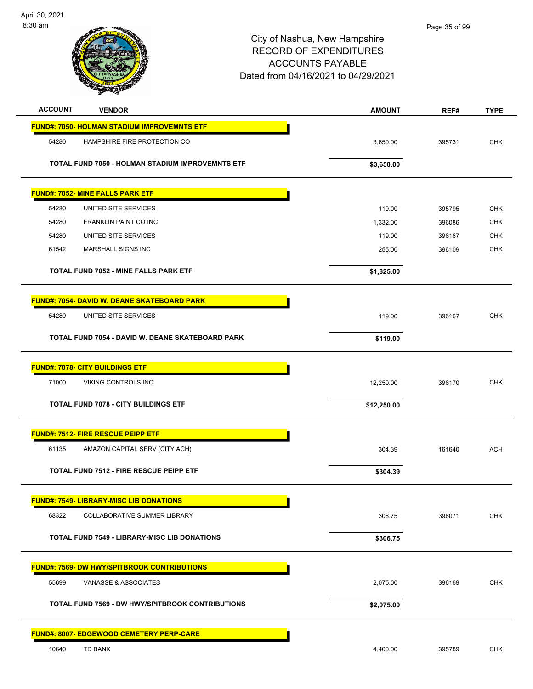| <b>ACCOUNT</b> | <b>VENDOR</b>                                      | <b>AMOUNT</b> | REF#   | <b>TYPE</b> |
|----------------|----------------------------------------------------|---------------|--------|-------------|
|                | <b>FUND#: 7050- HOLMAN STADIUM IMPROVEMNTS ETF</b> |               |        |             |
| 54280          | HAMPSHIRE FIRE PROTECTION CO                       | 3,650.00      | 395731 | <b>CHK</b>  |
|                | TOTAL FUND 7050 - HOLMAN STADIUM IMPROVEMNTS ETF   | \$3,650.00    |        |             |
|                | <b>FUND#: 7052- MINE FALLS PARK ETF</b>            |               |        |             |
| 54280          | UNITED SITE SERVICES                               | 119.00        | 395795 | <b>CHK</b>  |
| 54280          | FRANKLIN PAINT CO INC                              | 1,332.00      | 396086 | <b>CHK</b>  |
| 54280          | UNITED SITE SERVICES                               | 119.00        | 396167 | <b>CHK</b>  |
| 61542          | MARSHALL SIGNS INC                                 | 255.00        | 396109 | <b>CHK</b>  |
|                | TOTAL FUND 7052 - MINE FALLS PARK ETF              | \$1,825.00    |        |             |
|                | <b>FUND#: 7054- DAVID W. DEANE SKATEBOARD PARK</b> |               |        |             |
| 54280          | UNITED SITE SERVICES                               | 119.00        | 396167 | <b>CHK</b>  |
|                | TOTAL FUND 7054 - DAVID W. DEANE SKATEBOARD PARK   | \$119.00      |        |             |
|                | <b>FUND#: 7078- CITY BUILDINGS ETF</b>             |               |        |             |
| 71000          | VIKING CONTROLS INC                                | 12,250.00     | 396170 | <b>CHK</b>  |
|                | <b>TOTAL FUND 7078 - CITY BUILDINGS ETF</b>        | \$12,250.00   |        |             |
|                | <b>FUND#: 7512- FIRE RESCUE PEIPP ETF</b>          |               |        |             |
| 61135          | AMAZON CAPITAL SERV (CITY ACH)                     | 304.39        | 161640 | <b>ACH</b>  |
|                | <b>TOTAL FUND 7512 - FIRE RESCUE PEIPP ETF</b>     | \$304.39      |        |             |
|                | <b>FUND#: 7549- LIBRARY-MISC LIB DONATIONS</b>     |               |        |             |
| 68322          | <b>COLLABORATIVE SUMMER LIBRARY</b>                | 306.75        | 396071 | <b>CHK</b>  |
|                | TOTAL FUND 7549 - LIBRARY-MISC LIB DONATIONS       | \$306.75      |        |             |
|                | <b>FUND#: 7569- DW HWY/SPITBROOK CONTRIBUTIONS</b> |               |        |             |
| 55699          | VANASSE & ASSOCIATES                               | 2,075.00      | 396169 | <b>CHK</b>  |
|                | TOTAL FUND 7569 - DW HWY/SPITBROOK CONTRIBUTIONS   | \$2,075.00    |        |             |
|                | <b>FUND#: 8007- EDGEWOOD CEMETERY PERP-CARE</b>    |               |        |             |
| 10640          | TD BANK                                            | 4,400.00      | 395789 | <b>CHK</b>  |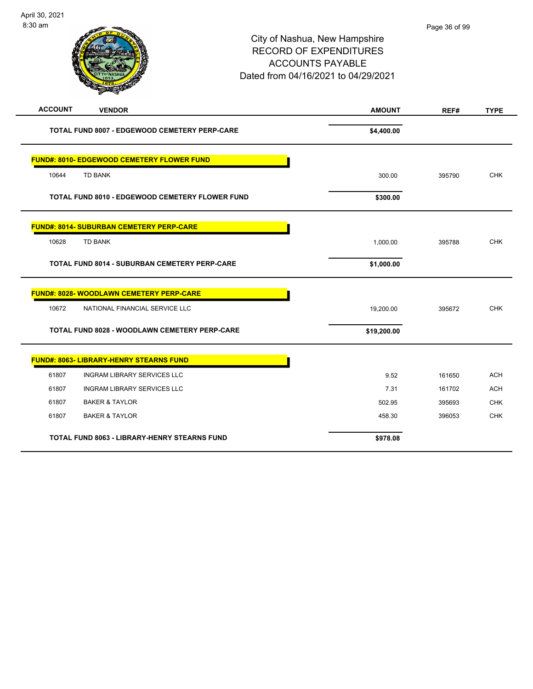| <b>ACCOUNT</b><br><b>VENDOR</b>                      | <b>AMOUNT</b> | REF#   | <b>TYPE</b> |
|------------------------------------------------------|---------------|--------|-------------|
| TOTAL FUND 8007 - EDGEWOOD CEMETERY PERP-CARE        | \$4,400.00    |        |             |
| <b>FUND#: 8010- EDGEWOOD CEMETERY FLOWER FUND</b>    |               |        |             |
| 10644<br><b>TD BANK</b>                              | 300.00        | 395790 | <b>CHK</b>  |
| TOTAL FUND 8010 - EDGEWOOD CEMETERY FLOWER FUND      | \$300.00      |        |             |
| <b>FUND#: 8014- SUBURBAN CEMETERY PERP-CARE</b>      |               |        |             |
| <b>TD BANK</b><br>10628                              | 1,000.00      | 395788 | <b>CHK</b>  |
| <b>TOTAL FUND 8014 - SUBURBAN CEMETERY PERP-CARE</b> | \$1,000.00    |        |             |
| <b>FUND#: 8028- WOODLAWN CEMETERY PERP-CARE</b>      |               |        |             |
| 10672<br>NATIONAL FINANCIAL SERVICE LLC              | 19,200.00     | 395672 | <b>CHK</b>  |
| <b>TOTAL FUND 8028 - WOODLAWN CEMETERY PERP-CARE</b> | \$19,200.00   |        |             |
| <b>FUND#: 8063- LIBRARY-HENRY STEARNS FUND</b>       |               |        |             |
| 61807<br><b>INGRAM LIBRARY SERVICES LLC</b>          | 9.52          | 161650 | <b>ACH</b>  |
| 61807<br><b>INGRAM LIBRARY SERVICES LLC</b>          | 7.31          | 161702 | <b>ACH</b>  |
| 61807<br><b>BAKER &amp; TAYLOR</b>                   | 502.95        | 395693 | <b>CHK</b>  |
| 61807<br><b>BAKER &amp; TAYLOR</b>                   | 458.30        | 396053 | <b>CHK</b>  |
| <b>TOTAL FUND 8063 - LIBRARY-HENRY STEARNS FUND</b>  | \$978.08      |        |             |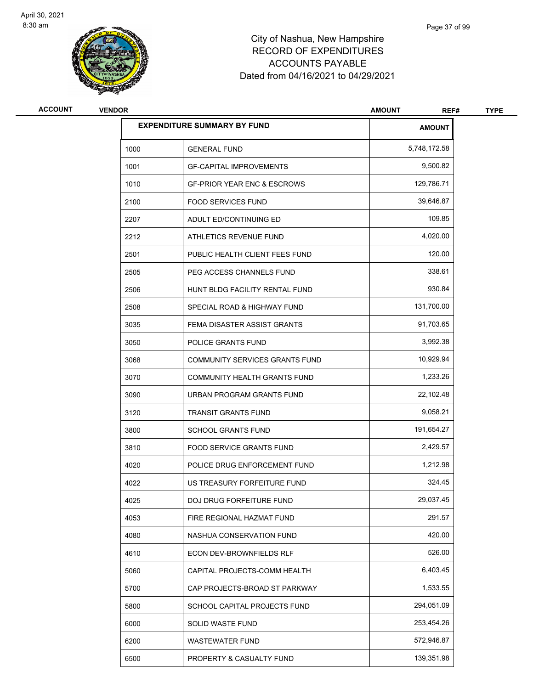

# City of Nashua, New Hampshire RECORD OF EXPENDITURES ACCOUNTS PAYABLE Dated from 04/16/2021 to 04/29/2021

| <b>ACCOUNT</b> | <b>VENDOR</b> |                                        | <b>AMOUNT</b><br>REF# | <b>TYPE</b> |
|----------------|---------------|----------------------------------------|-----------------------|-------------|
|                |               | <b>EXPENDITURE SUMMARY BY FUND</b>     | <b>AMOUNT</b>         |             |
|                | 1000          | <b>GENERAL FUND</b>                    | 5,748,172.58          |             |
|                | 1001          | <b>GF-CAPITAL IMPROVEMENTS</b>         | 9,500.82              |             |
|                | 1010          | <b>GF-PRIOR YEAR ENC &amp; ESCROWS</b> | 129,786.71            |             |
|                | 2100          | <b>FOOD SERVICES FUND</b>              | 39,646.87             |             |
|                | 2207          | ADULT ED/CONTINUING ED                 | 109.85                |             |
|                | 2212          | ATHLETICS REVENUE FUND                 | 4,020.00              |             |
|                | 2501          | PUBLIC HEALTH CLIENT FEES FUND         | 120.00                |             |
|                | 2505          | PEG ACCESS CHANNELS FUND               | 338.61                |             |
|                | 2506          | HUNT BLDG FACILITY RENTAL FUND         | 930.84                |             |
|                | 2508          | SPECIAL ROAD & HIGHWAY FUND            | 131,700.00            |             |
|                | 3035          | FEMA DISASTER ASSIST GRANTS            | 91,703.65             |             |
|                | 3050          | POLICE GRANTS FUND                     | 3,992.38              |             |
|                | 3068          | COMMUNITY SERVICES GRANTS FUND         | 10,929.94             |             |
|                | 3070          | COMMUNITY HEALTH GRANTS FUND           | 1,233.26              |             |
|                | 3090          | URBAN PROGRAM GRANTS FUND              | 22,102.48             |             |
|                | 3120          | <b>TRANSIT GRANTS FUND</b>             | 9,058.21              |             |
|                | 3800          | <b>SCHOOL GRANTS FUND</b>              | 191,654.27            |             |
|                | 3810          | <b>FOOD SERVICE GRANTS FUND</b>        | 2,429.57              |             |
|                | 4020          | POLICE DRUG ENFORCEMENT FUND           | 1,212.98              |             |
|                | 4022          | US TREASURY FORFEITURE FUND            | 324.45                |             |
|                | 4025          | DOJ DRUG FORFEITURE FUND               | 29,037.45             |             |
|                | 4053          | FIRE REGIONAL HAZMAT FUND              | 291.57                |             |
|                | 4080          | NASHUA CONSERVATION FUND               | 420.00                |             |
|                | 4610          | ECON DEV-BROWNFIELDS RLF               | 526.00                |             |
|                | 5060          | CAPITAL PROJECTS-COMM HEALTH           | 6,403.45              |             |
|                | 5700          | CAP PROJECTS-BROAD ST PARKWAY          | 1,533.55              |             |
|                | 5800          | SCHOOL CAPITAL PROJECTS FUND           | 294,051.09            |             |
|                | 6000          | SOLID WASTE FUND                       | 253,454.26            |             |
|                | 6200          | <b>WASTEWATER FUND</b>                 | 572,946.87            |             |
|                | 6500          | PROPERTY & CASUALTY FUND               | 139,351.98            |             |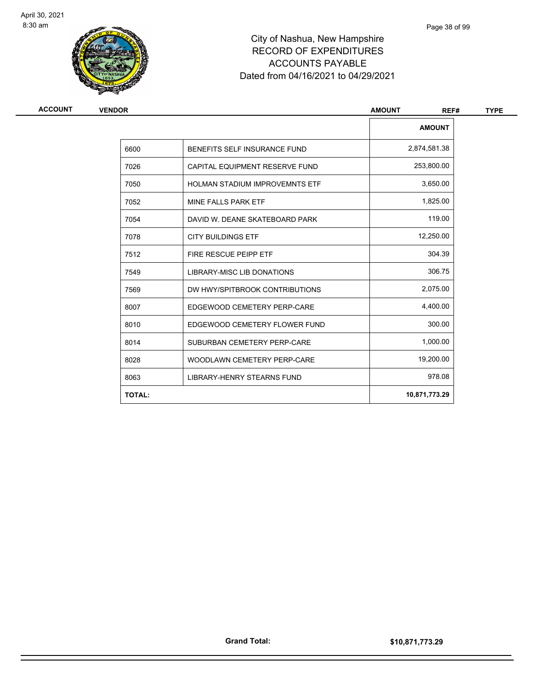

# City of Nashua, New Hampshire RECORD OF EXPENDITURES ACCOUNTS PAYABLE Dated from 04/16/2021 to 04/29/2021

| ACCOUNT | <b>VENDOR</b> |                                   | <b>AMOUNT</b><br>REF# |  |
|---------|---------------|-----------------------------------|-----------------------|--|
|         |               |                                   | <b>AMOUNT</b>         |  |
|         | 6600          | BENEFITS SELF INSURANCE FUND      | 2,874,581.38          |  |
|         | 7026          | CAPITAL EQUIPMENT RESERVE FUND    | 253,800.00            |  |
|         | 7050          | HOLMAN STADIUM IMPROVEMNTS ETF    | 3,650.00              |  |
|         | 7052          | MINE FALLS PARK ETF               | 1,825.00              |  |
|         | 7054          | DAVID W. DEANE SKATEBOARD PARK    | 119.00                |  |
|         | 7078          | <b>CITY BUILDINGS ETF</b>         | 12,250.00             |  |
|         | 7512          | FIRE RESCUE PEIPP ETF             | 304.39                |  |
|         | 7549          | LIBRARY-MISC LIB DONATIONS        | 306.75                |  |
|         | 7569          | DW HWY/SPITBROOK CONTRIBUTIONS    | 2,075.00              |  |
|         | 8007          | EDGEWOOD CEMETERY PERP-CARE       | 4,400.00              |  |
|         | 8010          | EDGEWOOD CEMETERY FLOWER FUND     | 300.00                |  |
|         | 8014          | SUBURBAN CEMETERY PERP-CARE       | 1,000.00              |  |
|         | 8028          | WOODLAWN CEMETERY PERP-CARE       | 19,200.00             |  |
|         | 8063          | <b>LIBRARY-HENRY STEARNS FUND</b> | 978.08                |  |
|         | <b>TOTAL:</b> |                                   | 10,871,773.29         |  |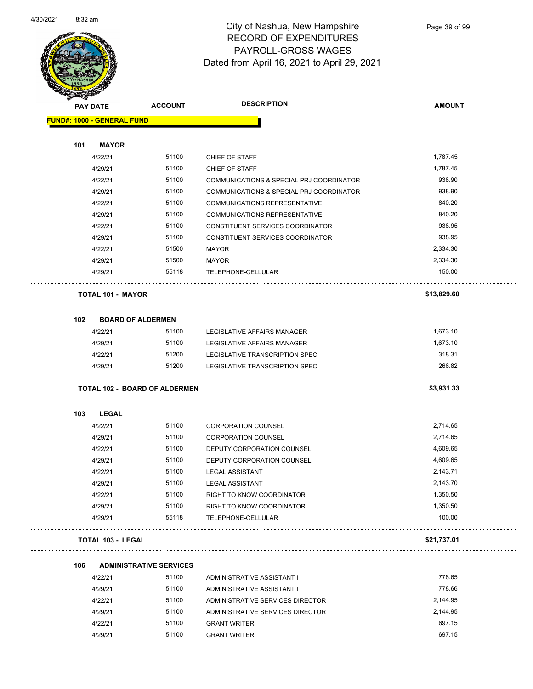

Page 39 of 99

| <b>SANGAL</b>                        |                                |                                          |               |
|--------------------------------------|--------------------------------|------------------------------------------|---------------|
| <b>PAY DATE</b>                      | <b>ACCOUNT</b>                 | <b>DESCRIPTION</b>                       | <b>AMOUNT</b> |
| <b>FUND#: 1000 - GENERAL FUND</b>    |                                |                                          |               |
|                                      |                                |                                          |               |
| <b>MAYOR</b><br>101                  |                                |                                          |               |
| 4/22/21                              | 51100                          | CHIEF OF STAFF                           | 1,787.45      |
| 4/29/21                              | 51100                          | CHIEF OF STAFF                           | 1,787.45      |
| 4/22/21                              | 51100                          | COMMUNICATIONS & SPECIAL PRJ COORDINATOR | 938.90        |
| 4/29/21                              | 51100                          | COMMUNICATIONS & SPECIAL PRJ COORDINATOR | 938.90        |
| 4/22/21                              | 51100                          | COMMUNICATIONS REPRESENTATIVE            | 840.20        |
| 4/29/21                              | 51100                          | COMMUNICATIONS REPRESENTATIVE            | 840.20        |
| 4/22/21                              | 51100                          | CONSTITUENT SERVICES COORDINATOR         | 938.95        |
| 4/29/21                              | 51100                          | CONSTITUENT SERVICES COORDINATOR         | 938.95        |
| 4/22/21                              | 51500                          | <b>MAYOR</b>                             | 2,334.30      |
| 4/29/21                              | 51500                          | <b>MAYOR</b>                             | 2,334.30      |
| 4/29/21                              | 55118                          | TELEPHONE-CELLULAR                       | 150.00        |
| <b>TOTAL 101 - MAYOR</b>             |                                |                                          | \$13,829.60   |
| <b>BOARD OF ALDERMEN</b><br>102      |                                |                                          |               |
| 4/22/21                              | 51100                          | LEGISLATIVE AFFAIRS MANAGER              | 1,673.10      |
| 4/29/21                              | 51100                          | LEGISLATIVE AFFAIRS MANAGER              | 1,673.10      |
| 4/22/21                              | 51200                          | LEGISLATIVE TRANSCRIPTION SPEC           | 318.31        |
| 4/29/21                              | 51200                          | LEGISLATIVE TRANSCRIPTION SPEC           | 266.82        |
|                                      |                                |                                          |               |
| <b>TOTAL 102 - BOARD OF ALDERMEN</b> |                                |                                          | \$3,931.33    |
| <b>LEGAL</b><br>103                  |                                |                                          |               |
| 4/22/21                              | 51100                          | <b>CORPORATION COUNSEL</b>               | 2,714.65      |
| 4/29/21                              | 51100                          | <b>CORPORATION COUNSEL</b>               | 2,714.65      |
| 4/22/21                              | 51100                          | DEPUTY CORPORATION COUNSEL               | 4,609.65      |
| 4/29/21                              | 51100                          | DEPUTY CORPORATION COUNSEL               | 4,609.65      |
| 4/22/21                              | 51100                          | <b>LEGAL ASSISTANT</b>                   | 2,143.71      |
| 4/29/21                              | 51100                          | <b>LEGAL ASSISTANT</b>                   | 2,143.70      |
| 4/22/21                              | 51100                          | RIGHT TO KNOW COORDINATOR                | 1,350.50      |
| 4/29/21                              | 51100                          | RIGHT TO KNOW COORDINATOR                | 1,350.50      |
| 4/29/21                              | 55118                          | TELEPHONE-CELLULAR                       | 100.00        |
| <b>TOTAL 103 - LEGAL</b>             |                                |                                          | \$21,737.01   |
| 106                                  | <b>ADMINISTRATIVE SERVICES</b> |                                          |               |
| 4/22/21                              | 51100                          | ADMINISTRATIVE ASSISTANT I               | 778.65        |
| 4/29/21                              | 51100                          | ADMINISTRATIVE ASSISTANT I               | 778.66        |
| 4/22/21                              | 51100                          | ADMINISTRATIVE SERVICES DIRECTOR         | 2,144.95      |
| 4/29/21                              | 51100                          | ADMINISTRATIVE SERVICES DIRECTOR         | 2,144.95      |

4/22/21 51100 GRANT WRITER 697.15 4/29/21 51100 GRANT WRITER 697.15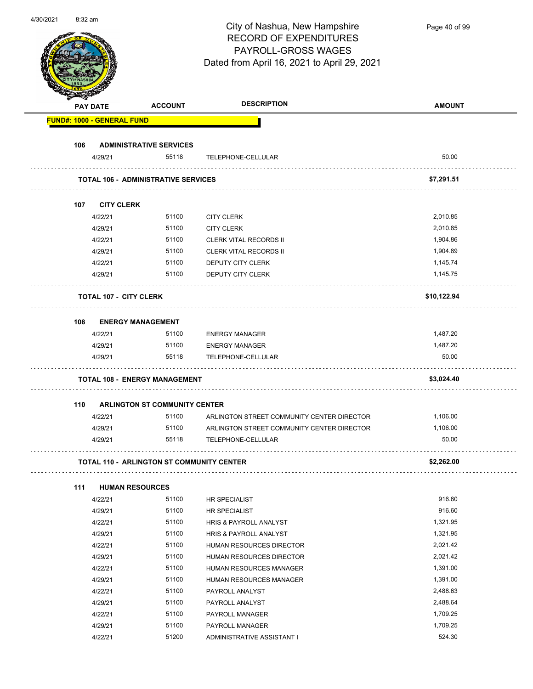| 4/30/2021 | 8:32 am |                                   |                                                  | City of Nashua, New Hampshire<br><b>RECORD OF EXPENDITURES</b><br>PAYROLL-GROSS WAGES<br>Dated from April 16, 2021 to April 29, 2021 | Page 40 of 99 |
|-----------|---------|-----------------------------------|--------------------------------------------------|--------------------------------------------------------------------------------------------------------------------------------------|---------------|
|           |         | PAY DATE                          | <b>ACCOUNT</b>                                   | <b>DESCRIPTION</b>                                                                                                                   | <b>AMOUNT</b> |
|           |         | <b>FUND#: 1000 - GENERAL FUND</b> |                                                  |                                                                                                                                      |               |
|           |         |                                   |                                                  |                                                                                                                                      |               |
|           | 106     |                                   | <b>ADMINISTRATIVE SERVICES</b>                   |                                                                                                                                      |               |
|           |         | 4/29/21                           | 55118                                            | TELEPHONE-CELLULAR                                                                                                                   | 50.00         |
|           |         |                                   | <b>TOTAL 106 - ADMINISTRATIVE SERVICES</b>       |                                                                                                                                      | \$7,291.51    |
|           |         |                                   |                                                  |                                                                                                                                      |               |
|           | 107     | <b>CITY CLERK</b>                 |                                                  |                                                                                                                                      |               |
|           |         | 4/22/21                           | 51100                                            | <b>CITY CLERK</b>                                                                                                                    | 2,010.85      |
|           |         | 4/29/21                           | 51100                                            | <b>CITY CLERK</b>                                                                                                                    | 2,010.85      |
|           |         | 4/22/21                           | 51100                                            | <b>CLERK VITAL RECORDS II</b>                                                                                                        | 1,904.86      |
|           |         | 4/29/21                           | 51100                                            | <b>CLERK VITAL RECORDS II</b>                                                                                                        | 1,904.89      |
|           |         | 4/22/21                           | 51100                                            | DEPUTY CITY CLERK                                                                                                                    | 1,145.74      |
|           |         | 4/29/21                           | 51100                                            | DEPUTY CITY CLERK                                                                                                                    | 1,145.75      |
|           |         |                                   | <b>TOTAL 107 - CITY CLERK</b>                    |                                                                                                                                      | \$10,122.94   |
|           | 108     |                                   | <b>ENERGY MANAGEMENT</b>                         |                                                                                                                                      |               |
|           |         | 4/22/21                           | 51100                                            | <b>ENERGY MANAGER</b>                                                                                                                | 1,487.20      |
|           |         | 4/29/21                           | 51100                                            | <b>ENERGY MANAGER</b>                                                                                                                | 1,487.20      |
|           |         | 4/29/21                           | 55118                                            | TELEPHONE-CELLULAR                                                                                                                   | 50.00         |
|           |         |                                   |                                                  |                                                                                                                                      |               |
|           |         |                                   | <b>TOTAL 108 - ENERGY MANAGEMENT</b>             |                                                                                                                                      | \$3,024.40    |
|           | 110     |                                   | <b>ARLINGTON ST COMMUNITY CENTER</b>             |                                                                                                                                      |               |
|           |         | 4/22/21                           | 51100                                            | ARLINGTON STREET COMMUNITY CENTER DIRECTOR                                                                                           | 1,106.00      |
|           |         | 4/29/21                           | 51100                                            | ARLINGTON STREET COMMUNITY CENTER DIRECTOR                                                                                           | 1,106.00      |
|           |         | 4/29/21                           | 55118                                            | TELEPHONE-CELLULAR                                                                                                                   | 50.00         |
|           |         |                                   |                                                  |                                                                                                                                      | \$2,262.00    |
|           |         |                                   | <b>TOTAL 110 - ARLINGTON ST COMMUNITY CENTER</b> |                                                                                                                                      |               |
|           | 111     |                                   | <b>HUMAN RESOURCES</b>                           |                                                                                                                                      |               |
|           |         | 4/22/21                           | 51100                                            | HR SPECIALIST                                                                                                                        | 916.60        |
|           |         | 4/29/21                           | 51100                                            | <b>HR SPECIALIST</b>                                                                                                                 | 916.60        |
|           |         | 4/22/21                           | 51100                                            | HRIS & PAYROLL ANALYST                                                                                                               | 1,321.95      |
|           |         | 4/29/21                           | 51100                                            | HRIS & PAYROLL ANALYST                                                                                                               | 1,321.95      |
|           |         | 4/22/21                           | 51100                                            | HUMAN RESOURCES DIRECTOR                                                                                                             | 2,021.42      |
|           |         | 4/29/21                           | 51100                                            | HUMAN RESOURCES DIRECTOR                                                                                                             | 2,021.42      |
|           |         | 4/22/21                           | 51100                                            | HUMAN RESOURCES MANAGER                                                                                                              | 1,391.00      |
|           |         | 4/29/21                           | 51100                                            | HUMAN RESOURCES MANAGER                                                                                                              | 1,391.00      |
|           |         | 4/22/21                           | 51100                                            | PAYROLL ANALYST                                                                                                                      | 2,488.63      |
|           |         | 4/29/21                           | 51100                                            | PAYROLL ANALYST                                                                                                                      | 2,488.64      |
|           |         | 4/22/21                           | 51100                                            | PAYROLL MANAGER                                                                                                                      | 1,709.25      |
|           |         | 4/29/21                           | 51100                                            | PAYROLL MANAGER                                                                                                                      | 1,709.25      |
|           |         | 4/22/21                           | 51200                                            | ADMINISTRATIVE ASSISTANT I                                                                                                           | 524.30        |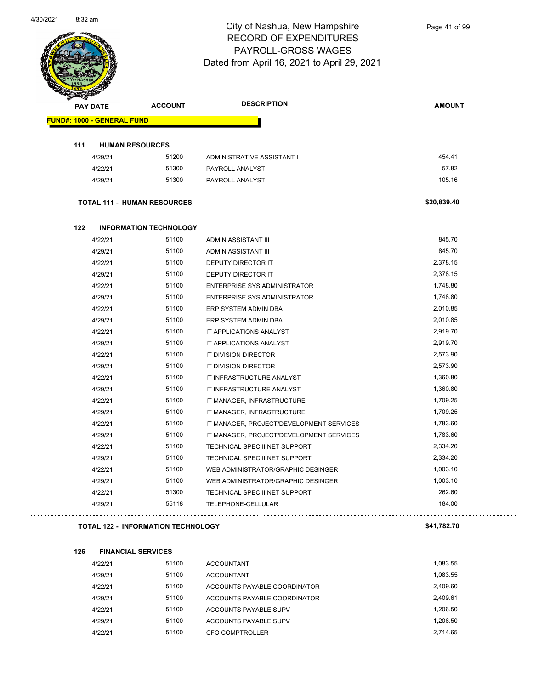

|     | <b>PAY DATE</b>                   | <b>ACCOUNT</b>                            | <b>DESCRIPTION</b>                       | <b>AMOUNT</b> |
|-----|-----------------------------------|-------------------------------------------|------------------------------------------|---------------|
|     | <b>FUND#: 1000 - GENERAL FUND</b> |                                           |                                          |               |
|     |                                   |                                           |                                          |               |
| 111 |                                   | <b>HUMAN RESOURCES</b>                    |                                          |               |
|     | 4/29/21                           | 51200                                     | ADMINISTRATIVE ASSISTANT I               | 454.41        |
|     | 4/22/21                           | 51300                                     | PAYROLL ANALYST                          | 57.82         |
|     | 4/29/21                           | 51300                                     | PAYROLL ANALYST                          | 105.16        |
|     |                                   | <b>TOTAL 111 - HUMAN RESOURCES</b>        |                                          | \$20,839.40   |
| 122 |                                   | <b>INFORMATION TECHNOLOGY</b>             |                                          |               |
|     | 4/22/21                           | 51100                                     | ADMIN ASSISTANT III                      | 845.70        |
|     | 4/29/21                           | 51100                                     | ADMIN ASSISTANT III                      | 845.70        |
|     | 4/22/21                           | 51100                                     | DEPUTY DIRECTOR IT                       | 2,378.15      |
|     | 4/29/21                           | 51100                                     | DEPUTY DIRECTOR IT                       | 2,378.15      |
|     | 4/22/21                           | 51100                                     | ENTERPRISE SYS ADMINISTRATOR             | 1,748.80      |
|     | 4/29/21                           | 51100                                     | <b>ENTERPRISE SYS ADMINISTRATOR</b>      | 1,748.80      |
|     | 4/22/21                           | 51100                                     | ERP SYSTEM ADMIN DBA                     | 2,010.85      |
|     | 4/29/21                           | 51100                                     | ERP SYSTEM ADMIN DBA                     | 2,010.85      |
|     | 4/22/21                           | 51100                                     | IT APPLICATIONS ANALYST                  | 2,919.70      |
|     | 4/29/21                           | 51100                                     | IT APPLICATIONS ANALYST                  | 2,919.70      |
|     | 4/22/21                           | 51100                                     | IT DIVISION DIRECTOR                     | 2,573.90      |
|     | 4/29/21                           | 51100                                     | IT DIVISION DIRECTOR                     | 2,573.90      |
|     | 4/22/21                           | 51100                                     | IT INFRASTRUCTURE ANALYST                | 1,360.80      |
|     | 4/29/21                           | 51100                                     | IT INFRASTRUCTURE ANALYST                | 1,360.80      |
|     | 4/22/21                           | 51100                                     | IT MANAGER, INFRASTRUCTURE               | 1,709.25      |
|     | 4/29/21                           | 51100                                     | IT MANAGER, INFRASTRUCTURE               | 1,709.25      |
|     | 4/22/21                           | 51100                                     | IT MANAGER, PROJECT/DEVELOPMENT SERVICES | 1,783.60      |
|     | 4/29/21                           | 51100                                     | IT MANAGER, PROJECT/DEVELOPMENT SERVICES | 1,783.60      |
|     | 4/22/21                           | 51100                                     | TECHNICAL SPEC II NET SUPPORT            | 2,334.20      |
|     | 4/29/21                           | 51100                                     | TECHNICAL SPEC II NET SUPPORT            | 2,334.20      |
|     | 4/22/21                           | 51100                                     | WEB ADMINISTRATOR/GRAPHIC DESINGER       | 1,003.10      |
|     | 4/29/21                           | 51100                                     | WEB ADMINISTRATOR/GRAPHIC DESINGER       | 1,003.10      |
|     | 4/22/21                           | 51300                                     | TECHNICAL SPEC II NET SUPPORT            | 262.60        |
|     | 4/29/21                           | 55118                                     | TELEPHONE-CELLULAR                       | 184.00        |
|     |                                   | <b>TOTAL 122 - INFORMATION TECHNOLOGY</b> |                                          | \$41,782.70   |
| 126 |                                   | <b>FINANCIAL SERVICES</b>                 |                                          |               |
|     | 4/22/21                           | 51100                                     | <b>ACCOUNTANT</b>                        | 1,083.55      |
|     | 4/29/21                           | 51100                                     | <b>ACCOUNTANT</b>                        | 1,083.55      |
|     | 4/22/21                           | 51100                                     | ACCOUNTS PAYABLE COORDINATOR             | 2,409.60      |
|     | 4/29/21                           | 51100                                     | ACCOUNTS PAYABLE COORDINATOR             | 2,409.61      |
|     | 4/22/21                           | 51100                                     | ACCOUNTS PAYABLE SUPV                    | 1,206.50      |

4/29/21 51100 ACCOUNTS PAYABLE SUPV 1,206.50 4/22/21 51100 CFO COMPTROLLER 2,714.65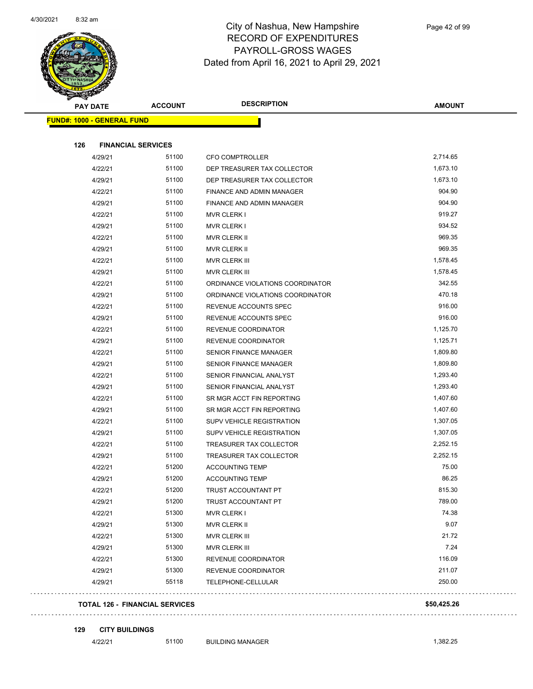

| <b>Andrew</b><br><b>PAY DATE</b>  |                           | <b>ACCOUNT</b>                        | <b>DESCRIPTION</b>               | <b>AMOUNT</b> |
|-----------------------------------|---------------------------|---------------------------------------|----------------------------------|---------------|
| <b>FUND#: 1000 - GENERAL FUND</b> |                           |                                       |                                  |               |
| 126                               | <b>FINANCIAL SERVICES</b> |                                       |                                  |               |
|                                   | 4/29/21                   | 51100                                 | <b>CFO COMPTROLLER</b>           | 2,714.65      |
|                                   | 4/22/21                   | 51100                                 | DEP TREASURER TAX COLLECTOR      | 1,673.10      |
|                                   | 4/29/21                   | 51100                                 | DEP TREASURER TAX COLLECTOR      | 1,673.10      |
|                                   | 4/22/21                   | 51100                                 | <b>FINANCE AND ADMIN MANAGER</b> | 904.90        |
|                                   | 4/29/21                   | 51100                                 | FINANCE AND ADMIN MANAGER        | 904.90        |
|                                   | 4/22/21                   | 51100                                 | <b>MVR CLERK I</b>               | 919.27        |
|                                   | 4/29/21                   | 51100                                 | MVR CLERK I                      | 934.52        |
|                                   | 4/22/21                   | 51100                                 | MVR CLERK II                     | 969.35        |
|                                   | 4/29/21                   | 51100                                 | MVR CLERK II                     | 969.35        |
|                                   | 4/22/21                   | 51100                                 | MVR CLERK III                    | 1,578.45      |
|                                   | 4/29/21                   | 51100                                 | MVR CLERK III                    | 1,578.45      |
|                                   | 4/22/21                   | 51100                                 | ORDINANCE VIOLATIONS COORDINATOR | 342.55        |
|                                   | 4/29/21                   | 51100                                 | ORDINANCE VIOLATIONS COORDINATOR | 470.18        |
|                                   | 4/22/21                   | 51100                                 | REVENUE ACCOUNTS SPEC            | 916.00        |
|                                   | 4/29/21                   | 51100                                 | REVENUE ACCOUNTS SPEC            | 916.00        |
|                                   | 4/22/21                   | 51100                                 | REVENUE COORDINATOR              | 1,125.70      |
|                                   | 4/29/21                   | 51100                                 | REVENUE COORDINATOR              | 1,125.71      |
|                                   | 4/22/21                   | 51100                                 | <b>SENIOR FINANCE MANAGER</b>    | 1,809.80      |
|                                   | 4/29/21                   | 51100                                 | <b>SENIOR FINANCE MANAGER</b>    | 1,809.80      |
|                                   | 4/22/21                   | 51100                                 | SENIOR FINANCIAL ANALYST         | 1,293.40      |
|                                   | 4/29/21                   | 51100                                 | SENIOR FINANCIAL ANALYST         | 1,293.40      |
|                                   | 4/22/21                   | 51100                                 | SR MGR ACCT FIN REPORTING        | 1,407.60      |
|                                   | 4/29/21                   | 51100                                 | SR MGR ACCT FIN REPORTING        | 1,407.60      |
|                                   | 4/22/21                   | 51100                                 | <b>SUPV VEHICLE REGISTRATION</b> | 1,307.05      |
|                                   | 4/29/21                   | 51100                                 | <b>SUPV VEHICLE REGISTRATION</b> | 1,307.05      |
|                                   | 4/22/21                   | 51100                                 | <b>TREASURER TAX COLLECTOR</b>   | 2,252.15      |
|                                   | 4/29/21                   | 51100                                 | TREASURER TAX COLLECTOR          | 2,252.15      |
|                                   | 4/22/21                   | 51200                                 | <b>ACCOUNTING TEMP</b>           | 75.00         |
|                                   | 4/29/21                   | 51200                                 | <b>ACCOUNTING TEMP</b>           | 86.25         |
|                                   | 4/22/21                   | 51200                                 | TRUST ACCOUNTANT PT              | 815.30        |
|                                   | 4/29/21                   | 51200                                 | TRUST ACCOUNTANT PT              | 789.00        |
|                                   | 4/22/21                   | 51300                                 | <b>MVR CLERK I</b>               | 74.38         |
|                                   | 4/29/21                   | 51300                                 | MVR CLERK II                     | 9.07          |
|                                   | 4/22/21                   | 51300                                 | <b>MVR CLERK III</b>             | 21.72         |
|                                   | 4/29/21                   | 51300                                 | <b>MVR CLERK III</b>             | 7.24          |
|                                   | 4/22/21                   | 51300                                 | REVENUE COORDINATOR              | 116.09        |
|                                   | 4/29/21                   | 51300                                 | REVENUE COORDINATOR              | 211.07        |
|                                   | 4/29/21                   | 55118                                 | TELEPHONE-CELLULAR               | 250.00        |
|                                   |                           | <b>TOTAL 126 - FINANCIAL SERVICES</b> |                                  | \$50,425.26   |

**129 CITY BUILDINGS**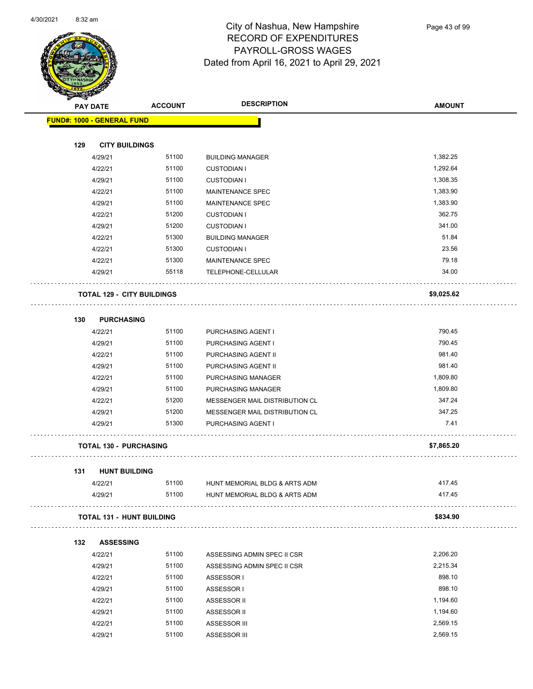

Page 43 of 99

|                 |                                   |                | <b>DESCRIPTION</b>             |               |
|-----------------|-----------------------------------|----------------|--------------------------------|---------------|
| <b>PAY DATE</b> |                                   | <b>ACCOUNT</b> |                                | <b>AMOUNT</b> |
|                 | <b>FUND#: 1000 - GENERAL FUND</b> |                |                                |               |
| 129             | <b>CITY BUILDINGS</b>             |                |                                |               |
|                 | 4/29/21                           | 51100          | <b>BUILDING MANAGER</b>        | 1,382.25      |
|                 | 4/22/21                           | 51100          | <b>CUSTODIAN I</b>             | 1,292.64      |
|                 | 4/29/21                           | 51100          | <b>CUSTODIAN I</b>             | 1,308.35      |
|                 | 4/22/21                           | 51100          | MAINTENANCE SPEC               | 1,383.90      |
|                 | 4/29/21                           | 51100          | <b>MAINTENANCE SPEC</b>        | 1,383.90      |
|                 | 4/22/21                           | 51200          | <b>CUSTODIAN I</b>             | 362.75        |
|                 | 4/29/21                           | 51200          | <b>CUSTODIAN I</b>             | 341.00        |
|                 | 4/22/21                           | 51300          | <b>BUILDING MANAGER</b>        | 51.84         |
|                 | 4/22/21                           | 51300          | <b>CUSTODIAN I</b>             | 23.56         |
|                 | 4/22/21                           | 51300          | MAINTENANCE SPEC               | 79.18         |
|                 | 4/29/21                           | 55118          | TELEPHONE-CELLULAR             | 34.00         |
|                 | <b>TOTAL 129 - CITY BUILDINGS</b> |                |                                | \$9,025.62    |
| 130             | <b>PURCHASING</b>                 |                |                                |               |
|                 | 4/22/21                           | 51100          | PURCHASING AGENT I             | 790.45        |
|                 | 4/29/21                           | 51100          | PURCHASING AGENT I             | 790.45        |
|                 | 4/22/21                           | 51100          | PURCHASING AGENT II            | 981.40        |
|                 | 4/29/21                           | 51100          | PURCHASING AGENT II            | 981.40        |
|                 | 4/22/21                           | 51100          | PURCHASING MANAGER             | 1,809.80      |
|                 | 4/29/21                           | 51100          | PURCHASING MANAGER             | 1,809.80      |
|                 | 4/22/21                           | 51200          | MESSENGER MAIL DISTRIBUTION CL | 347.24        |
|                 | 4/29/21                           | 51200          | MESSENGER MAIL DISTRIBUTION CL | 347.25        |
|                 | 4/29/21                           | 51300          | PURCHASING AGENT I             | 7.41          |
|                 | <b>TOTAL 130 - PURCHASING</b>     |                |                                | \$7,865.20    |
|                 |                                   |                |                                |               |
| 131             | <b>HUNT BUILDING</b><br>4/22/21   | 51100          | HUNT MEMORIAL BLDG & ARTS ADM  | 417.45        |
|                 | 4/29/21                           | 51100          | HUNT MEMORIAL BLDG & ARTS ADM  | 417.45        |
|                 | <b>TOTAL 131 - HUNT BUILDING</b>  |                |                                | \$834.90      |
| 132             | <b>ASSESSING</b>                  |                |                                |               |
|                 | 4/22/21                           | 51100          | ASSESSING ADMIN SPEC II CSR    | 2,206.20      |
|                 | 4/29/21                           | 51100          | ASSESSING ADMIN SPEC II CSR    | 2,215.34      |
|                 | 4/22/21                           | 51100          | ASSESSOR I                     | 898.10        |
|                 | 4/29/21                           | 51100          | ASSESSOR I                     | 898.10        |
|                 | 4/22/21                           | 51100          | ASSESSOR II                    | 1,194.60      |
|                 | 4/29/21                           | 51100          | ASSESSOR II                    | 1,194.60      |
|                 | 4/22/21                           | 51100          | ASSESSOR III                   | 2,569.15      |
|                 | 4/29/21                           | 51100          | ASSESSOR III                   | 2,569.15      |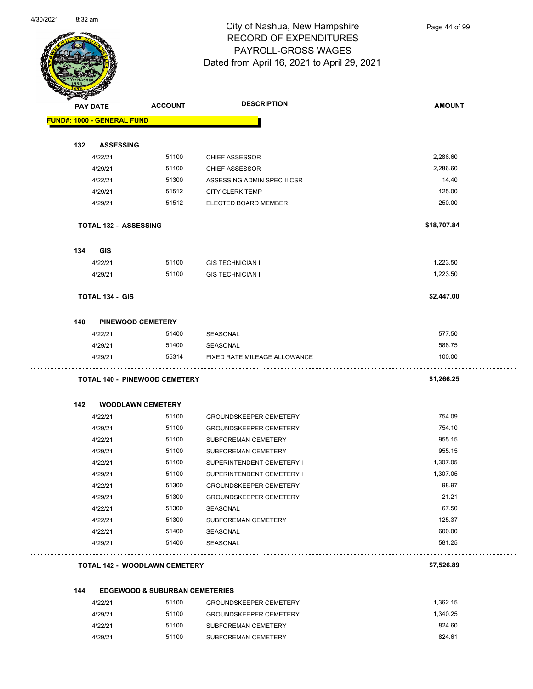

Page 44 of 99

|     | <b>PAY DATE</b>                   | <b>ACCOUNT</b>                                     | <b>DESCRIPTION</b>                                   | <b>AMOUNT</b> |
|-----|-----------------------------------|----------------------------------------------------|------------------------------------------------------|---------------|
|     | <b>FUND#: 1000 - GENERAL FUND</b> |                                                    |                                                      |               |
|     |                                   |                                                    |                                                      |               |
| 132 | <b>ASSESSING</b>                  |                                                    |                                                      |               |
|     | 4/22/21                           | 51100                                              | <b>CHIEF ASSESSOR</b>                                | 2,286.60      |
|     | 4/29/21                           | 51100                                              | <b>CHIEF ASSESSOR</b>                                | 2,286.60      |
|     | 4/22/21                           | 51300                                              | ASSESSING ADMIN SPEC II CSR                          | 14.40         |
|     | 4/29/21                           | 51512                                              | <b>CITY CLERK TEMP</b>                               | 125.00        |
|     | 4/29/21                           | 51512                                              | ELECTED BOARD MEMBER                                 | 250.00        |
|     | <b>TOTAL 132 - ASSESSING</b>      |                                                    |                                                      | \$18,707.84   |
| 134 | <b>GIS</b>                        |                                                    |                                                      |               |
|     | 4/22/21                           | 51100                                              | <b>GIS TECHNICIAN II</b>                             | 1,223.50      |
|     | 4/29/21                           | 51100                                              | <b>GIS TECHNICIAN II</b>                             | 1,223.50      |
|     | <b>TOTAL 134 - GIS</b>            |                                                    |                                                      | \$2,447.00    |
| 140 | <b>PINEWOOD CEMETERY</b>          |                                                    |                                                      |               |
|     | 4/22/21                           | 51400                                              | <b>SEASONAL</b>                                      | 577.50        |
|     | 4/29/21                           | 51400                                              | SEASONAL                                             | 588.75        |
|     |                                   |                                                    |                                                      |               |
|     | 4/29/21                           | 55314                                              | FIXED RATE MILEAGE ALLOWANCE                         | 100.00        |
|     |                                   |                                                    |                                                      |               |
|     |                                   | <b>TOTAL 140 - PINEWOOD CEMETERY</b>               |                                                      | \$1,266.25    |
| 142 | <b>WOODLAWN CEMETERY</b>          |                                                    |                                                      |               |
|     | 4/22/21                           | 51100                                              | <b>GROUNDSKEEPER CEMETERY</b>                        | 754.09        |
|     | 4/29/21                           | 51100                                              | <b>GROUNDSKEEPER CEMETERY</b>                        | 754.10        |
|     | 4/22/21                           | 51100                                              | <b>SUBFOREMAN CEMETERY</b>                           | 955.15        |
|     | 4/29/21                           | 51100                                              | <b>SUBFOREMAN CEMETERY</b>                           | 955.15        |
|     | 4/22/21                           | 51100                                              | SUPERINTENDENT CEMETERY I                            | 1,307.05      |
|     | 4/29/21                           | 51100                                              | SUPERINTENDENT CEMETERY I                            | 1,307.05      |
|     | 4/22/21                           | 51300                                              | GROUNDSKEEPER CEMETERY                               | 98.97         |
|     | 4/29/21                           | 51300                                              | <b>GROUNDSKEEPER CEMETERY</b>                        | 21.21         |
|     | 4/22/21                           | 51300                                              | SEASONAL                                             | 67.50         |
|     | 4/22/21                           | 51300                                              | SUBFOREMAN CEMETERY                                  | 125.37        |
|     | 4/22/21                           | 51400                                              | SEASONAL                                             | 600.00        |
|     | 4/29/21                           | 51400                                              | SEASONAL                                             | 581.25        |
|     |                                   | <b>TOTAL 142 - WOODLAWN CEMETERY</b>               |                                                      | \$7,526.89    |
|     |                                   |                                                    |                                                      |               |
| 144 |                                   | <b>EDGEWOOD &amp; SUBURBAN CEMETERIES</b><br>51100 |                                                      | 1,362.15      |
|     | 4/22/21                           | 51100                                              | <b>GROUNDSKEEPER CEMETERY</b>                        | 1,340.25      |
|     | 4/29/21<br>4/22/21                | 51100                                              | <b>GROUNDSKEEPER CEMETERY</b><br>SUBFOREMAN CEMETERY | 824.60        |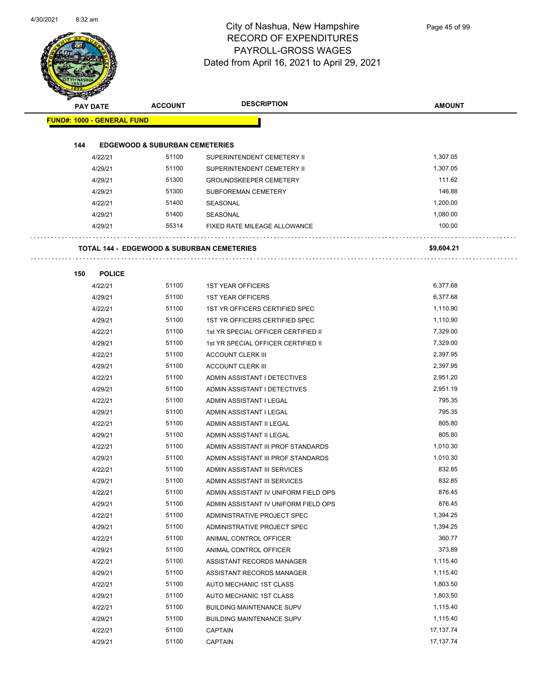

| <b>PAY DATE</b>                   | <b>ACCOUNT</b>                                        | <b>DESCRIPTION</b>                   | <b>AMOUNT</b> |
|-----------------------------------|-------------------------------------------------------|--------------------------------------|---------------|
|                                   |                                                       |                                      |               |
| <b>FUND#: 1000 - GENERAL FUND</b> |                                                       |                                      |               |
| 144                               | <b>EDGEWOOD &amp; SUBURBAN CEMETERIES</b>             |                                      |               |
| 4/22/21                           | 51100                                                 | SUPERINTENDENT CEMETERY II           | 1,307.05      |
| 4/29/21                           | 51100                                                 | SUPERINTENDENT CEMETERY II           | 1,307.05      |
| 4/29/21                           | 51300                                                 | <b>GROUNDSKEEPER CEMETERY</b>        | 111.62        |
| 4/29/21                           | 51300                                                 | SUBFOREMAN CEMETERY                  | 146.88        |
| 4/22/21                           | 51400                                                 | SEASONAL                             | 1,200.00      |
| 4/29/21                           | 51400                                                 | SEASONAL                             | 1,080.00      |
| 4/29/21                           | 55314                                                 | FIXED RATE MILEAGE ALLOWANCE         | 100.00        |
|                                   | <b>TOTAL 144 - EDGEWOOD &amp; SUBURBAN CEMETERIES</b> |                                      | \$9,604.21    |
| 150<br><b>POLICE</b>              |                                                       |                                      |               |
| 4/22/21                           | 51100                                                 | <b>1ST YEAR OFFICERS</b>             | 6,377.68      |
| 4/29/21                           | 51100                                                 | <b>1ST YEAR OFFICERS</b>             | 6,377.68      |
| 4/22/21                           | 51100                                                 | 1ST YR OFFICERS CERTIFIED SPEC       | 1,110.90      |
| 4/29/21                           | 51100                                                 | 1ST YR OFFICERS CERTIFIED SPEC       | 1,110.90      |
| 4/22/21                           | 51100                                                 | 1st YR SPECIAL OFFICER CERTIFIED II  | 7,329.00      |
| 4/29/21                           | 51100                                                 | 1st YR SPECIAL OFFICER CERTIFIED II  | 7,329.00      |
| 4/22/21                           | 51100                                                 | <b>ACCOUNT CLERK III</b>             | 2,397.95      |
| 4/29/21                           | 51100                                                 | <b>ACCOUNT CLERK III</b>             | 2,397.95      |
| 4/22/21                           | 51100                                                 | ADMIN ASSISTANT I DETECTIVES         | 2,951.20      |
| 4/29/21                           | 51100                                                 | ADMIN ASSISTANT I DETECTIVES         | 2,951.19      |
| 4/22/21                           | 51100                                                 | ADMIN ASSISTANT I LEGAL              | 795.35        |
| 4/29/21                           | 51100                                                 | ADMIN ASSISTANT I LEGAL              | 795.35        |
| 4/22/21                           | 51100                                                 | ADMIN ASSISTANT II LEGAL             | 805.80        |
| 4/29/21                           | 51100                                                 | ADMIN ASSISTANT II LEGAL             | 805.80        |
| 4/22/21                           | 51100                                                 | ADMIN ASSISTANT III PROF STANDARDS   | 1,010.30      |
| 4/29/21                           | 51100                                                 | ADMIN ASSISTANT III PROF STANDARDS   | 1,010.30      |
| 4/22/21                           | 51100                                                 | ADMIN ASSISTANT III SERVICES         | 832.85        |
| 4/29/21                           | 51100                                                 | ADMIN ASSISTANT III SERVICES         | 832.85        |
| 4/22/21                           | 51100                                                 | ADMIN ASSISTANT IV UNIFORM FIELD OPS | 876.45        |
| 4/29/21                           | 51100                                                 | ADMIN ASSISTANT IV UNIFORM FIELD OPS | 876.45        |
| 4/22/21                           | 51100                                                 | ADMINISTRATIVE PROJECT SPEC          | 1,394.25      |
| 4/29/21                           | 51100                                                 | ADMINISTRATIVE PROJECT SPEC          | 1,394.25      |
| 4/22/21                           | 51100                                                 | ANIMAL CONTROL OFFICER               | 360.77        |
| 4/29/21                           | 51100                                                 | ANIMAL CONTROL OFFICER               | 373.89        |
| 4/22/21                           | 51100                                                 | ASSISTANT RECORDS MANAGER            | 1,115.40      |
| 4/29/21                           | 51100                                                 | ASSISTANT RECORDS MANAGER            | 1,115.40      |
| 4/22/21                           | 51100                                                 | AUTO MECHANIC 1ST CLASS              | 1,803.50      |
| 4/29/21                           | 51100                                                 | AUTO MECHANIC 1ST CLASS              | 1,803.50      |
| 4/22/21                           | 51100                                                 | <b>BUILDING MAINTENANCE SUPV</b>     | 1,115.40      |
| 4/29/21                           | 51100                                                 | <b>BUILDING MAINTENANCE SUPV</b>     | 1,115.40      |
| 4/22/21                           | 51100                                                 | <b>CAPTAIN</b>                       | 17,137.74     |
| 4/29/21                           | 51100                                                 | CAPTAIN                              | 17,137.74     |
|                                   |                                                       |                                      |               |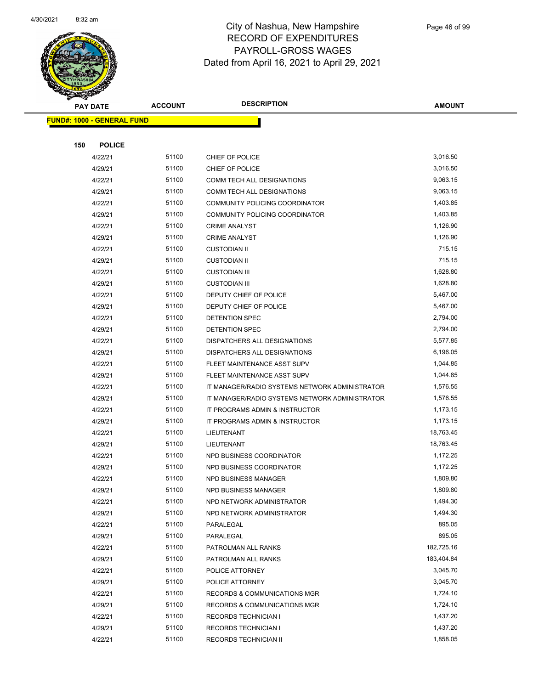

|     | <b>PAY DATE</b>                   | <b>ACCOUNT</b> | <b>DESCRIPTION</b>                             | <b>AMOUNT</b>         |  |
|-----|-----------------------------------|----------------|------------------------------------------------|-----------------------|--|
|     | <b>FUND#: 1000 - GENERAL FUND</b> |                |                                                |                       |  |
|     |                                   |                |                                                |                       |  |
| 150 | <b>POLICE</b>                     |                |                                                |                       |  |
|     | 4/22/21                           | 51100          | CHIEF OF POLICE                                | 3,016.50              |  |
|     | 4/29/21                           | 51100          | CHIEF OF POLICE                                | 3,016.50              |  |
|     | 4/22/21                           | 51100          | COMM TECH ALL DESIGNATIONS                     | 9,063.15              |  |
|     | 4/29/21                           | 51100          | COMM TECH ALL DESIGNATIONS                     | 9,063.15              |  |
|     | 4/22/21                           | 51100          | COMMUNITY POLICING COORDINATOR                 | 1,403.85              |  |
|     | 4/29/21                           | 51100          | COMMUNITY POLICING COORDINATOR                 | 1,403.85              |  |
|     | 4/22/21                           | 51100          | <b>CRIME ANALYST</b>                           | 1,126.90              |  |
|     | 4/29/21                           | 51100          | <b>CRIME ANALYST</b>                           | 1,126.90              |  |
|     | 4/22/21                           | 51100          | <b>CUSTODIAN II</b>                            | 715.15                |  |
|     | 4/29/21                           | 51100          | <b>CUSTODIAN II</b>                            | 715.15                |  |
|     | 4/22/21                           | 51100          | <b>CUSTODIAN III</b>                           | 1,628.80              |  |
|     | 4/29/21                           | 51100          | <b>CUSTODIAN III</b>                           | 1,628.80              |  |
|     | 4/22/21                           | 51100          | DEPUTY CHIEF OF POLICE                         | 5,467.00              |  |
|     | 4/29/21                           | 51100          | DEPUTY CHIEF OF POLICE                         | 5,467.00              |  |
|     | 4/22/21                           | 51100          | DETENTION SPEC                                 | 2,794.00              |  |
|     | 4/29/21                           | 51100          | DETENTION SPEC                                 | 2,794.00              |  |
|     | 4/22/21                           | 51100          | DISPATCHERS ALL DESIGNATIONS                   | 5,577.85              |  |
|     | 4/29/21                           | 51100          | DISPATCHERS ALL DESIGNATIONS                   | 6,196.05              |  |
|     | 4/22/21                           | 51100          | FLEET MAINTENANCE ASST SUPV                    | 1,044.85              |  |
|     | 4/29/21                           | 51100          | FLEET MAINTENANCE ASST SUPV                    | 1,044.85              |  |
|     | 4/22/21                           | 51100          | IT MANAGER/RADIO SYSTEMS NETWORK ADMINISTRATOR | 1,576.55              |  |
|     | 4/29/21                           | 51100          | IT MANAGER/RADIO SYSTEMS NETWORK ADMINISTRATOR | 1,576.55              |  |
|     | 4/22/21                           | 51100          | IT PROGRAMS ADMIN & INSTRUCTOR                 | 1,173.15              |  |
|     | 4/29/21                           | 51100<br>51100 | IT PROGRAMS ADMIN & INSTRUCTOR                 | 1,173.15<br>18,763.45 |  |
|     | 4/22/21<br>4/29/21                | 51100          | LIEUTENANT                                     | 18,763.45             |  |
|     | 4/22/21                           | 51100          | LIEUTENANT<br>NPD BUSINESS COORDINATOR         | 1,172.25              |  |
|     | 4/29/21                           | 51100          | NPD BUSINESS COORDINATOR                       | 1,172.25              |  |
|     | 4/22/21                           | 51100          | NPD BUSINESS MANAGER                           | 1,809.80              |  |
|     | 4/29/21                           | 51100          | NPD BUSINESS MANAGER                           | 1,809.80              |  |
|     | 4/22/21                           | 51100          | NPD NETWORK ADMINISTRATOR                      | 1,494.30              |  |
|     | 4/29/21                           | 51100          | NPD NETWORK ADMINISTRATOR                      | 1,494.30              |  |
|     | 4/22/21                           | 51100          | PARALEGAL                                      | 895.05                |  |
|     | 4/29/21                           | 51100          | PARALEGAL                                      | 895.05                |  |
|     | 4/22/21                           | 51100          | PATROLMAN ALL RANKS                            | 182,725.16            |  |
|     | 4/29/21                           | 51100          | PATROLMAN ALL RANKS                            | 183,404.84            |  |
|     | 4/22/21                           | 51100          | POLICE ATTORNEY                                | 3,045.70              |  |
|     | 4/29/21                           | 51100          | POLICE ATTORNEY                                | 3,045.70              |  |
|     | 4/22/21                           | 51100          | RECORDS & COMMUNICATIONS MGR                   | 1,724.10              |  |
|     | 4/29/21                           | 51100          | RECORDS & COMMUNICATIONS MGR                   | 1,724.10              |  |
|     | 4/22/21                           | 51100          | <b>RECORDS TECHNICIAN I</b>                    | 1,437.20              |  |
|     | 4/29/21                           | 51100          | <b>RECORDS TECHNICIAN I</b>                    | 1,437.20              |  |
|     | 4/22/21                           | 51100          | RECORDS TECHNICIAN II                          | 1,858.05              |  |
|     |                                   |                |                                                |                       |  |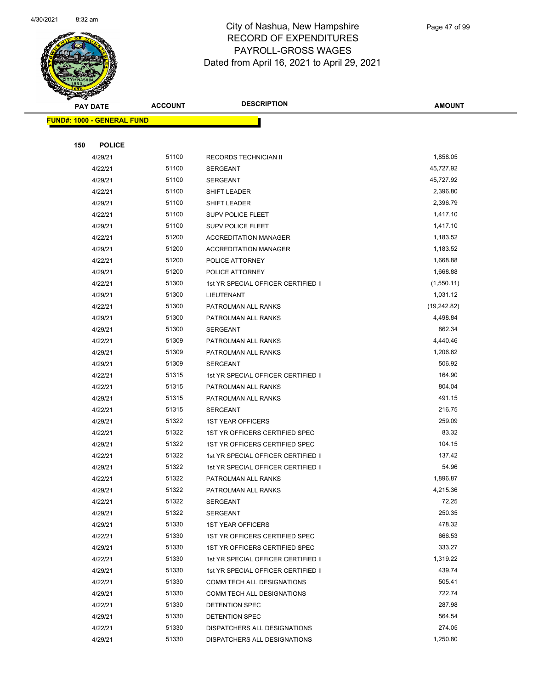

| <b>PAY DATE</b>                   | <b>ACCOUNT</b> | <b>DESCRIPTION</b>                  | <b>AMOUNT</b> |
|-----------------------------------|----------------|-------------------------------------|---------------|
| <b>FUND#: 1000 - GENERAL FUND</b> |                |                                     |               |
|                                   |                |                                     |               |
| 150<br><b>POLICE</b>              |                |                                     |               |
| 4/29/21                           | 51100          | RECORDS TECHNICIAN II               | 1,858.05      |
| 4/22/21                           | 51100          | <b>SERGEANT</b>                     | 45,727.92     |
| 4/29/21                           | 51100          | <b>SERGEANT</b>                     | 45,727.92     |
| 4/22/21                           | 51100          | SHIFT LEADER                        | 2,396.80      |
| 4/29/21                           | 51100          | SHIFT LEADER                        | 2,396.79      |
| 4/22/21                           | 51100          | <b>SUPV POLICE FLEET</b>            | 1,417.10      |
| 4/29/21                           | 51100          | <b>SUPV POLICE FLEET</b>            | 1,417.10      |
| 4/22/21                           | 51200          | <b>ACCREDITATION MANAGER</b>        | 1,183.52      |
| 4/29/21                           | 51200          | <b>ACCREDITATION MANAGER</b>        | 1,183.52      |
| 4/22/21                           | 51200          | POLICE ATTORNEY                     | 1,668.88      |
| 4/29/21                           | 51200          | POLICE ATTORNEY                     | 1,668.88      |
| 4/22/21                           | 51300          | 1st YR SPECIAL OFFICER CERTIFIED II | (1,550.11)    |
| 4/29/21                           | 51300          | LIEUTENANT                          | 1,031.12      |
| 4/22/21                           | 51300          | PATROLMAN ALL RANKS                 | (19, 242.82)  |
| 4/29/21                           | 51300          | PATROLMAN ALL RANKS                 | 4,498.84      |
| 4/29/21                           | 51300          | SERGEANT                            | 862.34        |
| 4/22/21                           | 51309          | PATROLMAN ALL RANKS                 | 4,440.46      |
| 4/29/21                           | 51309          | PATROLMAN ALL RANKS                 | 1,206.62      |
| 4/29/21                           | 51309          | <b>SERGEANT</b>                     | 506.92        |
| 4/22/21                           | 51315          | 1st YR SPECIAL OFFICER CERTIFIED II | 164.90        |
| 4/22/21                           | 51315          | PATROLMAN ALL RANKS                 | 804.04        |
| 4/29/21                           | 51315          | PATROLMAN ALL RANKS                 | 491.15        |
| 4/22/21                           | 51315          | <b>SERGEANT</b>                     | 216.75        |
| 4/29/21                           | 51322          | <b>1ST YEAR OFFICERS</b>            | 259.09        |
| 4/22/21                           | 51322          | 1ST YR OFFICERS CERTIFIED SPEC      | 83.32         |
| 4/29/21                           | 51322          | 1ST YR OFFICERS CERTIFIED SPEC      | 104.15        |
| 4/22/21                           | 51322          | 1st YR SPECIAL OFFICER CERTIFIED II | 137.42        |
| 4/29/21                           | 51322          | 1st YR SPECIAL OFFICER CERTIFIED II | 54.96         |
| 4/22/21                           | 51322          | PATROLMAN ALL RANKS                 | 1,896.87      |
| 4/29/21                           | 51322          | PATROLMAN ALL RANKS                 | 4,215.36      |
| 4/22/21                           | 51322          | SERGEANT                            | 72.25         |
| 4/29/21                           | 51322          | <b>SERGEANT</b>                     | 250.35        |
| 4/29/21                           | 51330          | <b>1ST YEAR OFFICERS</b>            | 478.32        |
| 4/22/21                           | 51330          | 1ST YR OFFICERS CERTIFIED SPEC      | 666.53        |
| 4/29/21                           | 51330          | 1ST YR OFFICERS CERTIFIED SPEC      | 333.27        |
| 4/22/21                           | 51330          | 1st YR SPECIAL OFFICER CERTIFIED II | 1,319.22      |
| 4/29/21                           | 51330          | 1st YR SPECIAL OFFICER CERTIFIED II | 439.74        |
| 4/22/21                           | 51330          | COMM TECH ALL DESIGNATIONS          | 505.41        |
| 4/29/21                           | 51330          | COMM TECH ALL DESIGNATIONS          | 722.74        |
| 4/22/21                           | 51330          | DETENTION SPEC                      | 287.98        |
| 4/29/21                           | 51330          | DETENTION SPEC                      | 564.54        |
| 4/22/21                           | 51330          | DISPATCHERS ALL DESIGNATIONS        | 274.05        |
| 4/29/21                           | 51330          | DISPATCHERS ALL DESIGNATIONS        | 1,250.80      |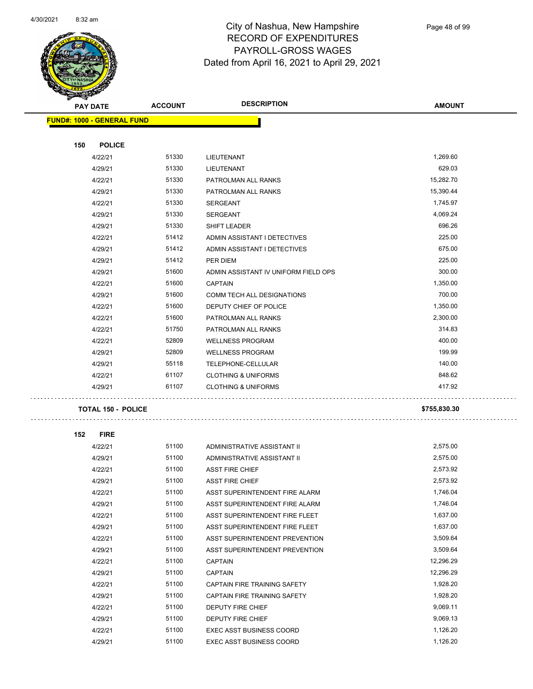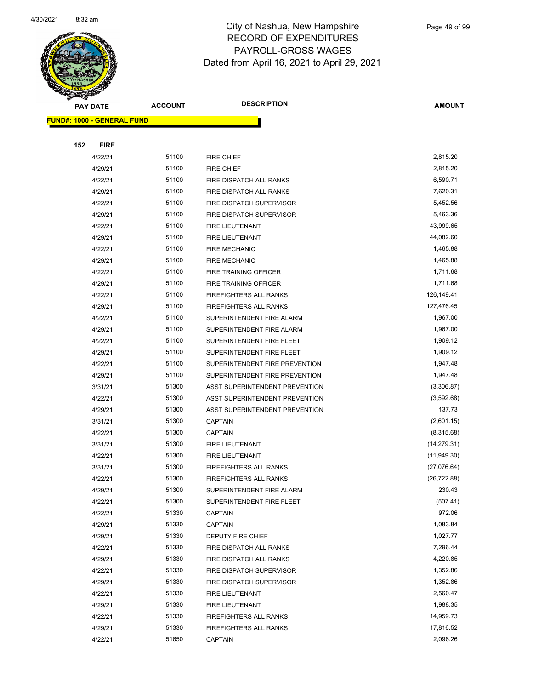

|     | <b>PAY DATE</b>                   | <b>ACCOUNT</b> | <b>DESCRIPTION</b>                                             | <b>AMOUNT</b>               |
|-----|-----------------------------------|----------------|----------------------------------------------------------------|-----------------------------|
|     | <b>FUND#: 1000 - GENERAL FUND</b> |                |                                                                |                             |
|     |                                   |                |                                                                |                             |
| 152 | <b>FIRE</b>                       |                |                                                                |                             |
|     | 4/22/21                           | 51100          | FIRE CHIEF                                                     | 2,815.20                    |
|     | 4/29/21                           | 51100          | <b>FIRE CHIEF</b>                                              | 2,815.20                    |
|     | 4/22/21                           | 51100          | FIRE DISPATCH ALL RANKS                                        | 6,590.71                    |
|     | 4/29/21                           | 51100          | FIRE DISPATCH ALL RANKS                                        | 7,620.31                    |
|     | 4/22/21                           | 51100          | FIRE DISPATCH SUPERVISOR                                       | 5,452.56                    |
|     | 4/29/21                           | 51100          | FIRE DISPATCH SUPERVISOR                                       | 5,463.36                    |
|     | 4/22/21                           | 51100          | FIRE LIEUTENANT                                                | 43,999.65                   |
|     | 4/29/21                           | 51100          | FIRE LIEUTENANT                                                | 44,082.60                   |
|     | 4/22/21                           | 51100          | <b>FIRE MECHANIC</b>                                           | 1,465.88                    |
|     | 4/29/21                           | 51100          | <b>FIRE MECHANIC</b>                                           | 1,465.88                    |
|     | 4/22/21                           | 51100          | FIRE TRAINING OFFICER                                          | 1,711.68                    |
|     | 4/29/21                           | 51100          | FIRE TRAINING OFFICER                                          | 1,711.68                    |
|     | 4/22/21                           | 51100          | <b>FIREFIGHTERS ALL RANKS</b>                                  | 126,149.41                  |
|     | 4/29/21                           | 51100          | <b>FIREFIGHTERS ALL RANKS</b>                                  | 127,476.45                  |
|     | 4/22/21                           | 51100          | SUPERINTENDENT FIRE ALARM                                      | 1,967.00                    |
|     | 4/29/21                           | 51100          | SUPERINTENDENT FIRE ALARM                                      | 1,967.00                    |
|     | 4/22/21                           | 51100          | SUPERINTENDENT FIRE FLEET                                      | 1,909.12                    |
|     | 4/29/21                           | 51100          | SUPERINTENDENT FIRE FLEET                                      | 1,909.12                    |
|     | 4/22/21                           | 51100          | SUPERINTENDENT FIRE PREVENTION                                 | 1,947.48                    |
|     | 4/29/21                           | 51100          | SUPERINTENDENT FIRE PREVENTION                                 | 1,947.48                    |
|     | 3/31/21                           | 51300          | ASST SUPERINTENDENT PREVENTION                                 | (3,306.87)                  |
|     | 4/22/21                           | 51300          | ASST SUPERINTENDENT PREVENTION                                 | (3,592.68)                  |
|     | 4/29/21                           | 51300          | ASST SUPERINTENDENT PREVENTION                                 | 137.73                      |
|     | 3/31/21                           | 51300          | <b>CAPTAIN</b>                                                 | (2,601.15)                  |
|     | 4/22/21                           | 51300          | <b>CAPTAIN</b>                                                 | (8,315.68)                  |
|     | 3/31/21                           | 51300          | FIRE LIEUTENANT                                                | (14, 279.31)                |
|     | 4/22/21                           | 51300<br>51300 | FIRE LIEUTENANT                                                | (11, 949.30)                |
|     | 3/31/21<br>4/22/21                | 51300          | <b>FIREFIGHTERS ALL RANKS</b><br><b>FIREFIGHTERS ALL RANKS</b> | (27,076.64)<br>(26, 722.88) |
|     | 4/29/21                           | 51300          | SUPERINTENDENT FIRE ALARM                                      | 230.43                      |
|     | 4/22/21                           | 51300          | SUPERINTENDENT FIRE FLEET                                      | (507.41)                    |
|     | 4/22/21                           | 51330          | <b>CAPTAIN</b>                                                 | 972.06                      |
|     | 4/29/21                           | 51330          | <b>CAPTAIN</b>                                                 | 1,083.84                    |
|     | 4/29/21                           | 51330          | <b>DEPUTY FIRE CHIEF</b>                                       | 1,027.77                    |
|     | 4/22/21                           | 51330          | FIRE DISPATCH ALL RANKS                                        | 7,296.44                    |
|     | 4/29/21                           | 51330          | FIRE DISPATCH ALL RANKS                                        | 4,220.85                    |
|     | 4/22/21                           | 51330          | FIRE DISPATCH SUPERVISOR                                       | 1,352.86                    |
|     | 4/29/21                           | 51330          | FIRE DISPATCH SUPERVISOR                                       | 1,352.86                    |
|     | 4/22/21                           | 51330          | FIRE LIEUTENANT                                                | 2,560.47                    |
|     | 4/29/21                           | 51330          | FIRE LIEUTENANT                                                | 1,988.35                    |
|     | 4/22/21                           | 51330          | <b>FIREFIGHTERS ALL RANKS</b>                                  | 14,959.73                   |
|     | 4/29/21                           | 51330          | <b>FIREFIGHTERS ALL RANKS</b>                                  | 17,816.52                   |
|     | 4/22/21                           | 51650          | <b>CAPTAIN</b>                                                 | 2,096.26                    |
|     |                                   |                |                                                                |                             |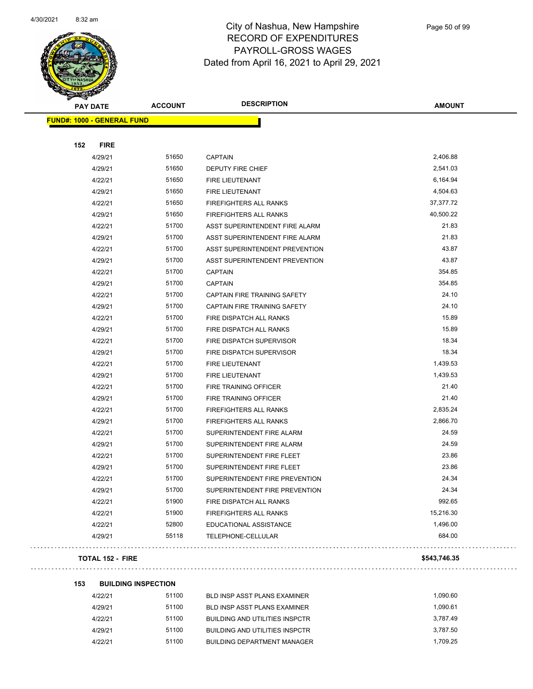

Page 50 of 99

| <b>FUND#: 1000 - GENERAL FUND</b><br>152<br><b>FIRE</b><br>4/29/21<br>51650<br>2,406.88<br><b>CAPTAIN</b><br>51650<br>2,541.03<br>4/29/21<br>DEPUTY FIRE CHIEF<br>4/22/21<br>51650<br>6,164.94<br>FIRE LIEUTENANT<br>51650<br>4,504.63<br>4/29/21<br>FIRE LIEUTENANT<br>51650<br>37,377.72<br>4/22/21<br>FIREFIGHTERS ALL RANKS<br>40,500.22<br>51650<br>4/29/21<br><b>FIREFIGHTERS ALL RANKS</b><br>51700<br>21.83<br>4/22/21<br>ASST SUPERINTENDENT FIRE ALARM<br>4/29/21<br>51700<br>ASST SUPERINTENDENT FIRE ALARM<br>21.83<br>43.87<br>51700<br>4/22/21<br>ASST SUPERINTENDENT PREVENTION<br>51700<br>43.87<br>4/29/21<br>ASST SUPERINTENDENT PREVENTION<br>51700<br>354.85<br>4/22/21<br><b>CAPTAIN</b><br>354.85<br>51700<br>4/29/21<br><b>CAPTAIN</b><br>51700<br>24.10<br>4/22/21<br>CAPTAIN FIRE TRAINING SAFETY<br>4/29/21<br>51700<br>24.10<br>CAPTAIN FIRE TRAINING SAFETY<br>51700<br>15.89<br>4/22/21<br>FIRE DISPATCH ALL RANKS<br>51700<br>15.89<br>4/29/21<br>FIRE DISPATCH ALL RANKS<br>18.34<br>51700<br>4/22/21<br>FIRE DISPATCH SUPERVISOR<br>51700<br>18.34<br>4/29/21<br>FIRE DISPATCH SUPERVISOR<br>4/22/21<br>51700<br>1,439.53<br>FIRE LIEUTENANT<br>51700<br>1,439.53<br>4/29/21<br><b>FIRE LIEUTENANT</b><br>51700<br>21.40<br>4/22/21<br>FIRE TRAINING OFFICER<br>21.40<br>51700<br>4/29/21<br>FIRE TRAINING OFFICER<br>4/22/21<br>51700<br>2,835.24<br><b>FIREFIGHTERS ALL RANKS</b><br>2,866.70<br>4/29/21<br>51700<br><b>FIREFIGHTERS ALL RANKS</b><br>51700<br>24.59<br>4/22/21<br>SUPERINTENDENT FIRE ALARM<br>24.59<br>51700<br>4/29/21<br>SUPERINTENDENT FIRE ALARM<br>51700<br>23.86<br>4/22/21<br>SUPERINTENDENT FIRE FLEET<br>23.86<br>51700<br>4/29/21<br>SUPERINTENDENT FIRE FLEET<br>51700<br>24.34<br>4/22/21<br>SUPERINTENDENT FIRE PREVENTION<br>51700<br>24.34<br>4/29/21<br>SUPERINTENDENT FIRE PREVENTION<br>992.65<br>51900<br>4/22/21<br>FIRE DISPATCH ALL RANKS<br>51900<br>15,216.30<br>4/22/21<br><b>FIREFIGHTERS ALL RANKS</b><br>52800<br>1,496.00<br>4/22/21<br>EDUCATIONAL ASSISTANCE<br>55118<br>684.00<br>4/29/21<br><b>TELEPHONE-CELLULAR</b> | <b>PAY DATE</b> | <b>ACCOUNT</b> | <b>DESCRIPTION</b> | <b>AMOUNT</b> |
|------------------------------------------------------------------------------------------------------------------------------------------------------------------------------------------------------------------------------------------------------------------------------------------------------------------------------------------------------------------------------------------------------------------------------------------------------------------------------------------------------------------------------------------------------------------------------------------------------------------------------------------------------------------------------------------------------------------------------------------------------------------------------------------------------------------------------------------------------------------------------------------------------------------------------------------------------------------------------------------------------------------------------------------------------------------------------------------------------------------------------------------------------------------------------------------------------------------------------------------------------------------------------------------------------------------------------------------------------------------------------------------------------------------------------------------------------------------------------------------------------------------------------------------------------------------------------------------------------------------------------------------------------------------------------------------------------------------------------------------------------------------------------------------------------------------------------------------------------------------------------------------------------------------------------------------------------------------------------------------------------------------------------------------------------------------------------------------------------------|-----------------|----------------|--------------------|---------------|
|                                                                                                                                                                                                                                                                                                                                                                                                                                                                                                                                                                                                                                                                                                                                                                                                                                                                                                                                                                                                                                                                                                                                                                                                                                                                                                                                                                                                                                                                                                                                                                                                                                                                                                                                                                                                                                                                                                                                                                                                                                                                                                            |                 |                |                    |               |
|                                                                                                                                                                                                                                                                                                                                                                                                                                                                                                                                                                                                                                                                                                                                                                                                                                                                                                                                                                                                                                                                                                                                                                                                                                                                                                                                                                                                                                                                                                                                                                                                                                                                                                                                                                                                                                                                                                                                                                                                                                                                                                            |                 |                |                    |               |
|                                                                                                                                                                                                                                                                                                                                                                                                                                                                                                                                                                                                                                                                                                                                                                                                                                                                                                                                                                                                                                                                                                                                                                                                                                                                                                                                                                                                                                                                                                                                                                                                                                                                                                                                                                                                                                                                                                                                                                                                                                                                                                            |                 |                |                    |               |
|                                                                                                                                                                                                                                                                                                                                                                                                                                                                                                                                                                                                                                                                                                                                                                                                                                                                                                                                                                                                                                                                                                                                                                                                                                                                                                                                                                                                                                                                                                                                                                                                                                                                                                                                                                                                                                                                                                                                                                                                                                                                                                            |                 |                |                    |               |
|                                                                                                                                                                                                                                                                                                                                                                                                                                                                                                                                                                                                                                                                                                                                                                                                                                                                                                                                                                                                                                                                                                                                                                                                                                                                                                                                                                                                                                                                                                                                                                                                                                                                                                                                                                                                                                                                                                                                                                                                                                                                                                            |                 |                |                    |               |
|                                                                                                                                                                                                                                                                                                                                                                                                                                                                                                                                                                                                                                                                                                                                                                                                                                                                                                                                                                                                                                                                                                                                                                                                                                                                                                                                                                                                                                                                                                                                                                                                                                                                                                                                                                                                                                                                                                                                                                                                                                                                                                            |                 |                |                    |               |
|                                                                                                                                                                                                                                                                                                                                                                                                                                                                                                                                                                                                                                                                                                                                                                                                                                                                                                                                                                                                                                                                                                                                                                                                                                                                                                                                                                                                                                                                                                                                                                                                                                                                                                                                                                                                                                                                                                                                                                                                                                                                                                            |                 |                |                    |               |
|                                                                                                                                                                                                                                                                                                                                                                                                                                                                                                                                                                                                                                                                                                                                                                                                                                                                                                                                                                                                                                                                                                                                                                                                                                                                                                                                                                                                                                                                                                                                                                                                                                                                                                                                                                                                                                                                                                                                                                                                                                                                                                            |                 |                |                    |               |
|                                                                                                                                                                                                                                                                                                                                                                                                                                                                                                                                                                                                                                                                                                                                                                                                                                                                                                                                                                                                                                                                                                                                                                                                                                                                                                                                                                                                                                                                                                                                                                                                                                                                                                                                                                                                                                                                                                                                                                                                                                                                                                            |                 |                |                    |               |
|                                                                                                                                                                                                                                                                                                                                                                                                                                                                                                                                                                                                                                                                                                                                                                                                                                                                                                                                                                                                                                                                                                                                                                                                                                                                                                                                                                                                                                                                                                                                                                                                                                                                                                                                                                                                                                                                                                                                                                                                                                                                                                            |                 |                |                    |               |
|                                                                                                                                                                                                                                                                                                                                                                                                                                                                                                                                                                                                                                                                                                                                                                                                                                                                                                                                                                                                                                                                                                                                                                                                                                                                                                                                                                                                                                                                                                                                                                                                                                                                                                                                                                                                                                                                                                                                                                                                                                                                                                            |                 |                |                    |               |
|                                                                                                                                                                                                                                                                                                                                                                                                                                                                                                                                                                                                                                                                                                                                                                                                                                                                                                                                                                                                                                                                                                                                                                                                                                                                                                                                                                                                                                                                                                                                                                                                                                                                                                                                                                                                                                                                                                                                                                                                                                                                                                            |                 |                |                    |               |
|                                                                                                                                                                                                                                                                                                                                                                                                                                                                                                                                                                                                                                                                                                                                                                                                                                                                                                                                                                                                                                                                                                                                                                                                                                                                                                                                                                                                                                                                                                                                                                                                                                                                                                                                                                                                                                                                                                                                                                                                                                                                                                            |                 |                |                    |               |
|                                                                                                                                                                                                                                                                                                                                                                                                                                                                                                                                                                                                                                                                                                                                                                                                                                                                                                                                                                                                                                                                                                                                                                                                                                                                                                                                                                                                                                                                                                                                                                                                                                                                                                                                                                                                                                                                                                                                                                                                                                                                                                            |                 |                |                    |               |
|                                                                                                                                                                                                                                                                                                                                                                                                                                                                                                                                                                                                                                                                                                                                                                                                                                                                                                                                                                                                                                                                                                                                                                                                                                                                                                                                                                                                                                                                                                                                                                                                                                                                                                                                                                                                                                                                                                                                                                                                                                                                                                            |                 |                |                    |               |
|                                                                                                                                                                                                                                                                                                                                                                                                                                                                                                                                                                                                                                                                                                                                                                                                                                                                                                                                                                                                                                                                                                                                                                                                                                                                                                                                                                                                                                                                                                                                                                                                                                                                                                                                                                                                                                                                                                                                                                                                                                                                                                            |                 |                |                    |               |
|                                                                                                                                                                                                                                                                                                                                                                                                                                                                                                                                                                                                                                                                                                                                                                                                                                                                                                                                                                                                                                                                                                                                                                                                                                                                                                                                                                                                                                                                                                                                                                                                                                                                                                                                                                                                                                                                                                                                                                                                                                                                                                            |                 |                |                    |               |
|                                                                                                                                                                                                                                                                                                                                                                                                                                                                                                                                                                                                                                                                                                                                                                                                                                                                                                                                                                                                                                                                                                                                                                                                                                                                                                                                                                                                                                                                                                                                                                                                                                                                                                                                                                                                                                                                                                                                                                                                                                                                                                            |                 |                |                    |               |
|                                                                                                                                                                                                                                                                                                                                                                                                                                                                                                                                                                                                                                                                                                                                                                                                                                                                                                                                                                                                                                                                                                                                                                                                                                                                                                                                                                                                                                                                                                                                                                                                                                                                                                                                                                                                                                                                                                                                                                                                                                                                                                            |                 |                |                    |               |
|                                                                                                                                                                                                                                                                                                                                                                                                                                                                                                                                                                                                                                                                                                                                                                                                                                                                                                                                                                                                                                                                                                                                                                                                                                                                                                                                                                                                                                                                                                                                                                                                                                                                                                                                                                                                                                                                                                                                                                                                                                                                                                            |                 |                |                    |               |
|                                                                                                                                                                                                                                                                                                                                                                                                                                                                                                                                                                                                                                                                                                                                                                                                                                                                                                                                                                                                                                                                                                                                                                                                                                                                                                                                                                                                                                                                                                                                                                                                                                                                                                                                                                                                                                                                                                                                                                                                                                                                                                            |                 |                |                    |               |
|                                                                                                                                                                                                                                                                                                                                                                                                                                                                                                                                                                                                                                                                                                                                                                                                                                                                                                                                                                                                                                                                                                                                                                                                                                                                                                                                                                                                                                                                                                                                                                                                                                                                                                                                                                                                                                                                                                                                                                                                                                                                                                            |                 |                |                    |               |
|                                                                                                                                                                                                                                                                                                                                                                                                                                                                                                                                                                                                                                                                                                                                                                                                                                                                                                                                                                                                                                                                                                                                                                                                                                                                                                                                                                                                                                                                                                                                                                                                                                                                                                                                                                                                                                                                                                                                                                                                                                                                                                            |                 |                |                    |               |
|                                                                                                                                                                                                                                                                                                                                                                                                                                                                                                                                                                                                                                                                                                                                                                                                                                                                                                                                                                                                                                                                                                                                                                                                                                                                                                                                                                                                                                                                                                                                                                                                                                                                                                                                                                                                                                                                                                                                                                                                                                                                                                            |                 |                |                    |               |
|                                                                                                                                                                                                                                                                                                                                                                                                                                                                                                                                                                                                                                                                                                                                                                                                                                                                                                                                                                                                                                                                                                                                                                                                                                                                                                                                                                                                                                                                                                                                                                                                                                                                                                                                                                                                                                                                                                                                                                                                                                                                                                            |                 |                |                    |               |
|                                                                                                                                                                                                                                                                                                                                                                                                                                                                                                                                                                                                                                                                                                                                                                                                                                                                                                                                                                                                                                                                                                                                                                                                                                                                                                                                                                                                                                                                                                                                                                                                                                                                                                                                                                                                                                                                                                                                                                                                                                                                                                            |                 |                |                    |               |
|                                                                                                                                                                                                                                                                                                                                                                                                                                                                                                                                                                                                                                                                                                                                                                                                                                                                                                                                                                                                                                                                                                                                                                                                                                                                                                                                                                                                                                                                                                                                                                                                                                                                                                                                                                                                                                                                                                                                                                                                                                                                                                            |                 |                |                    |               |
|                                                                                                                                                                                                                                                                                                                                                                                                                                                                                                                                                                                                                                                                                                                                                                                                                                                                                                                                                                                                                                                                                                                                                                                                                                                                                                                                                                                                                                                                                                                                                                                                                                                                                                                                                                                                                                                                                                                                                                                                                                                                                                            |                 |                |                    |               |
|                                                                                                                                                                                                                                                                                                                                                                                                                                                                                                                                                                                                                                                                                                                                                                                                                                                                                                                                                                                                                                                                                                                                                                                                                                                                                                                                                                                                                                                                                                                                                                                                                                                                                                                                                                                                                                                                                                                                                                                                                                                                                                            |                 |                |                    |               |
|                                                                                                                                                                                                                                                                                                                                                                                                                                                                                                                                                                                                                                                                                                                                                                                                                                                                                                                                                                                                                                                                                                                                                                                                                                                                                                                                                                                                                                                                                                                                                                                                                                                                                                                                                                                                                                                                                                                                                                                                                                                                                                            |                 |                |                    |               |
|                                                                                                                                                                                                                                                                                                                                                                                                                                                                                                                                                                                                                                                                                                                                                                                                                                                                                                                                                                                                                                                                                                                                                                                                                                                                                                                                                                                                                                                                                                                                                                                                                                                                                                                                                                                                                                                                                                                                                                                                                                                                                                            |                 |                |                    |               |
|                                                                                                                                                                                                                                                                                                                                                                                                                                                                                                                                                                                                                                                                                                                                                                                                                                                                                                                                                                                                                                                                                                                                                                                                                                                                                                                                                                                                                                                                                                                                                                                                                                                                                                                                                                                                                                                                                                                                                                                                                                                                                                            |                 |                |                    |               |
|                                                                                                                                                                                                                                                                                                                                                                                                                                                                                                                                                                                                                                                                                                                                                                                                                                                                                                                                                                                                                                                                                                                                                                                                                                                                                                                                                                                                                                                                                                                                                                                                                                                                                                                                                                                                                                                                                                                                                                                                                                                                                                            |                 |                |                    |               |
|                                                                                                                                                                                                                                                                                                                                                                                                                                                                                                                                                                                                                                                                                                                                                                                                                                                                                                                                                                                                                                                                                                                                                                                                                                                                                                                                                                                                                                                                                                                                                                                                                                                                                                                                                                                                                                                                                                                                                                                                                                                                                                            |                 |                |                    |               |
|                                                                                                                                                                                                                                                                                                                                                                                                                                                                                                                                                                                                                                                                                                                                                                                                                                                                                                                                                                                                                                                                                                                                                                                                                                                                                                                                                                                                                                                                                                                                                                                                                                                                                                                                                                                                                                                                                                                                                                                                                                                                                                            |                 |                |                    |               |
|                                                                                                                                                                                                                                                                                                                                                                                                                                                                                                                                                                                                                                                                                                                                                                                                                                                                                                                                                                                                                                                                                                                                                                                                                                                                                                                                                                                                                                                                                                                                                                                                                                                                                                                                                                                                                                                                                                                                                                                                                                                                                                            |                 |                |                    |               |
|                                                                                                                                                                                                                                                                                                                                                                                                                                                                                                                                                                                                                                                                                                                                                                                                                                                                                                                                                                                                                                                                                                                                                                                                                                                                                                                                                                                                                                                                                                                                                                                                                                                                                                                                                                                                                                                                                                                                                                                                                                                                                                            |                 |                |                    |               |

#### **TOTAL 152 - FIRE \$543,746.35**

| 153 | <b>BUILDING INSPECTION</b> |       |                                       |          |
|-----|----------------------------|-------|---------------------------------------|----------|
|     | 4/22/21                    | 51100 | BLD INSP ASST PLANS EXAMINER          | 1.090.60 |
|     | 4/29/21                    | 51100 | <b>BLD INSP ASST PLANS EXAMINER</b>   | 1.090.61 |
|     | 4/22/21                    | 51100 | <b>BUILDING AND UTILITIES INSPCTR</b> | 3.787.49 |
|     | 4/29/21                    | 51100 | <b>BUILDING AND UTILITIES INSPCTR</b> | 3.787.50 |
|     | 4/22/21                    | 51100 | <b>BUILDING DEPARTMENT MANAGER</b>    | 1.709.25 |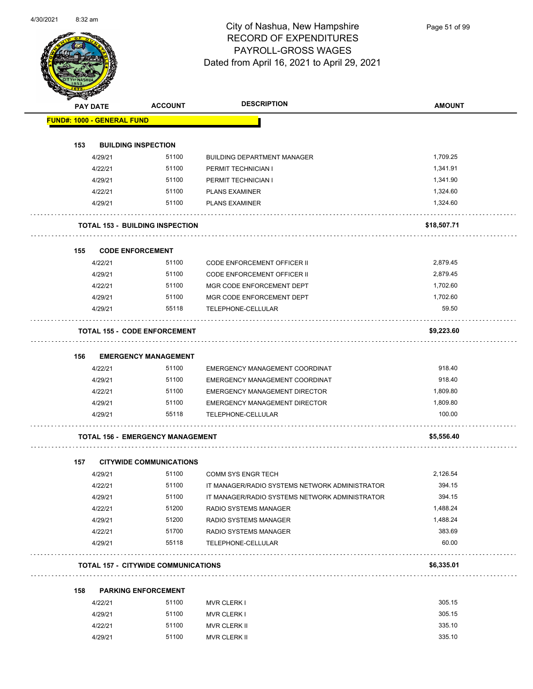

Page 51 of 99

|     |                                                      |                                            | <b>DESCRIPTION</b>                             | <b>AMOUNT</b> |
|-----|------------------------------------------------------|--------------------------------------------|------------------------------------------------|---------------|
|     | <b>PAY DATE</b><br><b>FUND#: 1000 - GENERAL FUND</b> | <b>ACCOUNT</b>                             |                                                |               |
|     |                                                      |                                            |                                                |               |
| 153 |                                                      | <b>BUILDING INSPECTION</b>                 |                                                |               |
|     | 4/29/21                                              | 51100                                      | <b>BUILDING DEPARTMENT MANAGER</b>             | 1,709.25      |
|     | 4/22/21                                              | 51100                                      | PERMIT TECHNICIAN I                            | 1,341.91      |
|     | 4/29/21                                              | 51100                                      | PERMIT TECHNICIAN I                            | 1,341.90      |
|     | 4/22/21                                              | 51100                                      | <b>PLANS EXAMINER</b>                          | 1,324.60      |
|     | 4/29/21                                              | 51100                                      | <b>PLANS EXAMINER</b>                          | 1,324.60      |
|     |                                                      | <b>TOTAL 153 - BUILDING INSPECTION</b>     |                                                | \$18,507.71   |
| 155 |                                                      | <b>CODE ENFORCEMENT</b>                    |                                                |               |
|     | 4/22/21                                              | 51100                                      | <b>CODE ENFORCEMENT OFFICER II</b>             | 2,879.45      |
|     | 4/29/21                                              | 51100                                      | <b>CODE ENFORCEMENT OFFICER II</b>             | 2,879.45      |
|     | 4/22/21                                              | 51100                                      | MGR CODE ENFORCEMENT DEPT                      | 1,702.60      |
|     | 4/29/21                                              | 51100                                      | MGR CODE ENFORCEMENT DEPT                      | 1,702.60      |
|     | 4/29/21                                              | 55118                                      | TELEPHONE-CELLULAR                             | 59.50         |
|     |                                                      | <b>TOTAL 155 - CODE ENFORCEMENT</b>        |                                                | \$9,223.60    |
| 156 |                                                      | <b>EMERGENCY MANAGEMENT</b>                |                                                |               |
|     | 4/22/21                                              | 51100                                      | EMERGENCY MANAGEMENT COORDINAT                 | 918.40        |
|     | 4/29/21                                              | 51100                                      | EMERGENCY MANAGEMENT COORDINAT                 | 918.40        |
|     | 4/22/21                                              | 51100                                      | <b>EMERGENCY MANAGEMENT DIRECTOR</b>           | 1,809.80      |
|     | 4/29/21                                              | 51100                                      | EMERGENCY MANAGEMENT DIRECTOR                  | 1,809.80      |
|     | 4/29/21                                              | 55118                                      | TELEPHONE-CELLULAR                             | 100.00        |
|     |                                                      | <b>TOTAL 156 - EMERGENCY MANAGEMENT</b>    |                                                | \$5,556.40    |
|     |                                                      |                                            |                                                |               |
| 157 |                                                      | <b>CITYWIDE COMMUNICATIONS</b>             |                                                |               |
|     | 4/29/21                                              | 51100                                      | <b>COMM SYS ENGR TECH</b>                      | 2,126.54      |
|     | 4/22/21                                              | 51100                                      | IT MANAGER/RADIO SYSTEMS NETWORK ADMINISTRATOR | 394.15        |
|     | 4/29/21                                              | 51100                                      | IT MANAGER/RADIO SYSTEMS NETWORK ADMINISTRATOR | 394.15        |
|     | 4/22/21                                              | 51200                                      | RADIO SYSTEMS MANAGER                          | 1,488.24      |
|     | 4/29/21                                              | 51200                                      | RADIO SYSTEMS MANAGER                          | 1,488.24      |
|     | 4/22/21                                              | 51700                                      | RADIO SYSTEMS MANAGER                          | 383.69        |
|     | 4/29/21                                              | 55118                                      | TELEPHONE-CELLULAR                             | 60.00         |
|     |                                                      | <b>TOTAL 157 - CITYWIDE COMMUNICATIONS</b> |                                                | \$6,335.01    |
| 158 |                                                      | <b>PARKING ENFORCEMENT</b>                 |                                                |               |
|     | 4/22/21                                              | 51100                                      | <b>MVR CLERK I</b>                             | 305.15        |
|     | 4/29/21                                              | 51100                                      | <b>MVR CLERK I</b>                             | 305.15        |
|     | 4/22/21                                              | 51100                                      | MVR CLERK II                                   | 335.10        |
|     | 4/29/21                                              | 51100                                      | MVR CLERK II                                   | 335.10        |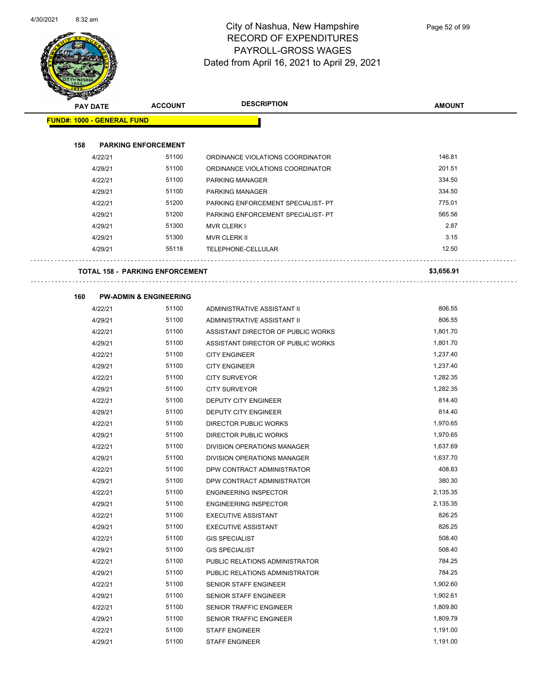

| <b>STARSHED</b>                   |         |                                        |                                    |               |
|-----------------------------------|---------|----------------------------------------|------------------------------------|---------------|
| <b>PAY DATE</b>                   |         | <b>ACCOUNT</b>                         | <b>DESCRIPTION</b>                 | <b>AMOUNT</b> |
| <b>FUND#: 1000 - GENERAL FUND</b> |         |                                        |                                    |               |
|                                   |         |                                        |                                    |               |
| 158                               |         | <b>PARKING ENFORCEMENT</b>             |                                    |               |
|                                   | 4/22/21 | 51100                                  | ORDINANCE VIOLATIONS COORDINATOR   | 146.81        |
|                                   | 4/29/21 | 51100                                  | ORDINANCE VIOLATIONS COORDINATOR   | 201.51        |
|                                   | 4/22/21 | 51100                                  | PARKING MANAGER                    | 334.50        |
|                                   | 4/29/21 | 51100                                  | <b>PARKING MANAGER</b>             | 334.50        |
|                                   | 4/22/21 | 51200                                  | PARKING ENFORCEMENT SPECIALIST- PT | 775.01        |
|                                   | 4/29/21 | 51200                                  | PARKING ENFORCEMENT SPECIALIST- PT | 565.56        |
|                                   | 4/29/21 | 51300                                  | <b>MVR CLERK I</b>                 | 2.87          |
|                                   | 4/29/21 | 51300                                  | MVR CLERK II                       | 3.15          |
|                                   | 4/29/21 | 55118                                  | TELEPHONE-CELLULAR                 | 12.50         |
|                                   |         | <b>TOTAL 158 - PARKING ENFORCEMENT</b> |                                    | \$3,656.91    |
| 160                               |         | <b>PW-ADMIN &amp; ENGINEERING</b>      |                                    |               |
|                                   | 4/22/21 | 51100                                  | ADMINISTRATIVE ASSISTANT II        | 806.55        |
|                                   | 4/29/21 | 51100                                  | ADMINISTRATIVE ASSISTANT II        | 806.55        |
|                                   | 4/22/21 | 51100                                  | ASSISTANT DIRECTOR OF PUBLIC WORKS | 1,801.70      |
|                                   | 4/29/21 | 51100                                  | ASSISTANT DIRECTOR OF PUBLIC WORKS | 1,801.70      |
|                                   | 4/22/21 | 51100                                  | <b>CITY ENGINEER</b>               | 1,237.40      |
|                                   | 4/29/21 | 51100                                  | <b>CITY ENGINEER</b>               | 1,237.40      |
|                                   | 4/22/21 | 51100                                  | <b>CITY SURVEYOR</b>               | 1,282.35      |
|                                   | 4/29/21 | 51100                                  | <b>CITY SURVEYOR</b>               | 1,282.35      |
|                                   | 4/22/21 | 51100                                  | DEPUTY CITY ENGINEER               | 814.40        |
|                                   | 4/29/21 | 51100                                  | DEPUTY CITY ENGINEER               | 814.40        |
|                                   | 4/22/21 | 51100                                  | DIRECTOR PUBLIC WORKS              | 1,970.65      |
|                                   | 4/29/21 | 51100                                  | DIRECTOR PUBLIC WORKS              | 1,970.65      |
|                                   | 4/22/21 | 51100                                  | <b>DIVISION OPERATIONS MANAGER</b> | 1,637.69      |
|                                   | 4/29/21 | 51100                                  | DIVISION OPERATIONS MANAGER        | 1,637.70      |
|                                   | 4/22/21 | 51100                                  | DPW CONTRACT ADMINISTRATOR         | 408.83        |
|                                   | 4/29/21 | 51100                                  | DPW CONTRACT ADMINISTRATOR         | 380.30        |
|                                   | 4/22/21 | 51100                                  | <b>ENGINEERING INSPECTOR</b>       | 2,135.35      |
|                                   | 4/29/21 | 51100                                  | <b>ENGINEERING INSPECTOR</b>       | 2,135.35      |
|                                   | 4/22/21 | 51100                                  | <b>EXECUTIVE ASSISTANT</b>         | 826.25        |
|                                   | 4/29/21 | 51100                                  | <b>EXECUTIVE ASSISTANT</b>         | 826.25        |
|                                   | 4/22/21 | 51100                                  | <b>GIS SPECIALIST</b>              | 508.40        |
|                                   | 4/29/21 | 51100                                  | <b>GIS SPECIALIST</b>              | 508.40        |
|                                   | 4/22/21 | 51100                                  | PUBLIC RELATIONS ADMINISTRATOR     | 784.25        |
|                                   | 4/29/21 | 51100                                  | PUBLIC RELATIONS ADMINISTRATOR     | 784.25        |
|                                   | 4/22/21 | 51100                                  | SENIOR STAFF ENGINEER              | 1,902.60      |
|                                   | 4/29/21 | 51100                                  | SENIOR STAFF ENGINEER              | 1,902.61      |
|                                   | 4/22/21 | 51100                                  | SENIOR TRAFFIC ENGINEER            | 1,809.80      |
|                                   | 4/29/21 | 51100                                  | SENIOR TRAFFIC ENGINEER            | 1,809.79      |
|                                   | 4/22/21 | 51100                                  | <b>STAFF ENGINEER</b>              | 1,191.00      |
|                                   | 4/29/21 | 51100                                  | <b>STAFF ENGINEER</b>              | 1,191.00      |
|                                   |         |                                        |                                    |               |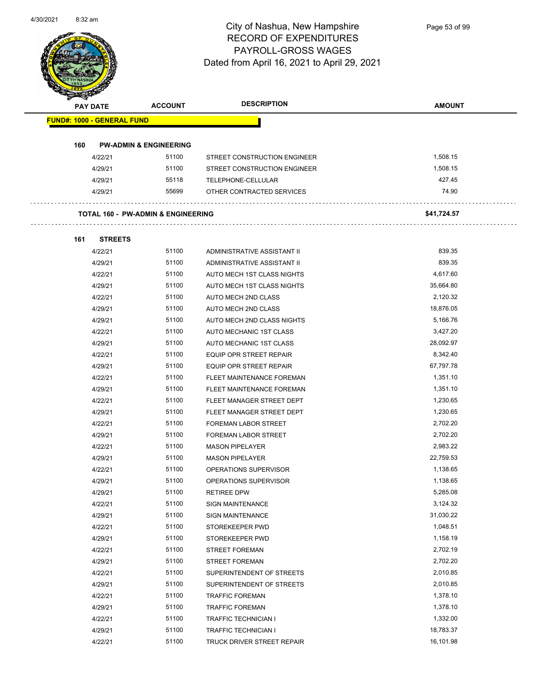

Page 53 of 99

| <b>PAY DATE</b>                   | <b>ACCOUNT</b>                                | <b>DESCRIPTION</b>           | <b>AMOUNT</b> |
|-----------------------------------|-----------------------------------------------|------------------------------|---------------|
| <b>FUND#: 1000 - GENERAL FUND</b> |                                               |                              |               |
|                                   |                                               |                              |               |
| 160                               | <b>PW-ADMIN &amp; ENGINEERING</b>             |                              |               |
| 4/22/21                           | 51100                                         | STREET CONSTRUCTION ENGINEER | 1,508.15      |
| 4/29/21                           | 51100                                         | STREET CONSTRUCTION ENGINEER | 1,508.15      |
| 4/29/21                           | 55118                                         | TELEPHONE-CELLULAR           | 427.45        |
| 4/29/21                           | 55699                                         | OTHER CONTRACTED SERVICES    | 74.90         |
|                                   | <b>TOTAL 160 - PW-ADMIN &amp; ENGINEERING</b> |                              | \$41,724.57   |
|                                   |                                               |                              |               |
| 161<br><b>STREETS</b>             |                                               |                              |               |
| 4/22/21                           | 51100                                         | ADMINISTRATIVE ASSISTANT II  | 839.35        |
| 4/29/21                           | 51100                                         | ADMINISTRATIVE ASSISTANT II  | 839.35        |
| 4/22/21                           | 51100                                         | AUTO MECH 1ST CLASS NIGHTS   | 4,617.60      |
| 4/29/21                           | 51100                                         | AUTO MECH 1ST CLASS NIGHTS   | 35,664.80     |
| 4/22/21                           | 51100                                         | AUTO MECH 2ND CLASS          | 2,120.32      |
| 4/29/21                           | 51100                                         | AUTO MECH 2ND CLASS          | 18,876.05     |
| 4/29/21                           | 51100                                         | AUTO MECH 2ND CLASS NIGHTS   | 5,166.76      |
| 4/22/21                           | 51100                                         | AUTO MECHANIC 1ST CLASS      | 3,427.20      |
| 4/29/21                           | 51100                                         | AUTO MECHANIC 1ST CLASS      | 28,092.97     |
| 4/22/21                           | 51100                                         | EQUIP OPR STREET REPAIR      | 8,342.40      |
| 4/29/21                           | 51100                                         | EQUIP OPR STREET REPAIR      | 67,797.78     |
| 4/22/21                           | 51100                                         | FLEET MAINTENANCE FOREMAN    | 1,351.10      |
| 4/29/21                           | 51100                                         | FLEET MAINTENANCE FOREMAN    | 1,351.10      |
| 4/22/21                           | 51100                                         | FLEET MANAGER STREET DEPT    | 1,230.65      |
| 4/29/21                           | 51100                                         | FLEET MANAGER STREET DEPT    | 1,230.65      |
| 4/22/21                           | 51100                                         | <b>FOREMAN LABOR STREET</b>  | 2,702.20      |
| 4/29/21                           | 51100                                         | <b>FOREMAN LABOR STREET</b>  | 2,702.20      |
| 4/22/21                           | 51100                                         | <b>MASON PIPELAYER</b>       | 2,983.22      |
| 4/29/21                           | 51100                                         | <b>MASON PIPELAYER</b>       | 22,759.53     |
| 4/22/21                           | 51100                                         | OPERATIONS SUPERVISOR        | 1,138.65      |
| 4/29/21                           | 51100                                         | OPERATIONS SUPERVISOR        | 1,138.65      |
| 4/29/21                           | 51100                                         | <b>RETIREE DPW</b>           | 5,285.08      |
| 4/22/21                           | 51100                                         | <b>SIGN MAINTENANCE</b>      | 3,124.32      |
| 4/29/21                           | 51100                                         | <b>SIGN MAINTENANCE</b>      | 31,030.22     |
| 4/22/21                           | 51100                                         | STOREKEEPER PWD              | 1,048.51      |
| 4/29/21                           | 51100                                         | STOREKEEPER PWD              | 1,158.19      |
| 4/22/21                           | 51100                                         | <b>STREET FOREMAN</b>        | 2,702.19      |
| 4/29/21                           | 51100                                         | <b>STREET FOREMAN</b>        | 2,702.20      |
| 4/22/21                           | 51100                                         | SUPERINTENDENT OF STREETS    | 2,010.85      |
| 4/29/21                           | 51100                                         | SUPERINTENDENT OF STREETS    | 2,010.85      |
| 4/22/21                           | 51100                                         | <b>TRAFFIC FOREMAN</b>       | 1,378.10      |
| 4/29/21                           | 51100                                         | <b>TRAFFIC FOREMAN</b>       | 1,378.10      |
| 4/22/21                           | 51100                                         | <b>TRAFFIC TECHNICIAN I</b>  | 1,332.00      |
| 4/29/21                           | 51100                                         | TRAFFIC TECHNICIAN I         | 18,783.37     |
| 4/22/21                           | 51100                                         | TRUCK DRIVER STREET REPAIR   | 16,101.98     |
|                                   |                                               |                              |               |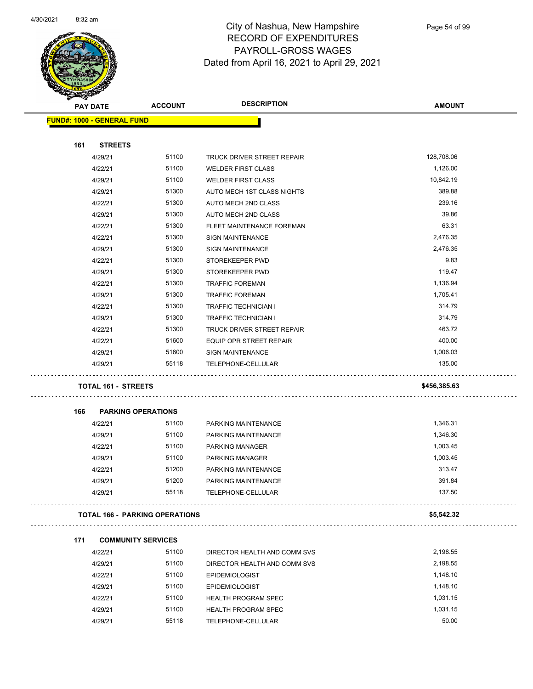

| <b>Antagen</b> |                                   |                                       |                                |               |
|----------------|-----------------------------------|---------------------------------------|--------------------------------|---------------|
|                | <b>PAY DATE</b>                   | <b>ACCOUNT</b>                        | <b>DESCRIPTION</b>             | <b>AMOUNT</b> |
|                | <b>FUND#: 1000 - GENERAL FUND</b> |                                       |                                |               |
|                |                                   |                                       |                                |               |
| 161            | <b>STREETS</b>                    |                                       |                                |               |
|                | 4/29/21                           | 51100                                 | TRUCK DRIVER STREET REPAIR     | 128,708.06    |
|                | 4/22/21                           | 51100                                 | <b>WELDER FIRST CLASS</b>      | 1,126.00      |
|                | 4/29/21                           | 51100                                 | <b>WELDER FIRST CLASS</b>      | 10,842.19     |
|                | 4/29/21                           | 51300                                 | AUTO MECH 1ST CLASS NIGHTS     | 389.88        |
|                | 4/22/21                           | 51300                                 | AUTO MECH 2ND CLASS            | 239.16        |
|                | 4/29/21                           | 51300                                 | AUTO MECH 2ND CLASS            | 39.86         |
|                | 4/22/21                           | 51300                                 | FLEET MAINTENANCE FOREMAN      | 63.31         |
|                | 4/22/21                           | 51300                                 | <b>SIGN MAINTENANCE</b>        | 2,476.35      |
|                | 4/29/21                           | 51300                                 | <b>SIGN MAINTENANCE</b>        | 2,476.35      |
|                | 4/22/21                           | 51300                                 | STOREKEEPER PWD                | 9.83          |
|                | 4/29/21                           | 51300                                 | STOREKEEPER PWD                | 119.47        |
|                | 4/22/21                           | 51300                                 | <b>TRAFFIC FOREMAN</b>         | 1,136.94      |
|                | 4/29/21                           | 51300                                 | <b>TRAFFIC FOREMAN</b>         | 1,705.41      |
|                | 4/22/21                           | 51300                                 | TRAFFIC TECHNICIAN I           | 314.79        |
|                | 4/29/21                           | 51300                                 | <b>TRAFFIC TECHNICIAN I</b>    | 314.79        |
|                | 4/22/21                           | 51300                                 | TRUCK DRIVER STREET REPAIR     | 463.72        |
|                | 4/22/21                           | 51600                                 | <b>EQUIP OPR STREET REPAIR</b> | 400.00        |
|                | 4/29/21                           | 51600                                 | <b>SIGN MAINTENANCE</b>        | 1,006.03      |
|                | 4/29/21                           | 55118                                 | TELEPHONE-CELLULAR             | 135.00        |
|                | <b>TOTAL 161 - STREETS</b>        |                                       |                                | \$456,385.63  |
|                |                                   |                                       |                                |               |
| 166            | <b>PARKING OPERATIONS</b>         |                                       |                                |               |
|                | 4/22/21                           | 51100                                 | PARKING MAINTENANCE            | 1,346.31      |
|                | 4/29/21                           | 51100                                 | PARKING MAINTENANCE            | 1,346.30      |
|                | 4/22/21                           | 51100                                 | PARKING MANAGER                | 1,003.45      |
|                | 4/29/21                           | 51100                                 | <b>PARKING MANAGER</b>         | 1,003.45      |
|                | 4/22/21                           | 51200                                 | PARKING MAINTENANCE            | 313.47        |
|                | 4/29/21                           | 51200                                 | PARKING MAINTENANCE            | 391.84        |
|                | 4/29/21                           | 55118                                 | TELEPHONE-CELLULAR             | 137.50        |
|                |                                   | <b>TOTAL 166 - PARKING OPERATIONS</b> |                                | \$5,542.32    |
| 171            | <b>COMMUNITY SERVICES</b>         |                                       |                                |               |
|                | 4/22/21                           | 51100                                 | DIRECTOR HEALTH AND COMM SVS   | 2,198.55      |
|                | 4/29/21                           | 51100                                 | DIRECTOR HEALTH AND COMM SVS   | 2,198.55      |
|                | 4/22/21                           | 51100                                 | <b>EPIDEMIOLOGIST</b>          | 1,148.10      |
|                | 4/29/21                           | 51100                                 | <b>EPIDEMIOLOGIST</b>          | 1,148.10      |
|                | 4/22/21                           | 51100                                 | <b>HEALTH PROGRAM SPEC</b>     | 1,031.15      |
|                | 4/29/21                           | 51100                                 | <b>HEALTH PROGRAM SPEC</b>     | 1,031.15      |
|                | 4/29/21                           | 55118                                 | TELEPHONE-CELLULAR             | 50.00         |
|                |                                   |                                       |                                |               |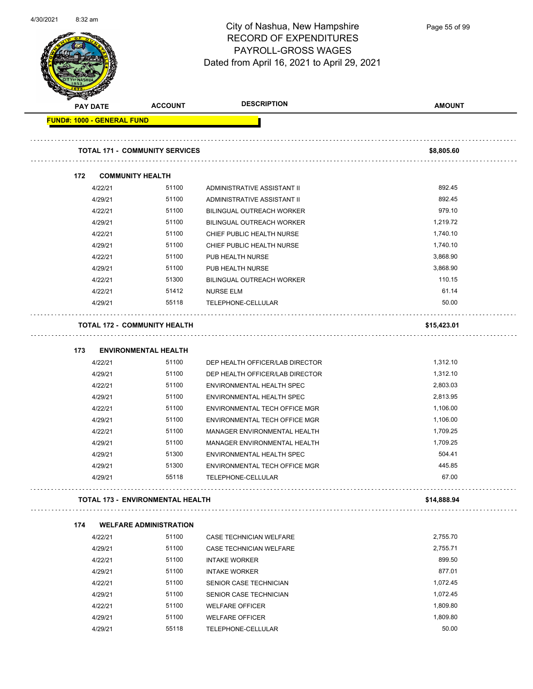

Page 55 of 99

| <b>Service Contracts</b>          | <b>PAY DATE</b>    | <b>ACCOUNT</b>                          | <b>DESCRIPTION</b>                                  | <b>AMOUNT</b> |
|-----------------------------------|--------------------|-----------------------------------------|-----------------------------------------------------|---------------|
| <b>FUND#: 1000 - GENERAL FUND</b> |                    |                                         |                                                     |               |
|                                   |                    | <b>TOTAL 171 - COMMUNITY SERVICES</b>   |                                                     | \$8,805.60    |
|                                   |                    |                                         |                                                     |               |
| 172                               |                    | <b>COMMUNITY HEALTH</b>                 |                                                     |               |
|                                   | 4/22/21            | 51100                                   | ADMINISTRATIVE ASSISTANT II                         | 892.45        |
|                                   | 4/29/21            | 51100                                   | ADMINISTRATIVE ASSISTANT II                         | 892.45        |
|                                   | 4/22/21            | 51100                                   | BILINGUAL OUTREACH WORKER                           | 979.10        |
|                                   | 4/29/21            | 51100                                   | BILINGUAL OUTREACH WORKER                           | 1,219.72      |
|                                   | 4/22/21            | 51100                                   | CHIEF PUBLIC HEALTH NURSE                           | 1,740.10      |
|                                   | 4/29/21            | 51100                                   | CHIEF PUBLIC HEALTH NURSE                           | 1,740.10      |
|                                   | 4/22/21            | 51100                                   | PUB HEALTH NURSE                                    | 3,868.90      |
|                                   | 4/29/21            | 51100                                   | PUB HEALTH NURSE                                    | 3,868.90      |
|                                   | 4/22/21            | 51300                                   | <b>BILINGUAL OUTREACH WORKER</b>                    | 110.15        |
|                                   | 4/22/21            | 51412                                   | NURSE ELM                                           | 61.14         |
|                                   | 4/29/21            | 55118                                   | TELEPHONE-CELLULAR                                  | 50.00         |
|                                   |                    | <b>TOTAL 172 - COMMUNITY HEALTH</b>     |                                                     | \$15,423.01   |
| 173                               |                    | <b>ENVIRONMENTAL HEALTH</b>             |                                                     |               |
|                                   | 4/22/21            | 51100                                   | DEP HEALTH OFFICER/LAB DIRECTOR                     | 1,312.10      |
|                                   | 4/29/21            | 51100                                   | DEP HEALTH OFFICER/LAB DIRECTOR                     | 1,312.10      |
|                                   | 4/22/21            | 51100                                   | ENVIRONMENTAL HEALTH SPEC                           | 2,803.03      |
|                                   | 4/29/21            | 51100                                   | ENVIRONMENTAL HEALTH SPEC                           | 2,813.95      |
|                                   | 4/22/21            | 51100                                   | ENVIRONMENTAL TECH OFFICE MGR                       | 1,106.00      |
|                                   | 4/29/21            | 51100                                   | ENVIRONMENTAL TECH OFFICE MGR                       | 1,106.00      |
|                                   | 4/22/21            | 51100                                   | MANAGER ENVIRONMENTAL HEALTH                        | 1,709.25      |
|                                   |                    | 51100                                   | MANAGER ENVIRONMENTAL HEALTH                        | 1,709.25      |
|                                   | 4/29/21            | 51300                                   | ENVIRONMENTAL HEALTH SPEC                           | 504.41        |
|                                   | 4/29/21            | 51300                                   |                                                     | 445.85        |
|                                   | 4/29/21<br>4/29/21 | 55118                                   | ENVIRONMENTAL TECH OFFICE MGR<br>TELEPHONE-CELLULAR | 67.00         |
|                                   |                    | <b>TOTAL 173 - ENVIRONMENTAL HEALTH</b> |                                                     | \$14,888.94   |
|                                   |                    | <b>WELFARE ADMINISTRATION</b>           |                                                     |               |
| 174                               | 4/22/21            | 51100                                   | CASE TECHNICIAN WELFARE                             | 2,755.70      |
|                                   | 4/29/21            | 51100                                   | CASE TECHNICIAN WELFARE                             | 2,755.71      |
|                                   |                    | 51100                                   | <b>INTAKE WORKER</b>                                | 899.50        |
|                                   | 4/22/21            | 51100                                   |                                                     | 877.01        |
|                                   | 4/29/21            | 51100                                   | <b>INTAKE WORKER</b>                                | 1,072.45      |
|                                   | 4/22/21            |                                         | SENIOR CASE TECHNICIAN                              |               |
|                                   | 4/29/21            | 51100                                   | SENIOR CASE TECHNICIAN                              | 1,072.45      |
|                                   | 4/22/21            | 51100                                   | <b>WELFARE OFFICER</b>                              | 1,809.80      |
|                                   | 4/29/21            | 51100                                   | <b>WELFARE OFFICER</b>                              | 1,809.80      |
|                                   | 4/29/21            | 55118                                   | TELEPHONE-CELLULAR                                  | 50.00         |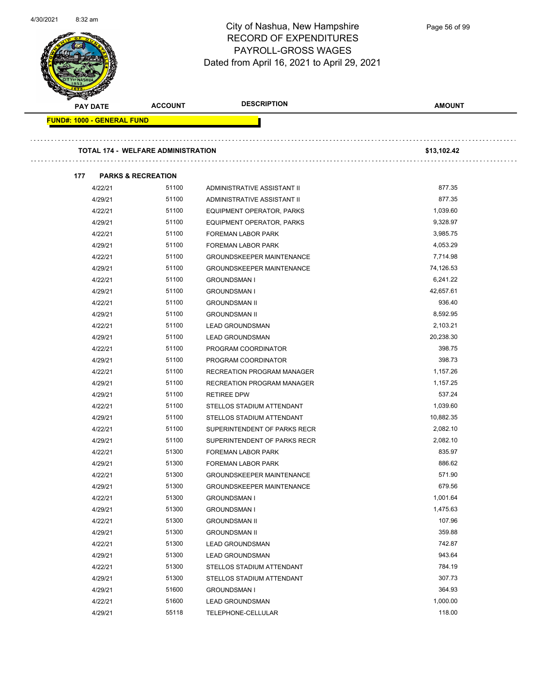

Page 56 of 99

| <b>PAY DATE</b>                   |         | <b>ACCOUNT</b>                            | <b>DESCRIPTION</b>               | <b>AMOUNT</b> |
|-----------------------------------|---------|-------------------------------------------|----------------------------------|---------------|
| <b>FUND#: 1000 - GENERAL FUND</b> |         |                                           |                                  |               |
|                                   |         | <b>TOTAL 174 - WELFARE ADMINISTRATION</b> |                                  | \$13,102.42   |
|                                   |         |                                           |                                  |               |
| 177                               |         | <b>PARKS &amp; RECREATION</b>             |                                  |               |
|                                   | 4/22/21 | 51100                                     | ADMINISTRATIVE ASSISTANT II      | 877.35        |
|                                   | 4/29/21 | 51100                                     | ADMINISTRATIVE ASSISTANT II      | 877.35        |
|                                   | 4/22/21 | 51100                                     | EQUIPMENT OPERATOR, PARKS        | 1,039.60      |
|                                   | 4/29/21 | 51100                                     | EQUIPMENT OPERATOR, PARKS        | 9,328.97      |
|                                   | 4/22/21 | 51100                                     | <b>FOREMAN LABOR PARK</b>        | 3,985.75      |
|                                   | 4/29/21 | 51100                                     | <b>FOREMAN LABOR PARK</b>        | 4,053.29      |
|                                   | 4/22/21 | 51100                                     | <b>GROUNDSKEEPER MAINTENANCE</b> | 7,714.98      |
|                                   | 4/29/21 | 51100                                     | <b>GROUNDSKEEPER MAINTENANCE</b> | 74,126.53     |
|                                   | 4/22/21 | 51100                                     | <b>GROUNDSMAN I</b>              | 6,241.22      |
|                                   | 4/29/21 | 51100                                     | <b>GROUNDSMAN I</b>              | 42,657.61     |
|                                   | 4/22/21 | 51100                                     | <b>GROUNDSMAN II</b>             | 936.40        |
|                                   | 4/29/21 | 51100                                     | <b>GROUNDSMAN II</b>             | 8,592.95      |
|                                   | 4/22/21 | 51100                                     | <b>LEAD GROUNDSMAN</b>           | 2,103.21      |
|                                   | 4/29/21 | 51100                                     | <b>LEAD GROUNDSMAN</b>           | 20,238.30     |
|                                   | 4/22/21 | 51100                                     | PROGRAM COORDINATOR              | 398.75        |
|                                   | 4/29/21 | 51100                                     | PROGRAM COORDINATOR              | 398.73        |
|                                   | 4/22/21 | 51100                                     | RECREATION PROGRAM MANAGER       | 1,157.26      |
|                                   | 4/29/21 | 51100                                     | RECREATION PROGRAM MANAGER       | 1,157.25      |
|                                   | 4/29/21 | 51100                                     | <b>RETIREE DPW</b>               | 537.24        |
|                                   | 4/22/21 | 51100                                     | STELLOS STADIUM ATTENDANT        | 1,039.60      |
|                                   | 4/29/21 | 51100                                     | STELLOS STADIUM ATTENDANT        | 10,882.35     |
|                                   | 4/22/21 | 51100                                     | SUPERINTENDENT OF PARKS RECR     | 2,082.10      |
|                                   | 4/29/21 | 51100                                     | SUPERINTENDENT OF PARKS RECR     | 2.082.10      |
|                                   | 4/22/21 | 51300                                     | <b>FOREMAN LABOR PARK</b>        | 835.97        |
|                                   | 4/29/21 | 51300                                     | <b>FOREMAN LABOR PARK</b>        | 886.62        |
|                                   | 4/22/21 | 51300                                     | <b>GROUNDSKEEPER MAINTENANCE</b> | 571.90        |
|                                   | 4/29/21 | 51300                                     | <b>GROUNDSKEEPER MAINTENANCE</b> | 679.56        |
|                                   | 4/22/21 | 51300                                     | <b>GROUNDSMAN I</b>              | 1,001.64      |
|                                   | 4/29/21 | 51300                                     | <b>GROUNDSMAN I</b>              | 1,475.63      |
|                                   | 4/22/21 | 51300                                     | <b>GROUNDSMAN II</b>             | 107.96        |
|                                   | 4/29/21 | 51300                                     | <b>GROUNDSMAN II</b>             | 359.88        |
|                                   | 4/22/21 | 51300                                     | <b>LEAD GROUNDSMAN</b>           | 742.87        |
|                                   | 4/29/21 | 51300                                     | <b>LEAD GROUNDSMAN</b>           | 943.64        |
|                                   | 4/22/21 | 51300                                     | STELLOS STADIUM ATTENDANT        | 784.19        |
|                                   | 4/29/21 | 51300                                     | STELLOS STADIUM ATTENDANT        | 307.73        |
|                                   | 4/29/21 | 51600                                     | <b>GROUNDSMAN I</b>              | 364.93        |
|                                   | 4/22/21 | 51600                                     | <b>LEAD GROUNDSMAN</b>           | 1,000.00      |
|                                   | 4/29/21 | 55118                                     | TELEPHONE-CELLULAR               | 118.00        |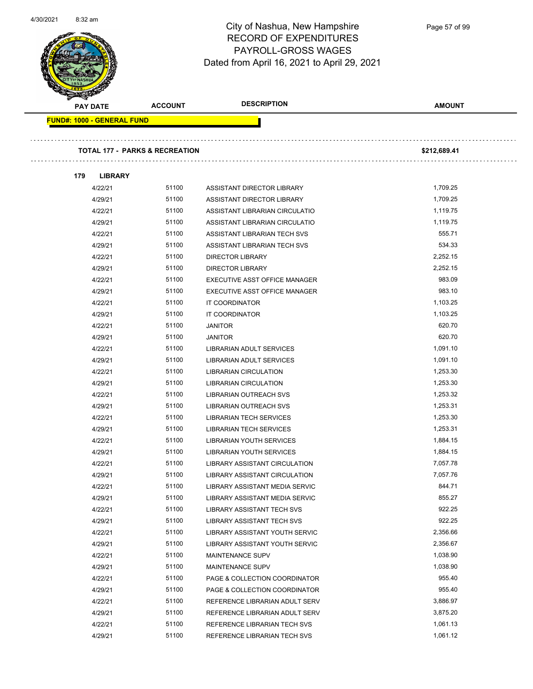

Page 57 of 99

| <b>PAY DATE</b>                   | <b>ACCOUNT</b>                            | <b>DESCRIPTION</b>             | <b>AMOUNT</b> |
|-----------------------------------|-------------------------------------------|--------------------------------|---------------|
| <b>FUND#: 1000 - GENERAL FUND</b> |                                           |                                |               |
|                                   |                                           |                                |               |
|                                   | <b>TOTAL 177 - PARKS &amp; RECREATION</b> |                                | \$212,689.41  |
| 179<br><b>LIBRARY</b>             |                                           |                                |               |
| 4/22/21                           | 51100                                     | ASSISTANT DIRECTOR LIBRARY     | 1,709.25      |
| 4/29/21                           | 51100                                     | ASSISTANT DIRECTOR LIBRARY     | 1,709.25      |
| 4/22/21                           | 51100                                     | ASSISTANT LIBRARIAN CIRCULATIO | 1,119.75      |
| 4/29/21                           | 51100                                     | ASSISTANT LIBRARIAN CIRCULATIO | 1,119.75      |
| 4/22/21                           | 51100                                     | ASSISTANT LIBRARIAN TECH SVS   | 555.71        |
| 4/29/21                           | 51100                                     | ASSISTANT LIBRARIAN TECH SVS   | 534.33        |
| 4/22/21                           | 51100                                     | <b>DIRECTOR LIBRARY</b>        | 2,252.15      |
| 4/29/21                           | 51100                                     | <b>DIRECTOR LIBRARY</b>        | 2.252.15      |
| 4/22/21                           | 51100                                     | EXECUTIVE ASST OFFICE MANAGER  | 983.09        |
| 4/29/21                           | 51100                                     | EXECUTIVE ASST OFFICE MANAGER  | 983.10        |
| 4/22/21                           | 51100                                     | IT COORDINATOR                 | 1,103.25      |
| 4/29/21                           | 51100                                     | IT COORDINATOR                 | 1,103.25      |
| 4/22/21                           | 51100                                     | <b>JANITOR</b>                 | 620.70        |
| 4/29/21                           | 51100                                     | <b>JANITOR</b>                 | 620.70        |
| 4/22/21                           | 51100                                     | LIBRARIAN ADULT SERVICES       | 1,091.10      |
| 4/29/21                           | 51100                                     | LIBRARIAN ADULT SERVICES       | 1,091.10      |
| 4/22/21                           | 51100                                     | LIBRARIAN CIRCULATION          | 1,253.30      |
| 4/29/21                           | 51100                                     | <b>LIBRARIAN CIRCULATION</b>   | 1,253.30      |
| 4/22/21                           | 51100                                     | LIBRARIAN OUTREACH SVS         | 1,253.32      |
| 4/29/21                           | 51100                                     | LIBRARIAN OUTREACH SVS         | 1,253.31      |
| 4/22/21                           | 51100                                     | LIBRARIAN TECH SERVICES        | 1,253.30      |
| 4/29/21                           | 51100                                     | LIBRARIAN TECH SERVICES        | 1,253.31      |
| 4/22/21                           | 51100                                     | LIBRARIAN YOUTH SERVICES       | 1,884.15      |
| 4/29/21                           | 51100                                     | LIBRARIAN YOUTH SERVICES       | 1,884.15      |
| 4/22/21                           | 51100                                     | LIBRARY ASSISTANT CIRCULATION  | 7,057.78      |
| 4/29/21                           | 51100                                     | LIBRARY ASSISTANT CIRCULATION  | 7,057.76      |
| 4/22/21                           | 51100                                     | LIBRARY ASSISTANT MEDIA SERVIC | 844.71        |
| 4/29/21                           | 51100                                     | LIBRARY ASSISTANT MEDIA SERVIC | 855.27        |
| 4/22/21                           | 51100                                     | LIBRARY ASSISTANT TECH SVS     | 922.25        |
| 4/29/21                           | 51100                                     | LIBRARY ASSISTANT TECH SVS     | 922.25        |
| 4/22/21                           | 51100                                     | LIBRARY ASSISTANT YOUTH SERVIC | 2,356.66      |
| 4/29/21                           | 51100                                     | LIBRARY ASSISTANT YOUTH SERVIC | 2,356.67      |
| 4/22/21                           | 51100                                     | <b>MAINTENANCE SUPV</b>        | 1,038.90      |
| 4/29/21                           | 51100                                     | <b>MAINTENANCE SUPV</b>        | 1,038.90      |
| 4/22/21                           | 51100                                     | PAGE & COLLECTION COORDINATOR  | 955.40        |
| 4/29/21                           | 51100                                     | PAGE & COLLECTION COORDINATOR  | 955.40        |
| 4/22/21                           | 51100                                     | REFERENCE LIBRARIAN ADULT SERV | 3,886.97      |
| 4/29/21                           | 51100                                     | REFERENCE LIBRARIAN ADULT SERV | 3,875.20      |
| 4/22/21                           | 51100                                     | REFERENCE LIBRARIAN TECH SVS   | 1,061.13      |
| 4/29/21                           | 51100                                     | REFERENCE LIBRARIAN TECH SVS   | 1,061.12      |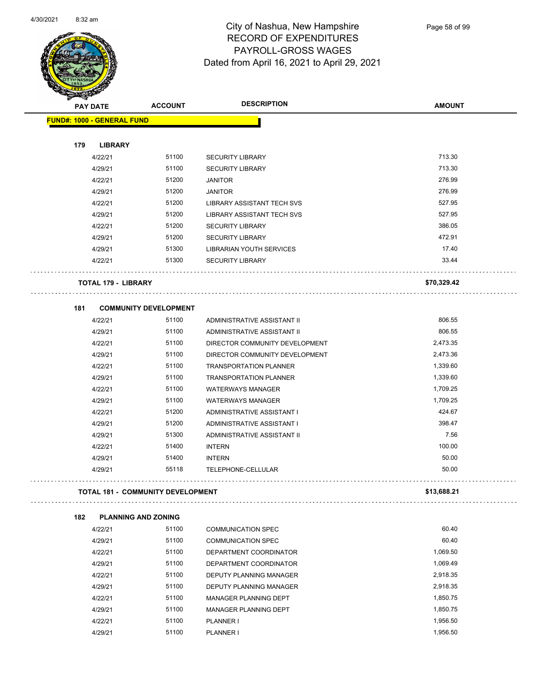

| <b>RESERVE</b>  |                                          |                |                                                     |               |
|-----------------|------------------------------------------|----------------|-----------------------------------------------------|---------------|
| <b>PAY DATE</b> |                                          | <b>ACCOUNT</b> | <b>DESCRIPTION</b>                                  | <b>AMOUNT</b> |
|                 | <b>FUND#: 1000 - GENERAL FUND</b>        |                |                                                     |               |
|                 |                                          |                |                                                     |               |
| 179             | <b>LIBRARY</b>                           |                |                                                     | 713.30        |
|                 | 4/22/21                                  | 51100<br>51100 | <b>SECURITY LIBRARY</b>                             | 713.30        |
|                 | 4/29/21                                  |                | <b>SECURITY LIBRARY</b>                             | 276.99        |
|                 | 4/22/21                                  | 51200<br>51200 | <b>JANITOR</b>                                      | 276.99        |
|                 | 4/29/21                                  | 51200          | <b>JANITOR</b><br><b>LIBRARY ASSISTANT TECH SVS</b> | 527.95        |
|                 | 4/22/21                                  | 51200          |                                                     | 527.95        |
|                 | 4/29/21                                  | 51200          | <b>LIBRARY ASSISTANT TECH SVS</b>                   | 386.05        |
|                 | 4/22/21                                  |                | <b>SECURITY LIBRARY</b>                             | 472.91        |
|                 | 4/29/21                                  | 51200          | <b>SECURITY LIBRARY</b>                             | 17.40         |
|                 | 4/29/21<br>4/22/21                       | 51300<br>51300 | LIBRARIAN YOUTH SERVICES<br><b>SECURITY LIBRARY</b> | 33.44         |
|                 |                                          |                |                                                     |               |
|                 | <b>TOTAL 179 - LIBRARY</b>               |                |                                                     | \$70,329.42   |
| 181             | <b>COMMUNITY DEVELOPMENT</b>             |                |                                                     |               |
|                 | 4/22/21                                  | 51100          | ADMINISTRATIVE ASSISTANT II                         | 806.55        |
|                 | 4/29/21                                  | 51100          | ADMINISTRATIVE ASSISTANT II                         | 806.55        |
|                 | 4/22/21                                  | 51100          | DIRECTOR COMMUNITY DEVELOPMENT                      | 2,473.35      |
|                 | 4/29/21                                  | 51100          | DIRECTOR COMMUNITY DEVELOPMENT                      | 2,473.36      |
|                 | 4/22/21                                  | 51100          | <b>TRANSPORTATION PLANNER</b>                       | 1,339.60      |
|                 | 4/29/21                                  | 51100          | <b>TRANSPORTATION PLANNER</b>                       | 1,339.60      |
|                 | 4/22/21                                  | 51100          | <b>WATERWAYS MANAGER</b>                            | 1,709.25      |
|                 | 4/29/21                                  | 51100          | <b>WATERWAYS MANAGER</b>                            | 1,709.25      |
|                 | 4/22/21                                  | 51200          | ADMINISTRATIVE ASSISTANT I                          | 424.67        |
|                 | 4/29/21                                  | 51200          | ADMINISTRATIVE ASSISTANT I                          | 398.47        |
|                 | 4/29/21                                  | 51300          | ADMINISTRATIVE ASSISTANT II                         | 7.56          |
|                 | 4/22/21                                  | 51400          | <b>INTERN</b>                                       | 100.00        |
|                 | 4/29/21                                  | 51400          | <b>INTERN</b>                                       | 50.00         |
|                 | 4/29/21                                  | 55118          | TELEPHONE-CELLULAR                                  | 50.00         |
|                 |                                          |                |                                                     |               |
|                 | <b>TOTAL 181 - COMMUNITY DEVELOPMENT</b> |                |                                                     | \$13,688.21   |
| 182             | <b>PLANNING AND ZONING</b>               |                |                                                     |               |
|                 | 4/22/21                                  | 51100          | <b>COMMUNICATION SPEC</b>                           | 60.40         |
|                 | 4/29/21                                  | 51100          | <b>COMMUNICATION SPEC</b>                           | 60.40         |
|                 | 4/22/21                                  | 51100          | DEPARTMENT COORDINATOR                              | 1,069.50      |
|                 | 4/29/21                                  | 51100          | DEPARTMENT COORDINATOR                              | 1,069.49      |
|                 | 4/22/21                                  | 51100          | DEPUTY PLANNING MANAGER                             | 2,918.35      |
|                 | 4/29/21                                  | 51100          | DEPUTY PLANNING MANAGER                             | 2,918.35      |
|                 | 4/22/21                                  | 51100          | MANAGER PLANNING DEPT                               | 1,850.75      |

4/29/21 51100 MANAGER PLANNING DEPT 1,850.75 4/22/21 51100 PLANNER I 1,956.50 4/29/21 51100 PLANNER I 1,956.50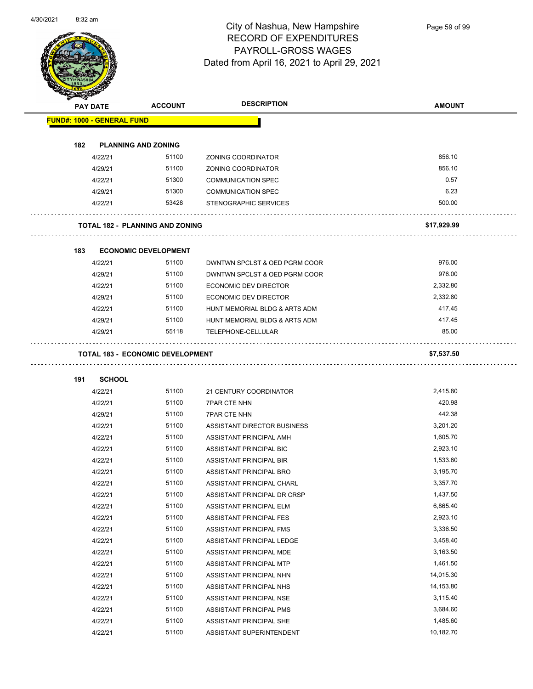

Page 59 of 99

| <b>PAY DATE</b>                   | <b>ACCOUNT</b>                          | <b>DESCRIPTION</b>            | <b>AMOUNT</b> |
|-----------------------------------|-----------------------------------------|-------------------------------|---------------|
| <b>FUND#: 1000 - GENERAL FUND</b> |                                         |                               |               |
|                                   |                                         |                               |               |
| 182                               | <b>PLANNING AND ZONING</b>              |                               |               |
| 4/22/21                           | 51100                                   | ZONING COORDINATOR            | 856.10        |
| 4/29/21                           | 51100                                   | ZONING COORDINATOR            | 856.10        |
| 4/22/21                           | 51300                                   | <b>COMMUNICATION SPEC</b>     | 0.57          |
| 4/29/21                           | 51300                                   | <b>COMMUNICATION SPEC</b>     | 6.23          |
| 4/22/21                           | 53428                                   | STENOGRAPHIC SERVICES         | 500.00        |
|                                   |                                         |                               |               |
|                                   | <b>TOTAL 182 - PLANNING AND ZONING</b>  |                               | \$17,929.99   |
| 183                               | <b>ECONOMIC DEVELOPMENT</b>             |                               |               |
| 4/22/21                           | 51100                                   | DWNTWN SPCLST & OED PGRM COOR | 976.00        |
| 4/29/21                           | 51100                                   | DWNTWN SPCLST & OED PGRM COOR | 976.00        |
| 4/22/21                           | 51100                                   | ECONOMIC DEV DIRECTOR         | 2,332.80      |
| 4/29/21                           | 51100                                   | ECONOMIC DEV DIRECTOR         | 2,332.80      |
| 4/22/21                           | 51100                                   | HUNT MEMORIAL BLDG & ARTS ADM | 417.45        |
| 4/29/21                           | 51100                                   | HUNT MEMORIAL BLDG & ARTS ADM | 417.45        |
| 4/29/21                           | 55118                                   | TELEPHONE-CELLULAR            | 85.00         |
|                                   |                                         |                               |               |
|                                   | <b>TOTAL 183 - ECONOMIC DEVELOPMENT</b> |                               | \$7,537.50    |
| 191<br><b>SCHOOL</b>              |                                         |                               |               |
| 4/22/21                           | 51100                                   | 21 CENTURY COORDINATOR        | 2,415.80      |
| 4/22/21                           | 51100                                   | <b>7PAR CTE NHN</b>           | 420.98        |
| 4/29/21                           | 51100                                   | <b>7PAR CTE NHN</b>           | 442.38        |
| 4/22/21                           | 51100                                   | ASSISTANT DIRECTOR BUSINESS   | 3,201.20      |
| 4/22/21                           | 51100                                   | ASSISTANT PRINCIPAL AMH       | 1,605.70      |
| 4/22/21                           | 51100                                   | ASSISTANT PRINCIPAL BIC       | 2,923.10      |
| 4/22/21                           | 51100                                   | ASSISTANT PRINCIPAL BIR       | 1,533.60      |
| 4/22/21                           | 51100                                   | ASSISTANT PRINCIPAL BRO       | 3,195.70      |
| 4/22/21                           | 51100                                   | ASSISTANT PRINCIPAL CHARL     | 3,357.70      |
| 4/22/21                           | 51100                                   | ASSISTANT PRINCIPAL DR CRSP   | 1,437.50      |
| 4/22/21                           | 51100                                   | ASSISTANT PRINCIPAL ELM       | 6,865.40      |
| 4/22/21                           | 51100                                   | ASSISTANT PRINCIPAL FES       | 2,923.10      |
| 4/22/21                           | 51100                                   | ASSISTANT PRINCIPAL FMS       | 3,336.50      |
| 4/22/21                           | 51100                                   | ASSISTANT PRINCIPAL LEDGE     | 3,458.40      |
| 4/22/21                           | 51100                                   | ASSISTANT PRINCIPAL MDE       | 3,163.50      |
| 4/22/21                           | 51100                                   | ASSISTANT PRINCIPAL MTP       | 1,461.50      |
| 4/22/21                           | 51100                                   | ASSISTANT PRINCIPAL NHN       | 14,015.30     |
| 4/22/21                           | 51100                                   | ASSISTANT PRINCIPAL NHS       | 14,153.80     |
| 4/22/21                           | 51100                                   | ASSISTANT PRINCIPAL NSE       | 3,115.40      |
| 4/22/21                           | 51100                                   | ASSISTANT PRINCIPAL PMS       | 3,684.60      |
| 4/22/21                           | 51100                                   | ASSISTANT PRINCIPAL SHE       | 1,485.60      |
| 4/22/21                           | 51100                                   | ASSISTANT SUPERINTENDENT      | 10,182.70     |
|                                   |                                         |                               |               |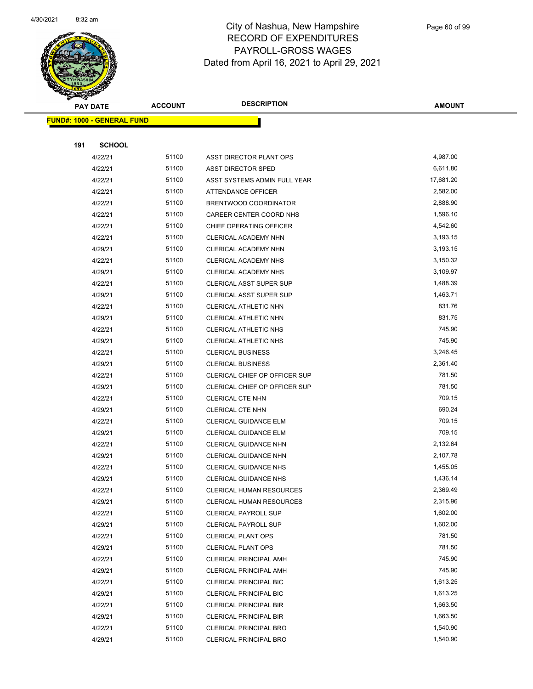

|     | <b>PAY DATE</b>                    | <b>ACCOUNT</b> | <b>DESCRIPTION</b>                                         | <b>AMOUNT</b>        |
|-----|------------------------------------|----------------|------------------------------------------------------------|----------------------|
|     | <u> FUND#: 1000 - GENERAL FUND</u> |                |                                                            |                      |
|     |                                    |                |                                                            |                      |
| 191 | <b>SCHOOL</b>                      |                |                                                            |                      |
|     | 4/22/21                            | 51100          | ASST DIRECTOR PLANT OPS                                    | 4,987.00             |
|     | 4/22/21                            | 51100          | <b>ASST DIRECTOR SPED</b>                                  | 6,611.80             |
|     | 4/22/21                            | 51100          | ASST SYSTEMS ADMIN FULL YEAR                               | 17,681.20            |
|     | 4/22/21                            | 51100          | <b>ATTENDANCE OFFICER</b>                                  | 2,582.00             |
|     | 4/22/21                            | 51100          | BRENTWOOD COORDINATOR                                      | 2,888.90             |
|     | 4/22/21                            | 51100          | CAREER CENTER COORD NHS                                    | 1,596.10             |
|     | 4/22/21                            | 51100          | CHIEF OPERATING OFFICER                                    | 4,542.60             |
|     | 4/22/21                            | 51100          | CLERICAL ACADEMY NHN                                       | 3,193.15             |
|     | 4/29/21                            | 51100          | CLERICAL ACADEMY NHN                                       | 3,193.15             |
|     | 4/22/21                            | 51100          | CLERICAL ACADEMY NHS                                       | 3,150.32             |
|     | 4/29/21                            | 51100          | CLERICAL ACADEMY NHS                                       | 3,109.97             |
|     | 4/22/21                            | 51100          | CLERICAL ASST SUPER SUP                                    | 1,488.39             |
|     | 4/29/21                            | 51100          | CLERICAL ASST SUPER SUP                                    | 1,463.71             |
|     | 4/22/21                            | 51100          | CLERICAL ATHLETIC NHN                                      | 831.76               |
|     | 4/29/21                            | 51100          | CLERICAL ATHLETIC NHN                                      | 831.75               |
|     | 4/22/21                            | 51100          | <b>CLERICAL ATHLETIC NHS</b>                               | 745.90               |
|     | 4/29/21                            | 51100          | CLERICAL ATHLETIC NHS                                      | 745.90               |
|     | 4/22/21                            | 51100          | <b>CLERICAL BUSINESS</b>                                   | 3,246.45             |
|     | 4/29/21                            | 51100          | <b>CLERICAL BUSINESS</b>                                   | 2,361.40             |
|     | 4/22/21                            | 51100          | CLERICAL CHIEF OP OFFICER SUP                              | 781.50               |
|     | 4/29/21                            | 51100          | CLERICAL CHIEF OP OFFICER SUP                              | 781.50               |
|     | 4/22/21                            | 51100          | CLERICAL CTE NHN                                           | 709.15               |
|     | 4/29/21                            | 51100          | <b>CLERICAL CTE NHN</b>                                    | 690.24               |
|     | 4/22/21                            | 51100          | <b>CLERICAL GUIDANCE ELM</b>                               | 709.15               |
|     | 4/29/21                            | 51100          | CLERICAL GUIDANCE ELM                                      | 709.15               |
|     | 4/22/21                            | 51100          | CLERICAL GUIDANCE NHN                                      | 2,132.64             |
|     | 4/29/21                            | 51100          | CLERICAL GUIDANCE NHN                                      | 2,107.78             |
|     | 4/22/21                            | 51100          | <b>CLERICAL GUIDANCE NHS</b>                               | 1,455.05             |
|     | 4/29/21                            | 51100          | <b>CLERICAL GUIDANCE NHS</b>                               | 1,436.14             |
|     | 4/22/21                            | 51100<br>51100 | <b>CLERICAL HUMAN RESOURCES</b>                            | 2,369.49             |
|     | 4/29/21                            | 51100          | CLERICAL HUMAN RESOURCES                                   | 2,315.96<br>1,602.00 |
|     | 4/22/21<br>4/29/21                 | 51100          | <b>CLERICAL PAYROLL SUP</b><br><b>CLERICAL PAYROLL SUP</b> | 1,602.00             |
|     | 4/22/21                            | 51100          | <b>CLERICAL PLANT OPS</b>                                  | 781.50               |
|     | 4/29/21                            | 51100          | <b>CLERICAL PLANT OPS</b>                                  | 781.50               |
|     | 4/22/21                            | 51100          | CLERICAL PRINCIPAL AMH                                     | 745.90               |
|     | 4/29/21                            | 51100          | CLERICAL PRINCIPAL AMH                                     | 745.90               |
|     | 4/22/21                            | 51100          | <b>CLERICAL PRINCIPAL BIC</b>                              | 1,613.25             |
|     | 4/29/21                            | 51100          | CLERICAL PRINCIPAL BIC                                     | 1,613.25             |
|     | 4/22/21                            | 51100          | <b>CLERICAL PRINCIPAL BIR</b>                              | 1,663.50             |
|     | 4/29/21                            | 51100          | CLERICAL PRINCIPAL BIR                                     | 1,663.50             |
|     | 4/22/21                            | 51100          | <b>CLERICAL PRINCIPAL BRO</b>                              | 1,540.90             |
|     | 4/29/21                            | 51100          | <b>CLERICAL PRINCIPAL BRO</b>                              | 1,540.90             |
|     |                                    |                |                                                            |                      |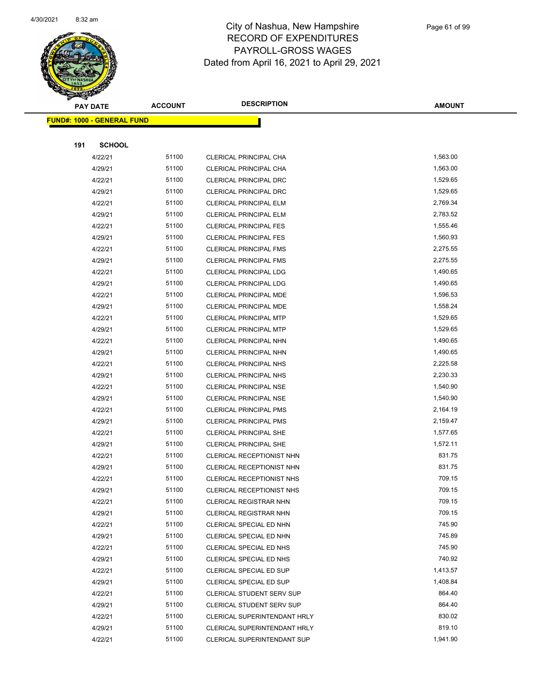

|     | <b>PAY DATE</b>                   | <b>ACCOUNT</b> | <b>DESCRIPTION</b>                                 | <b>AMOUNT</b>    |  |
|-----|-----------------------------------|----------------|----------------------------------------------------|------------------|--|
|     | <b>FUND#: 1000 - GENERAL FUND</b> |                |                                                    |                  |  |
|     |                                   |                |                                                    |                  |  |
| 191 | <b>SCHOOL</b>                     |                |                                                    |                  |  |
|     | 4/22/21                           | 51100          | CLERICAL PRINCIPAL CHA                             | 1,563.00         |  |
|     | 4/29/21                           | 51100          | CLERICAL PRINCIPAL CHA                             | 1,563.00         |  |
|     | 4/22/21                           | 51100          | CLERICAL PRINCIPAL DRC                             | 1,529.65         |  |
|     | 4/29/21                           | 51100          | CLERICAL PRINCIPAL DRC                             | 1,529.65         |  |
|     | 4/22/21                           | 51100          | <b>CLERICAL PRINCIPAL ELM</b>                      | 2,769.34         |  |
|     | 4/29/21                           | 51100          | <b>CLERICAL PRINCIPAL ELM</b>                      | 2,783.52         |  |
|     | 4/22/21                           | 51100          | <b>CLERICAL PRINCIPAL FES</b>                      | 1,555.46         |  |
|     | 4/29/21                           | 51100          | <b>CLERICAL PRINCIPAL FES</b>                      | 1,560.93         |  |
|     | 4/22/21                           | 51100          | <b>CLERICAL PRINCIPAL FMS</b>                      | 2,275.55         |  |
|     | 4/29/21                           | 51100          | <b>CLERICAL PRINCIPAL FMS</b>                      | 2,275.55         |  |
|     | 4/22/21                           | 51100          | <b>CLERICAL PRINCIPAL LDG</b>                      | 1,490.65         |  |
|     | 4/29/21                           | 51100          | <b>CLERICAL PRINCIPAL LDG</b>                      | 1,490.65         |  |
|     | 4/22/21                           | 51100          | CLERICAL PRINCIPAL MDE                             | 1,596.53         |  |
|     | 4/29/21                           | 51100          | CLERICAL PRINCIPAL MDE                             | 1,558.24         |  |
|     | 4/22/21                           | 51100          | <b>CLERICAL PRINCIPAL MTP</b>                      | 1,529.65         |  |
|     | 4/29/21                           | 51100          | <b>CLERICAL PRINCIPAL MTP</b>                      | 1,529.65         |  |
|     | 4/22/21                           | 51100          | CLERICAL PRINCIPAL NHN                             | 1,490.65         |  |
|     | 4/29/21                           | 51100          | CLERICAL PRINCIPAL NHN                             | 1,490.65         |  |
|     | 4/22/21                           | 51100          | CLERICAL PRINCIPAL NHS                             | 2,225.58         |  |
|     | 4/29/21                           | 51100          | CLERICAL PRINCIPAL NHS                             | 2,230.33         |  |
|     | 4/22/21                           | 51100          | <b>CLERICAL PRINCIPAL NSE</b>                      | 1,540.90         |  |
|     | 4/29/21                           | 51100          | <b>CLERICAL PRINCIPAL NSE</b>                      | 1,540.90         |  |
|     | 4/22/21                           | 51100          | <b>CLERICAL PRINCIPAL PMS</b>                      | 2,164.19         |  |
|     | 4/29/21                           | 51100          | <b>CLERICAL PRINCIPAL PMS</b>                      | 2,159.47         |  |
|     | 4/22/21                           | 51100          | <b>CLERICAL PRINCIPAL SHE</b>                      | 1,577.65         |  |
|     | 4/29/21                           | 51100          | <b>CLERICAL PRINCIPAL SHE</b>                      | 1,572.11         |  |
|     | 4/22/21                           | 51100          | CLERICAL RECEPTIONIST NHN                          | 831.75           |  |
|     | 4/29/21                           | 51100          | CLERICAL RECEPTIONIST NHN                          | 831.75           |  |
|     | 4/22/21                           | 51100          | CLERICAL RECEPTIONIST NHS                          | 709.15           |  |
|     | 4/29/21                           | 51100          | <b>CLERICAL RECEPTIONIST NHS</b>                   | 709.15           |  |
|     | 4/22/21                           | 51100          | <b>CLERICAL REGISTRAR NHN</b>                      | 709.15<br>709.15 |  |
|     | 4/29/21                           | 51100          | <b>CLERICAL REGISTRAR NHN</b>                      |                  |  |
|     | 4/22/21                           | 51100          | CLERICAL SPECIAL ED NHN                            | 745.90<br>745.89 |  |
|     | 4/29/21                           | 51100<br>51100 | CLERICAL SPECIAL ED NHN                            | 745.90           |  |
|     | 4/22/21<br>4/29/21                | 51100          | CLERICAL SPECIAL ED NHS                            | 740.92           |  |
|     | 4/22/21                           | 51100          | CLERICAL SPECIAL ED NHS<br>CLERICAL SPECIAL ED SUP | 1,413.57         |  |
|     | 4/29/21                           | 51100          | CLERICAL SPECIAL ED SUP                            | 1,408.84         |  |
|     | 4/22/21                           | 51100          | <b>CLERICAL STUDENT SERV SUP</b>                   | 864.40           |  |
|     | 4/29/21                           | 51100          | <b>CLERICAL STUDENT SERV SUP</b>                   | 864.40           |  |
|     | 4/22/21                           | 51100          | CLERICAL SUPERINTENDANT HRLY                       | 830.02           |  |
|     | 4/29/21                           | 51100          | CLERICAL SUPERINTENDANT HRLY                       | 819.10           |  |
|     | 4/22/21                           | 51100          | CLERICAL SUPERINTENDANT SUP                        | 1,941.90         |  |
|     |                                   |                |                                                    |                  |  |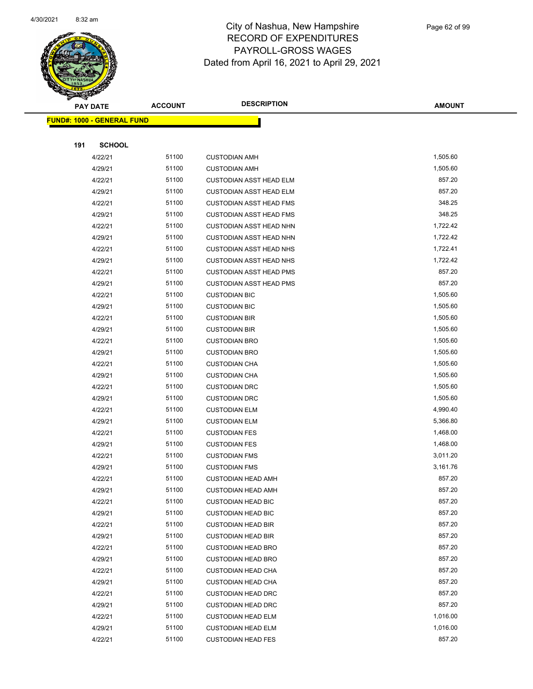

|     | <b>PAY DATE</b>                   | <b>ACCOUNT</b> | <b>DESCRIPTION</b>                                     | <b>AMOUNT</b>    |  |
|-----|-----------------------------------|----------------|--------------------------------------------------------|------------------|--|
|     | <b>FUND#: 1000 - GENERAL FUND</b> |                |                                                        |                  |  |
|     |                                   |                |                                                        |                  |  |
| 191 | <b>SCHOOL</b>                     |                |                                                        |                  |  |
|     | 4/22/21                           | 51100          | <b>CUSTODIAN AMH</b>                                   | 1,505.60         |  |
|     | 4/29/21                           | 51100          | <b>CUSTODIAN AMH</b>                                   | 1,505.60         |  |
|     | 4/22/21                           | 51100          | <b>CUSTODIAN ASST HEAD ELM</b>                         | 857.20           |  |
|     | 4/29/21                           | 51100          | <b>CUSTODIAN ASST HEAD ELM</b>                         | 857.20           |  |
|     | 4/22/21                           | 51100          | <b>CUSTODIAN ASST HEAD FMS</b>                         | 348.25           |  |
|     | 4/29/21                           | 51100          | <b>CUSTODIAN ASST HEAD FMS</b>                         | 348.25           |  |
|     | 4/22/21                           | 51100          | <b>CUSTODIAN ASST HEAD NHN</b>                         | 1,722.42         |  |
|     | 4/29/21                           | 51100          | <b>CUSTODIAN ASST HEAD NHN</b>                         | 1,722.42         |  |
|     | 4/22/21                           | 51100          | <b>CUSTODIAN ASST HEAD NHS</b>                         | 1,722.41         |  |
|     | 4/29/21                           | 51100          | <b>CUSTODIAN ASST HEAD NHS</b>                         | 1,722.42         |  |
|     | 4/22/21                           | 51100          | <b>CUSTODIAN ASST HEAD PMS</b>                         | 857.20           |  |
|     | 4/29/21                           | 51100          | <b>CUSTODIAN ASST HEAD PMS</b>                         | 857.20           |  |
|     | 4/22/21                           | 51100          | <b>CUSTODIAN BIC</b>                                   | 1,505.60         |  |
|     | 4/29/21                           | 51100          | <b>CUSTODIAN BIC</b>                                   | 1,505.60         |  |
|     | 4/22/21                           | 51100          | <b>CUSTODIAN BIR</b>                                   | 1,505.60         |  |
|     | 4/29/21                           | 51100          | <b>CUSTODIAN BIR</b>                                   | 1,505.60         |  |
|     | 4/22/21                           | 51100          | <b>CUSTODIAN BRO</b>                                   | 1,505.60         |  |
|     | 4/29/21                           | 51100          | <b>CUSTODIAN BRO</b>                                   | 1,505.60         |  |
|     | 4/22/21                           | 51100          | <b>CUSTODIAN CHA</b>                                   | 1,505.60         |  |
|     | 4/29/21                           | 51100          | <b>CUSTODIAN CHA</b>                                   | 1,505.60         |  |
|     | 4/22/21                           | 51100          | <b>CUSTODIAN DRC</b>                                   | 1,505.60         |  |
|     | 4/29/21                           | 51100          | <b>CUSTODIAN DRC</b>                                   | 1,505.60         |  |
|     | 4/22/21                           | 51100          | <b>CUSTODIAN ELM</b>                                   | 4,990.40         |  |
|     | 4/29/21                           | 51100          | <b>CUSTODIAN ELM</b>                                   | 5,366.80         |  |
|     | 4/22/21                           | 51100          | <b>CUSTODIAN FES</b>                                   | 1,468.00         |  |
|     | 4/29/21                           | 51100          | <b>CUSTODIAN FES</b>                                   | 1,468.00         |  |
|     | 4/22/21                           | 51100          | <b>CUSTODIAN FMS</b>                                   | 3,011.20         |  |
|     | 4/29/21                           | 51100          | <b>CUSTODIAN FMS</b>                                   | 3,161.76         |  |
|     | 4/22/21                           | 51100          | <b>CUSTODIAN HEAD AMH</b>                              | 857.20           |  |
|     | 4/29/21                           | 51100          | <b>CUSTODIAN HEAD AMH</b>                              | 857.20           |  |
|     | 4/22/21                           | 51100          | <b>CUSTODIAN HEAD BIC</b>                              | 857.20           |  |
|     | 4/29/21                           | 51100          | <b>CUSTODIAN HEAD BIC</b>                              | 857.20           |  |
|     | 4/22/21                           | 51100          | <b>CUSTODIAN HEAD BIR</b>                              | 857.20           |  |
|     | 4/29/21                           | 51100<br>51100 | <b>CUSTODIAN HEAD BIR</b>                              | 857.20<br>857.20 |  |
|     | 4/22/21                           | 51100          | <b>CUSTODIAN HEAD BRO</b><br><b>CUSTODIAN HEAD BRO</b> | 857.20           |  |
|     | 4/29/21<br>4/22/21                | 51100          | <b>CUSTODIAN HEAD CHA</b>                              | 857.20           |  |
|     | 4/29/21                           | 51100          | <b>CUSTODIAN HEAD CHA</b>                              | 857.20           |  |
|     | 4/22/21                           | 51100          | <b>CUSTODIAN HEAD DRC</b>                              | 857.20           |  |
|     | 4/29/21                           | 51100          | <b>CUSTODIAN HEAD DRC</b>                              | 857.20           |  |
|     | 4/22/21                           | 51100          | <b>CUSTODIAN HEAD ELM</b>                              | 1,016.00         |  |
|     | 4/29/21                           | 51100          | <b>CUSTODIAN HEAD ELM</b>                              | 1,016.00         |  |
|     | 4/22/21                           | 51100          | <b>CUSTODIAN HEAD FES</b>                              | 857.20           |  |
|     |                                   |                |                                                        |                  |  |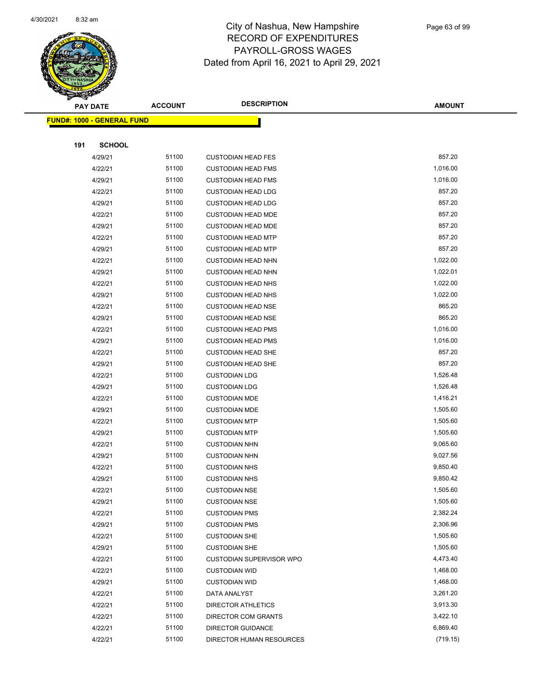

|     | <b>PAY DATE</b>                    | <b>ACCOUNT</b> | <b>DESCRIPTION</b>              | <b>AMOUNT</b> |
|-----|------------------------------------|----------------|---------------------------------|---------------|
|     | <u> FUND#: 1000 - GENERAL FUND</u> |                |                                 |               |
|     |                                    |                |                                 |               |
| 191 | <b>SCHOOL</b>                      |                |                                 |               |
|     | 4/29/21                            | 51100          | <b>CUSTODIAN HEAD FES</b>       | 857.20        |
|     | 4/22/21                            | 51100          | <b>CUSTODIAN HEAD FMS</b>       | 1,016.00      |
|     | 4/29/21                            | 51100          | <b>CUSTODIAN HEAD FMS</b>       | 1,016.00      |
|     | 4/22/21                            | 51100          | <b>CUSTODIAN HEAD LDG</b>       | 857.20        |
|     | 4/29/21                            | 51100          | <b>CUSTODIAN HEAD LDG</b>       | 857.20        |
|     | 4/22/21                            | 51100          | <b>CUSTODIAN HEAD MDE</b>       | 857.20        |
|     | 4/29/21                            | 51100          | <b>CUSTODIAN HEAD MDE</b>       | 857.20        |
|     | 4/22/21                            | 51100          | <b>CUSTODIAN HEAD MTP</b>       | 857.20        |
|     | 4/29/21                            | 51100          | <b>CUSTODIAN HEAD MTP</b>       | 857.20        |
|     | 4/22/21                            | 51100          | <b>CUSTODIAN HEAD NHN</b>       | 1,022.00      |
|     | 4/29/21                            | 51100          | <b>CUSTODIAN HEAD NHN</b>       | 1,022.01      |
|     | 4/22/21                            | 51100          | <b>CUSTODIAN HEAD NHS</b>       | 1,022.00      |
|     | 4/29/21                            | 51100          | <b>CUSTODIAN HEAD NHS</b>       | 1,022.00      |
|     | 4/22/21                            | 51100          | <b>CUSTODIAN HEAD NSE</b>       | 865.20        |
|     | 4/29/21                            | 51100          | <b>CUSTODIAN HEAD NSE</b>       | 865.20        |
|     | 4/22/21                            | 51100          | <b>CUSTODIAN HEAD PMS</b>       | 1,016.00      |
|     | 4/29/21                            | 51100          | <b>CUSTODIAN HEAD PMS</b>       | 1,016.00      |
|     | 4/22/21                            | 51100          | <b>CUSTODIAN HEAD SHE</b>       | 857.20        |
|     | 4/29/21                            | 51100          | <b>CUSTODIAN HEAD SHE</b>       | 857.20        |
|     | 4/22/21                            | 51100          | <b>CUSTODIAN LDG</b>            | 1,526.48      |
|     | 4/29/21                            | 51100          | <b>CUSTODIAN LDG</b>            | 1,526.48      |
|     | 4/22/21                            | 51100          | <b>CUSTODIAN MDE</b>            | 1,416.21      |
|     | 4/29/21                            | 51100          | <b>CUSTODIAN MDE</b>            | 1,505.60      |
|     | 4/22/21                            | 51100          | <b>CUSTODIAN MTP</b>            | 1,505.60      |
|     | 4/29/21                            | 51100          | <b>CUSTODIAN MTP</b>            | 1,505.60      |
|     | 4/22/21                            | 51100          | <b>CUSTODIAN NHN</b>            | 9,065.60      |
|     | 4/29/21                            | 51100          | <b>CUSTODIAN NHN</b>            | 9,027.56      |
|     | 4/22/21                            | 51100          | <b>CUSTODIAN NHS</b>            | 9,850.40      |
|     | 4/29/21                            | 51100          | <b>CUSTODIAN NHS</b>            | 9,850.42      |
|     | 4/22/21                            | 51100          | <b>CUSTODIAN NSE</b>            | 1,505.60      |
|     | 4/29/21                            | 51100          | <b>CUSTODIAN NSE</b>            | 1,505.60      |
|     | 4/22/21                            | 51100          | <b>CUSTODIAN PMS</b>            | 2,382.24      |
|     | 4/29/21                            | 51100          | <b>CUSTODIAN PMS</b>            | 2,306.96      |
|     | 4/22/21                            | 51100          | <b>CUSTODIAN SHE</b>            | 1,505.60      |
|     | 4/29/21                            | 51100          | <b>CUSTODIAN SHE</b>            | 1,505.60      |
|     | 4/22/21                            | 51100          | <b>CUSTODIAN SUPERVISOR WPO</b> | 4,473.40      |
|     | 4/22/21                            | 51100          | <b>CUSTODIAN WID</b>            | 1,468.00      |
|     | 4/29/21                            | 51100          | <b>CUSTODIAN WID</b>            | 1,468.00      |
|     | 4/22/21                            | 51100          | DATA ANALYST                    | 3,261.20      |
|     | 4/22/21                            | 51100          | DIRECTOR ATHLETICS              | 3,913.30      |
|     | 4/22/21                            | 51100          | DIRECTOR COM GRANTS             | 3,422.10      |
|     | 4/22/21                            | 51100          | <b>DIRECTOR GUIDANCE</b>        | 6,869.40      |
|     | 4/22/21                            | 51100          | DIRECTOR HUMAN RESOURCES        | (719.15)      |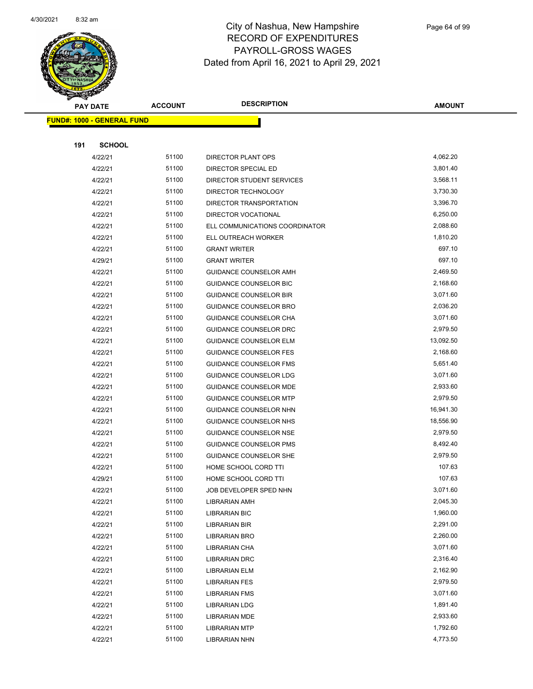

|     | <b>PAY DATE</b>                    | <b>ACCOUNT</b> | <b>DESCRIPTION</b>             | <b>AMOUNT</b> |
|-----|------------------------------------|----------------|--------------------------------|---------------|
|     | <u> FUND#: 1000 - GENERAL FUND</u> |                |                                |               |
|     |                                    |                |                                |               |
| 191 | <b>SCHOOL</b>                      |                |                                |               |
|     | 4/22/21                            | 51100          | DIRECTOR PLANT OPS             | 4,062.20      |
|     | 4/22/21                            | 51100          | DIRECTOR SPECIAL ED            | 3,801.40      |
|     | 4/22/21                            | 51100          | DIRECTOR STUDENT SERVICES      | 3,568.11      |
|     | 4/22/21                            | 51100          | DIRECTOR TECHNOLOGY            | 3,730.30      |
|     | 4/22/21                            | 51100          | DIRECTOR TRANSPORTATION        | 3,396.70      |
|     | 4/22/21                            | 51100          | DIRECTOR VOCATIONAL            | 6,250.00      |
|     | 4/22/21                            | 51100          | ELL COMMUNICATIONS COORDINATOR | 2,088.60      |
|     | 4/22/21                            | 51100          | ELL OUTREACH WORKER            | 1,810.20      |
|     | 4/22/21                            | 51100          | <b>GRANT WRITER</b>            | 697.10        |
|     | 4/29/21                            | 51100          | <b>GRANT WRITER</b>            | 697.10        |
|     | 4/22/21                            | 51100          | GUIDANCE COUNSELOR AMH         | 2,469.50      |
|     | 4/22/21                            | 51100          | <b>GUIDANCE COUNSELOR BIC</b>  | 2,168.60      |
|     | 4/22/21                            | 51100          | <b>GUIDANCE COUNSELOR BIR</b>  | 3,071.60      |
|     | 4/22/21                            | 51100          | GUIDANCE COUNSELOR BRO         | 2,036.20      |
|     | 4/22/21                            | 51100          | GUIDANCE COUNSELOR CHA         | 3,071.60      |
|     | 4/22/21                            | 51100          | GUIDANCE COUNSELOR DRC         | 2,979.50      |
|     | 4/22/21                            | 51100          | <b>GUIDANCE COUNSELOR ELM</b>  | 13,092.50     |
|     | 4/22/21                            | 51100          | <b>GUIDANCE COUNSELOR FES</b>  | 2,168.60      |
|     | 4/22/21                            | 51100          | <b>GUIDANCE COUNSELOR FMS</b>  | 5,651.40      |
|     | 4/22/21                            | 51100          | <b>GUIDANCE COUNSELOR LDG</b>  | 3,071.60      |
|     | 4/22/21                            | 51100          | GUIDANCE COUNSELOR MDE         | 2,933.60      |
|     | 4/22/21                            | 51100          | <b>GUIDANCE COUNSELOR MTP</b>  | 2,979.50      |
|     | 4/22/21                            | 51100          | GUIDANCE COUNSELOR NHN         | 16,941.30     |
|     | 4/22/21                            | 51100          | GUIDANCE COUNSELOR NHS         | 18,556.90     |
|     | 4/22/21                            | 51100          | <b>GUIDANCE COUNSELOR NSE</b>  | 2,979.50      |
|     | 4/22/21                            | 51100          | GUIDANCE COUNSELOR PMS         | 8,492.40      |
|     | 4/22/21                            | 51100          | <b>GUIDANCE COUNSELOR SHE</b>  | 2,979.50      |
|     | 4/22/21                            | 51100          | HOME SCHOOL CORD TTI           | 107.63        |
|     | 4/29/21                            | 51100          | HOME SCHOOL CORD TTI           | 107.63        |
|     | 4/22/21                            | 51100          | JOB DEVELOPER SPED NHN         | 3,071.60      |
|     | 4/22/21                            | 51100          | LIBRARIAN AMH                  | 2,045.30      |
|     | 4/22/21                            | 51100          | <b>LIBRARIAN BIC</b>           | 1,960.00      |
|     | 4/22/21                            | 51100          | <b>LIBRARIAN BIR</b>           | 2,291.00      |
|     | 4/22/21                            | 51100          | <b>LIBRARIAN BRO</b>           | 2,260.00      |
|     | 4/22/21                            | 51100          | LIBRARIAN CHA                  | 3,071.60      |
|     | 4/22/21                            | 51100          | LIBRARIAN DRC                  | 2,316.40      |
|     | 4/22/21                            | 51100          | <b>LIBRARIAN ELM</b>           | 2,162.90      |
|     | 4/22/21                            | 51100          | <b>LIBRARIAN FES</b>           | 2,979.50      |
|     | 4/22/21                            | 51100          | <b>LIBRARIAN FMS</b>           | 3,071.60      |
|     | 4/22/21                            | 51100          | <b>LIBRARIAN LDG</b>           | 1,891.40      |
|     | 4/22/21                            | 51100          | LIBRARIAN MDE                  | 2,933.60      |
|     | 4/22/21                            | 51100          | <b>LIBRARIAN MTP</b>           | 1,792.60      |
|     | 4/22/21                            | 51100          | <b>LIBRARIAN NHN</b>           | 4,773.50      |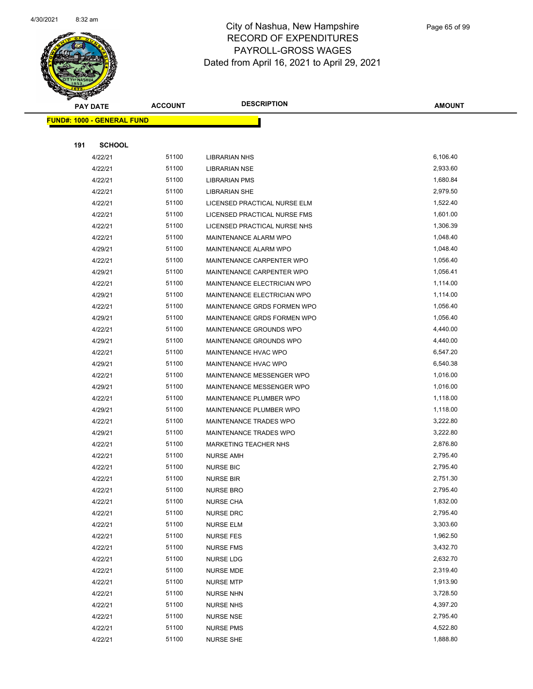

|     | <b>PAY DATE</b>                   | <b>ACCOUNT</b> | <b>DESCRIPTION</b>            | <b>AMOUNT</b>        |
|-----|-----------------------------------|----------------|-------------------------------|----------------------|
|     | <b>FUND#: 1000 - GENERAL FUND</b> |                |                               |                      |
|     |                                   |                |                               |                      |
| 191 | <b>SCHOOL</b>                     |                |                               |                      |
|     | 4/22/21                           | 51100          | <b>LIBRARIAN NHS</b>          | 6,106.40             |
|     | 4/22/21                           | 51100          | <b>LIBRARIAN NSE</b>          | 2,933.60             |
|     | 4/22/21                           | 51100          | <b>LIBRARIAN PMS</b>          | 1,680.84             |
|     | 4/22/21                           | 51100          | <b>LIBRARIAN SHE</b>          | 2,979.50             |
|     | 4/22/21                           | 51100          | LICENSED PRACTICAL NURSE ELM  | 1,522.40             |
|     | 4/22/21                           | 51100          | LICENSED PRACTICAL NURSE FMS  | 1,601.00             |
|     | 4/22/21                           | 51100          | LICENSED PRACTICAL NURSE NHS  | 1,306.39             |
|     | 4/22/21                           | 51100          | MAINTENANCE ALARM WPO         | 1,048.40             |
|     | 4/29/21                           | 51100          | MAINTENANCE ALARM WPO         | 1,048.40             |
|     | 4/22/21                           | 51100          | MAINTENANCE CARPENTER WPO     | 1,056.40             |
|     | 4/29/21                           | 51100          | MAINTENANCE CARPENTER WPO     | 1,056.41             |
|     | 4/22/21                           | 51100          | MAINTENANCE ELECTRICIAN WPO   | 1,114.00             |
|     | 4/29/21                           | 51100          | MAINTENANCE ELECTRICIAN WPO   | 1,114.00             |
|     | 4/22/21                           | 51100          | MAINTENANCE GRDS FORMEN WPO   | 1,056.40             |
|     | 4/29/21                           | 51100          | MAINTENANCE GRDS FORMEN WPO   | 1,056.40             |
|     | 4/22/21                           | 51100          | MAINTENANCE GROUNDS WPO       | 4,440.00             |
|     | 4/29/21                           | 51100          | MAINTENANCE GROUNDS WPO       | 4,440.00             |
|     | 4/22/21                           | 51100          | MAINTENANCE HVAC WPO          | 6,547.20             |
|     | 4/29/21                           | 51100          | MAINTENANCE HVAC WPO          | 6,540.38             |
|     | 4/22/21                           | 51100          | MAINTENANCE MESSENGER WPO     | 1,016.00             |
|     | 4/29/21                           | 51100          | MAINTENANCE MESSENGER WPO     | 1,016.00             |
|     | 4/22/21                           | 51100          | MAINTENANCE PLUMBER WPO       | 1,118.00             |
|     | 4/29/21                           | 51100          | MAINTENANCE PLUMBER WPO       | 1,118.00             |
|     | 4/22/21                           | 51100          | MAINTENANCE TRADES WPO        | 3,222.80             |
|     | 4/29/21                           | 51100          | MAINTENANCE TRADES WPO        | 3,222.80             |
|     | 4/22/21                           | 51100          | <b>MARKETING TEACHER NHS</b>  | 2,876.80             |
|     | 4/22/21                           | 51100          | <b>NURSE AMH</b>              | 2,795.40             |
|     | 4/22/21                           | 51100          | <b>NURSE BIC</b>              | 2,795.40             |
|     | 4/22/21                           | 51100          | <b>NURSE BIR</b>              | 2,751.30             |
|     | 4/22/21                           | 51100          | <b>NURSE BRO</b>              | 2,795.40             |
|     | 4/22/21                           | 51100          | <b>NURSE CHA</b>              | 1,832.00             |
|     | 4/22/21                           | 51100          | NURSE DRC                     | 2,795.40             |
|     | 4/22/21                           | 51100          | <b>NURSE ELM</b>              | 3,303.60             |
|     | 4/22/21                           | 51100          | <b>NURSE FES</b>              | 1,962.50             |
|     | 4/22/21                           | 51100          | <b>NURSE FMS</b>              | 3,432.70             |
|     | 4/22/21                           | 51100          | NURSE LDG                     | 2,632.70             |
|     | 4/22/21<br>4/22/21                | 51100<br>51100 | NURSE MDE<br><b>NURSE MTP</b> | 2,319.40<br>1,913.90 |
|     | 4/22/21                           | 51100          | <b>NURSE NHN</b>              | 3,728.50             |
|     | 4/22/21                           | 51100          | <b>NURSE NHS</b>              | 4,397.20             |
|     | 4/22/21                           | 51100          | <b>NURSE NSE</b>              | 2,795.40             |
|     | 4/22/21                           | 51100          | <b>NURSE PMS</b>              | 4,522.80             |
|     | 4/22/21                           | 51100          | <b>NURSE SHE</b>              | 1,888.80             |
|     |                                   |                |                               |                      |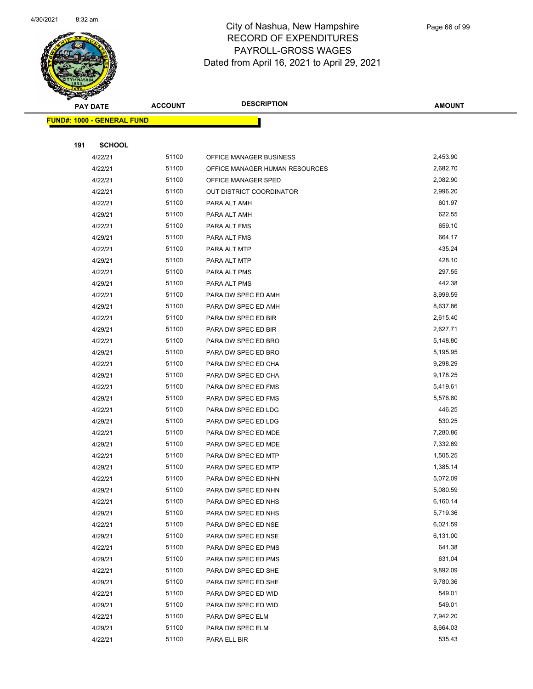

| <b>PAY DATE</b>                   | <b>ACCOUNT</b> | <b>DESCRIPTION</b>             | <b>AMOUNT</b> |
|-----------------------------------|----------------|--------------------------------|---------------|
| <b>FUND#: 1000 - GENERAL FUND</b> |                |                                |               |
|                                   |                |                                |               |
| 191<br><b>SCHOOL</b>              |                |                                |               |
| 4/22/21                           | 51100          | OFFICE MANAGER BUSINESS        | 2,453.90      |
| 4/22/21                           | 51100          | OFFICE MANAGER HUMAN RESOURCES | 2,682.70      |
| 4/22/21                           | 51100          | OFFICE MANAGER SPED            | 2,082.90      |
| 4/22/21                           | 51100          | OUT DISTRICT COORDINATOR       | 2,996.20      |
| 4/22/21                           | 51100          | PARA ALT AMH                   | 601.97        |
| 4/29/21                           | 51100          | PARA ALT AMH                   | 622.55        |
| 4/22/21                           | 51100          | PARA ALT FMS                   | 659.10        |
| 4/29/21                           | 51100          | PARA ALT FMS                   | 664.17        |
| 4/22/21                           | 51100          | PARA ALT MTP                   | 435.24        |
| 4/29/21                           | 51100          | PARA ALT MTP                   | 428.10        |
| 4/22/21                           | 51100          | PARA ALT PMS                   | 297.55        |
| 4/29/21                           | 51100          | PARA ALT PMS                   | 442.38        |
| 4/22/21                           | 51100          | PARA DW SPEC ED AMH            | 8,999.59      |
| 4/29/21                           | 51100          | PARA DW SPEC ED AMH            | 8,637.86      |
| 4/22/21                           | 51100          | PARA DW SPEC ED BIR            | 2,615.40      |
| 4/29/21                           | 51100          | PARA DW SPEC ED BIR            | 2,627.71      |
| 4/22/21                           | 51100          | PARA DW SPEC ED BRO            | 5,148.80      |
| 4/29/21                           | 51100          | PARA DW SPEC ED BRO            | 5,195.95      |
| 4/22/21                           | 51100          | PARA DW SPEC ED CHA            | 9,298.29      |
| 4/29/21                           | 51100          | PARA DW SPEC ED CHA            | 9,178.25      |
| 4/22/21                           | 51100          | PARA DW SPEC ED FMS            | 5,419.61      |
| 4/29/21                           | 51100          | PARA DW SPEC ED FMS            | 5,576.80      |
| 4/22/21                           | 51100          | PARA DW SPEC ED LDG            | 446.25        |
| 4/29/21                           | 51100          | PARA DW SPEC ED LDG            | 530.25        |
| 4/22/21                           | 51100          | PARA DW SPEC ED MDE            | 7,280.86      |
| 4/29/21                           | 51100          | PARA DW SPEC ED MDE            | 7,332.69      |
| 4/22/21                           | 51100          | PARA DW SPEC ED MTP            | 1,505.25      |
| 4/29/21                           | 51100          | PARA DW SPEC ED MTP            | 1,385.14      |
| 4/22/21                           | 51100          | PARA DW SPEC ED NHN            | 5,072.09      |
| 4/29/21                           | 51100          | PARA DW SPEC ED NHN            | 5,080.59      |
| 4/22/21                           | 51100          | PARA DW SPEC ED NHS            | 6,160.14      |
| 4/29/21                           | 51100          | PARA DW SPEC ED NHS            | 5,719.36      |
| 4/22/21                           | 51100          | PARA DW SPEC ED NSE            | 6,021.59      |
| 4/29/21                           | 51100          | PARA DW SPEC ED NSE            | 6,131.00      |
| 4/22/21                           | 51100          | PARA DW SPEC ED PMS            | 641.38        |
| 4/29/21                           | 51100          | PARA DW SPEC ED PMS            | 631.04        |
| 4/22/21                           | 51100          | PARA DW SPEC ED SHE            | 9,892.09      |
| 4/29/21                           | 51100          | PARA DW SPEC ED SHE            | 9,780.36      |
| 4/22/21                           | 51100          | PARA DW SPEC ED WID            | 549.01        |
| 4/29/21                           | 51100          | PARA DW SPEC ED WID            | 549.01        |
| 4/22/21                           | 51100          | PARA DW SPEC ELM               | 7,942.20      |
| 4/29/21                           | 51100          | PARA DW SPEC ELM               | 8,664.03      |
| 4/22/21                           | 51100          | PARA ELL BIR                   | 535.43        |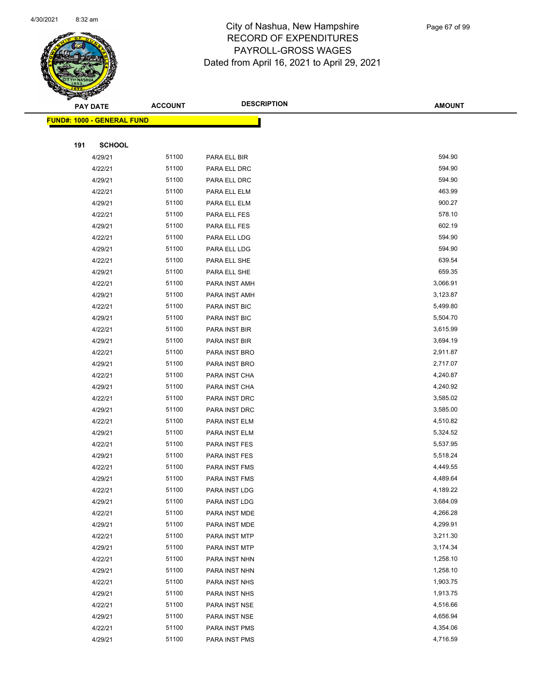

|     | <b>PAY DATE</b>                   | <b>ACCOUNT</b> | <b>DESCRIPTION</b>             | <b>AMOUNT</b>        |
|-----|-----------------------------------|----------------|--------------------------------|----------------------|
|     | <b>FUND#: 1000 - GENERAL FUND</b> |                |                                |                      |
|     |                                   |                |                                |                      |
| 191 | <b>SCHOOL</b>                     |                |                                |                      |
|     | 4/29/21                           | 51100          | PARA ELL BIR                   | 594.90               |
|     | 4/22/21                           | 51100          | PARA ELL DRC                   | 594.90               |
|     | 4/29/21                           | 51100          | PARA ELL DRC                   | 594.90               |
|     | 4/22/21                           | 51100          | PARA ELL ELM                   | 463.99               |
|     | 4/29/21                           | 51100          | PARA ELL ELM                   | 900.27               |
|     | 4/22/21                           | 51100          | PARA ELL FES                   | 578.10               |
|     | 4/29/21                           | 51100          | PARA ELL FES                   | 602.19               |
|     | 4/22/21                           | 51100          | PARA ELL LDG                   | 594.90               |
|     | 4/29/21                           | 51100          | PARA ELL LDG                   | 594.90               |
|     | 4/22/21                           | 51100          | PARA ELL SHE                   | 639.54               |
|     | 4/29/21                           | 51100          | PARA ELL SHE                   | 659.35               |
|     | 4/22/21                           | 51100          | PARA INST AMH                  | 3,066.91             |
|     | 4/29/21                           | 51100          | PARA INST AMH                  | 3,123.87             |
|     | 4/22/21                           | 51100          | PARA INST BIC                  | 5,499.80             |
|     | 4/29/21                           | 51100          | PARA INST BIC                  | 5,504.70             |
|     | 4/22/21                           | 51100          | PARA INST BIR                  | 3,615.99             |
|     | 4/29/21                           | 51100          | PARA INST BIR                  | 3,694.19             |
|     | 4/22/21                           | 51100          | PARA INST BRO                  | 2,911.87             |
|     | 4/29/21                           | 51100          | PARA INST BRO                  | 2,717.07             |
|     | 4/22/21                           | 51100          | PARA INST CHA                  | 4,240.87             |
|     | 4/29/21                           | 51100          | PARA INST CHA                  | 4,240.92             |
|     | 4/22/21                           | 51100          | PARA INST DRC                  | 3,585.02             |
|     | 4/29/21                           | 51100          | PARA INST DRC                  | 3,585.00             |
|     | 4/22/21                           | 51100          | PARA INST ELM                  | 4,510.82             |
|     | 4/29/21                           | 51100          | PARA INST ELM                  | 5,324.52             |
|     | 4/22/21                           | 51100          | PARA INST FES                  | 5,537.95             |
|     | 4/29/21                           | 51100          | PARA INST FES                  | 5,518.24             |
|     | 4/22/21                           | 51100          | PARA INST FMS                  | 4,449.55             |
|     | 4/29/21                           | 51100          | PARA INST FMS                  | 4,489.64             |
|     | 4/22/21                           | 51100<br>51100 | PARA INST LDG                  | 4,189.22             |
|     | 4/29/21                           | 51100          | PARA INST LDG                  | 3,684.09<br>4,266.28 |
|     | 4/22/21<br>4/29/21                | 51100          | PARA INST MDE<br>PARA INST MDE | 4,299.91             |
|     | 4/22/21                           | 51100          | PARA INST MTP                  | 3,211.30             |
|     | 4/29/21                           | 51100          | PARA INST MTP                  | 3,174.34             |
|     | 4/22/21                           | 51100          | PARA INST NHN                  | 1,258.10             |
|     | 4/29/21                           | 51100          | PARA INST NHN                  | 1,258.10             |
|     | 4/22/21                           | 51100          | PARA INST NHS                  | 1,903.75             |
|     | 4/29/21                           | 51100          | PARA INST NHS                  | 1,913.75             |
|     | 4/22/21                           | 51100          | PARA INST NSE                  | 4,516.66             |
|     | 4/29/21                           | 51100          | PARA INST NSE                  | 4,656.94             |
|     | 4/22/21                           | 51100          | PARA INST PMS                  | 4,354.06             |
|     | 4/29/21                           | 51100          | PARA INST PMS                  | 4,716.59             |
|     |                                   |                |                                |                      |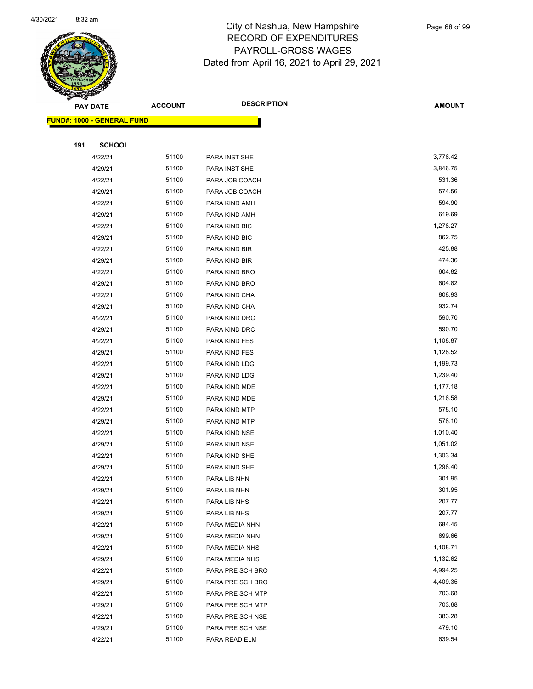

Page 68 of 99

|     | <b>PAY DATE</b>                   | <b>ACCOUNT</b> | <b>DESCRIPTION</b>             | <b>AMOUNT</b>        |  |
|-----|-----------------------------------|----------------|--------------------------------|----------------------|--|
|     | <b>FUND#: 1000 - GENERAL FUND</b> |                |                                |                      |  |
|     |                                   |                |                                |                      |  |
| 191 | <b>SCHOOL</b>                     |                |                                |                      |  |
|     | 4/22/21                           | 51100          | PARA INST SHE                  | 3,776.42             |  |
|     | 4/29/21                           | 51100          | PARA INST SHE                  | 3,846.75             |  |
|     | 4/22/21                           | 51100          | PARA JOB COACH                 | 531.36               |  |
|     | 4/29/21                           | 51100          | PARA JOB COACH                 | 574.56               |  |
|     | 4/22/21                           | 51100          | PARA KIND AMH                  | 594.90               |  |
|     | 4/29/21                           | 51100          | PARA KIND AMH                  | 619.69               |  |
|     | 4/22/21                           | 51100          | PARA KIND BIC                  | 1,278.27             |  |
|     | 4/29/21                           | 51100          | PARA KIND BIC                  | 862.75               |  |
|     | 4/22/21                           | 51100          | PARA KIND BIR                  | 425.88               |  |
|     | 4/29/21                           | 51100          | PARA KIND BIR                  | 474.36               |  |
|     | 4/22/21                           | 51100          | PARA KIND BRO                  | 604.82               |  |
|     | 4/29/21                           | 51100          | PARA KIND BRO                  | 604.82               |  |
|     | 4/22/21                           | 51100          | PARA KIND CHA                  | 808.93               |  |
|     | 4/29/21                           | 51100          | PARA KIND CHA                  | 932.74               |  |
|     | 4/22/21                           | 51100          | PARA KIND DRC                  | 590.70               |  |
|     | 4/29/21                           | 51100          | PARA KIND DRC                  | 590.70               |  |
|     | 4/22/21                           | 51100          | PARA KIND FES                  | 1,108.87             |  |
|     | 4/29/21                           | 51100          | PARA KIND FES                  | 1,128.52             |  |
|     | 4/22/21                           | 51100          | PARA KIND LDG                  | 1,199.73             |  |
|     | 4/29/21                           | 51100<br>51100 | PARA KIND LDG                  | 1,239.40<br>1,177.18 |  |
|     | 4/22/21<br>4/29/21                | 51100          | PARA KIND MDE<br>PARA KIND MDE | 1,216.58             |  |
|     | 4/22/21                           | 51100          | PARA KIND MTP                  | 578.10               |  |
|     | 4/29/21                           | 51100          | PARA KIND MTP                  | 578.10               |  |
|     | 4/22/21                           | 51100          | PARA KIND NSE                  | 1,010.40             |  |
|     | 4/29/21                           | 51100          | PARA KIND NSE                  | 1,051.02             |  |
|     | 4/22/21                           | 51100          | PARA KIND SHE                  | 1,303.34             |  |
|     | 4/29/21                           | 51100          | PARA KIND SHE                  | 1,298.40             |  |
|     | 4/22/21                           | 51100          | PARA LIB NHN                   | 301.95               |  |
|     | 4/29/21                           | 51100          | PARA LIB NHN                   | 301.95               |  |
|     | 4/22/21                           | 51100          | PARA LIB NHS                   | 207.77               |  |
|     | 4/29/21                           | 51100          | PARA LIB NHS                   | 207.77               |  |
|     | 4/22/21                           | 51100          | PARA MEDIA NHN                 | 684.45               |  |
|     | 4/29/21                           | 51100          | PARA MEDIA NHN                 | 699.66               |  |
|     | 4/22/21                           | 51100          | PARA MEDIA NHS                 | 1,108.71             |  |
|     | 4/29/21                           | 51100          | PARA MEDIA NHS                 | 1,132.62             |  |
|     | 4/22/21                           | 51100          | PARA PRE SCH BRO               | 4,994.25             |  |
|     | 4/29/21                           | 51100          | PARA PRE SCH BRO               | 4,409.35             |  |
|     | 4/22/21                           | 51100          | PARA PRE SCH MTP               | 703.68               |  |
|     | 4/29/21                           | 51100          | PARA PRE SCH MTP               | 703.68               |  |
|     | 4/22/21                           | 51100          | PARA PRE SCH NSE               | 383.28               |  |
|     | 4/29/21                           | 51100          | PARA PRE SCH NSE               | 479.10               |  |
|     | 4/22/21                           | 51100          | PARA READ ELM                  | 639.54               |  |
|     |                                   |                |                                |                      |  |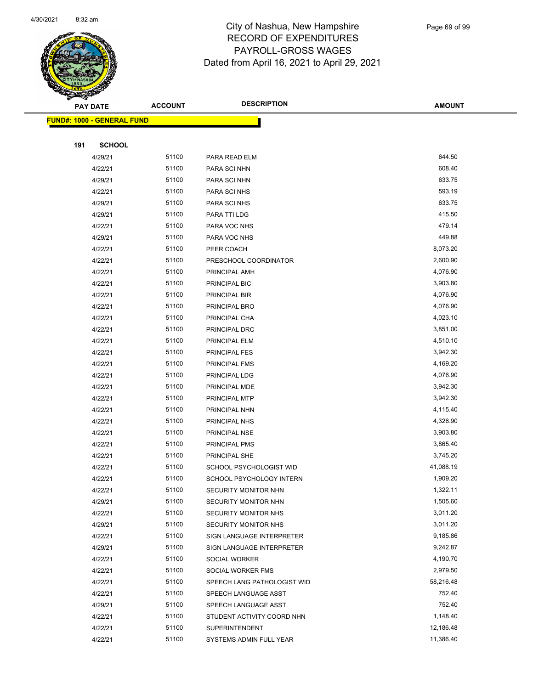

|     | <b>PAY DATE</b>                   | <b>ACCOUNT</b> | <b>DESCRIPTION</b>             | <b>AMOUNT</b>        |
|-----|-----------------------------------|----------------|--------------------------------|----------------------|
|     | <b>FUND#: 1000 - GENERAL FUND</b> |                |                                |                      |
|     |                                   |                |                                |                      |
| 191 | <b>SCHOOL</b>                     |                |                                |                      |
|     | 4/29/21                           | 51100          | PARA READ ELM                  | 644.50               |
|     | 4/22/21                           | 51100          | PARA SCI NHN                   | 608.40               |
|     | 4/29/21                           | 51100          | PARA SCI NHN                   | 633.75               |
|     | 4/22/21                           | 51100          | PARA SCI NHS                   | 593.19               |
|     | 4/29/21                           | 51100          | PARA SCI NHS                   | 633.75               |
|     | 4/29/21                           | 51100          | PARA TTI LDG                   | 415.50               |
|     | 4/22/21                           | 51100          | PARA VOC NHS                   | 479.14               |
|     | 4/29/21                           | 51100          | PARA VOC NHS                   | 449.88               |
|     | 4/22/21                           | 51100          | PEER COACH                     | 8,073.20             |
|     | 4/22/21                           | 51100          | PRESCHOOL COORDINATOR          | 2,600.90             |
|     | 4/22/21                           | 51100          | PRINCIPAL AMH                  | 4,076.90             |
|     | 4/22/21                           | 51100          | PRINCIPAL BIC                  | 3,903.80             |
|     | 4/22/21                           | 51100          | PRINCIPAL BIR                  | 4,076.90             |
|     | 4/22/21                           | 51100          | PRINCIPAL BRO                  | 4,076.90             |
|     | 4/22/21                           | 51100          | PRINCIPAL CHA                  | 4,023.10             |
|     | 4/22/21                           | 51100          | PRINCIPAL DRC                  | 3,851.00             |
|     | 4/22/21                           | 51100          | PRINCIPAL ELM                  | 4,510.10             |
|     | 4/22/21                           | 51100          | PRINCIPAL FES                  | 3,942.30             |
|     | 4/22/21                           | 51100          | PRINCIPAL FMS                  | 4,169.20             |
|     | 4/22/21                           | 51100          | PRINCIPAL LDG                  | 4,076.90             |
|     | 4/22/21                           | 51100          | PRINCIPAL MDE                  | 3,942.30             |
|     | 4/22/21                           | 51100          | PRINCIPAL MTP                  | 3,942.30             |
|     | 4/22/21<br>4/22/21                | 51100<br>51100 | PRINCIPAL NHN<br>PRINCIPAL NHS | 4,115.40<br>4,326.90 |
|     | 4/22/21                           | 51100          | PRINCIPAL NSE                  | 3,903.80             |
|     | 4/22/21                           | 51100          | PRINCIPAL PMS                  | 3,865.40             |
|     | 4/22/21                           | 51100          | PRINCIPAL SHE                  | 3,745.20             |
|     | 4/22/21                           | 51100          | SCHOOL PSYCHOLOGIST WID        | 41,088.19            |
|     | 4/22/21                           | 51100          | SCHOOL PSYCHOLOGY INTERN       | 1,909.20             |
|     | 4/22/21                           | 51100          | SECURITY MONITOR NHN           | 1,322.11             |
|     | 4/29/21                           | 51100          | SECURITY MONITOR NHN           | 1,505.60             |
|     | 4/22/21                           | 51100          | SECURITY MONITOR NHS           | 3,011.20             |
|     | 4/29/21                           | 51100          | SECURITY MONITOR NHS           | 3,011.20             |
|     | 4/22/21                           | 51100          | SIGN LANGUAGE INTERPRETER      | 9,185.86             |
|     | 4/29/21                           | 51100          | SIGN LANGUAGE INTERPRETER      | 9,242.87             |
|     | 4/22/21                           | 51100          | SOCIAL WORKER                  | 4,190.70             |
|     | 4/22/21                           | 51100          | SOCIAL WORKER FMS              | 2,979.50             |
|     | 4/22/21                           | 51100          | SPEECH LANG PATHOLOGIST WID    | 58,216.48            |
|     | 4/22/21                           | 51100          | SPEECH LANGUAGE ASST           | 752.40               |
|     | 4/29/21                           | 51100          | SPEECH LANGUAGE ASST           | 752.40               |
|     | 4/22/21                           | 51100          | STUDENT ACTIVITY COORD NHN     | 1,148.40             |
|     | 4/22/21                           | 51100          | <b>SUPERINTENDENT</b>          | 12,186.48            |
|     | 4/22/21                           | 51100          | SYSTEMS ADMIN FULL YEAR        | 11,386.40            |
|     |                                   |                |                                |                      |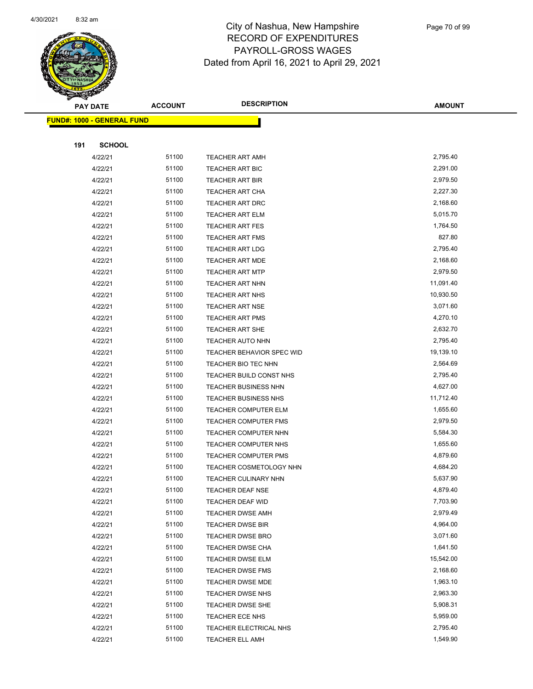

Page 70 of 99

|     | <b>PAY DATE</b>                   | <b>ACCOUNT</b> | <b>DESCRIPTION</b>                                     | <b>AMOUNT</b>        |
|-----|-----------------------------------|----------------|--------------------------------------------------------|----------------------|
|     | <b>FUND#: 1000 - GENERAL FUND</b> |                |                                                        |                      |
|     |                                   |                |                                                        |                      |
| 191 | <b>SCHOOL</b>                     |                |                                                        |                      |
|     | 4/22/21                           | 51100          | <b>TEACHER ART AMH</b>                                 | 2,795.40             |
|     | 4/22/21                           | 51100          | <b>TEACHER ART BIC</b>                                 | 2,291.00             |
|     | 4/22/21                           | 51100          | <b>TEACHER ART BIR</b>                                 | 2,979.50             |
|     | 4/22/21                           | 51100          | TEACHER ART CHA                                        | 2,227.30             |
|     | 4/22/21                           | 51100          | TEACHER ART DRC                                        | 2,168.60             |
|     | 4/22/21                           | 51100          | <b>TEACHER ART ELM</b>                                 | 5,015.70             |
|     | 4/22/21                           | 51100          | <b>TEACHER ART FES</b>                                 | 1,764.50             |
|     | 4/22/21                           | 51100          | <b>TEACHER ART FMS</b>                                 | 827.80               |
|     | 4/22/21                           | 51100          | <b>TEACHER ART LDG</b>                                 | 2,795.40             |
|     | 4/22/21                           | 51100          | <b>TEACHER ART MDE</b>                                 | 2,168.60             |
|     | 4/22/21                           | 51100          | <b>TEACHER ART MTP</b>                                 | 2,979.50             |
|     | 4/22/21                           | 51100          | <b>TEACHER ART NHN</b>                                 | 11,091.40            |
|     | 4/22/21                           | 51100          | <b>TEACHER ART NHS</b>                                 | 10,930.50            |
|     | 4/22/21                           | 51100          | <b>TEACHER ART NSE</b>                                 | 3,071.60             |
|     | 4/22/21                           | 51100          | <b>TEACHER ART PMS</b>                                 | 4,270.10             |
|     | 4/22/21                           | 51100          | TEACHER ART SHE                                        | 2,632.70             |
|     | 4/22/21                           | 51100          | <b>TEACHER AUTO NHN</b>                                | 2,795.40             |
|     | 4/22/21                           | 51100          | TEACHER BEHAVIOR SPEC WID                              | 19,139.10            |
|     | 4/22/21                           | 51100          | TEACHER BIO TEC NHN                                    | 2,564.69             |
|     | 4/22/21                           | 51100          | TEACHER BUILD CONST NHS                                | 2,795.40             |
|     | 4/22/21                           | 51100          | TEACHER BUSINESS NHN                                   | 4,627.00             |
|     | 4/22/21                           | 51100          | TEACHER BUSINESS NHS                                   | 11,712.40            |
|     | 4/22/21                           | 51100          | <b>TEACHER COMPUTER ELM</b>                            | 1,655.60             |
|     | 4/22/21                           | 51100          | <b>TEACHER COMPUTER FMS</b>                            | 2,979.50             |
|     | 4/22/21                           | 51100          | TEACHER COMPUTER NHN                                   | 5,584.30             |
|     | 4/22/21                           | 51100<br>51100 | <b>TEACHER COMPUTER NHS</b>                            | 1,655.60<br>4,879.60 |
|     | 4/22/21                           | 51100          | <b>TEACHER COMPUTER PMS</b><br>TEACHER COSMETOLOGY NHN |                      |
|     | 4/22/21<br>4/22/21                | 51100          | TEACHER CULINARY NHN                                   | 4,684.20<br>5,637.90 |
|     | 4/22/21                           | 51100          | TEACHER DEAF NSE                                       | 4,879.40             |
|     | 4/22/21                           | 51100          | <b>TEACHER DEAF WID</b>                                | 7,703.90             |
|     | 4/22/21                           | 51100          | <b>TEACHER DWSE AMH</b>                                | 2,979.49             |
|     | 4/22/21                           | 51100          | TEACHER DWSE BIR                                       | 4,964.00             |
|     | 4/22/21                           | 51100          | <b>TEACHER DWSE BRO</b>                                | 3,071.60             |
|     | 4/22/21                           | 51100          | TEACHER DWSE CHA                                       | 1,641.50             |
|     | 4/22/21                           | 51100          | TEACHER DWSE ELM                                       | 15,542.00            |
|     | 4/22/21                           | 51100          | <b>TEACHER DWSE FMS</b>                                | 2,168.60             |
|     | 4/22/21                           | 51100          | TEACHER DWSE MDE                                       | 1,963.10             |
|     | 4/22/21                           | 51100          | TEACHER DWSE NHS                                       | 2,963.30             |
|     | 4/22/21                           | 51100          | <b>TEACHER DWSE SHE</b>                                | 5,908.31             |
|     | 4/22/21                           | 51100          | TEACHER ECE NHS                                        | 5,959.00             |
|     | 4/22/21                           | 51100          | TEACHER ELECTRICAL NHS                                 | 2,795.40             |
|     | 4/22/21                           | 51100          | <b>TEACHER ELL AMH</b>                                 | 1,549.90             |
|     |                                   |                |                                                        |                      |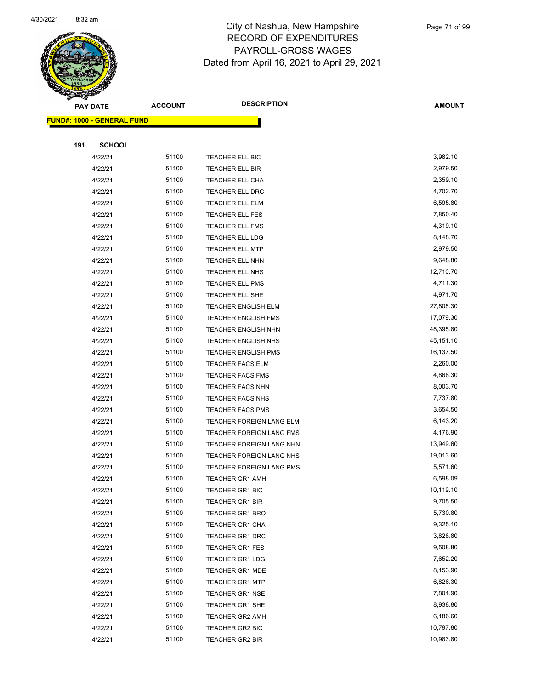

|     | <b>PAY DATE</b>                   | <b>ACCOUNT</b> | <b>DESCRIPTION</b>                                 | <b>AMOUNT</b>        |
|-----|-----------------------------------|----------------|----------------------------------------------------|----------------------|
|     | <b>FUND#: 1000 - GENERAL FUND</b> |                |                                                    |                      |
|     |                                   |                |                                                    |                      |
| 191 | <b>SCHOOL</b>                     |                |                                                    |                      |
|     | 4/22/21                           | 51100          | TEACHER ELL BIC                                    | 3,982.10             |
|     | 4/22/21                           | 51100          | TEACHER ELL BIR                                    | 2,979.50             |
|     | 4/22/21                           | 51100          | <b>TEACHER ELL CHA</b>                             | 2,359.10             |
|     | 4/22/21                           | 51100          | <b>TEACHER ELL DRC</b>                             | 4,702.70             |
|     | 4/22/21                           | 51100          | <b>TEACHER ELL ELM</b>                             | 6,595.80             |
|     | 4/22/21                           | 51100          | TEACHER ELL FES                                    | 7,850.40             |
|     | 4/22/21                           | 51100          | <b>TEACHER ELL FMS</b>                             | 4,319.10             |
|     | 4/22/21                           | 51100          | <b>TEACHER ELL LDG</b>                             | 8,148.70             |
|     | 4/22/21                           | 51100          | <b>TEACHER ELL MTP</b>                             | 2,979.50             |
|     | 4/22/21                           | 51100          | <b>TEACHER ELL NHN</b>                             | 9,648.80             |
|     | 4/22/21                           | 51100          | TEACHER ELL NHS                                    | 12,710.70            |
|     | 4/22/21                           | 51100          | <b>TEACHER ELL PMS</b>                             | 4,711.30             |
|     | 4/22/21                           | 51100          | TEACHER ELL SHE                                    | 4,971.70             |
|     | 4/22/21                           | 51100          | <b>TEACHER ENGLISH ELM</b>                         | 27,808.30            |
|     | 4/22/21                           | 51100          | <b>TEACHER ENGLISH FMS</b>                         | 17,079.30            |
|     | 4/22/21                           | 51100          | <b>TEACHER ENGLISH NHN</b>                         | 48,395.80            |
|     | 4/22/21                           | 51100          | <b>TEACHER ENGLISH NHS</b>                         | 45,151.10            |
|     | 4/22/21                           | 51100          | <b>TEACHER ENGLISH PMS</b>                         | 16,137.50            |
|     | 4/22/21                           | 51100          | <b>TEACHER FACS ELM</b>                            | 2,260.00             |
|     | 4/22/21                           | 51100          | <b>TEACHER FACS FMS</b>                            | 4,868.30             |
|     | 4/22/21                           | 51100          | <b>TEACHER FACS NHN</b>                            | 8,003.70             |
|     | 4/22/21                           | 51100          | <b>TEACHER FACS NHS</b>                            | 7,737.80             |
|     | 4/22/21                           | 51100          | <b>TEACHER FACS PMS</b>                            | 3,654.50             |
|     | 4/22/21                           | 51100          | TEACHER FOREIGN LANG ELM                           | 6,143.20             |
|     | 4/22/21                           | 51100          | TEACHER FOREIGN LANG FMS                           | 4,176.90             |
|     | 4/22/21                           | 51100<br>51100 | TEACHER FOREIGN LANG NHN                           | 13,949.60            |
|     | 4/22/21                           |                | TEACHER FOREIGN LANG NHS                           | 19,013.60            |
|     | 4/22/21<br>4/22/21                | 51100<br>51100 | TEACHER FOREIGN LANG PMS<br><b>TEACHER GR1 AMH</b> | 5,571.60<br>6,598.09 |
|     | 4/22/21                           | 51100          | <b>TEACHER GR1 BIC</b>                             | 10,119.10            |
|     | 4/22/21                           | 51100          | <b>TEACHER GR1 BIR</b>                             | 9,705.50             |
|     | 4/22/21                           | 51100          | <b>TEACHER GR1 BRO</b>                             | 5,730.80             |
|     | 4/22/21                           | 51100          | TEACHER GR1 CHA                                    | 9,325.10             |
|     | 4/22/21                           | 51100          | <b>TEACHER GR1 DRC</b>                             | 3,828.80             |
|     | 4/22/21                           | 51100          | <b>TEACHER GR1 FES</b>                             | 9,508.80             |
|     | 4/22/21                           | 51100          | TEACHER GR1 LDG                                    | 7,652.20             |
|     | 4/22/21                           | 51100          | <b>TEACHER GR1 MDE</b>                             | 8,153.90             |
|     | 4/22/21                           | 51100          | <b>TEACHER GR1 MTP</b>                             | 6,826.30             |
|     | 4/22/21                           | 51100          | <b>TEACHER GR1 NSE</b>                             | 7,801.90             |
|     | 4/22/21                           | 51100          | <b>TEACHER GR1 SHE</b>                             | 8,938.80             |
|     | 4/22/21                           | 51100          | <b>TEACHER GR2 AMH</b>                             | 6,186.60             |
|     | 4/22/21                           | 51100          | TEACHER GR2 BIC                                    | 10,797.80            |
|     | 4/22/21                           | 51100          | <b>TEACHER GR2 BIR</b>                             | 10,983.80            |
|     |                                   |                |                                                    |                      |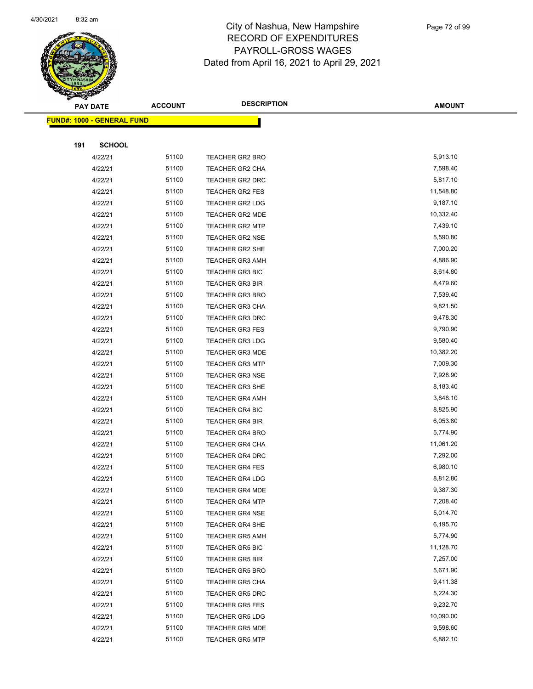

Page 72 of 99

| <b>PAY DATE</b>                   | <b>ACCOUNT</b> | <b>DESCRIPTION</b>                               | <b>AMOUNT</b>         |
|-----------------------------------|----------------|--------------------------------------------------|-----------------------|
| <b>FUND#: 1000 - GENERAL FUND</b> |                |                                                  |                       |
|                                   |                |                                                  |                       |
| 191<br><b>SCHOOL</b>              |                |                                                  |                       |
| 4/22/21                           | 51100          | <b>TEACHER GR2 BRO</b>                           | 5,913.10              |
| 4/22/21                           | 51100          | TEACHER GR2 CHA                                  | 7,598.40              |
| 4/22/21                           | 51100          | <b>TEACHER GR2 DRC</b>                           | 5,817.10              |
| 4/22/21                           | 51100          | TEACHER GR2 FES                                  | 11,548.80             |
| 4/22/21                           | 51100          | <b>TEACHER GR2 LDG</b>                           | 9,187.10              |
| 4/22/21                           | 51100          | TEACHER GR2 MDE                                  | 10,332.40             |
| 4/22/21                           | 51100          | <b>TEACHER GR2 MTP</b>                           | 7,439.10              |
| 4/22/21                           | 51100          | <b>TEACHER GR2 NSE</b>                           | 5,590.80              |
| 4/22/21                           | 51100          | <b>TEACHER GR2 SHE</b>                           | 7,000.20              |
| 4/22/21                           | 51100          | <b>TEACHER GR3 AMH</b>                           | 4,886.90              |
| 4/22/21                           | 51100          | <b>TEACHER GR3 BIC</b>                           | 8,614.80              |
| 4/22/21                           | 51100          | <b>TEACHER GR3 BIR</b>                           | 8,479.60              |
| 4/22/21                           | 51100          | <b>TEACHER GR3 BRO</b>                           | 7,539.40              |
| 4/22/21                           | 51100          | <b>TEACHER GR3 CHA</b>                           | 9,821.50              |
| 4/22/21                           | 51100          | <b>TEACHER GR3 DRC</b>                           | 9,478.30              |
| 4/22/21                           | 51100          | <b>TEACHER GR3 FES</b>                           | 9,790.90              |
| 4/22/21                           | 51100          | <b>TEACHER GR3 LDG</b>                           | 9,580.40              |
| 4/22/21<br>4/22/21                | 51100<br>51100 | <b>TEACHER GR3 MDE</b><br><b>TEACHER GR3 MTP</b> | 10,382.20<br>7,009.30 |
| 4/22/21                           | 51100          | <b>TEACHER GR3 NSE</b>                           | 7,928.90              |
| 4/22/21                           | 51100          | TEACHER GR3 SHE                                  | 8,183.40              |
| 4/22/21                           | 51100          | <b>TEACHER GR4 AMH</b>                           | 3,848.10              |
| 4/22/21                           | 51100          | <b>TEACHER GR4 BIC</b>                           | 8,825.90              |
| 4/22/21                           | 51100          | <b>TEACHER GR4 BIR</b>                           | 6,053.80              |
| 4/22/21                           | 51100          | <b>TEACHER GR4 BRO</b>                           | 5,774.90              |
| 4/22/21                           | 51100          | <b>TEACHER GR4 CHA</b>                           | 11,061.20             |
| 4/22/21                           | 51100          | <b>TEACHER GR4 DRC</b>                           | 7,292.00              |
| 4/22/21                           | 51100          | <b>TEACHER GR4 FES</b>                           | 6,980.10              |
| 4/22/21                           | 51100          | <b>TEACHER GR4 LDG</b>                           | 8,812.80              |
| 4/22/21                           | 51100          | TEACHER GR4 MDE                                  | 9,387.30              |
| 4/22/21                           | 51100          | <b>TEACHER GR4 MTP</b>                           | 7,208.40              |
| 4/22/21                           | 51100          | TEACHER GR4 NSE                                  | 5,014.70              |
| 4/22/21                           | 51100          | <b>TEACHER GR4 SHE</b>                           | 6,195.70              |
| 4/22/21                           | 51100          | TEACHER GR5 AMH                                  | 5,774.90              |
| 4/22/21                           | 51100          | <b>TEACHER GR5 BIC</b>                           | 11,128.70             |
| 4/22/21                           | 51100          | <b>TEACHER GR5 BIR</b>                           | 7,257.00              |
| 4/22/21                           | 51100          | <b>TEACHER GR5 BRO</b>                           | 5,671.90              |
| 4/22/21                           | 51100          | <b>TEACHER GR5 CHA</b>                           | 9,411.38              |
| 4/22/21                           | 51100          | TEACHER GR5 DRC                                  | 5,224.30              |
| 4/22/21                           | 51100          | <b>TEACHER GR5 FES</b>                           | 9,232.70              |
| 4/22/21                           | 51100          | <b>TEACHER GR5 LDG</b>                           | 10,090.00             |
| 4/22/21                           | 51100          | <b>TEACHER GR5 MDE</b>                           | 9,598.60              |
| 4/22/21                           | 51100          | <b>TEACHER GR5 MTP</b>                           | 6,882.10              |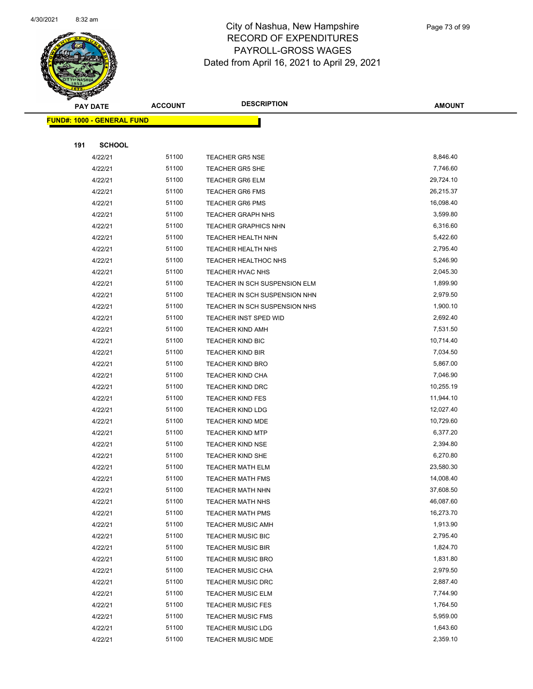

|     | <b>PAY DATE</b>                   | <b>ACCOUNT</b> | <b>DESCRIPTION</b>                          | <b>AMOUNT</b>          |
|-----|-----------------------------------|----------------|---------------------------------------------|------------------------|
|     | <b>FUND#: 1000 - GENERAL FUND</b> |                |                                             |                        |
|     |                                   |                |                                             |                        |
| 191 | <b>SCHOOL</b>                     |                |                                             |                        |
|     | 4/22/21                           | 51100          | <b>TEACHER GR5 NSE</b>                      | 8,846.40               |
|     | 4/22/21                           | 51100          | <b>TEACHER GR5 SHE</b>                      | 7,746.60               |
|     | 4/22/21                           | 51100          | <b>TEACHER GR6 ELM</b>                      | 29,724.10              |
|     | 4/22/21                           | 51100          | <b>TEACHER GR6 FMS</b>                      | 26,215.37              |
|     | 4/22/21                           | 51100          | <b>TEACHER GR6 PMS</b>                      | 16,098.40              |
|     | 4/22/21                           | 51100          | <b>TEACHER GRAPH NHS</b>                    | 3,599.80               |
|     | 4/22/21                           | 51100          | <b>TEACHER GRAPHICS NHN</b>                 | 6,316.60               |
|     | 4/22/21                           | 51100          | <b>TEACHER HEALTH NHN</b>                   | 5,422.60               |
|     | 4/22/21                           | 51100          | <b>TEACHER HEALTH NHS</b>                   | 2,795.40               |
|     | 4/22/21                           | 51100          | <b>TEACHER HEALTHOC NHS</b>                 | 5,246.90               |
|     | 4/22/21                           | 51100          | TEACHER HVAC NHS                            | 2,045.30               |
|     | 4/22/21                           | 51100          | TEACHER IN SCH SUSPENSION ELM               | 1,899.90               |
|     | 4/22/21                           | 51100          | TEACHER IN SCH SUSPENSION NHN               | 2,979.50               |
|     | 4/22/21                           | 51100          | TEACHER IN SCH SUSPENSION NHS               | 1,900.10               |
|     | 4/22/21                           | 51100          | TEACHER INST SPED WID                       | 2,692.40               |
|     | 4/22/21                           | 51100          | <b>TEACHER KIND AMH</b>                     | 7,531.50               |
|     | 4/22/21                           | 51100          | <b>TEACHER KIND BIC</b>                     | 10,714.40              |
|     | 4/22/21                           | 51100          | <b>TEACHER KIND BIR</b>                     | 7,034.50               |
|     | 4/22/21                           | 51100          | <b>TEACHER KIND BRO</b>                     | 5,867.00               |
|     | 4/22/21                           | 51100          | <b>TEACHER KIND CHA</b>                     | 7,046.90               |
|     | 4/22/21                           | 51100          | TEACHER KIND DRC                            | 10,255.19              |
|     | 4/22/21                           | 51100          | <b>TEACHER KIND FES</b>                     | 11,944.10              |
|     | 4/22/21                           | 51100          | <b>TEACHER KIND LDG</b>                     | 12,027.40              |
|     | 4/22/21                           | 51100          | <b>TEACHER KIND MDE</b>                     | 10,729.60              |
|     | 4/22/21                           | 51100          | <b>TEACHER KIND MTP</b>                     | 6,377.20               |
|     | 4/22/21                           | 51100          | <b>TEACHER KIND NSE</b>                     | 2,394.80               |
|     | 4/22/21                           | 51100          | <b>TEACHER KIND SHE</b>                     | 6,270.80               |
|     | 4/22/21                           | 51100          | <b>TEACHER MATH ELM</b>                     | 23,580.30<br>14,008.40 |
|     | 4/22/21                           | 51100<br>51100 | <b>TEACHER MATH FMS</b>                     | 37,608.50              |
|     | 4/22/21                           | 51100          | <b>TEACHER MATH NHN</b>                     | 46,087.60              |
|     | 4/22/21<br>4/22/21                | 51100          | TEACHER MATH NHS<br><b>TEACHER MATH PMS</b> | 16,273.70              |
|     | 4/22/21                           | 51100          | <b>TEACHER MUSIC AMH</b>                    | 1,913.90               |
|     | 4/22/21                           | 51100          | <b>TEACHER MUSIC BIC</b>                    | 2,795.40               |
|     | 4/22/21                           | 51100          | <b>TEACHER MUSIC BIR</b>                    | 1,824.70               |
|     | 4/22/21                           | 51100          | <b>TEACHER MUSIC BRO</b>                    | 1,831.80               |
|     | 4/22/21                           | 51100          | <b>TEACHER MUSIC CHA</b>                    | 2,979.50               |
|     | 4/22/21                           | 51100          | <b>TEACHER MUSIC DRC</b>                    | 2,887.40               |
|     | 4/22/21                           | 51100          | <b>TEACHER MUSIC ELM</b>                    | 7,744.90               |
|     | 4/22/21                           | 51100          | <b>TEACHER MUSIC FES</b>                    | 1,764.50               |
|     | 4/22/21                           | 51100          | <b>TEACHER MUSIC FMS</b>                    | 5,959.00               |
|     | 4/22/21                           | 51100          | <b>TEACHER MUSIC LDG</b>                    | 1,643.60               |
|     | 4/22/21                           | 51100          | <b>TEACHER MUSIC MDE</b>                    | 2,359.10               |
|     |                                   |                |                                             |                        |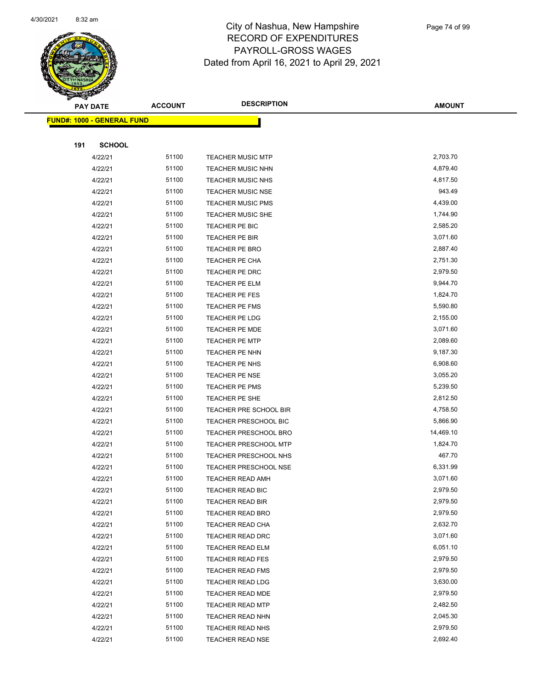

|     | <b>PAY DATE</b>                   | <b>ACCOUNT</b> | <b>DESCRIPTION</b>                                 | <b>AMOUNT</b>        |
|-----|-----------------------------------|----------------|----------------------------------------------------|----------------------|
|     | <b>FUND#: 1000 - GENERAL FUND</b> |                |                                                    |                      |
|     |                                   |                |                                                    |                      |
| 191 | <b>SCHOOL</b>                     |                |                                                    |                      |
|     | 4/22/21                           | 51100          | <b>TEACHER MUSIC MTP</b>                           | 2,703.70             |
|     | 4/22/21                           | 51100          | <b>TEACHER MUSIC NHN</b>                           | 4,879.40             |
|     | 4/22/21                           | 51100          | <b>TEACHER MUSIC NHS</b>                           | 4,817.50             |
|     | 4/22/21                           | 51100          | <b>TEACHER MUSIC NSE</b>                           | 943.49               |
|     | 4/22/21                           | 51100          | <b>TEACHER MUSIC PMS</b>                           | 4,439.00             |
|     | 4/22/21                           | 51100          | TEACHER MUSIC SHE                                  | 1,744.90             |
|     | 4/22/21                           | 51100          | TEACHER PE BIC                                     | 2,585.20             |
|     | 4/22/21                           | 51100          | TEACHER PE BIR                                     | 3,071.60             |
|     | 4/22/21                           | 51100          | <b>TEACHER PE BRO</b>                              | 2,887.40             |
|     | 4/22/21                           | 51100          | TEACHER PE CHA                                     | 2,751.30             |
|     | 4/22/21                           | 51100          | TEACHER PE DRC                                     | 2,979.50             |
|     | 4/22/21                           | 51100          | TEACHER PE ELM                                     | 9,944.70             |
|     | 4/22/21                           | 51100          | TEACHER PE FES                                     | 1,824.70             |
|     | 4/22/21                           | 51100          | <b>TEACHER PE FMS</b>                              | 5,590.80             |
|     | 4/22/21                           | 51100          | <b>TEACHER PE LDG</b>                              | 2,155.00             |
|     | 4/22/21                           | 51100          | TEACHER PE MDE                                     | 3,071.60             |
|     | 4/22/21                           | 51100          | <b>TEACHER PE MTP</b>                              | 2,089.60             |
|     | 4/22/21                           | 51100          | TEACHER PE NHN                                     | 9,187.30             |
|     | 4/22/21                           | 51100          | TEACHER PE NHS                                     | 6,908.60             |
|     | 4/22/21                           | 51100          | <b>TEACHER PE NSE</b>                              | 3,055.20             |
|     | 4/22/21                           | 51100          | <b>TEACHER PE PMS</b>                              | 5,239.50             |
|     | 4/22/21                           | 51100          | TEACHER PE SHE                                     | 2,812.50             |
|     | 4/22/21                           | 51100          | TEACHER PRE SCHOOL BIR                             | 4,758.50             |
|     | 4/22/21                           | 51100          | <b>TEACHER PRESCHOOL BIC</b>                       | 5,866.90             |
|     | 4/22/21                           | 51100          | <b>TEACHER PRESCHOOL BRO</b>                       | 14,469.10            |
|     | 4/22/21                           | 51100          | <b>TEACHER PRESCHOOL MTP</b>                       | 1,824.70             |
|     | 4/22/21                           | 51100          | TEACHER PRESCHOOL NHS                              | 467.70               |
|     | 4/22/21                           | 51100          | <b>TEACHER PRESCHOOL NSE</b>                       | 6,331.99             |
|     | 4/22/21                           | 51100          | TEACHER READ AMH                                   | 3,071.60             |
|     | 4/22/21                           | 51100          | TEACHER READ BIC                                   | 2,979.50             |
|     | 4/22/21                           | 51100          | TEACHER READ BIR                                   | 2,979.50             |
|     | 4/22/21                           | 51100          | <b>TEACHER READ BRO</b>                            | 2,979.50             |
|     | 4/22/21                           | 51100          | TEACHER READ CHA                                   | 2,632.70             |
|     | 4/22/21                           | 51100<br>51100 | TEACHER READ DRC                                   | 3,071.60<br>6,051.10 |
|     | 4/22/21                           | 51100          | <b>TEACHER READ ELM</b>                            | 2,979.50             |
|     | 4/22/21<br>4/22/21                | 51100          | <b>TEACHER READ FES</b>                            | 2,979.50             |
|     | 4/22/21                           | 51100          | <b>TEACHER READ FMS</b><br><b>TEACHER READ LDG</b> | 3,630.00             |
|     | 4/22/21                           | 51100          | <b>TEACHER READ MDE</b>                            | 2,979.50             |
|     |                                   | 51100          |                                                    | 2,482.50             |
|     | 4/22/21<br>4/22/21                | 51100          | <b>TEACHER READ MTP</b>                            | 2,045.30             |
|     | 4/22/21                           | 51100          | TEACHER READ NHN<br><b>TEACHER READ NHS</b>        | 2,979.50             |
|     |                                   | 51100          | <b>TEACHER READ NSE</b>                            | 2,692.40             |
|     | 4/22/21                           |                |                                                    |                      |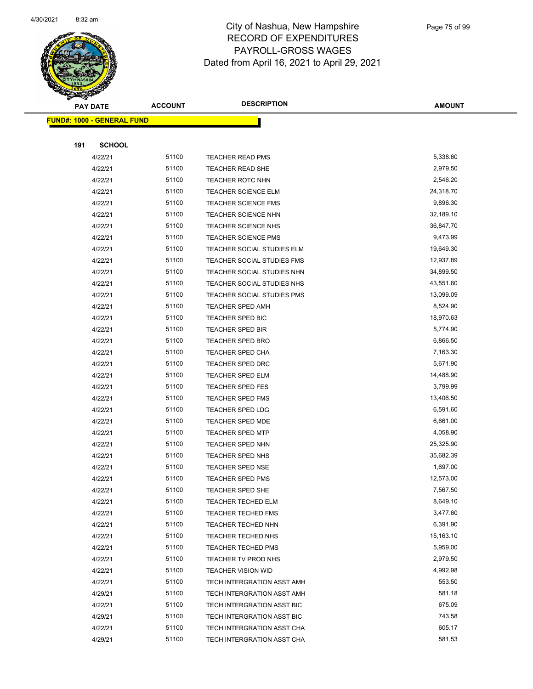

|     | <b>PAY DATE</b>                   | <b>ACCOUNT</b> | <b>DESCRIPTION</b>                                 | <b>AMOUNT</b>         |
|-----|-----------------------------------|----------------|----------------------------------------------------|-----------------------|
|     | <b>FUND#: 1000 - GENERAL FUND</b> |                |                                                    |                       |
|     |                                   |                |                                                    |                       |
| 191 | <b>SCHOOL</b>                     |                |                                                    |                       |
|     | 4/22/21                           | 51100          | <b>TEACHER READ PMS</b>                            | 5,338.60              |
|     | 4/22/21                           | 51100          | TEACHER READ SHE                                   | 2,979.50              |
|     | 4/22/21                           | 51100          | <b>TEACHER ROTC NHN</b>                            | 2,546.20              |
|     | 4/22/21                           | 51100          | <b>TEACHER SCIENCE ELM</b>                         | 24,318.70             |
|     | 4/22/21                           | 51100          | <b>TEACHER SCIENCE FMS</b>                         | 9,896.30              |
|     | 4/22/21                           | 51100          | TEACHER SCIENCE NHN                                | 32,189.10             |
|     | 4/22/21                           | 51100          | TEACHER SCIENCE NHS                                | 36,847.70             |
|     | 4/22/21                           | 51100          | <b>TEACHER SCIENCE PMS</b>                         | 9,473.99              |
|     | 4/22/21                           | 51100          | TEACHER SOCIAL STUDIES ELM                         | 19,649.30             |
|     | 4/22/21                           | 51100          | TEACHER SOCIAL STUDIES FMS                         | 12,937.89             |
|     | 4/22/21                           | 51100          | TEACHER SOCIAL STUDIES NHN                         | 34,899.50             |
|     | 4/22/21                           | 51100          | TEACHER SOCIAL STUDIES NHS                         | 43,551.60             |
|     | 4/22/21                           | 51100          | TEACHER SOCIAL STUDIES PMS                         | 13,099.09             |
|     | 4/22/21                           | 51100          | <b>TEACHER SPED AMH</b>                            | 8,524.90              |
|     | 4/22/21                           | 51100          | TEACHER SPED BIC                                   | 18,970.63             |
|     | 4/22/21                           | 51100          | TEACHER SPED BIR                                   | 5,774.90              |
|     | 4/22/21                           | 51100          | <b>TEACHER SPED BRO</b>                            | 6,866.50              |
|     | 4/22/21                           | 51100          | <b>TEACHER SPED CHA</b>                            | 7,163.30              |
|     | 4/22/21                           | 51100          | <b>TEACHER SPED DRC</b>                            | 5,671.90              |
|     | 4/22/21                           | 51100          | <b>TEACHER SPED ELM</b>                            | 14,488.90             |
|     | 4/22/21                           | 51100          | TEACHER SPED FES                                   | 3,799.99              |
|     | 4/22/21                           | 51100          | <b>TEACHER SPED FMS</b>                            | 13,406.50             |
|     | 4/22/21                           | 51100          | <b>TEACHER SPED LDG</b>                            | 6,591.60              |
|     | 4/22/21                           | 51100          | <b>TEACHER SPED MDE</b>                            | 6,661.00              |
|     | 4/22/21                           | 51100          | <b>TEACHER SPED MTP</b>                            | 4,058.90              |
|     | 4/22/21                           | 51100          | TEACHER SPED NHN                                   | 25,325.90             |
|     | 4/22/21                           | 51100          | TEACHER SPED NHS                                   | 35,682.39             |
|     | 4/22/21<br>4/22/21                | 51100<br>51100 | <b>TEACHER SPED NSE</b><br><b>TEACHER SPED PMS</b> | 1,697.00<br>12,573.00 |
|     | 4/22/21                           | 51100          | <b>TEACHER SPED SHE</b>                            | 7,567.50              |
|     | 4/22/21                           | 51100          | TEACHER TECHED ELM                                 | 8,649.10              |
|     | 4/22/21                           | 51100          | <b>TEACHER TECHED FMS</b>                          | 3,477.60              |
|     | 4/22/21                           | 51100          | TEACHER TECHED NHN                                 | 6,391.90              |
|     | 4/22/21                           | 51100          | TEACHER TECHED NHS                                 | 15,163.10             |
|     | 4/22/21                           | 51100          | <b>TEACHER TECHED PMS</b>                          | 5,959.00              |
|     | 4/22/21                           | 51100          | TEACHER TV PROD NHS                                | 2,979.50              |
|     | 4/22/21                           | 51100          | <b>TEACHER VISION WID</b>                          | 4,992.98              |
|     | 4/22/21                           | 51100          | TECH INTERGRATION ASST AMH                         | 553.50                |
|     | 4/29/21                           | 51100          | TECH INTERGRATION ASST AMH                         | 581.18                |
|     | 4/22/21                           | 51100          | TECH INTERGRATION ASST BIC                         | 675.09                |
|     | 4/29/21                           | 51100          | TECH INTERGRATION ASST BIC                         | 743.58                |
|     | 4/22/21                           | 51100          | TECH INTERGRATION ASST CHA                         | 605.17                |
|     | 4/29/21                           | 51100          | TECH INTERGRATION ASST CHA                         | 581.53                |
|     |                                   |                |                                                    |                       |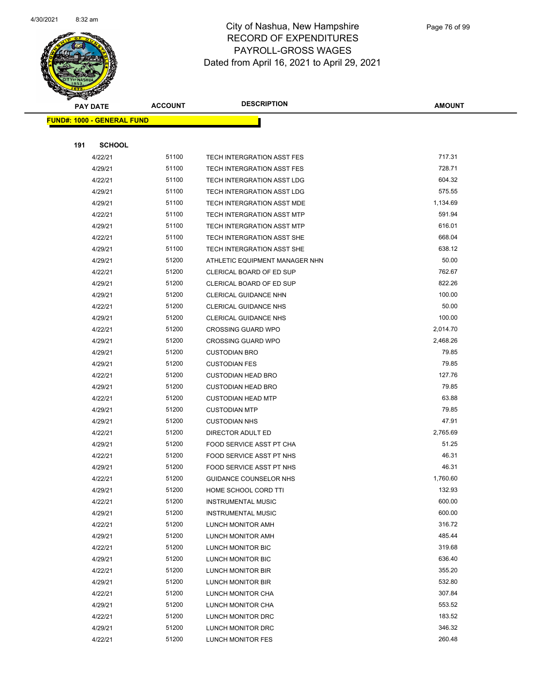

|     | <b>PAY DATE</b>                   | <b>ACCOUNT</b> | <b>DESCRIPTION</b>                             | <b>AMOUNT</b>    |
|-----|-----------------------------------|----------------|------------------------------------------------|------------------|
|     | <b>FUND#: 1000 - GENERAL FUND</b> |                |                                                |                  |
|     |                                   |                |                                                |                  |
| 191 | <b>SCHOOL</b>                     |                |                                                |                  |
|     | 4/22/21                           | 51100          | TECH INTERGRATION ASST FES                     | 717.31           |
|     | 4/29/21                           | 51100          | TECH INTERGRATION ASST FES                     | 728.71           |
|     | 4/22/21                           | 51100          | TECH INTERGRATION ASST LDG                     | 604.32           |
|     | 4/29/21                           | 51100          | TECH INTERGRATION ASST LDG                     | 575.55           |
|     | 4/29/21                           | 51100          | TECH INTERGRATION ASST MDE                     | 1,134.69         |
|     | 4/22/21                           | 51100          | <b>TECH INTERGRATION ASST MTP</b>              | 591.94           |
|     | 4/29/21                           | 51100          | <b>TECH INTERGRATION ASST MTP</b>              | 616.01           |
|     | 4/22/21                           | 51100          | TECH INTERGRATION ASST SHE                     | 668.04           |
|     | 4/29/21                           | 51100          | TECH INTERGRATION ASST SHE                     | 638.12           |
|     | 4/29/21                           | 51200          | ATHLETIC EQUIPMENT MANAGER NHN                 | 50.00            |
|     | 4/22/21                           | 51200          | CLERICAL BOARD OF ED SUP                       | 762.67           |
|     | 4/29/21                           | 51200          | <b>CLERICAL BOARD OF ED SUP</b>                | 822.26           |
|     | 4/29/21                           | 51200          | CLERICAL GUIDANCE NHN                          | 100.00           |
|     | 4/22/21                           | 51200          | <b>CLERICAL GUIDANCE NHS</b>                   | 50.00            |
|     | 4/29/21                           | 51200          | <b>CLERICAL GUIDANCE NHS</b>                   | 100.00           |
|     | 4/22/21                           | 51200          | <b>CROSSING GUARD WPO</b>                      | 2,014.70         |
|     | 4/29/21                           | 51200          | <b>CROSSING GUARD WPO</b>                      | 2,468.26         |
|     | 4/29/21                           | 51200          | <b>CUSTODIAN BRO</b>                           | 79.85            |
|     | 4/29/21                           | 51200          | <b>CUSTODIAN FES</b>                           | 79.85            |
|     | 4/22/21                           | 51200          | <b>CUSTODIAN HEAD BRO</b>                      | 127.76           |
|     | 4/29/21                           | 51200          | <b>CUSTODIAN HEAD BRO</b>                      | 79.85            |
|     | 4/22/21                           | 51200          | <b>CUSTODIAN HEAD MTP</b>                      | 63.88            |
|     | 4/29/21                           | 51200          | <b>CUSTODIAN MTP</b>                           | 79.85            |
|     | 4/29/21                           | 51200          | <b>CUSTODIAN NHS</b>                           | 47.91            |
|     | 4/22/21                           | 51200          | DIRECTOR ADULT ED                              | 2,765.69         |
|     | 4/29/21                           | 51200          | <b>FOOD SERVICE ASST PT CHA</b>                | 51.25            |
|     | 4/22/21                           | 51200          | FOOD SERVICE ASST PT NHS                       | 46.31            |
|     | 4/29/21                           | 51200          | <b>FOOD SERVICE ASST PT NHS</b>                | 46.31            |
|     | 4/22/21                           | 51200          | GUIDANCE COUNSELOR NHS                         | 1,760.60         |
|     | 4/29/21                           | 51200          | HOME SCHOOL CORD TTI                           | 132.93           |
|     | 4/22/21                           | 51200          | <b>INSTRUMENTAL MUSIC</b>                      | 600.00<br>600.00 |
|     | 4/29/21                           | 51200          | <b>INSTRUMENTAL MUSIC</b><br>LUNCH MONITOR AMH | 316.72           |
|     | 4/22/21<br>4/29/21                | 51200<br>51200 | LUNCH MONITOR AMH                              | 485.44           |
|     | 4/22/21                           | 51200          | LUNCH MONITOR BIC                              | 319.68           |
|     | 4/29/21                           | 51200          | LUNCH MONITOR BIC                              | 636.40           |
|     | 4/22/21                           | 51200          | LUNCH MONITOR BIR                              | 355.20           |
|     | 4/29/21                           | 51200          | LUNCH MONITOR BIR                              | 532.80           |
|     | 4/22/21                           | 51200          | LUNCH MONITOR CHA                              | 307.84           |
|     | 4/29/21                           | 51200          | LUNCH MONITOR CHA                              | 553.52           |
|     | 4/22/21                           | 51200          | LUNCH MONITOR DRC                              | 183.52           |
|     | 4/29/21                           | 51200          | LUNCH MONITOR DRC                              | 346.32           |
|     | 4/22/21                           | 51200          | LUNCH MONITOR FES                              | 260.48           |
|     |                                   |                |                                                |                  |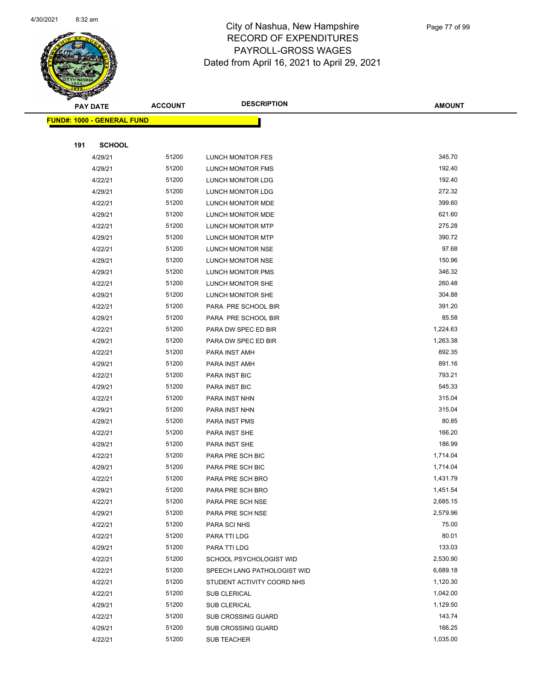

|     | <b>PAY DATE</b>                   | <b>ACCOUNT</b> | <b>DESCRIPTION</b>          | <b>AMOUNT</b> |
|-----|-----------------------------------|----------------|-----------------------------|---------------|
|     | <b>FUND#: 1000 - GENERAL FUND</b> |                |                             |               |
|     |                                   |                |                             |               |
| 191 | <b>SCHOOL</b>                     |                |                             |               |
|     | 4/29/21                           | 51200          | <b>LUNCH MONITOR FES</b>    | 345.70        |
|     | 4/29/21                           | 51200          | LUNCH MONITOR FMS           | 192.40        |
|     | 4/22/21                           | 51200          | LUNCH MONITOR LDG           | 192.40        |
|     | 4/29/21                           | 51200          | <b>LUNCH MONITOR LDG</b>    | 272.32        |
|     | 4/22/21                           | 51200          | LUNCH MONITOR MDE           | 399.60        |
|     | 4/29/21                           | 51200          | LUNCH MONITOR MDE           | 621.60        |
|     | 4/22/21                           | 51200          | <b>LUNCH MONITOR MTP</b>    | 275.28        |
|     | 4/29/21                           | 51200          | LUNCH MONITOR MTP           | 390.72        |
|     | 4/22/21                           | 51200          | LUNCH MONITOR NSE           | 97.68         |
|     | 4/29/21                           | 51200          | LUNCH MONITOR NSE           | 150.96        |
|     | 4/29/21                           | 51200          | LUNCH MONITOR PMS           | 346.32        |
|     | 4/22/21                           | 51200          | LUNCH MONITOR SHE           | 260.48        |
|     | 4/29/21                           | 51200          | LUNCH MONITOR SHE           | 304.88        |
|     | 4/22/21                           | 51200          | PARA PRE SCHOOL BIR         | 391.20        |
|     | 4/29/21                           | 51200          | PARA PRE SCHOOL BIR         | 85.58         |
|     | 4/22/21                           | 51200          | PARA DW SPEC ED BIR         | 1,224.63      |
|     | 4/29/21                           | 51200          | PARA DW SPEC ED BIR         | 1,263.38      |
|     | 4/22/21                           | 51200          | PARA INST AMH               | 892.35        |
|     | 4/29/21                           | 51200          | PARA INST AMH               | 891.16        |
|     | 4/22/21                           | 51200          | PARA INST BIC               | 793.21        |
|     | 4/29/21                           | 51200          | PARA INST BIC               | 545.33        |
|     | 4/22/21                           | 51200          | PARA INST NHN               | 315.04        |
|     | 4/29/21                           | 51200          | PARA INST NHN               | 315.04        |
|     | 4/29/21                           | 51200          | PARA INST PMS               | 80.85         |
|     | 4/22/21                           | 51200          | PARA INST SHE               | 166.20        |
|     | 4/29/21                           | 51200          | PARA INST SHE               | 186.99        |
|     | 4/22/21                           | 51200          | PARA PRE SCH BIC            | 1,714.04      |
|     | 4/29/21                           | 51200          | PARA PRE SCH BIC            | 1,714.04      |
|     | 4/22/21                           | 51200          | PARA PRE SCH BRO            | 1,431.79      |
|     | 4/29/21                           | 51200          | PARA PRE SCH BRO            | 1,451.54      |
|     | 4/22/21                           | 51200          | PARA PRE SCH NSE            | 2,685.15      |
|     | 4/29/21                           | 51200          | PARA PRE SCH NSE            | 2,579.96      |
|     | 4/22/21                           | 51200          | PARA SCI NHS                | 75.00         |
|     | 4/22/21                           | 51200          | PARA TTI LDG                | 80.01         |
|     | 4/29/21                           | 51200          | PARA TTI LDG                | 133.03        |
|     | 4/22/21                           | 51200          | SCHOOL PSYCHOLOGIST WID     | 2,530.90      |
|     | 4/22/21                           | 51200          | SPEECH LANG PATHOLOGIST WID | 6,689.18      |
|     | 4/22/21                           | 51200          | STUDENT ACTIVITY COORD NHS  | 1,120.30      |
|     | 4/22/21                           | 51200          | SUB CLERICAL                | 1,042.00      |
|     | 4/29/21                           | 51200          | SUB CLERICAL                | 1,129.50      |
|     | 4/22/21                           | 51200          | <b>SUB CROSSING GUARD</b>   | 143.74        |
|     | 4/29/21                           | 51200          | <b>SUB CROSSING GUARD</b>   | 166.25        |
|     | 4/22/21                           | 51200          | SUB TEACHER                 | 1,035.00      |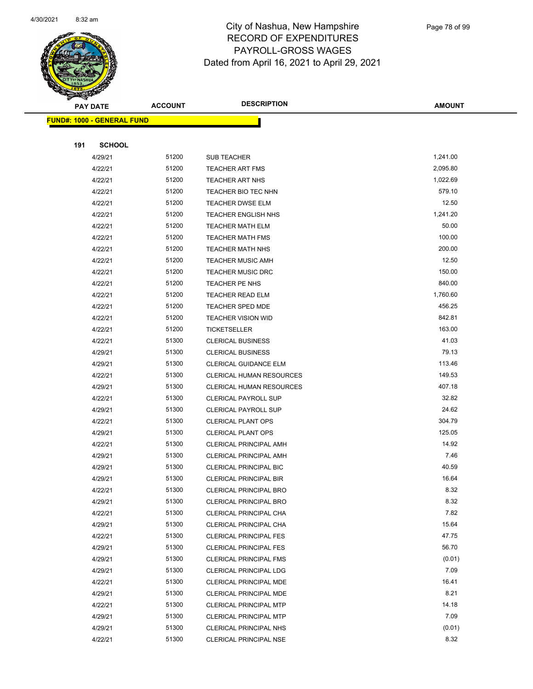

|     | <b>PAY DATE</b>                   | <b>ACCOUNT</b> | <b>DESCRIPTION</b>                                             | <b>AMOUNT</b>  |
|-----|-----------------------------------|----------------|----------------------------------------------------------------|----------------|
|     | <b>FUND#: 1000 - GENERAL FUND</b> |                |                                                                |                |
|     |                                   |                |                                                                |                |
| 191 | <b>SCHOOL</b>                     |                |                                                                |                |
|     | 4/29/21                           | 51200          | SUB TEACHER                                                    | 1,241.00       |
|     | 4/22/21                           | 51200          | <b>TEACHER ART FMS</b>                                         | 2,095.80       |
|     | 4/22/21                           | 51200          | <b>TEACHER ART NHS</b>                                         | 1,022.69       |
|     | 4/22/21                           | 51200          | TEACHER BIO TEC NHN                                            | 579.10         |
|     | 4/22/21                           | 51200          | <b>TEACHER DWSE ELM</b>                                        | 12.50          |
|     | 4/22/21                           | 51200          | <b>TEACHER ENGLISH NHS</b>                                     | 1,241.20       |
|     | 4/22/21                           | 51200          | <b>TEACHER MATH ELM</b>                                        | 50.00          |
|     | 4/22/21                           | 51200          | <b>TEACHER MATH FMS</b>                                        | 100.00         |
|     | 4/22/21                           | 51200          | <b>TEACHER MATH NHS</b>                                        | 200.00         |
|     | 4/22/21                           | 51200          | <b>TEACHER MUSIC AMH</b>                                       | 12.50          |
|     | 4/22/21                           | 51200          | <b>TEACHER MUSIC DRC</b>                                       | 150.00         |
|     | 4/22/21                           | 51200          | <b>TEACHER PE NHS</b>                                          | 840.00         |
|     | 4/22/21                           | 51200          | <b>TEACHER READ ELM</b>                                        | 1,760.60       |
|     | 4/22/21                           | 51200          | TEACHER SPED MDE                                               | 456.25         |
|     | 4/22/21                           | 51200          | <b>TEACHER VISION WID</b>                                      | 842.81         |
|     | 4/22/21                           | 51200          | <b>TICKETSELLER</b>                                            | 163.00         |
|     | 4/22/21                           | 51300          | <b>CLERICAL BUSINESS</b>                                       | 41.03          |
|     | 4/29/21                           | 51300          | <b>CLERICAL BUSINESS</b>                                       | 79.13          |
|     | 4/29/21                           | 51300          | <b>CLERICAL GUIDANCE ELM</b>                                   | 113.46         |
|     | 4/22/21                           | 51300          | CLERICAL HUMAN RESOURCES                                       | 149.53         |
|     | 4/29/21                           | 51300          | CLERICAL HUMAN RESOURCES                                       | 407.18         |
|     | 4/22/21                           | 51300          | <b>CLERICAL PAYROLL SUP</b>                                    | 32.82          |
|     | 4/29/21                           | 51300          | <b>CLERICAL PAYROLL SUP</b>                                    | 24.62          |
|     | 4/22/21                           | 51300          | <b>CLERICAL PLANT OPS</b>                                      | 304.79         |
|     | 4/29/21                           | 51300          | <b>CLERICAL PLANT OPS</b>                                      | 125.05         |
|     | 4/22/21                           | 51300          | CLERICAL PRINCIPAL AMH                                         | 14.92          |
|     | 4/29/21                           | 51300          | <b>CLERICAL PRINCIPAL AMH</b>                                  | 7.46           |
|     | 4/29/21                           | 51300<br>51300 | <b>CLERICAL PRINCIPAL BIC</b><br><b>CLERICAL PRINCIPAL BIR</b> | 40.59<br>16.64 |
|     | 4/29/21<br>4/22/21                | 51300          | <b>CLERICAL PRINCIPAL BRO</b>                                  | 8.32           |
|     | 4/29/21                           | 51300          | <b>CLERICAL PRINCIPAL BRO</b>                                  | 8.32           |
|     | 4/22/21                           | 51300          | CLERICAL PRINCIPAL CHA                                         | 7.82           |
|     | 4/29/21                           | 51300          | CLERICAL PRINCIPAL CHA                                         | 15.64          |
|     | 4/22/21                           | 51300          | <b>CLERICAL PRINCIPAL FES</b>                                  | 47.75          |
|     | 4/29/21                           | 51300          | <b>CLERICAL PRINCIPAL FES</b>                                  | 56.70          |
|     | 4/29/21                           | 51300          | <b>CLERICAL PRINCIPAL FMS</b>                                  | (0.01)         |
|     | 4/29/21                           | 51300          | <b>CLERICAL PRINCIPAL LDG</b>                                  | 7.09           |
|     | 4/22/21                           | 51300          | CLERICAL PRINCIPAL MDE                                         | 16.41          |
|     | 4/29/21                           | 51300          | CLERICAL PRINCIPAL MDE                                         | 8.21           |
|     | 4/22/21                           | 51300          | <b>CLERICAL PRINCIPAL MTP</b>                                  | 14.18          |
|     | 4/29/21                           | 51300          | <b>CLERICAL PRINCIPAL MTP</b>                                  | 7.09           |
|     | 4/29/21                           | 51300          | <b>CLERICAL PRINCIPAL NHS</b>                                  | (0.01)         |
|     | 4/22/21                           | 51300          | <b>CLERICAL PRINCIPAL NSE</b>                                  | 8.32           |
|     |                                   |                |                                                                |                |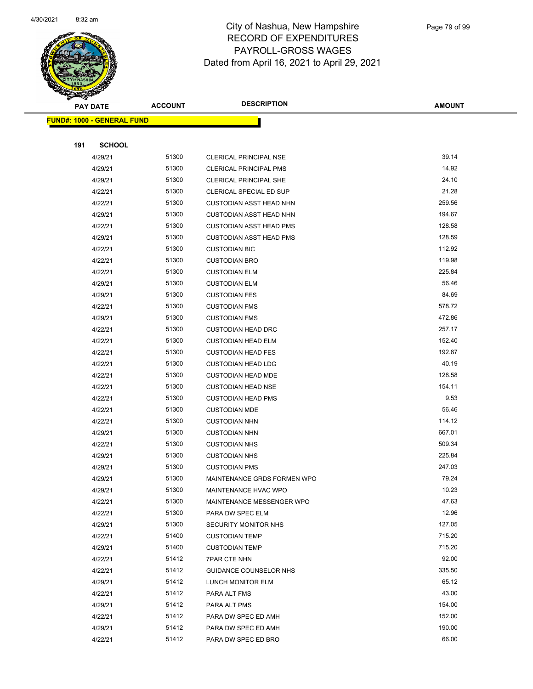

|     | <b>PAY DATE</b>                   | <b>ACCOUNT</b> | <b>DESCRIPTION</b>             | <b>AMOUNT</b> |
|-----|-----------------------------------|----------------|--------------------------------|---------------|
|     | <b>FUND#: 1000 - GENERAL FUND</b> |                |                                |               |
|     |                                   |                |                                |               |
| 191 | <b>SCHOOL</b>                     |                |                                |               |
|     | 4/29/21                           | 51300          | <b>CLERICAL PRINCIPAL NSE</b>  | 39.14         |
|     | 4/29/21                           | 51300          | <b>CLERICAL PRINCIPAL PMS</b>  | 14.92         |
|     | 4/29/21                           | 51300          | <b>CLERICAL PRINCIPAL SHE</b>  | 24.10         |
|     | 4/22/21                           | 51300          | CLERICAL SPECIAL ED SUP        | 21.28         |
|     | 4/22/21                           | 51300          | <b>CUSTODIAN ASST HEAD NHN</b> | 259.56        |
|     | 4/29/21                           | 51300          | <b>CUSTODIAN ASST HEAD NHN</b> | 194.67        |
|     | 4/22/21                           | 51300          | <b>CUSTODIAN ASST HEAD PMS</b> | 128.58        |
|     | 4/29/21                           | 51300          | <b>CUSTODIAN ASST HEAD PMS</b> | 128.59        |
|     | 4/22/21                           | 51300          | <b>CUSTODIAN BIC</b>           | 112.92        |
|     | 4/22/21                           | 51300          | <b>CUSTODIAN BRO</b>           | 119.98        |
|     | 4/22/21                           | 51300          | <b>CUSTODIAN ELM</b>           | 225.84        |
|     | 4/29/21                           | 51300          | <b>CUSTODIAN ELM</b>           | 56.46         |
|     | 4/29/21                           | 51300          | <b>CUSTODIAN FES</b>           | 84.69         |
|     | 4/22/21                           | 51300          | <b>CUSTODIAN FMS</b>           | 578.72        |
|     | 4/29/21                           | 51300          | <b>CUSTODIAN FMS</b>           | 472.86        |
|     | 4/22/21                           | 51300          | <b>CUSTODIAN HEAD DRC</b>      | 257.17        |
|     | 4/22/21                           | 51300          | <b>CUSTODIAN HEAD ELM</b>      | 152.40        |
|     | 4/22/21                           | 51300          | <b>CUSTODIAN HEAD FES</b>      | 192.87        |
|     | 4/22/21                           | 51300          | <b>CUSTODIAN HEAD LDG</b>      | 40.19         |
|     | 4/22/21                           | 51300          | <b>CUSTODIAN HEAD MDE</b>      | 128.58        |
|     | 4/22/21                           | 51300          | <b>CUSTODIAN HEAD NSE</b>      | 154.11        |
|     | 4/22/21                           | 51300          | <b>CUSTODIAN HEAD PMS</b>      | 9.53          |
|     | 4/22/21                           | 51300          | <b>CUSTODIAN MDE</b>           | 56.46         |
|     | 4/22/21                           | 51300          | <b>CUSTODIAN NHN</b>           | 114.12        |
|     | 4/29/21                           | 51300          | <b>CUSTODIAN NHN</b>           | 667.01        |
|     | 4/22/21                           | 51300          | <b>CUSTODIAN NHS</b>           | 509.34        |
|     | 4/29/21                           | 51300          | <b>CUSTODIAN NHS</b>           | 225.84        |
|     | 4/29/21                           | 51300          | <b>CUSTODIAN PMS</b>           | 247.03        |
|     | 4/29/21                           | 51300          | MAINTENANCE GRDS FORMEN WPO    | 79.24         |
|     | 4/29/21                           | 51300          | MAINTENANCE HVAC WPO           | 10.23         |
|     | 4/22/21                           | 51300          | MAINTENANCE MESSENGER WPO      | 47.63         |
|     | 4/22/21                           | 51300          | PARA DW SPEC ELM               | 12.96         |
|     | 4/29/21                           | 51300          | <b>SECURITY MONITOR NHS</b>    | 127.05        |
|     | 4/22/21                           | 51400          | <b>CUSTODIAN TEMP</b>          | 715.20        |
|     | 4/29/21                           | 51400          | <b>CUSTODIAN TEMP</b>          | 715.20        |
|     | 4/22/21                           | 51412          | <b>7PAR CTE NHN</b>            | 92.00         |
|     | 4/22/21                           | 51412          | GUIDANCE COUNSELOR NHS         | 335.50        |
|     | 4/29/21                           | 51412          | LUNCH MONITOR ELM              | 65.12         |
|     | 4/22/21                           | 51412          | PARA ALT FMS                   | 43.00         |
|     | 4/29/21                           | 51412          | PARA ALT PMS                   | 154.00        |
|     | 4/22/21                           | 51412          | PARA DW SPEC ED AMH            | 152.00        |
|     | 4/29/21                           | 51412          | PARA DW SPEC ED AMH            | 190.00        |
|     | 4/22/21                           | 51412          | PARA DW SPEC ED BRO            | 66.00         |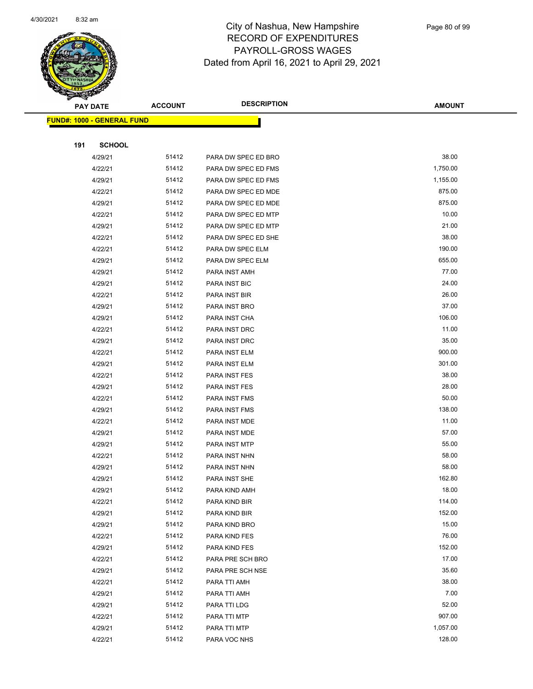

|     | <b>PAY DATE</b>                    | <b>ACCOUNT</b> | <b>DESCRIPTION</b>  | <b>AMOUNT</b> |  |
|-----|------------------------------------|----------------|---------------------|---------------|--|
|     | <u> FUND#: 1000 - GENERAL FUND</u> |                |                     |               |  |
|     |                                    |                |                     |               |  |
| 191 | <b>SCHOOL</b>                      |                |                     |               |  |
|     | 4/29/21                            | 51412          | PARA DW SPEC ED BRO | 38.00         |  |
|     | 4/22/21                            | 51412          | PARA DW SPEC ED FMS | 1,750.00      |  |
|     | 4/29/21                            | 51412          | PARA DW SPEC ED FMS | 1,155.00      |  |
|     | 4/22/21                            | 51412          | PARA DW SPEC ED MDE | 875.00        |  |
|     | 4/29/21                            | 51412          | PARA DW SPEC ED MDE | 875.00        |  |
|     | 4/22/21                            | 51412          | PARA DW SPEC ED MTP | 10.00         |  |
|     | 4/29/21                            | 51412          | PARA DW SPEC ED MTP | 21.00         |  |
|     | 4/22/21                            | 51412          | PARA DW SPEC ED SHE | 38.00         |  |
|     | 4/22/21                            | 51412          | PARA DW SPEC ELM    | 190.00        |  |
|     | 4/29/21                            | 51412          | PARA DW SPEC ELM    | 655.00        |  |
|     | 4/29/21                            | 51412          | PARA INST AMH       | 77.00         |  |
|     | 4/29/21                            | 51412          | PARA INST BIC       | 24.00         |  |
|     | 4/22/21                            | 51412          | PARA INST BIR       | 26.00         |  |
|     | 4/29/21                            | 51412          | PARA INST BRO       | 37.00         |  |
|     | 4/29/21                            | 51412          | PARA INST CHA       | 106.00        |  |
|     | 4/22/21                            | 51412          | PARA INST DRC       | 11.00         |  |
|     | 4/29/21                            | 51412          | PARA INST DRC       | 35.00         |  |
|     | 4/22/21                            | 51412          | PARA INST ELM       | 900.00        |  |
|     | 4/29/21                            | 51412          | PARA INST ELM       | 301.00        |  |
|     | 4/22/21                            | 51412          | PARA INST FES       | 38.00         |  |
|     | 4/29/21                            | 51412          | PARA INST FES       | 28.00         |  |
|     | 4/22/21                            | 51412          | PARA INST FMS       | 50.00         |  |
|     | 4/29/21                            | 51412          | PARA INST FMS       | 138.00        |  |
|     | 4/22/21                            | 51412          | PARA INST MDE       | 11.00         |  |
|     | 4/29/21                            | 51412          | PARA INST MDE       | 57.00         |  |
|     | 4/29/21                            | 51412          | PARA INST MTP       | 55.00         |  |
|     | 4/22/21                            | 51412          | PARA INST NHN       | 58.00         |  |
|     | 4/29/21                            | 51412          | PARA INST NHN       | 58.00         |  |
|     | 4/29/21                            | 51412          | PARA INST SHE       | 162.80        |  |
|     | 4/29/21                            | 51412          | PARA KIND AMH       | 18.00         |  |
|     | 4/22/21                            | 51412          | PARA KIND BIR       | 114.00        |  |
|     | 4/29/21                            | 51412          | PARA KIND BIR       | 152.00        |  |
|     | 4/29/21                            | 51412          | PARA KIND BRO       | 15.00         |  |
|     | 4/22/21                            | 51412          | PARA KIND FES       | 76.00         |  |
|     | 4/29/21                            | 51412          | PARA KIND FES       | 152.00        |  |
|     | 4/22/21                            | 51412          | PARA PRE SCH BRO    | 17.00         |  |
|     | 4/29/21                            | 51412          | PARA PRE SCH NSE    | 35.60         |  |
|     | 4/22/21                            | 51412          | PARA TTI AMH        | 38.00         |  |
|     | 4/29/21                            | 51412          | PARA TTI AMH        | 7.00          |  |
|     | 4/29/21                            | 51412          | PARA TTI LDG        | 52.00         |  |
|     | 4/22/21                            | 51412          | PARA TTI MTP        | 907.00        |  |
|     | 4/29/21                            | 51412          | PARA TTI MTP        | 1,057.00      |  |
|     | 4/22/21                            | 51412          | PARA VOC NHS        | 128.00        |  |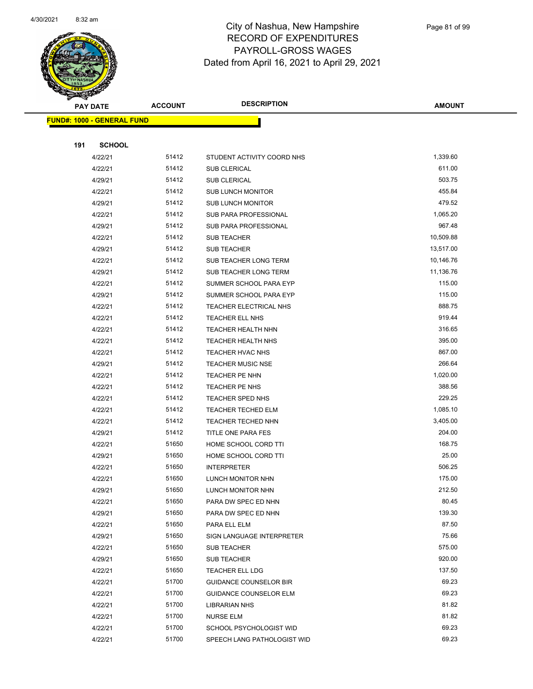

|     | <b>PAY DATE</b>                   | <b>ACCOUNT</b> | <b>DESCRIPTION</b>            | <b>AMOUNT</b> |
|-----|-----------------------------------|----------------|-------------------------------|---------------|
|     | <b>FUND#: 1000 - GENERAL FUND</b> |                |                               |               |
|     |                                   |                |                               |               |
| 191 | <b>SCHOOL</b>                     |                |                               |               |
|     | 4/22/21                           | 51412          | STUDENT ACTIVITY COORD NHS    | 1,339.60      |
|     | 4/22/21                           | 51412          | <b>SUB CLERICAL</b>           | 611.00        |
|     | 4/29/21                           | 51412          | <b>SUB CLERICAL</b>           | 503.75        |
|     | 4/22/21                           | 51412          | <b>SUB LUNCH MONITOR</b>      | 455.84        |
|     | 4/29/21                           | 51412          | <b>SUB LUNCH MONITOR</b>      | 479.52        |
|     | 4/22/21                           | 51412          | SUB PARA PROFESSIONAL         | 1,065.20      |
|     | 4/29/21                           | 51412          | <b>SUB PARA PROFESSIONAL</b>  | 967.48        |
|     | 4/22/21                           | 51412          | SUB TEACHER                   | 10,509.88     |
|     | 4/29/21                           | 51412          | SUB TEACHER                   | 13,517.00     |
|     | 4/22/21                           | 51412          | SUB TEACHER LONG TERM         | 10,146.76     |
|     | 4/29/21                           | 51412          | SUB TEACHER LONG TERM         | 11,136.76     |
|     | 4/22/21                           | 51412          | SUMMER SCHOOL PARA EYP        | 115.00        |
|     | 4/29/21                           | 51412          | SUMMER SCHOOL PARA EYP        | 115.00        |
|     | 4/22/21                           | 51412          | TEACHER ELECTRICAL NHS        | 888.75        |
|     | 4/22/21                           | 51412          | TEACHER ELL NHS               | 919.44        |
|     | 4/22/21                           | 51412          | TEACHER HEALTH NHN            | 316.65        |
|     | 4/22/21                           | 51412          | TEACHER HEALTH NHS            | 395.00        |
|     | 4/22/21                           | 51412          | TEACHER HVAC NHS              | 867.00        |
|     | 4/29/21                           | 51412          | <b>TEACHER MUSIC NSE</b>      | 266.64        |
|     | 4/22/21                           | 51412          | <b>TEACHER PE NHN</b>         | 1,020.00      |
|     | 4/22/21                           | 51412          | TEACHER PE NHS                | 388.56        |
|     | 4/22/21                           | 51412          | TEACHER SPED NHS              | 229.25        |
|     | 4/22/21                           | 51412          | <b>TEACHER TECHED ELM</b>     | 1,085.10      |
|     | 4/22/21                           | 51412          | TEACHER TECHED NHN            | 3,405.00      |
|     | 4/29/21                           | 51412          | TITLE ONE PARA FES            | 204.00        |
|     | 4/22/21                           | 51650          | HOME SCHOOL CORD TTI          | 168.75        |
|     | 4/29/21                           | 51650          | HOME SCHOOL CORD TTI          | 25.00         |
|     | 4/22/21                           | 51650          | <b>INTERPRETER</b>            | 506.25        |
|     | 4/22/21                           | 51650          | LUNCH MONITOR NHN             | 175.00        |
|     | 4/29/21                           | 51650          | LUNCH MONITOR NHN             | 212.50        |
|     | 4/22/21                           | 51650          | PARA DW SPEC ED NHN           | 80.45         |
|     | 4/29/21                           | 51650          | PARA DW SPEC ED NHN           | 139.30        |
|     | 4/22/21                           | 51650          | PARA ELL ELM                  | 87.50         |
|     | 4/29/21                           | 51650          | SIGN LANGUAGE INTERPRETER     | 75.66         |
|     | 4/22/21                           | 51650          | <b>SUB TEACHER</b>            | 575.00        |
|     | 4/29/21                           | 51650          | <b>SUB TEACHER</b>            | 920.00        |
|     | 4/22/21                           | 51650          | <b>TEACHER ELL LDG</b>        | 137.50        |
|     | 4/22/21                           | 51700          | <b>GUIDANCE COUNSELOR BIR</b> | 69.23         |
|     | 4/22/21                           | 51700          | <b>GUIDANCE COUNSELOR ELM</b> | 69.23         |
|     | 4/22/21                           | 51700          | <b>LIBRARIAN NHS</b>          | 81.82         |
|     | 4/22/21                           | 51700          | <b>NURSE ELM</b>              | 81.82         |
|     | 4/22/21                           | 51700          | SCHOOL PSYCHOLOGIST WID       | 69.23         |
|     | 4/22/21                           | 51700          | SPEECH LANG PATHOLOGIST WID   | 69.23         |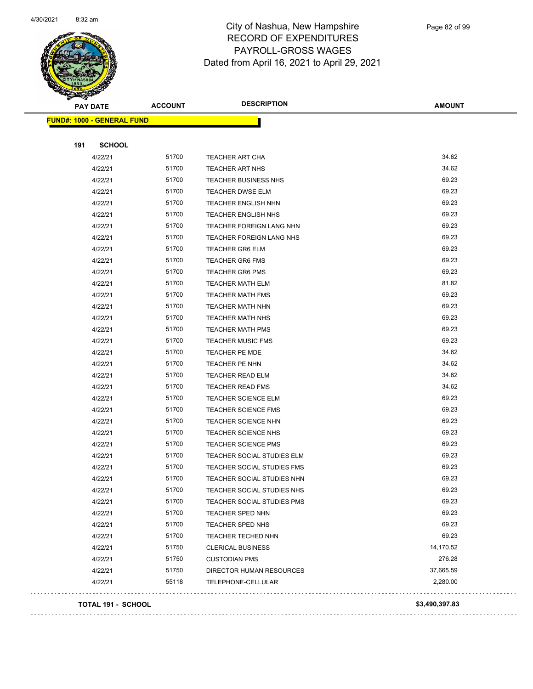

|     | <b>PAY DATE</b>                   | <b>ACCOUNT</b> | <b>DESCRIPTION</b>              | <b>AMOUNT</b>  |
|-----|-----------------------------------|----------------|---------------------------------|----------------|
|     | <b>FUND#: 1000 - GENERAL FUND</b> |                |                                 |                |
|     |                                   |                |                                 |                |
| 191 | <b>SCHOOL</b>                     |                |                                 |                |
|     | 4/22/21                           | 51700          | <b>TEACHER ART CHA</b>          | 34.62          |
|     | 4/22/21                           | 51700          | <b>TEACHER ART NHS</b>          | 34.62          |
|     | 4/22/21                           | 51700          | <b>TEACHER BUSINESS NHS</b>     | 69.23          |
|     | 4/22/21                           | 51700          | <b>TEACHER DWSE ELM</b>         | 69.23          |
|     | 4/22/21                           | 51700          | <b>TEACHER ENGLISH NHN</b>      | 69.23          |
|     | 4/22/21                           | 51700          | <b>TEACHER ENGLISH NHS</b>      | 69.23          |
|     | 4/22/21                           | 51700          | <b>TEACHER FOREIGN LANG NHN</b> | 69.23          |
|     | 4/22/21                           | 51700          | TEACHER FOREIGN LANG NHS        | 69.23          |
|     | 4/22/21                           | 51700          | <b>TEACHER GR6 ELM</b>          | 69.23          |
|     | 4/22/21                           | 51700          | <b>TEACHER GR6 FMS</b>          | 69.23          |
|     | 4/22/21                           | 51700          | <b>TEACHER GR6 PMS</b>          | 69.23          |
|     | 4/22/21                           | 51700          | <b>TEACHER MATH ELM</b>         | 81.82          |
|     | 4/22/21                           | 51700          | <b>TEACHER MATH FMS</b>         | 69.23          |
|     | 4/22/21                           | 51700          | <b>TEACHER MATH NHN</b>         | 69.23          |
|     | 4/22/21                           | 51700          | <b>TEACHER MATH NHS</b>         | 69.23          |
|     | 4/22/21                           | 51700          | <b>TEACHER MATH PMS</b>         | 69.23          |
|     | 4/22/21                           | 51700          | <b>TEACHER MUSIC FMS</b>        | 69.23          |
|     | 4/22/21                           | 51700          | TEACHER PE MDE                  | 34.62          |
|     | 4/22/21                           | 51700          | TEACHER PE NHN                  | 34.62          |
|     | 4/22/21                           | 51700          | <b>TEACHER READ ELM</b>         | 34.62          |
|     | 4/22/21                           | 51700          | <b>TEACHER READ FMS</b>         | 34.62          |
|     | 4/22/21                           | 51700          | <b>TEACHER SCIENCE ELM</b>      | 69.23          |
|     | 4/22/21                           | 51700          | <b>TEACHER SCIENCE FMS</b>      | 69.23          |
|     | 4/22/21                           | 51700          | <b>TEACHER SCIENCE NHN</b>      | 69.23          |
|     | 4/22/21                           | 51700          | <b>TEACHER SCIENCE NHS</b>      | 69.23          |
|     | 4/22/21                           | 51700          | <b>TEACHER SCIENCE PMS</b>      | 69.23          |
|     | 4/22/21                           | 51700          | TEACHER SOCIAL STUDIES ELM      | 69.23          |
|     | 4/22/21                           | 51700          | TEACHER SOCIAL STUDIES FMS      | 69.23          |
|     | 4/22/21                           | 51700          | TEACHER SOCIAL STUDIES NHN      | 69.23          |
|     | 4/22/21                           | 51700          | TEACHER SOCIAL STUDIES NHS      | 69.23          |
|     | 4/22/21                           | 51700          | TEACHER SOCIAL STUDIES PMS      | 69.23          |
|     | 4/22/21                           | 51700          | <b>TEACHER SPED NHN</b>         | 69.23          |
|     | 4/22/21                           | 51700          | TEACHER SPED NHS                | 69.23          |
|     | 4/22/21                           | 51700          | TEACHER TECHED NHN              | 69.23          |
|     | 4/22/21                           | 51750          | <b>CLERICAL BUSINESS</b>        | 14,170.52      |
|     | 4/22/21                           | 51750          | <b>CUSTODIAN PMS</b>            | 276.28         |
|     | 4/22/21                           | 51750          | DIRECTOR HUMAN RESOURCES        | 37,665.59      |
|     | 4/22/21                           | 55118          | TELEPHONE-CELLULAR              | 2,280.00       |
|     | TOTAL 191 - SCHOOL                |                |                                 | \$3,490,397.83 |

 $\mathbb{Z}^2$  ,  $\mathbb{Z}^2$  ,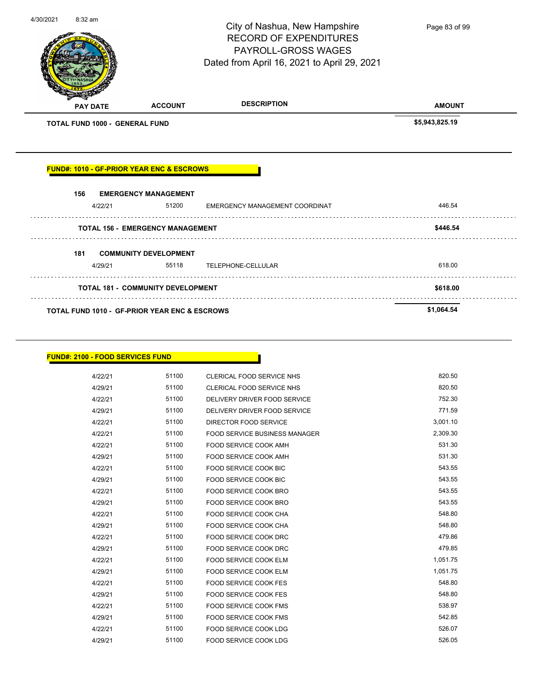4/30/2021 8:32 am City of Nashua, New Hampshire Page 83 of 99RECORD OF EXPENDITURES PAYROLL-GROSS WAGES Dated from April 16, 2021 to April 29, 2021 **PAY DATE ACCOUNT DESCRIPTION AMOUNT TOTAL FUND 1000 - GENERAL FUND \$5,943,825.19 FUND#: 1010 - GF-PRIOR YEAR ENC & ESCROWS 156 EMERGENCY MANAGEMENT** 4/22/21 51200 EMERGENCY MANAGEMENT COORDINAT 446.54 **TOTAL 156 - EMERGENCY MANAGEMENT \$446.54 181 COMMUNITY DEVELOPMENT** 4/29/21 55118 TELEPHONE-CELLULAR 618.00 **TOTAL 181 - COMMUNITY DEVELOPMENT \$618.00 TOTAL FUND 1010 - GF-PRIOR YEAR ENC & ESCROWS \$1,064.54** 

#### **FUND#: 2100 - FOOD SERVICES FUND**

| 4/22/21 | 51100 | <b>CLERICAL FOOD SERVICE NHS</b>     | 820.50   |
|---------|-------|--------------------------------------|----------|
| 4/29/21 | 51100 | CLERICAL FOOD SERVICE NHS            | 820.50   |
| 4/22/21 | 51100 | DELIVERY DRIVER FOOD SERVICE         | 752.30   |
| 4/29/21 | 51100 | DELIVERY DRIVER FOOD SERVICE         | 771.59   |
| 4/22/21 | 51100 | DIRECTOR FOOD SERVICE                | 3,001.10 |
| 4/22/21 | 51100 | <b>FOOD SERVICE BUSINESS MANAGER</b> | 2,309.30 |
| 4/22/21 | 51100 | <b>FOOD SERVICE COOK AMH</b>         | 531.30   |
| 4/29/21 | 51100 | <b>FOOD SERVICE COOK AMH</b>         | 531.30   |
| 4/22/21 | 51100 | <b>FOOD SERVICE COOK BIC</b>         | 543.55   |
| 4/29/21 | 51100 | <b>FOOD SERVICE COOK BIC</b>         | 543.55   |
| 4/22/21 | 51100 | <b>FOOD SERVICE COOK BRO</b>         | 543.55   |
| 4/29/21 | 51100 | <b>FOOD SERVICE COOK BRO</b>         | 543.55   |
| 4/22/21 | 51100 | <b>FOOD SERVICE COOK CHA</b>         | 548.80   |
| 4/29/21 | 51100 | <b>FOOD SERVICE COOK CHA</b>         | 548.80   |
| 4/22/21 | 51100 | <b>FOOD SERVICE COOK DRC</b>         | 479.86   |
| 4/29/21 | 51100 | <b>FOOD SERVICE COOK DRC</b>         | 479.85   |
| 4/22/21 | 51100 | <b>FOOD SERVICE COOK ELM</b>         | 1,051.75 |
| 4/29/21 | 51100 | <b>FOOD SERVICE COOK ELM</b>         | 1,051.75 |
| 4/22/21 | 51100 | <b>FOOD SERVICE COOK FES</b>         | 548.80   |
| 4/29/21 | 51100 | FOOD SERVICE COOK FES                | 548.80   |
| 4/22/21 | 51100 | <b>FOOD SERVICE COOK FMS</b>         | 538.97   |
| 4/29/21 | 51100 | <b>FOOD SERVICE COOK FMS</b>         | 542.85   |
| 4/22/21 | 51100 | <b>FOOD SERVICE COOK LDG</b>         | 526.07   |
| 4/29/21 | 51100 | <b>FOOD SERVICE COOK LDG</b>         | 526.05   |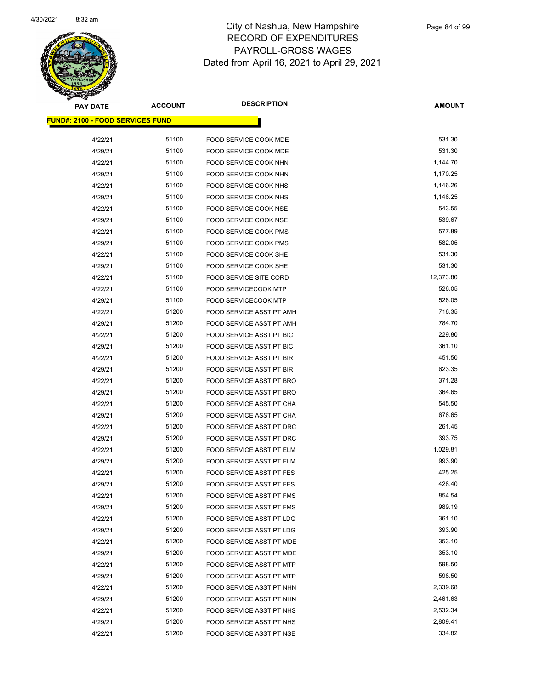

| <b>PAY DATE</b>                         | <b>ACCOUNT</b> | <b>DESCRIPTION</b>              | <b>AMOUNT</b> |
|-----------------------------------------|----------------|---------------------------------|---------------|
| <b>FUND#: 2100 - FOOD SERVICES FUND</b> |                |                                 |               |
|                                         |                |                                 |               |
| 4/22/21                                 | 51100          | FOOD SERVICE COOK MDE           | 531.30        |
| 4/29/21                                 | 51100          | FOOD SERVICE COOK MDE           | 531.30        |
| 4/22/21                                 | 51100          | FOOD SERVICE COOK NHN           | 1,144.70      |
| 4/29/21                                 | 51100          | FOOD SERVICE COOK NHN           | 1,170.25      |
| 4/22/21                                 | 51100          | FOOD SERVICE COOK NHS           | 1,146.26      |
| 4/29/21                                 | 51100          | FOOD SERVICE COOK NHS           | 1,146.25      |
| 4/22/21                                 | 51100          | <b>FOOD SERVICE COOK NSE</b>    | 543.55        |
| 4/29/21                                 | 51100          | FOOD SERVICE COOK NSE           | 539.67        |
| 4/22/21                                 | 51100          | FOOD SERVICE COOK PMS           | 577.89        |
| 4/29/21                                 | 51100          | FOOD SERVICE COOK PMS           | 582.05        |
| 4/22/21                                 | 51100          | FOOD SERVICE COOK SHE           | 531.30        |
| 4/29/21                                 | 51100          | FOOD SERVICE COOK SHE           | 531.30        |
| 4/22/21                                 | 51100          | FOOD SERVICE SITE CORD          | 12,373.80     |
| 4/22/21                                 | 51100          | <b>FOOD SERVICECOOK MTP</b>     | 526.05        |
| 4/29/21                                 | 51100          | <b>FOOD SERVICECOOK MTP</b>     | 526.05        |
| 4/22/21                                 | 51200          | FOOD SERVICE ASST PT AMH        | 716.35        |
| 4/29/21                                 | 51200          | FOOD SERVICE ASST PT AMH        | 784.70        |
| 4/22/21                                 | 51200          | FOOD SERVICE ASST PT BIC        | 229.80        |
| 4/29/21                                 | 51200          | FOOD SERVICE ASST PT BIC        | 361.10        |
| 4/22/21                                 | 51200          | FOOD SERVICE ASST PT BIR        | 451.50        |
| 4/29/21                                 | 51200          | FOOD SERVICE ASST PT BIR        | 623.35        |
| 4/22/21                                 | 51200          | FOOD SERVICE ASST PT BRO        | 371.28        |
| 4/29/21                                 | 51200          | FOOD SERVICE ASST PT BRO        | 364.65        |
| 4/22/21                                 | 51200          | FOOD SERVICE ASST PT CHA        | 545.50        |
| 4/29/21                                 | 51200          | FOOD SERVICE ASST PT CHA        | 676.65        |
| 4/22/21                                 | 51200          | FOOD SERVICE ASST PT DRC        | 261.45        |
| 4/29/21                                 | 51200          | FOOD SERVICE ASST PT DRC        | 393.75        |
| 4/22/21                                 | 51200          | FOOD SERVICE ASST PT ELM        | 1,029.81      |
| 4/29/21                                 | 51200          | FOOD SERVICE ASST PT ELM        | 993.90        |
| 4/22/21                                 | 51200          | <b>FOOD SERVICE ASST PT FES</b> | 425.25        |
| 4/29/21                                 | 51200          | FOOD SERVICE ASST PT FES        | 428.40        |
| 4/22/21                                 | 51200          | FOOD SERVICE ASST PT FMS        | 854.54        |
| 4/29/21                                 | 51200          | <b>FOOD SERVICE ASST PT FMS</b> | 989.19        |
| 4/22/21                                 | 51200          | <b>FOOD SERVICE ASST PT LDG</b> | 361.10        |
| 4/29/21                                 | 51200          | FOOD SERVICE ASST PT LDG        | 393.90        |
| 4/22/21                                 | 51200          | FOOD SERVICE ASST PT MDE        | 353.10        |
| 4/29/21                                 | 51200          | <b>FOOD SERVICE ASST PT MDE</b> | 353.10        |
| 4/22/21                                 | 51200          | FOOD SERVICE ASST PT MTP        | 598.50        |
| 4/29/21                                 | 51200          | <b>FOOD SERVICE ASST PT MTP</b> | 598.50        |
| 4/22/21                                 | 51200          | FOOD SERVICE ASST PT NHN        | 2,339.68      |
| 4/29/21                                 | 51200          | FOOD SERVICE ASST PT NHN        | 2,461.63      |
| 4/22/21                                 | 51200          | FOOD SERVICE ASST PT NHS        | 2,532.34      |
| 4/29/21                                 | 51200          | FOOD SERVICE ASST PT NHS        | 2,809.41      |
| 4/22/21                                 | 51200          | FOOD SERVICE ASST PT NSE        | 334.82        |
|                                         |                |                                 |               |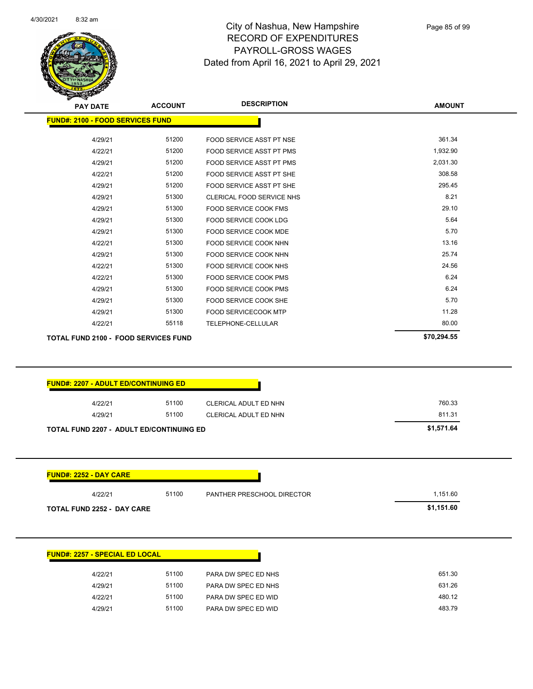

|                                                                                                                                        | <b>ACCOUNT</b> | <b>DESCRIPTION</b>          | <b>AMOUNT</b>        |
|----------------------------------------------------------------------------------------------------------------------------------------|----------------|-----------------------------|----------------------|
| <b>FUND#: 2100 - FOOD SERVICES FUND</b>                                                                                                |                |                             |                      |
| 4/29/21                                                                                                                                | 51200          | FOOD SERVICE ASST PT NSE    | 361.34               |
| 4/22/21                                                                                                                                | 51200          | FOOD SERVICE ASST PT PMS    | 1,932.90             |
| 4/29/21                                                                                                                                | 51200          | FOOD SERVICE ASST PT PMS    | 2,031.30             |
| 4/22/21                                                                                                                                | 51200          | FOOD SERVICE ASST PT SHE    | 308.58               |
| 4/29/21                                                                                                                                | 51200          | FOOD SERVICE ASST PT SHE    | 295.45               |
| 4/29/21                                                                                                                                | 51300          | CLERICAL FOOD SERVICE NHS   | 8.21                 |
| 4/29/21                                                                                                                                | 51300          | FOOD SERVICE COOK FMS       | 29.10                |
| 4/29/21                                                                                                                                | 51300          | FOOD SERVICE COOK LDG       | 5.64                 |
| 4/29/21                                                                                                                                | 51300          | FOOD SERVICE COOK MDE       | 5.70                 |
| 4/22/21                                                                                                                                | 51300          | FOOD SERVICE COOK NHN       | 13.16                |
| 4/29/21                                                                                                                                | 51300          | FOOD SERVICE COOK NHN       | 25.74                |
| 4/22/21                                                                                                                                | 51300          | FOOD SERVICE COOK NHS       | 24.56                |
| 4/22/21                                                                                                                                | 51300          | FOOD SERVICE COOK PMS       | 6.24                 |
| 4/29/21                                                                                                                                | 51300          | FOOD SERVICE COOK PMS       | 6.24                 |
| 4/29/21                                                                                                                                | 51300          | FOOD SERVICE COOK SHE       | 5.70                 |
| 4/29/21                                                                                                                                | 51300          | <b>FOOD SERVICECOOK MTP</b> | 11.28                |
|                                                                                                                                        |                |                             |                      |
| 4/22/21                                                                                                                                | 55118          | TELEPHONE-CELLULAR          | 80.00<br>\$70,294.55 |
|                                                                                                                                        |                |                             |                      |
|                                                                                                                                        |                |                             |                      |
| 4/22/21                                                                                                                                | 51100          | CLERICAL ADULT ED NHN       | 760.33               |
| 4/29/21                                                                                                                                | 51100          | CLERICAL ADULT ED NHN       | 811.31               |
| <b>TOTAL FUND 2100 - FOOD SERVICES FUND</b><br><b>FUND#: 2207 - ADULT ED/CONTINUING ED</b><br>TOTAL FUND 2207 - ADULT ED/CONTINUING ED |                |                             | \$1,571.64           |
| <b>FUND#: 2252 - DAY CARE</b>                                                                                                          |                |                             |                      |
| 4/22/21                                                                                                                                | 51100          | PANTHER PRESCHOOL DIRECTOR  | 1,151.60             |

| <b>FUND#: 2257 - SPECIAL ED LOCAL</b> |       |                     |  |  |  |
|---------------------------------------|-------|---------------------|--|--|--|
| 4/22/21                               | 51100 | PARA DW SPEC ED NHS |  |  |  |
| 4/29/21                               | 51100 | PARA DW SPEC ED NHS |  |  |  |
| 4/22/21                               | 51100 | PARA DW SPEC ED WID |  |  |  |
| 4/29/21                               | 51100 | PARA DW SPEC ED WID |  |  |  |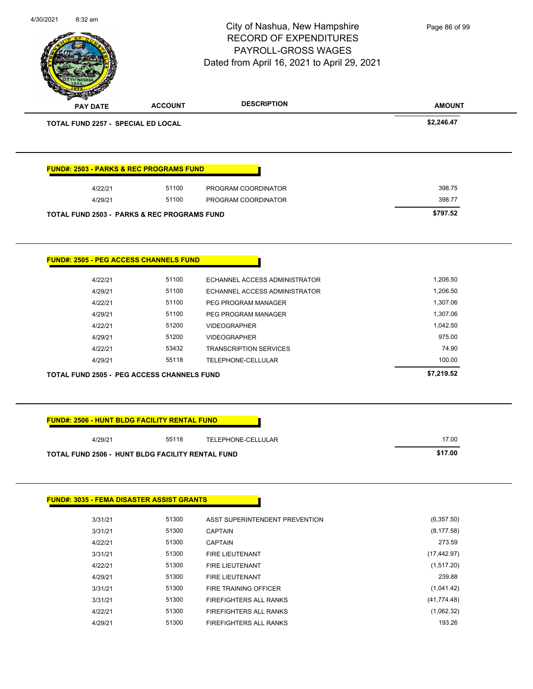| 4/30/2021 | 8:32 am                            |                                                        | City of Nashua, New Hampshire<br><b>RECORD OF EXPENDITURES</b><br><b>PAYROLL-GROSS WAGES</b><br>Dated from April 16, 2021 to April 29, 2021 | Page 86 of 99 |
|-----------|------------------------------------|--------------------------------------------------------|---------------------------------------------------------------------------------------------------------------------------------------------|---------------|
|           | <b>PAY DATE</b>                    | <b>ACCOUNT</b>                                         | <b>DESCRIPTION</b>                                                                                                                          | <b>AMOUNT</b> |
|           | TOTAL FUND 2257 - SPECIAL ED LOCAL |                                                        |                                                                                                                                             | \$2,246.47    |
|           |                                    | <b>FUND#: 2503 - PARKS &amp; REC PROGRAMS FUND</b>     |                                                                                                                                             |               |
|           | 4/22/21                            | 51100                                                  | PROGRAM COORDINATOR                                                                                                                         | 398.75        |
|           | 4/29/21                            | 51100                                                  | PROGRAM COORDINATOR                                                                                                                         | 398.77        |
|           |                                    | <b>TOTAL FUND 2503 - PARKS &amp; REC PROGRAMS FUND</b> |                                                                                                                                             | \$797.52      |
|           |                                    | <b>FUND#: 2505 - PEG ACCESS CHANNELS FUND</b>          |                                                                                                                                             |               |
|           | 4/22/21                            | 51100                                                  | ECHANNEL ACCESS ADMINISTRATOR                                                                                                               | 1,206.50      |
|           | 4/29/21                            | 51100                                                  | ECHANNEL ACCESS ADMINISTRATOR                                                                                                               | 1,206.50      |
|           | 4/22/21                            | 51100                                                  | PEG PROGRAM MANAGER                                                                                                                         | 1,307.06      |
|           | 4/29/21                            | 51100                                                  | PEG PROGRAM MANAGER                                                                                                                         | 1,307.06      |
|           | 4/22/21                            | 51200                                                  | <b>VIDEOGRAPHER</b>                                                                                                                         | 1,042.50      |
|           | 4/29/21                            | 51200                                                  | <b>VIDEOGRAPHER</b>                                                                                                                         | 975.00        |
|           | 4/22/21                            | 53432                                                  | <b>TRANSCRIPTION SERVICES</b>                                                                                                               | 74.90         |
|           | 4/29/21                            | 55118                                                  | TELEPHONE-CELLULAR                                                                                                                          | 100.00        |
|           |                                    | <b>TOTAL FUND 2505 - PEG ACCESS CHANNELS FUND</b>      |                                                                                                                                             | \$7,219.52    |
|           |                                    | <b>FUND#: 2506 - HUNT BLDG FACILITY RENTAL FUND</b>    |                                                                                                                                             |               |
|           | 4/29/21                            | 55118                                                  | TELEPHONE-CELLULAR                                                                                                                          | 17.00         |
|           |                                    | TOTAL FUND 2506 - HUNT BLDG FACILITY RENTAL FUND       |                                                                                                                                             | \$17.00       |
|           |                                    |                                                        |                                                                                                                                             |               |
|           |                                    | <b>FUND#: 3035 - FEMA DISASTER ASSIST GRANTS</b>       |                                                                                                                                             |               |
|           | 3/31/21                            | 51300                                                  | ASST SUPERINTENDENT PREVENTION                                                                                                              | (6,357.50)    |
|           | 3/31/21                            | 51300                                                  | <b>CAPTAIN</b>                                                                                                                              | (8, 177.58)   |
|           | 4/22/21                            | 51300                                                  | <b>CAPTAIN</b>                                                                                                                              | 273.59        |
|           | 3/31/21                            | 51300                                                  | FIRE LIEUTENANT                                                                                                                             | (17, 442.97)  |
|           | 4/22/21                            | 51300                                                  | FIRE LIEUTENANT                                                                                                                             | (1,517.20)    |
|           | 4/29/21                            | 51300                                                  | FIRE LIEUTENANT                                                                                                                             | 239.88        |
|           | 3/31/21                            | 51300                                                  | FIRE TRAINING OFFICER                                                                                                                       | (1,041.42)    |
|           | 3/31/21                            | 51300                                                  | FIREFIGHTERS ALL RANKS                                                                                                                      | (41, 774.48)  |
|           | 4/22/21                            | 51300                                                  | FIREFIGHTERS ALL RANKS                                                                                                                      | (1,062.32)    |
|           | 4/29/21                            | 51300                                                  | FIREFIGHTERS ALL RANKS                                                                                                                      | 193.26        |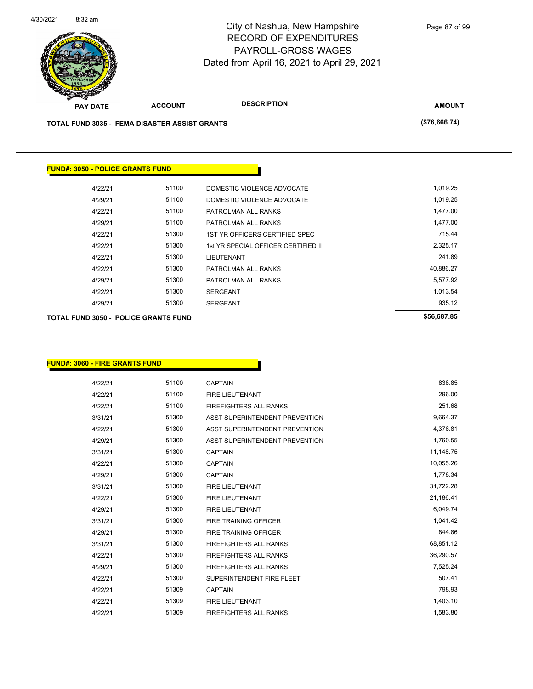

| <b>PAY DATE</b>                                      | <b>ACCOUNT</b> | <b>DESCRIPTION</b>                  | <b>AMOUNT</b> |
|------------------------------------------------------|----------------|-------------------------------------|---------------|
| <b>TOTAL FUND 3035 - FEMA DISASTER ASSIST GRANTS</b> | (\$76,666.74)  |                                     |               |
|                                                      |                |                                     |               |
|                                                      |                |                                     |               |
| <b>FUND#: 3050 - POLICE GRANTS FUND</b>              |                |                                     |               |
| 4/22/21                                              | 51100          | DOMESTIC VIOLENCE ADVOCATE          | 1,019.25      |
| 4/29/21                                              | 51100          | DOMESTIC VIOLENCE ADVOCATE          | 1,019.25      |
| 4/22/21                                              | 51100          | PATROLMAN ALL RANKS                 | 1,477.00      |
| 4/29/21                                              | 51100          | PATROLMAN ALL RANKS                 | 1,477.00      |
| 4/22/21                                              | 51300          | 1ST YR OFFICERS CERTIFIED SPEC      | 715.44        |
| 4/22/21                                              | 51300          | 1st YR SPECIAL OFFICER CERTIFIED II | 2,325.17      |
| 4/22/21                                              | 51300          | LIEUTENANT                          | 241.89        |
| 4/22/21                                              | 51300          | PATROLMAN ALL RANKS                 | 40,886.27     |
| 4/29/21                                              | 51300          | PATROLMAN ALL RANKS                 | 5,577.92      |
| 4/22/21                                              | 51300          | <b>SERGEANT</b>                     | 1,013.54      |
| 4/29/21                                              | 51300          | <b>SERGEANT</b>                     | 935.12        |
|                                                      |                |                                     |               |

**TOTAL FUND 3050 - POLICE GRANTS FUND \$56,687.85** 

| <u> FUND#: 3060 - FIRE GRANTS FUND</u> |       |                                |           |
|----------------------------------------|-------|--------------------------------|-----------|
| 4/22/21                                | 51100 | <b>CAPTAIN</b>                 | 838.85    |
| 4/22/21                                | 51100 | <b>FIRE LIEUTENANT</b>         | 296.00    |
| 4/22/21                                | 51100 | <b>FIREFIGHTERS ALL RANKS</b>  | 251.68    |
| 3/31/21                                | 51300 | ASST SUPERINTENDENT PREVENTION | 9,664.37  |
| 4/22/21                                | 51300 | ASST SUPERINTENDENT PREVENTION | 4,376.81  |
| 4/29/21                                | 51300 | ASST SUPERINTENDENT PREVENTION | 1,760.55  |
| 3/31/21                                | 51300 | <b>CAPTAIN</b>                 | 11,148.75 |
| 4/22/21                                | 51300 | <b>CAPTAIN</b>                 | 10,055.26 |
| 4/29/21                                | 51300 | <b>CAPTAIN</b>                 | 1,778.34  |
| 3/31/21                                | 51300 | <b>FIRE LIEUTENANT</b>         | 31,722.28 |
| 4/22/21                                | 51300 | <b>FIRE LIEUTENANT</b>         | 21,186.41 |
| 4/29/21                                | 51300 | <b>FIRE LIEUTENANT</b>         | 6,049.74  |
| 3/31/21                                | 51300 | <b>FIRE TRAINING OFFICER</b>   | 1,041.42  |
| 4/29/21                                | 51300 | <b>FIRE TRAINING OFFICER</b>   | 844.86    |
| 3/31/21                                | 51300 | <b>FIREFIGHTERS ALL RANKS</b>  | 68,851.12 |
|                                        | 51300 |                                | 36,290.57 |
| 4/22/21                                | 51300 | <b>FIREFIGHTERS ALL RANKS</b>  | 7,525.24  |
| 4/29/21                                |       | <b>FIREFIGHTERS ALL RANKS</b>  |           |
| 4/22/21                                | 51300 | SUPERINTENDENT FIRE FLEET      | 507.41    |
| 4/22/21                                | 51309 | <b>CAPTAIN</b>                 | 798.93    |
| 4/22/21                                | 51309 | <b>FIRE LIEUTENANT</b>         | 1,403.10  |
| 4/22/21                                | 51309 | <b>FIREFIGHTERS ALL RANKS</b>  | 1,583.80  |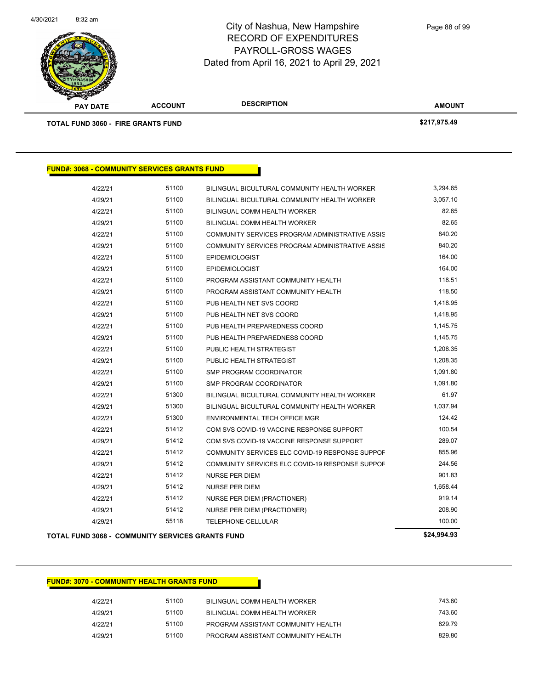

| <b>PAY DATE</b>                                     | <b>ACCOUNT</b>                                          | <b>DESCRIPTION</b>                              | <b>AMOUNT</b> |
|-----------------------------------------------------|---------------------------------------------------------|-------------------------------------------------|---------------|
| <b>TOTAL FUND 3060 - FIRE GRANTS FUND</b>           |                                                         |                                                 | \$217,975.49  |
|                                                     |                                                         |                                                 |               |
| <b>FUND#: 3068 - COMMUNITY SERVICES GRANTS FUND</b> |                                                         |                                                 |               |
| 4/22/21                                             | 51100                                                   | BILINGUAL BICULTURAL COMMUNITY HEALTH WORKER    | 3,294.65      |
| 4/29/21                                             | 51100                                                   | BILINGUAL BICULTURAL COMMUNITY HEALTH WORKER    | 3,057.10      |
| 4/22/21                                             | 51100                                                   | BILINGUAL COMM HEALTH WORKER                    | 82.65         |
| 4/29/21                                             | 51100                                                   | BILINGUAL COMM HEALTH WORKER                    | 82.65         |
| 4/22/21                                             | 51100                                                   | COMMUNITY SERVICES PROGRAM ADMINISTRATIVE ASSIS | 840.20        |
| 4/29/21                                             | 51100                                                   | COMMUNITY SERVICES PROGRAM ADMINISTRATIVE ASSIS | 840.20        |
| 4/22/21                                             | 51100                                                   | <b>EPIDEMIOLOGIST</b>                           | 164.00        |
| 4/29/21                                             | 51100                                                   | <b>EPIDEMIOLOGIST</b>                           | 164.00        |
| 4/22/21                                             | 51100                                                   | PROGRAM ASSISTANT COMMUNITY HEALTH              | 118.51        |
| 4/29/21                                             | 51100                                                   | PROGRAM ASSISTANT COMMUNITY HEALTH              | 118.50        |
| 4/22/21                                             | 51100                                                   | PUB HEALTH NET SVS COORD                        | 1,418.95      |
| 4/29/21                                             | 51100                                                   | PUB HEALTH NET SVS COORD                        | 1,418.95      |
| 4/22/21                                             | 51100                                                   | PUB HEALTH PREPAREDNESS COORD                   | 1,145.75      |
| 4/29/21                                             | 51100                                                   | PUB HEALTH PREPAREDNESS COORD                   | 1,145.75      |
| 4/22/21                                             | 51100                                                   | PUBLIC HEALTH STRATEGIST                        | 1,208.35      |
| 4/29/21                                             | 51100                                                   | PUBLIC HEALTH STRATEGIST                        | 1,208.35      |
| 4/22/21                                             | 51100                                                   | SMP PROGRAM COORDINATOR                         | 1,091.80      |
| 4/29/21                                             | 51100                                                   | SMP PROGRAM COORDINATOR                         | 1,091.80      |
| 4/22/21                                             | 51300                                                   | BILINGUAL BICULTURAL COMMUNITY HEALTH WORKER    | 61.97         |
| 4/29/21                                             | 51300                                                   | BILINGUAL BICULTURAL COMMUNITY HEALTH WORKER    | 1,037.94      |
| 4/22/21                                             | 51300                                                   | ENVIRONMENTAL TECH OFFICE MGR                   | 124.42        |
| 4/22/21                                             | 51412                                                   | COM SVS COVID-19 VACCINE RESPONSE SUPPORT       | 100.54        |
| 4/29/21                                             | 51412                                                   | COM SVS COVID-19 VACCINE RESPONSE SUPPORT       | 289.07        |
| 4/22/21                                             | 51412                                                   | COMMUNITY SERVICES ELC COVID-19 RESPONSE SUPPOF | 855.96        |
| 4/29/21                                             | 51412                                                   | COMMUNITY SERVICES ELC COVID-19 RESPONSE SUPPOF | 244.56        |
| 4/22/21                                             | 51412                                                   | <b>NURSE PER DIEM</b>                           | 901.83        |
| 4/29/21                                             | 51412                                                   | <b>NURSE PER DIEM</b>                           | 1,658.44      |
| 4/22/21                                             | 51412                                                   | NURSE PER DIEM (PRACTIONER)                     | 919.14        |
| 4/29/21                                             | 51412                                                   | NURSE PER DIEM (PRACTIONER)                     | 208.90        |
| 4/29/21                                             | 55118                                                   | TELEPHONE-CELLULAR                              | 100.00        |
|                                                     | <b>TOTAL FUND 3068 - COMMUNITY SERVICES GRANTS FUND</b> |                                                 | \$24,994.93   |

### **FUND#: 3070 - COMMUNITY HEALTH GRANTS FUND**

| 4/22/21 | 51100 | BILINGUAL COMM HEALTH WORKER       | 743.60 |
|---------|-------|------------------------------------|--------|
| 4/29/21 | 51100 | BILINGUAL COMM HEALTH WORKER       | 743.60 |
| 4/22/21 | 51100 | PROGRAM ASSISTANT COMMUNITY HEALTH | 829.79 |
| 4/29/21 | 51100 | PROGRAM ASSISTANT COMMUNITY HEALTH | 829.80 |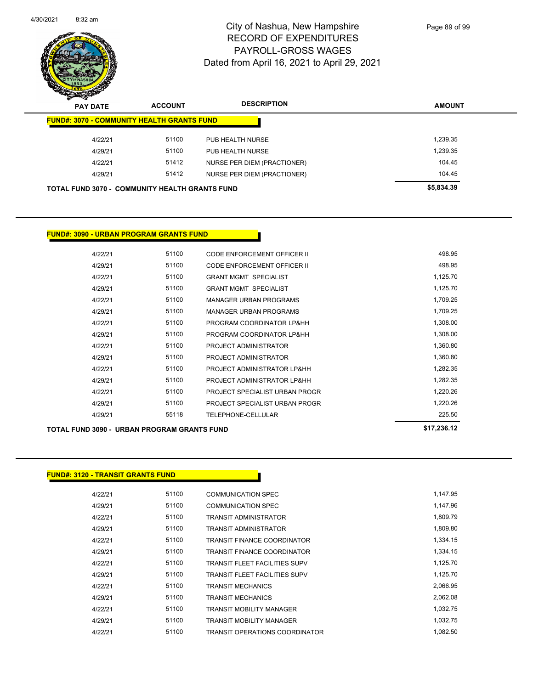

| $\boldsymbol{z}$<br>--<br><b>PAY DATE</b>             | <b>ACCOUNT</b> | <b>DESCRIPTION</b>          | <b>AMOUNT</b> |
|-------------------------------------------------------|----------------|-----------------------------|---------------|
| <b>FUND#: 3070 - COMMUNITY HEALTH GRANTS FUND</b>     |                |                             |               |
| 4/22/21                                               | 51100          | PUB HEALTH NURSE            | 1,239.35      |
| 4/29/21                                               | 51100          | PUB HEALTH NURSE            | 1,239.35      |
| 4/22/21                                               | 51412          | NURSE PER DIEM (PRACTIONER) | 104.45        |
| 4/29/21                                               | 51412          | NURSE PER DIEM (PRACTIONER) | 104.45        |
| <b>TOTAL FUND 3070 - COMMUNITY HEALTH GRANTS FUND</b> |                |                             | \$5,834.39    |

### **FUND#: 3090 - URBAN PROGRAM GRANTS FUND**

| 4/22/21 | 51100 | CODE ENFORCEMENT OFFICER II    | 498.95   |
|---------|-------|--------------------------------|----------|
| 4/29/21 | 51100 | CODE ENFORCEMENT OFFICER II    | 498.95   |
| 4/22/21 | 51100 | <b>GRANT MGMT SPECIALIST</b>   | 1,125.70 |
| 4/29/21 | 51100 | <b>GRANT MGMT SPECIALIST</b>   | 1,125.70 |
| 4/22/21 | 51100 | <b>MANAGER URBAN PROGRAMS</b>  | 1,709.25 |
| 4/29/21 | 51100 | <b>MANAGER URBAN PROGRAMS</b>  | 1.709.25 |
| 4/22/21 | 51100 | PROGRAM COORDINATOR LP&HH      | 1,308.00 |
| 4/29/21 | 51100 | PROGRAM COORDINATOR LP&HH      | 1,308.00 |
| 4/22/21 | 51100 | PROJECT ADMINISTRATOR          | 1,360.80 |
| 4/29/21 | 51100 | PROJECT ADMINISTRATOR          | 1,360.80 |
| 4/22/21 | 51100 | PROJECT ADMINISTRATOR LP&HH    | 1.282.35 |
| 4/29/21 | 51100 | PROJECT ADMINISTRATOR LP&HH    | 1,282.35 |
| 4/22/21 | 51100 | PROJECT SPECIALIST URBAN PROGR | 1.220.26 |
| 4/29/21 | 51100 | PROJECT SPECIALIST URBAN PROGR | 1,220.26 |
| 4/29/21 | 55118 | TELEPHONE-CELLULAR             | 225.50   |
|         |       |                                |          |

**TOTAL FUND 3090 - URBAN PROGRAM GRANTS FUND \$17,236.12** 

### **FUND#: 3120 - TRANSIT GRANTS FUND**

| 4/22/21 | 51100 | <b>COMMUNICATION SPEC</b>            | 1.147.95 |
|---------|-------|--------------------------------------|----------|
| 4/29/21 | 51100 | COMMUNICATION SPEC                   | 1.147.96 |
| 4/22/21 | 51100 | TRANSIT ADMINISTRATOR                | 1.809.79 |
| 4/29/21 | 51100 | TRANSIT ADMINISTRATOR                | 1,809.80 |
| 4/22/21 | 51100 | TRANSIT FINANCE COORDINATOR          | 1,334.15 |
| 4/29/21 | 51100 | TRANSIT FINANCE COORDINATOR          | 1,334.15 |
| 4/22/21 | 51100 | TRANSIT FLEET FACILITIES SUPV        | 1,125.70 |
| 4/29/21 | 51100 | <b>TRANSIT FLEET FACILITIES SUPV</b> | 1,125.70 |
| 4/22/21 | 51100 | TRANSIT MECHANICS                    | 2.066.95 |
| 4/29/21 | 51100 | <b>TRANSIT MECHANICS</b>             | 2.062.08 |
| 4/22/21 | 51100 | <b>TRANSIT MOBILITY MANAGER</b>      | 1,032.75 |
| 4/29/21 | 51100 | TRANSIT MOBILITY MANAGER             | 1,032.75 |
| 4/22/21 | 51100 | TRANSIT OPERATIONS COORDINATOR       | 1.082.50 |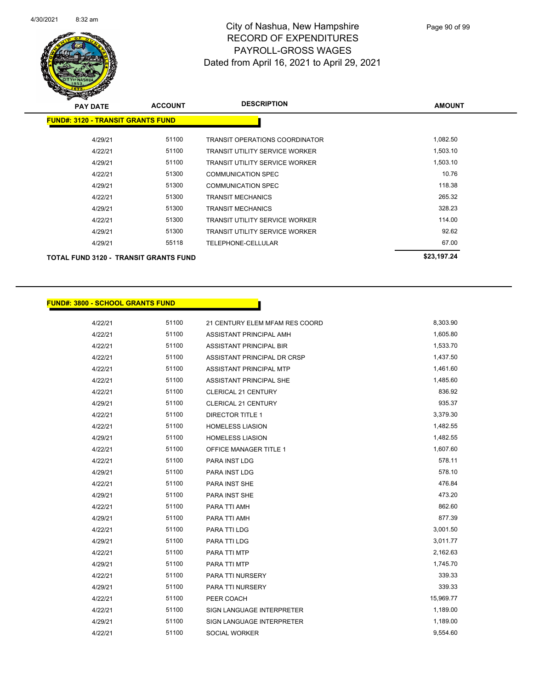

| <b>PAY DATE</b>                              | <b>ACCOUNT</b> | <b>DESCRIPTION</b>                    | <b>AMOUNT</b> |
|----------------------------------------------|----------------|---------------------------------------|---------------|
| <b>FUND#: 3120 - TRANSIT GRANTS FUND</b>     |                |                                       |               |
|                                              |                |                                       |               |
| 4/29/21                                      | 51100          | <b>TRANSIT OPERATIONS COORDINATOR</b> | 1,082.50      |
| 4/22/21                                      | 51100          | <b>TRANSIT UTILITY SERVICE WORKER</b> | 1,503.10      |
| 4/29/21                                      | 51100          | <b>TRANSIT UTILITY SERVICE WORKER</b> | 1,503.10      |
| 4/22/21                                      | 51300          | <b>COMMUNICATION SPEC</b>             | 10.76         |
| 4/29/21                                      | 51300          | <b>COMMUNICATION SPEC</b>             | 118.38        |
| 4/22/21                                      | 51300          | <b>TRANSIT MECHANICS</b>              | 265.32        |
| 4/29/21                                      | 51300          | <b>TRANSIT MECHANICS</b>              | 328.23        |
| 4/22/21                                      | 51300          | <b>TRANSIT UTILITY SERVICE WORKER</b> | 114.00        |
| 4/29/21                                      | 51300          | <b>TRANSIT UTILITY SERVICE WORKER</b> | 92.62         |
| 4/29/21                                      | 55118          | <b>TELEPHONE-CELLULAR</b>             | 67.00         |
| <b>TOTAL FUND 3120 - TRANSIT GRANTS FUND</b> |                |                                       | \$23,197.24   |

### **FUND#: 3800 - SCHOOL GRANTS FUND**

| 4/22/21 | 51100 | 21 CENTURY ELEM MFAM RES COORD | 8,303.90  |
|---------|-------|--------------------------------|-----------|
| 4/22/21 | 51100 | ASSISTANT PRINCIPAL AMH        | 1,605.80  |
| 4/22/21 | 51100 | <b>ASSISTANT PRINCIPAL BIR</b> | 1,533.70  |
| 4/22/21 | 51100 | ASSISTANT PRINCIPAL DR CRSP    | 1,437.50  |
| 4/22/21 | 51100 | <b>ASSISTANT PRINCIPAL MTP</b> | 1,461.60  |
| 4/22/21 | 51100 | ASSISTANT PRINCIPAL SHE        | 1,485.60  |
| 4/22/21 | 51100 | <b>CLERICAL 21 CENTURY</b>     | 836.92    |
| 4/29/21 | 51100 | CLERICAL 21 CENTURY            | 935.37    |
| 4/22/21 | 51100 | <b>DIRECTOR TITLE 1</b>        | 3,379.30  |
| 4/22/21 | 51100 | <b>HOMELESS LIASION</b>        | 1,482.55  |
| 4/29/21 | 51100 | <b>HOMELESS LIASION</b>        | 1,482.55  |
| 4/22/21 | 51100 | <b>OFFICE MANAGER TITLE 1</b>  | 1,607.60  |
| 4/22/21 | 51100 | PARA INST LDG                  | 578.11    |
| 4/29/21 | 51100 | PARA INST LDG                  | 578.10    |
| 4/22/21 | 51100 | PARA INST SHE                  | 476.84    |
| 4/29/21 | 51100 | PARA INST SHE                  | 473.20    |
| 4/22/21 | 51100 | PARA TTI AMH                   | 862.60    |
| 4/29/21 | 51100 | PARA TTI AMH                   | 877.39    |
| 4/22/21 | 51100 | PARA TTI LDG                   | 3,001.50  |
| 4/29/21 | 51100 | PARA TTI LDG                   | 3,011.77  |
| 4/22/21 | 51100 | PARA TTI MTP                   | 2,162.63  |
| 4/29/21 | 51100 | PARA TTI MTP                   | 1,745.70  |
| 4/22/21 | 51100 | PARA TTI NURSERY               | 339.33    |
| 4/29/21 | 51100 | PARA TTI NURSERY               | 339.33    |
| 4/22/21 | 51100 | PEER COACH                     | 15,969.77 |
| 4/22/21 | 51100 | SIGN LANGUAGE INTERPRETER      | 1,189.00  |
| 4/29/21 | 51100 | SIGN LANGUAGE INTERPRETER      | 1,189.00  |
| 4/22/21 | 51100 | <b>SOCIAL WORKER</b>           | 9,554.60  |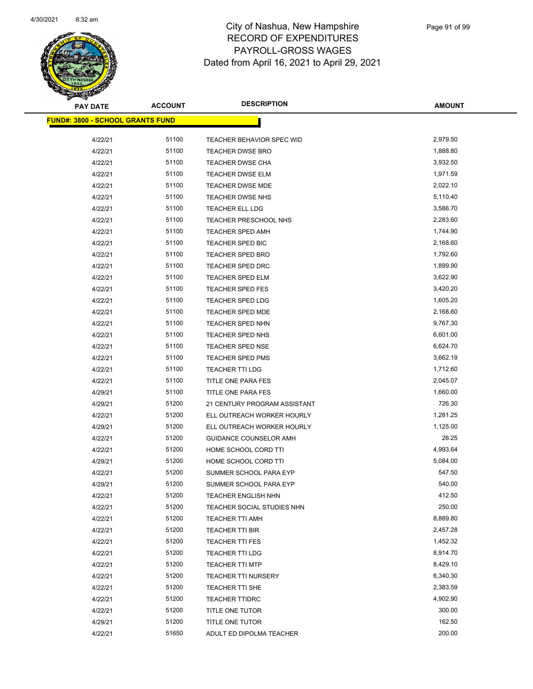

| <b>PAY DATE</b>                         | <b>ACCOUNT</b> | <b>DESCRIPTION</b>           | <b>AMOUNT</b> |
|-----------------------------------------|----------------|------------------------------|---------------|
| <b>FUND#: 3800 - SCHOOL GRANTS FUND</b> |                |                              |               |
| 4/22/21                                 | 51100          | TEACHER BEHAVIOR SPEC WID    | 2,979.50      |
| 4/22/21                                 | 51100          | <b>TEACHER DWSE BRO</b>      | 1,888.80      |
| 4/22/21                                 | 51100          | TEACHER DWSE CHA             | 3,932.50      |
| 4/22/21                                 | 51100          | TEACHER DWSE ELM             | 1,971.59      |
| 4/22/21                                 | 51100          | TEACHER DWSE MDE             | 2,022.10      |
| 4/22/21                                 | 51100          | <b>TEACHER DWSE NHS</b>      | 5,110.40      |
| 4/22/21                                 | 51100          | TEACHER ELL LDG              | 3,586.70      |
| 4/22/21                                 | 51100          | TEACHER PRESCHOOL NHS        | 2,283.60      |
| 4/22/21                                 | 51100          | <b>TEACHER SPED AMH</b>      | 1,744.90      |
| 4/22/21                                 | 51100          | TEACHER SPED BIC             | 2,168.60      |
| 4/22/21                                 | 51100          | <b>TEACHER SPED BRO</b>      | 1,792.60      |
| 4/22/21                                 | 51100          | <b>TEACHER SPED DRC</b>      | 1,899.90      |
| 4/22/21                                 | 51100          | TEACHER SPED ELM             | 3,622.90      |
| 4/22/21                                 | 51100          | TEACHER SPED FES             | 3,420.20      |
| 4/22/21                                 | 51100          | TEACHER SPED LDG             | 1,605.20      |
| 4/22/21                                 | 51100          | <b>TEACHER SPED MDE</b>      | 2,168.60      |
| 4/22/21                                 | 51100          | <b>TEACHER SPED NHN</b>      | 9,767.30      |
| 4/22/21                                 | 51100          | TEACHER SPED NHS             | 6,601.00      |
| 4/22/21                                 | 51100          | TEACHER SPED NSE             | 6,624.70      |
| 4/22/21                                 | 51100          | TEACHER SPED PMS             | 3,662.19      |
| 4/22/21                                 | 51100          | <b>TEACHER TTI LDG</b>       | 1,712.60      |
| 4/22/21                                 | 51100          | TITLE ONE PARA FES           | 2,045.07      |
| 4/29/21                                 | 51100          | TITLE ONE PARA FES           | 1,660.00      |
| 4/29/21                                 | 51200          | 21 CENTURY PROGRAM ASSISTANT | 726.30        |
| 4/22/21                                 | 51200          | ELL OUTREACH WORKER HOURLY   | 1,281.25      |
| 4/29/21                                 | 51200          | ELL OUTREACH WORKER HOURLY   | 1,125.00      |
| 4/22/21                                 | 51200          | GUIDANCE COUNSELOR AMH       | 26.25         |
| 4/22/21                                 | 51200          | HOME SCHOOL CORD TTI         | 4,993.64      |
| 4/29/21                                 | 51200          | HOME SCHOOL CORD TTI         | 5,084.00      |
| 4/22/21                                 | 51200          | SUMMER SCHOOL PARA EYP       | 547.50        |
| 4/29/21                                 | 51200          | SUMMER SCHOOL PARA EYP       | 540.00        |
| 4/22/21                                 | 51200          | TEACHER ENGLISH NHN          | 412.50        |
| 4/22/21                                 | 51200          | TEACHER SOCIAL STUDIES NHN   | 250.00        |
| 4/22/21                                 | 51200          | <b>TEACHER TTI AMH</b>       | 8,889.80      |
| 4/22/21                                 | 51200          | TEACHER TTI BIR              | 2,457.28      |
| 4/22/21                                 | 51200          | <b>TEACHER TTI FES</b>       | 1,452.32      |
| 4/22/21                                 | 51200          | <b>TEACHER TTI LDG</b>       | 8,914.70      |
| 4/22/21                                 | 51200          | <b>TEACHER TTI MTP</b>       | 8,429.10      |
| 4/22/21                                 | 51200          | TEACHER TTI NURSERY          | 6,340.30      |
| 4/22/21                                 | 51200          | TEACHER TTI SHE              | 2,383.59      |
| 4/22/21                                 | 51200          | <b>TEACHER TTIDRC</b>        | 4,902.90      |
| 4/22/21                                 | 51200          | TITLE ONE TUTOR              | 300.00        |
| 4/29/21                                 | 51200          | TITLE ONE TUTOR              | 162.50        |
| 4/22/21                                 | 51650          | ADULT ED DIPOLMA TEACHER     | 200.00        |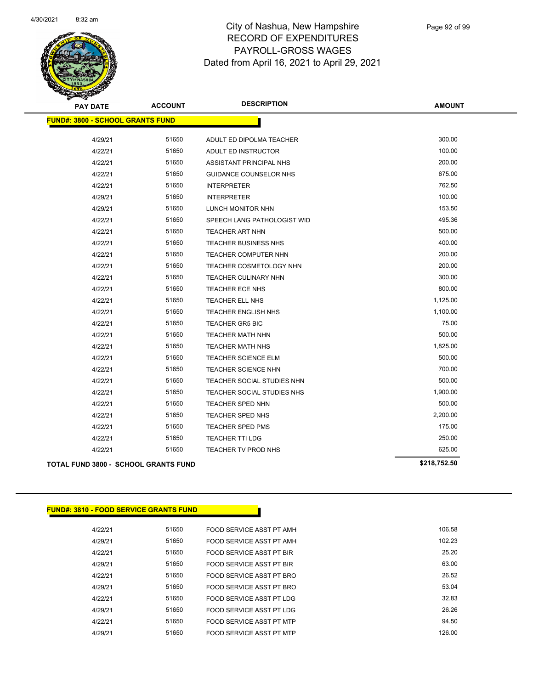

| <b>PAY DATE</b>                             | <b>ACCOUNT</b> | <b>DESCRIPTION</b>             | <b>AMOUNT</b> |
|---------------------------------------------|----------------|--------------------------------|---------------|
| <b>FUND#: 3800 - SCHOOL GRANTS FUND</b>     |                |                                |               |
|                                             |                | ADULT ED DIPOLMA TEACHER       | 300.00        |
| 4/29/21                                     | 51650<br>51650 |                                | 100.00        |
| 4/22/21                                     |                | ADULT ED INSTRUCTOR            |               |
| 4/22/21                                     | 51650          | ASSISTANT PRINCIPAL NHS        | 200.00        |
| 4/22/21                                     | 51650          | <b>GUIDANCE COUNSELOR NHS</b>  | 675.00        |
| 4/22/21                                     | 51650          | <b>INTERPRETER</b>             | 762.50        |
| 4/29/21                                     | 51650          | <b>INTERPRETER</b>             | 100.00        |
| 4/29/21                                     | 51650          | LUNCH MONITOR NHN              | 153.50        |
| 4/22/21                                     | 51650          | SPEECH LANG PATHOLOGIST WID    | 495.36        |
| 4/22/21                                     | 51650          | <b>TEACHER ART NHN</b>         | 500.00        |
| 4/22/21                                     | 51650          | TEACHER BUSINESS NHS           | 400.00        |
| 4/22/21                                     | 51650          | TEACHER COMPUTER NHN           | 200.00        |
| 4/22/21                                     | 51650          | <b>TEACHER COSMETOLOGY NHN</b> | 200.00        |
| 4/22/21                                     | 51650          | TEACHER CULINARY NHN           | 300.00        |
| 4/22/21                                     | 51650          | TEACHER ECE NHS                | 800.00        |
| 4/22/21                                     | 51650          | TEACHER ELL NHS                | 1,125.00      |
| 4/22/21                                     | 51650          | TEACHER ENGLISH NHS            | 1,100.00      |
| 4/22/21                                     | 51650          | <b>TEACHER GR5 BIC</b>         | 75.00         |
| 4/22/21                                     | 51650          | <b>TEACHER MATH NHN</b>        | 500.00        |
| 4/22/21                                     | 51650          | <b>TEACHER MATH NHS</b>        | 1,825.00      |
| 4/22/21                                     | 51650          | <b>TEACHER SCIENCE ELM</b>     | 500.00        |
| 4/22/21                                     | 51650          | <b>TEACHER SCIENCE NHN</b>     | 700.00        |
| 4/22/21                                     | 51650          | TEACHER SOCIAL STUDIES NHN     | 500.00        |
| 4/22/21                                     | 51650          | TEACHER SOCIAL STUDIES NHS     | 1,900.00      |
| 4/22/21                                     | 51650          | TEACHER SPED NHN               | 500.00        |
| 4/22/21                                     | 51650          | TEACHER SPED NHS               | 2,200.00      |
| 4/22/21                                     | 51650          | <b>TEACHER SPED PMS</b>        | 175.00        |
| 4/22/21                                     | 51650          | <b>TEACHER TTI LDG</b>         | 250.00        |
| 4/22/21                                     | 51650          | TEACHER TV PROD NHS            | 625.00        |
| <b>TOTAL FUND 3800 - SCHOOL GRANTS FUND</b> |                |                                | \$218,752.50  |

| <u> FUND#: 3810 - FOOD SERVICE GRANTS FUND</u> |  |
|------------------------------------------------|--|
|------------------------------------------------|--|

| 4/22/21 | 51650 | FOOD SERVICE ASST PT AMH | 106.58 |
|---------|-------|--------------------------|--------|
|         |       |                          |        |
| 4/29/21 | 51650 | FOOD SERVICE ASST PT AMH | 102.23 |
| 4/22/21 | 51650 | FOOD SERVICE ASST PT BIR | 25.20  |
| 4/29/21 | 51650 | FOOD SERVICE ASST PT BIR | 63.00  |
| 4/22/21 | 51650 | FOOD SERVICE ASST PT BRO | 26.52  |
| 4/29/21 | 51650 | FOOD SERVICE ASST PT BRO | 53.04  |
| 4/22/21 | 51650 | FOOD SERVICE ASST PT LDG | 32.83  |
| 4/29/21 | 51650 | FOOD SERVICE ASST PT LDG | 26.26  |
| 4/22/21 | 51650 | FOOD SERVICE ASST PT MTP | 94.50  |
| 4/29/21 | 51650 | FOOD SERVICE ASST PT MTP | 126.00 |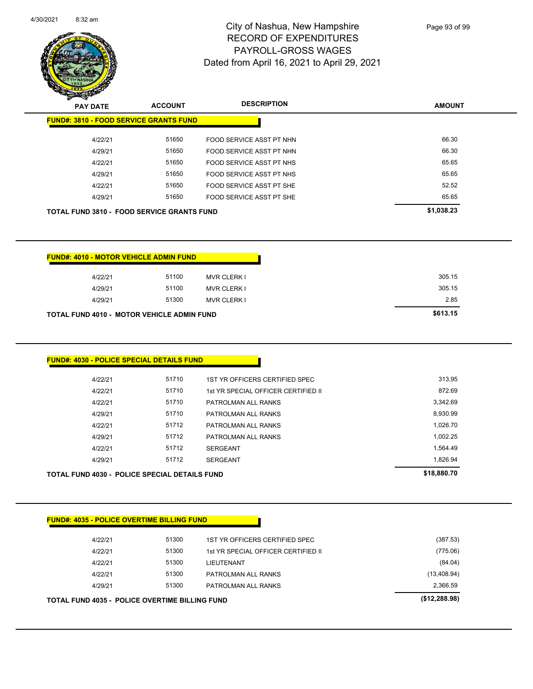|  | 4/30/2021 | $8:32$ am |
|--|-----------|-----------|
|--|-----------|-----------|



**AMOUNT PAY DATE ACCOUNT DESCRIPTION FUND#: 3810 - FOOD SERVICE GRANTS FUND** 4/22/21 51650 FOOD SERVICE ASST PT NHN 66.30 4/29/21 51650 FOOD SERVICE ASST PT NHN 66.30 4/22/21 51650 FOOD SERVICE ASST PT NHS 65.65

| TLL/L                                             | <u></u> | <u>I OOD OLI WIGLAGO I I TIMIG</u> | vv.vv      |
|---------------------------------------------------|---------|------------------------------------|------------|
| 4/29/21                                           | 51650   | FOOD SERVICE ASST PT NHS           | 65.65      |
| 4/22/21                                           | 51650   | FOOD SERVICE ASST PT SHE           | 52.52      |
| 4/29/21                                           | 51650   | FOOD SERVICE ASST PT SHE           | 65.65      |
| <b>TOTAL FUND 3810 - FOOD SERVICE GRANTS FUND</b> |         |                                    | \$1,038.23 |
|                                                   |         |                                    |            |
|                                                   |         |                                    |            |
|                                                   |         |                                    |            |
| <b>FUND#: 4010 - MOTOR VEHICLE ADMIN FUND</b>     |         |                                    |            |
| 4/22/21                                           | 51100   | <b>MVR CLERK I</b>                 | 305.15     |
| 4/29/21                                           | 51100   | <b>MVR CLERK I</b>                 | 305.15     |
| 4/29/21                                           | 51300   | MVR CLERK L                        | 2.85       |

| <b>TOTAL FUND 4010 - MOTOR VEHICLE ADMIN FUND</b> |       |                    | \$613.15 |
|---------------------------------------------------|-------|--------------------|----------|
| 4/29/21                                           | 51300 | <b>MVR CLERK I</b> | 2.85     |
| 4/29/21                                           | 51100 | <b>MVR CLERK I</b> | 305.15   |

| FUND#: 4030 - POLICE SPECIAL DETAILS FUND_ |       |                                     |          |  |  |
|--------------------------------------------|-------|-------------------------------------|----------|--|--|
| 4/22/21                                    | 51710 | 1ST YR OFFICERS CERTIFIED SPEC      | 313.95   |  |  |
| 4/22/21                                    | 51710 | 1st YR SPECIAL OFFICER CERTIFIED II | 872.69   |  |  |
| 4/22/21                                    | 51710 | PATROLMAN ALL RANKS                 | 3.342.69 |  |  |
| 4/29/21                                    | 51710 | PATROLMAN ALL RANKS                 | 8,930.99 |  |  |
| 4/22/21                                    | 51712 | PATROLMAN ALL RANKS                 | 1,026.70 |  |  |
| 4/29/21                                    | 51712 | PATROLMAN ALL RANKS                 | 1,002.25 |  |  |
| 4/22/21                                    | 51712 | <b>SERGEANT</b>                     | 1,564.49 |  |  |
| A190121                                    | 51712 | SERGEANT                            | 182694   |  |  |

| 4/29/21                                              | 51712 | <b>SERGEANT</b> | 1.826.94    |
|------------------------------------------------------|-------|-----------------|-------------|
| <b>TOTAL FUND 4030 - POLICE SPECIAL DETAILS FUND</b> |       |                 | \$18,880.70 |

| 4/22/21 | 51300 | 1ST YR OFFICERS CERTIFIED SPEC      | (387.53)     |
|---------|-------|-------------------------------------|--------------|
| 4/22/21 | 51300 | 1st YR SPECIAL OFFICER CERTIFIED II | (775.06)     |
| 4/22/21 | 51300 | LIEUTENANT                          | (84.04)      |
| 4/22/21 | 51300 | PATROLMAN ALL RANKS                 | (13, 408.94) |
| 4/29/21 | 51300 | PATROLMAN ALL RANKS                 | 2,366.59     |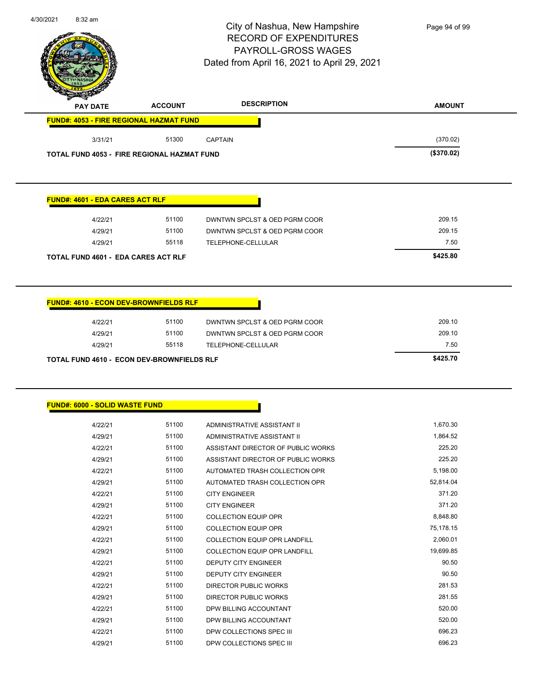|                                                          |                | City of Nashua, New Hampshire<br><b>RECORD OF EXPENDITURES</b><br><b>PAYROLL-GROSS WAGES</b><br>Dated from April 16, 2021 to April 29, 2021 | Page 94 of 99 |
|----------------------------------------------------------|----------------|---------------------------------------------------------------------------------------------------------------------------------------------|---------------|
| <b>PAY DATE</b>                                          | <b>ACCOUNT</b> | <b>DESCRIPTION</b>                                                                                                                          | <b>AMOUNT</b> |
| <b>FUND#: 4053 - FIRE REGIONAL HAZMAT FUND</b>           |                |                                                                                                                                             |               |
| 3/31/21                                                  | 51300          | <b>CAPTAIN</b>                                                                                                                              | (370.02)      |
| <b>TOTAL FUND 4053 - FIRE REGIONAL HAZMAT FUND</b>       |                |                                                                                                                                             | (\$370.02)    |
| <b>FUND#: 4601 - EDA CARES ACT RLF</b>                   |                |                                                                                                                                             |               |
| 4/22/21                                                  | 51100          | DWNTWN SPCLST & OED PGRM COOR                                                                                                               | 209.15        |
| 4/29/21                                                  | 51100          | DWNTWN SPCLST & OED PGRM COOR                                                                                                               | 209.15        |
| 4/29/21                                                  | 55118          | TELEPHONE-CELLULAR                                                                                                                          | 7.50          |
| <b>TOTAL FUND 4601 - EDA CARES ACT RLF</b>               |                |                                                                                                                                             | \$425.80      |
| <b>FUND#: 4610 - ECON DEV-BROWNFIELDS RLF</b><br>4/22/21 | 51100          | DWNTWN SPCLST & OED PGRM COOR                                                                                                               | 209.10        |
|                                                          |                |                                                                                                                                             |               |
| 4/29/21                                                  | 51100          | DWNTWN SPCLST & OED PGRM COOR                                                                                                               | 209.10        |
| 4/29/21                                                  | 55118          | TELEPHONE-CELLULAR                                                                                                                          | 7.50          |
|                                                          |                |                                                                                                                                             |               |
| FUND#: 6000 - SOLID WASTE FUND                           |                |                                                                                                                                             |               |
| 4/22/21                                                  | 51100          | ADMINISTRATIVE ASSISTANT II                                                                                                                 | 1,670.30      |
| 4/29/21                                                  | 51100          | ADMINISTRATIVE ASSISTANT II                                                                                                                 | 1,864.52      |
| 4/22/21                                                  | 51100          | ASSISTANT DIRECTOR OF PUBLIC WORKS                                                                                                          | 225.20        |
| 4/29/21                                                  | 51100          | ASSISTANT DIRECTOR OF PUBLIC WORKS                                                                                                          | 225.20        |
| 4/22/21                                                  | 51100          | AUTOMATED TRASH COLLECTION OPR                                                                                                              | 5,198.00      |
| 4/29/21                                                  | 51100          | AUTOMATED TRASH COLLECTION OPR                                                                                                              | 52,814.04     |
| 4/22/21                                                  | 51100          | <b>CITY ENGINEER</b>                                                                                                                        | 371.20        |
| 4/29/21                                                  | 51100          | <b>CITY ENGINEER</b>                                                                                                                        | 371.20        |
| 4/22/21                                                  | 51100          | <b>COLLECTION EQUIP OPR</b>                                                                                                                 | 8,848.80      |
| 4/29/21                                                  | 51100          | <b>COLLECTION EQUIP OPR</b>                                                                                                                 | 75,178.15     |
| 4/22/21                                                  | 51100          | COLLECTION EQUIP OPR LANDFILL                                                                                                               | 2,060.01      |
| 4/29/21                                                  | 51100          | COLLECTION EQUIP OPR LANDFILL                                                                                                               | 19,699.85     |
| 4/22/21                                                  | 51100          | DEPUTY CITY ENGINEER                                                                                                                        | 90.50         |
| 4/29/21                                                  | 51100          | DEPUTY CITY ENGINEER                                                                                                                        | 90.50         |
| 4/22/21                                                  | 51100          | DIRECTOR PUBLIC WORKS                                                                                                                       | 281.53        |
| 4/29/21                                                  | 51100          | DIRECTOR PUBLIC WORKS                                                                                                                       | 281.55        |
| 4/22/21                                                  | 51100          | DPW BILLING ACCOUNTANT                                                                                                                      | 520.00        |
| 4/29/21                                                  | 51100          | DPW BILLING ACCOUNTANT                                                                                                                      | 520.00        |

4/29/21 51100 DPW COLLECTIONS SPEC III 696.23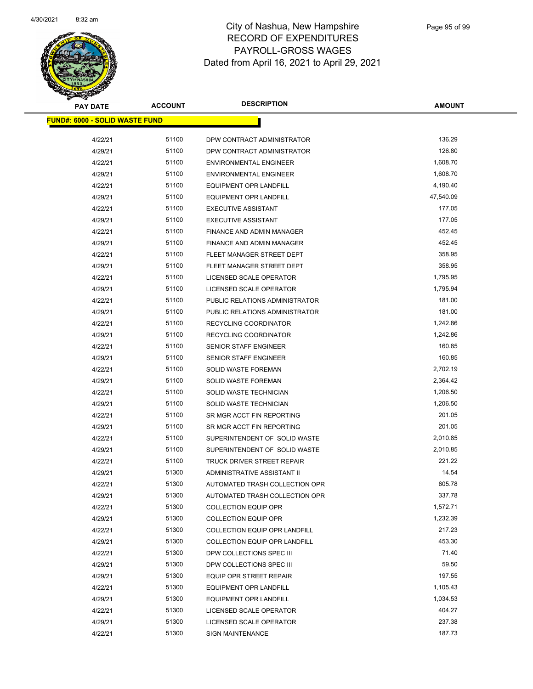

| <b>PAY DATE</b>                        | <b>ACCOUNT</b> | <b>DESCRIPTION</b>                                     | <b>AMOUNT</b>    |
|----------------------------------------|----------------|--------------------------------------------------------|------------------|
| <u> FUND#: 6000 - SOLID WASTE FUND</u> |                |                                                        |                  |
|                                        | 51100          |                                                        | 136.29           |
| 4/22/21<br>4/29/21                     | 51100          | DPW CONTRACT ADMINISTRATOR                             | 126.80           |
|                                        | 51100          | DPW CONTRACT ADMINISTRATOR                             | 1,608.70         |
| 4/22/21                                | 51100          | <b>ENVIRONMENTAL ENGINEER</b>                          | 1,608.70         |
| 4/29/21                                |                | <b>ENVIRONMENTAL ENGINEER</b>                          |                  |
| 4/22/21                                | 51100          | <b>EQUIPMENT OPR LANDFILL</b>                          | 4,190.40         |
| 4/29/21                                | 51100          | <b>EQUIPMENT OPR LANDFILL</b>                          | 47,540.09        |
| 4/22/21                                | 51100<br>51100 | <b>EXECUTIVE ASSISTANT</b>                             | 177.05<br>177.05 |
| 4/29/21                                | 51100          | <b>EXECUTIVE ASSISTANT</b>                             | 452.45           |
| 4/22/21                                | 51100          | FINANCE AND ADMIN MANAGER                              | 452.45           |
| 4/29/21                                | 51100          | FINANCE AND ADMIN MANAGER                              | 358.95           |
| 4/22/21<br>4/29/21                     | 51100          | FLEET MANAGER STREET DEPT<br>FLEET MANAGER STREET DEPT | 358.95           |
|                                        | 51100          |                                                        | 1,795.95         |
| 4/22/21                                | 51100          | LICENSED SCALE OPERATOR<br>LICENSED SCALE OPERATOR     | 1,795.94         |
| 4/29/21                                | 51100          | PUBLIC RELATIONS ADMINISTRATOR                         | 181.00           |
| 4/22/21<br>4/29/21                     | 51100          | PUBLIC RELATIONS ADMINISTRATOR                         | 181.00           |
| 4/22/21                                | 51100          | RECYCLING COORDINATOR                                  | 1,242.86         |
| 4/29/21                                | 51100          | RECYCLING COORDINATOR                                  | 1,242.86         |
| 4/22/21                                | 51100          | <b>SENIOR STAFF ENGINEER</b>                           | 160.85           |
| 4/29/21                                | 51100          | SENIOR STAFF ENGINEER                                  | 160.85           |
| 4/22/21                                | 51100          | SOLID WASTE FOREMAN                                    | 2,702.19         |
| 4/29/21                                | 51100          | <b>SOLID WASTE FOREMAN</b>                             | 2,364.42         |
| 4/22/21                                | 51100          | SOLID WASTE TECHNICIAN                                 | 1,206.50         |
| 4/29/21                                | 51100          | SOLID WASTE TECHNICIAN                                 | 1,206.50         |
| 4/22/21                                | 51100          | SR MGR ACCT FIN REPORTING                              | 201.05           |
| 4/29/21                                | 51100          | SR MGR ACCT FIN REPORTING                              | 201.05           |
| 4/22/21                                | 51100          | SUPERINTENDENT OF SOLID WASTE                          | 2,010.85         |
| 4/29/21                                | 51100          | SUPERINTENDENT OF SOLID WASTE                          | 2,010.85         |
| 4/22/21                                | 51100          | TRUCK DRIVER STREET REPAIR                             | 221.22           |
| 4/29/21                                | 51300          | ADMINISTRATIVE ASSISTANT II                            | 14.54            |
| 4/22/21                                | 51300          | AUTOMATED TRASH COLLECTION OPR                         | 605.78           |
| 4/29/21                                | 51300          | AUTOMATED TRASH COLLECTION OPR                         | 337.78           |
| 4/22/21                                | 51300          | <b>COLLECTION EQUIP OPR</b>                            | 1,572.71         |
| 4/29/21                                | 51300          | <b>COLLECTION EQUIP OPR</b>                            | 1,232.39         |
| 4/22/21                                | 51300          | COLLECTION EQUIP OPR LANDFILL                          | 217.23           |
| 4/29/21                                | 51300          | <b>COLLECTION EQUIP OPR LANDFILL</b>                   | 453.30           |
| 4/22/21                                | 51300          | DPW COLLECTIONS SPEC III                               | 71.40            |
| 4/29/21                                | 51300          | DPW COLLECTIONS SPEC III                               | 59.50            |
| 4/29/21                                | 51300          | EQUIP OPR STREET REPAIR                                | 197.55           |
| 4/22/21                                | 51300          | <b>EQUIPMENT OPR LANDFILL</b>                          | 1,105.43         |
| 4/29/21                                | 51300          | <b>EQUIPMENT OPR LANDFILL</b>                          | 1,034.53         |
| 4/22/21                                | 51300          | LICENSED SCALE OPERATOR                                | 404.27           |
| 4/29/21                                | 51300          | LICENSED SCALE OPERATOR                                | 237.38           |
| 4/22/21                                | 51300          | <b>SIGN MAINTENANCE</b>                                | 187.73           |
|                                        |                |                                                        |                  |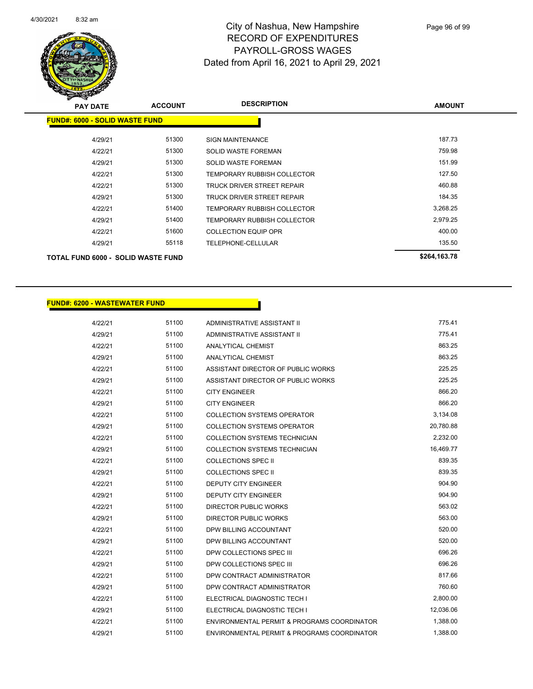

| <b>PAY DATE</b>                       | <b>ACCOUNT</b> | <b>DESCRIPTION</b>                 | <b>AMOUNT</b> |
|---------------------------------------|----------------|------------------------------------|---------------|
| <b>FUND#: 6000 - SOLID WASTE FUND</b> |                |                                    |               |
| 4/29/21                               | 51300          | <b>SIGN MAINTENANCE</b>            | 187.73        |
| 4/22/21                               | 51300          | SOLID WASTE FOREMAN                | 759.98        |
| 4/29/21                               | 51300          | <b>SOLID WASTE FOREMAN</b>         | 151.99        |
| 4/22/21                               | 51300          | TEMPORARY RUBBISH COLLECTOR        | 127.50        |
| 4/22/21                               | 51300          | TRUCK DRIVER STREET REPAIR         | 460.88        |
| 4/29/21                               | 51300          | <b>TRUCK DRIVER STREET REPAIR</b>  | 184.35        |
| 4/22/21                               | 51400          | TEMPORARY RUBBISH COLLECTOR        | 3,268.25      |
| 4/29/21                               | 51400          | <b>TEMPORARY RUBBISH COLLECTOR</b> | 2,979.25      |
| 4/22/21                               | 51600          | <b>COLLECTION EQUIP OPR</b>        | 400.00        |
| 4/29/21                               | 55118          | TELEPHONE-CELLULAR                 | 135.50        |
| TOTAL FUND 6000 - SOLID WASTE FUND    |                |                                    | \$264,163.78  |

#### **FUND#: 6200 - WASTEWATER FUND**

| 4/22/21 | 51100 | ADMINISTRATIVE ASSISTANT II                            | 775.41    |
|---------|-------|--------------------------------------------------------|-----------|
| 4/29/21 | 51100 | ADMINISTRATIVE ASSISTANT II                            | 775.41    |
| 4/22/21 | 51100 | <b>ANALYTICAL CHEMIST</b>                              | 863.25    |
| 4/29/21 | 51100 | ANALYTICAL CHEMIST                                     | 863.25    |
| 4/22/21 | 51100 | ASSISTANT DIRECTOR OF PUBLIC WORKS                     | 225.25    |
| 4/29/21 | 51100 | ASSISTANT DIRECTOR OF PUBLIC WORKS                     | 225.25    |
| 4/22/21 | 51100 | <b>CITY ENGINEER</b>                                   | 866.20    |
| 4/29/21 | 51100 | <b>CITY ENGINEER</b>                                   | 866.20    |
| 4/22/21 | 51100 | COLLECTION SYSTEMS OPERATOR                            | 3,134.08  |
| 4/29/21 | 51100 | <b>COLLECTION SYSTEMS OPERATOR</b>                     | 20,780.88 |
| 4/22/21 | 51100 | <b>COLLECTION SYSTEMS TECHNICIAN</b>                   | 2,232.00  |
| 4/29/21 | 51100 | <b>COLLECTION SYSTEMS TECHNICIAN</b>                   | 16,469.77 |
| 4/22/21 | 51100 | <b>COLLECTIONS SPEC II</b>                             | 839.35    |
| 4/29/21 | 51100 | <b>COLLECTIONS SPEC II</b>                             | 839.35    |
| 4/22/21 | 51100 | <b>DEPUTY CITY ENGINEER</b>                            | 904.90    |
| 4/29/21 | 51100 | <b>DEPUTY CITY ENGINEER</b>                            | 904.90    |
| 4/22/21 | 51100 | <b>DIRECTOR PUBLIC WORKS</b>                           | 563.02    |
| 4/29/21 | 51100 | <b>DIRECTOR PUBLIC WORKS</b>                           | 563.00    |
| 4/22/21 | 51100 | DPW BILLING ACCOUNTANT                                 | 520.00    |
| 4/29/21 | 51100 | DPW BILLING ACCOUNTANT                                 | 520.00    |
| 4/22/21 | 51100 | DPW COLLECTIONS SPEC III                               | 696.26    |
| 4/29/21 | 51100 | DPW COLLECTIONS SPEC III                               | 696.26    |
| 4/22/21 | 51100 | DPW CONTRACT ADMINISTRATOR                             | 817.66    |
| 4/29/21 | 51100 | DPW CONTRACT ADMINISTRATOR                             | 760.60    |
| 4/22/21 | 51100 | ELECTRICAL DIAGNOSTIC TECH I                           | 2,800.00  |
| 4/29/21 | 51100 | ELECTRICAL DIAGNOSTIC TECH I                           | 12,036.06 |
| 4/22/21 | 51100 | ENVIRONMENTAL PERMIT & PROGRAMS COORDINATOR            | 1,388.00  |
| 4/29/21 | 51100 | <b>ENVIRONMENTAL PERMIT &amp; PROGRAMS COORDINATOR</b> | 1,388.00  |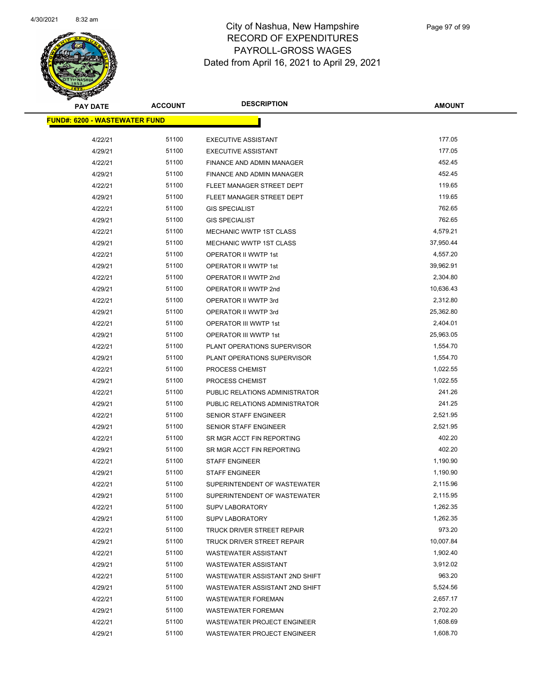

| <b>PAY DATE</b>                       | <b>ACCOUNT</b> | <b>DESCRIPTION</b>             | <b>AMOUNT</b> |
|---------------------------------------|----------------|--------------------------------|---------------|
| <u> FUND#: 6200 - WASTEWATER FUND</u> |                |                                |               |
|                                       |                |                                |               |
| 4/22/21                               | 51100          | <b>EXECUTIVE ASSISTANT</b>     | 177.05        |
| 4/29/21                               | 51100          | <b>EXECUTIVE ASSISTANT</b>     | 177.05        |
| 4/22/21                               | 51100          | FINANCE AND ADMIN MANAGER      | 452.45        |
| 4/29/21                               | 51100          | FINANCE AND ADMIN MANAGER      | 452.45        |
| 4/22/21                               | 51100          | FLEET MANAGER STREET DEPT      | 119.65        |
| 4/29/21                               | 51100          | FLEET MANAGER STREET DEPT      | 119.65        |
| 4/22/21                               | 51100          | <b>GIS SPECIALIST</b>          | 762.65        |
| 4/29/21                               | 51100          | <b>GIS SPECIALIST</b>          | 762.65        |
| 4/22/21                               | 51100          | <b>MECHANIC WWTP 1ST CLASS</b> | 4,579.21      |
| 4/29/21                               | 51100          | <b>MECHANIC WWTP 1ST CLASS</b> | 37,950.44     |
| 4/22/21                               | 51100          | OPERATOR II WWTP 1st           | 4,557.20      |
| 4/29/21                               | 51100          | OPERATOR II WWTP 1st           | 39,962.91     |
| 4/22/21                               | 51100          | OPERATOR II WWTP 2nd           | 2,304.80      |
| 4/29/21                               | 51100          | OPERATOR II WWTP 2nd           | 10,636.43     |
| 4/22/21                               | 51100          | OPERATOR II WWTP 3rd           | 2,312.80      |
| 4/29/21                               | 51100          | OPERATOR II WWTP 3rd           | 25,362.80     |
| 4/22/21                               | 51100          | OPERATOR III WWTP 1st          | 2,404.01      |
| 4/29/21                               | 51100          | OPERATOR III WWTP 1st          | 25,963.05     |
| 4/22/21                               | 51100          | PLANT OPERATIONS SUPERVISOR    | 1,554.70      |
| 4/29/21                               | 51100          | PLANT OPERATIONS SUPERVISOR    | 1,554.70      |
| 4/22/21                               | 51100          | PROCESS CHEMIST                | 1,022.55      |
| 4/29/21                               | 51100          | PROCESS CHEMIST                | 1,022.55      |
| 4/22/21                               | 51100          | PUBLIC RELATIONS ADMINISTRATOR | 241.26        |
| 4/29/21                               | 51100          | PUBLIC RELATIONS ADMINISTRATOR | 241.25        |
| 4/22/21                               | 51100          | SENIOR STAFF ENGINEER          | 2,521.95      |
| 4/29/21                               | 51100          | SENIOR STAFF ENGINEER          | 2,521.95      |
| 4/22/21                               | 51100          | SR MGR ACCT FIN REPORTING      | 402.20        |
| 4/29/21                               | 51100          | SR MGR ACCT FIN REPORTING      | 402.20        |
| 4/22/21                               | 51100          | <b>STAFF ENGINEER</b>          | 1,190.90      |
| 4/29/21                               | 51100          | <b>STAFF ENGINEER</b>          | 1,190.90      |
| 4/22/21                               | 51100          | SUPERINTENDENT OF WASTEWATER   | 2,115.96      |
| 4/29/21                               | 51100          | SUPERINTENDENT OF WASTEWATER   | 2,115.95      |
| 4/22/21                               | 51100          | <b>SUPV LABORATORY</b>         | 1,262.35      |
| 4/29/21                               | 51100          | <b>SUPV LABORATORY</b>         | 1,262.35      |
| 4/22/21                               | 51100          | TRUCK DRIVER STREET REPAIR     | 973.20        |
| 4/29/21                               | 51100          | TRUCK DRIVER STREET REPAIR     | 10,007.84     |
| 4/22/21                               | 51100          | <b>WASTEWATER ASSISTANT</b>    | 1,902.40      |
| 4/29/21                               | 51100          | WASTEWATER ASSISTANT           | 3,912.02      |
| 4/22/21                               | 51100          | WASTEWATER ASSISTANT 2ND SHIFT | 963.20        |
| 4/29/21                               | 51100          | WASTEWATER ASSISTANT 2ND SHIFT | 5,524.56      |
| 4/22/21                               | 51100          | <b>WASTEWATER FOREMAN</b>      | 2,657.17      |
| 4/29/21                               | 51100          | <b>WASTEWATER FOREMAN</b>      | 2,702.20      |
| 4/22/21                               | 51100          | WASTEWATER PROJECT ENGINEER    | 1,608.69      |
| 4/29/21                               | 51100          | WASTEWATER PROJECT ENGINEER    | 1,608.70      |
|                                       |                |                                |               |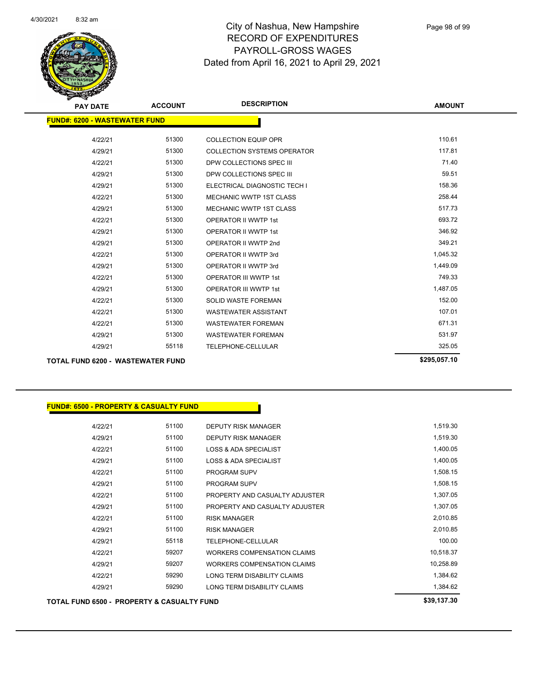

| <b>PAY DATE</b>                          | <b>ACCOUNT</b> | <b>DESCRIPTION</b>                 | <b>AMOUNT</b> |
|------------------------------------------|----------------|------------------------------------|---------------|
| <b>FUND#: 6200 - WASTEWATER FUND</b>     |                |                                    |               |
| 4/22/21                                  | 51300          | <b>COLLECTION EQUIP OPR</b>        | 110.61        |
| 4/29/21                                  | 51300          | <b>COLLECTION SYSTEMS OPERATOR</b> | 117.81        |
| 4/22/21                                  | 51300          | DPW COLLECTIONS SPEC III           | 71.40         |
| 4/29/21                                  | 51300          | DPW COLLECTIONS SPEC III           | 59.51         |
| 4/29/21                                  | 51300          | ELECTRICAL DIAGNOSTIC TECH I       | 158.36        |
| 4/22/21                                  | 51300          | <b>MECHANIC WWTP 1ST CLASS</b>     | 258.44        |
| 4/29/21                                  | 51300          | <b>MECHANIC WWTP 1ST CLASS</b>     | 517.73        |
| 4/22/21                                  | 51300          | <b>OPERATOR II WWTP 1st</b>        | 693.72        |
| 4/29/21                                  | 51300          | <b>OPERATOR II WWTP 1st</b>        | 346.92        |
| 4/29/21                                  | 51300          | OPERATOR II WWTP 2nd               | 349.21        |
| 4/22/21                                  | 51300          | OPERATOR II WWTP 3rd               | 1,045.32      |
| 4/29/21                                  | 51300          | OPERATOR II WWTP 3rd               | 1,449.09      |
| 4/22/21                                  | 51300          | <b>OPERATOR III WWTP 1st</b>       | 749.33        |
| 4/29/21                                  | 51300          | <b>OPERATOR III WWTP 1st</b>       | 1,487.05      |
| 4/22/21                                  | 51300          | <b>SOLID WASTE FOREMAN</b>         | 152.00        |
| 4/22/21                                  | 51300          | <b>WASTEWATER ASSISTANT</b>        | 107.01        |
| 4/22/21                                  | 51300          | <b>WASTEWATER FOREMAN</b>          | 671.31        |
| 4/29/21                                  | 51300          | <b>WASTEWATER FOREMAN</b>          | 531.97        |
| 4/29/21                                  | 55118          | TELEPHONE-CELLULAR                 | 325.05        |
| <b>TOTAL FUND 6200 - WASTEWATER FUND</b> |                |                                    | \$295,057.10  |

| <b>FUND#: 6500 - PROPERTY &amp; CASUALTY FUND</b> |
|---------------------------------------------------|
|---------------------------------------------------|

| <b>TOTAL FUND 6500 - PROPERTY &amp; CASUALTY FUND</b> | \$39,137.30 |                                    |           |
|-------------------------------------------------------|-------------|------------------------------------|-----------|
| 4/29/21                                               | 59290       | LONG TERM DISABILITY CLAIMS        | 1,384.62  |
| 4/22/21                                               | 59290       | LONG TERM DISABILITY CLAIMS        | 1,384.62  |
| 4/29/21                                               | 59207       | <b>WORKERS COMPENSATION CLAIMS</b> | 10,258.89 |
| 4/22/21                                               | 59207       | <b>WORKERS COMPENSATION CLAIMS</b> | 10,518.37 |
| 4/29/21                                               | 55118       | <b>TELEPHONE-CELLULAR</b>          | 100.00    |
| 4/29/21                                               | 51100       | <b>RISK MANAGER</b>                | 2,010.85  |
| 4/22/21                                               | 51100       | <b>RISK MANAGER</b>                | 2,010.85  |
| 4/29/21                                               | 51100       | PROPERTY AND CASUALTY ADJUSTER     | 1,307.05  |
| 4/22/21                                               | 51100       | PROPERTY AND CASUALTY ADJUSTER     | 1,307.05  |
| 4/29/21                                               | 51100       | <b>PROGRAM SUPV</b>                | 1,508.15  |
| 4/22/21                                               | 51100       | <b>PROGRAM SUPV</b>                | 1,508.15  |
| 4/29/21                                               | 51100       | <b>LOSS &amp; ADA SPECIALIST</b>   | 1,400.05  |
| 4/22/21                                               | 51100       | <b>LOSS &amp; ADA SPECIALIST</b>   | 1,400.05  |
| 4/29/21                                               | 51100       | <b>DEPUTY RISK MANAGER</b>         | 1,519.30  |
| 4/22/21                                               | 51100       | <b>DEPUTY RISK MANAGER</b>         | 1,519.30  |
|                                                       |             |                                    |           |